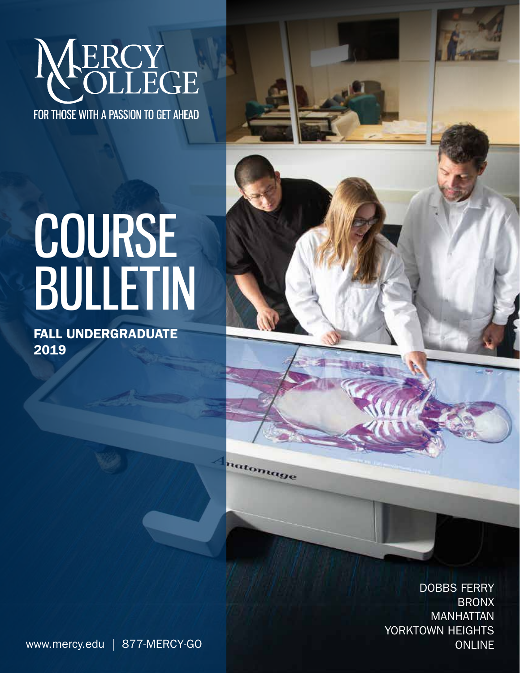

FOR THOSE WITH A PASSION TO GET AHEAD

# COURSE BULLETIN

FALL UNDERGRADUATE 2019

uatomage

DOBBS FERRY BRONX MANHATTAN YORKTOWN HEIGHTS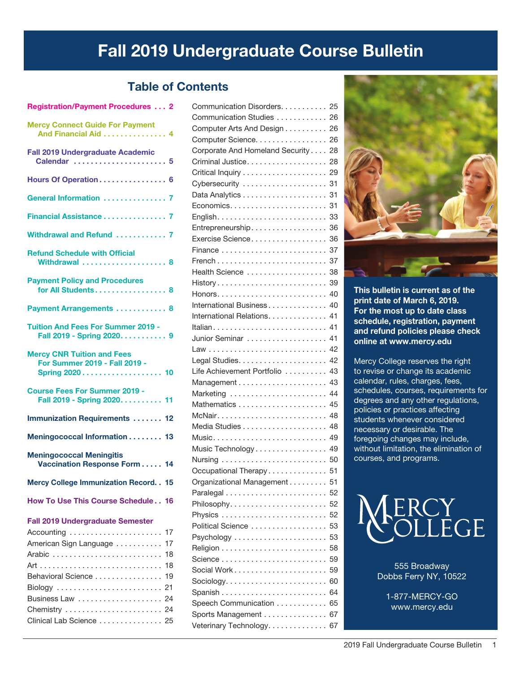# Fall 2019 Undergraduate Course Bulletin

### Table of Contents

| Registration/Payment Procedures  Z                                                                                                                                                                                                                  |
|-----------------------------------------------------------------------------------------------------------------------------------------------------------------------------------------------------------------------------------------------------|
| <b>Mercy Connect Guide For Payment</b><br>And Financial Aid 4                                                                                                                                                                                       |
| <b>Fall 2019 Undergraduate Academic</b><br>Calendar  5                                                                                                                                                                                              |
| Hours Of Operation 6                                                                                                                                                                                                                                |
| General Information  7                                                                                                                                                                                                                              |
| Financial Assistance 7                                                                                                                                                                                                                              |
| Withdrawal and Refund  7                                                                                                                                                                                                                            |
| <b>Refund Schedule with Official</b><br>Withdrawal  8                                                                                                                                                                                               |
| <b>Payment Policy and Procedures</b><br>for All Students 8                                                                                                                                                                                          |
| Payment Arrangements  8                                                                                                                                                                                                                             |
| <b>Tuition And Fees For Summer 2019 -</b><br>Fall 2019 - Spring 2020 9                                                                                                                                                                              |
| <b>Mercy CNR Tuition and Fees</b><br>For Summer 2019 - Fall 2019 -<br>Spring 2020 10                                                                                                                                                                |
| <b>Course Fees For Summer 2019 -</b><br>Fall 2019 - Spring 2020. 11                                                                                                                                                                                 |
| <b>Immunization Requirements  12</b>                                                                                                                                                                                                                |
| Meningococcal Information 13                                                                                                                                                                                                                        |
| <b>Meningococcal Meningitis</b><br>Vaccination Response Form 14                                                                                                                                                                                     |
| <b>Mercy College Immunization Record. . 15</b>                                                                                                                                                                                                      |
| How To Use This Course Schedule 16                                                                                                                                                                                                                  |
| <b>Fall 2019 Undergraduate Semester</b><br>Accounting $\ldots \ldots \ldots \ldots \ldots \ldots \ldots$ 17<br>American Sign Language<br>17<br>18<br>18<br>Behavioral Science 19<br>Business Law<br>24<br>Chemistry  24<br>Clinical Lab Science  25 |
|                                                                                                                                                                                                                                                     |

Registration/Payment Procedures. . . 2

| Communication Disorders.                                           | 25 |
|--------------------------------------------------------------------|----|
| Communication Studies                                              | 26 |
| Computer Arts And Design 26                                        |    |
| Computer Science. 26                                               |    |
| Corporate And Homeland Security 28                                 |    |
| Criminal Justice                                                   | 28 |
|                                                                    | 29 |
| Cybersecurity                                                      | 31 |
|                                                                    |    |
|                                                                    |    |
| English. $\ldots \ldots \ldots \ldots \ldots \ldots \ldots \ldots$ | 33 |
| Entrepreneurship                                                   | 36 |
| Exercise Science                                                   | 36 |
|                                                                    | 37 |
|                                                                    | 37 |
| Health Science                                                     | 38 |
| History                                                            | 39 |
|                                                                    | 40 |
| International Business                                             | 40 |
| International Relations. 41                                        |    |
|                                                                    | 41 |
| Junior Seminar                                                     | 41 |
|                                                                    | 42 |
|                                                                    | 42 |
| Life Achievement Portfolio                                         | 43 |
|                                                                    | 43 |
| Marketing                                                          | 44 |
|                                                                    | 45 |
|                                                                    | 48 |
|                                                                    | 48 |
| Music 49                                                           |    |
|                                                                    |    |
| Music Technology 49                                                | 50 |
|                                                                    |    |
| Occupational Therapy 51                                            |    |
| Organizational Management                                          | 51 |
|                                                                    | 52 |
|                                                                    | 52 |
|                                                                    | 52 |
| Political Science                                                  | 53 |
|                                                                    | 53 |
|                                                                    | 58 |
|                                                                    | 59 |
| Social Work                                                        | 59 |
|                                                                    | 60 |
|                                                                    | 64 |
| Speech Communication                                               | 65 |
| Sports Management                                                  | 67 |
| Veterinary Technology                                              | 67 |



This bulletin is current as of the print date of March 6, 2019. For the most up to date class schedule, registration, payment and refund policies please check online at www.mercy.edu

Mercy College reserves the right to revise or change its academic calendar, rules, charges, fees, schedules, courses, requirements for degrees and any other regulations, policies or practices affecting students whenever considered necessary or desirable. The foregoing changes may include, without limitation, the elimination of courses, and programs.



555 Broadway Dobbs Ferry NY, 10522

1-877-MERCY-GO www.mercy.edu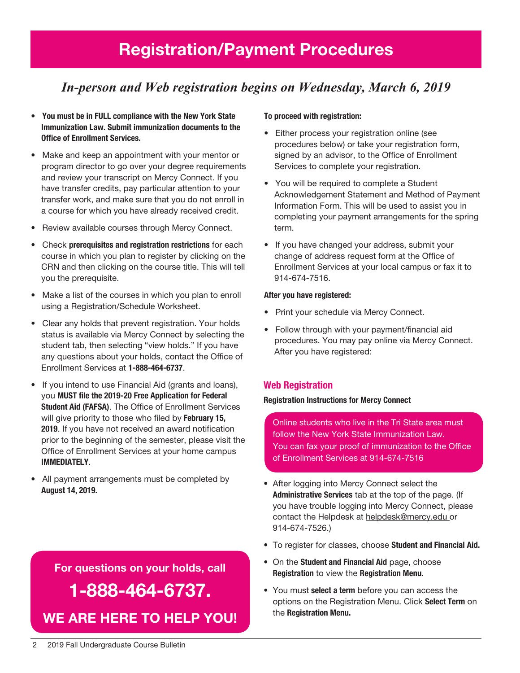# Registration/Payment Procedures

# *In-person and Web registration begins on Wednesday, March 6, 2019*

- You must be in FULL compliance with the New York State Immunization Law. Submit immunization documents to the Office of Enrollment Services.
- Make and keep an appointment with your mentor or program director to go over your degree requirements and review your transcript on Mercy Connect. If you have transfer credits, pay particular attention to your transfer work, and make sure that you do not enroll in a course for which you have already received credit.
- Review available courses through Mercy Connect.
- Check prerequisites and registration restrictions for each course in which you plan to register by clicking on the CRN and then clicking on the course title. This will tell you the prerequisite.
- Make a list of the courses in which you plan to enroll using a Registration/Schedule Worksheet.
- Clear any holds that prevent registration. Your holds status is available via Mercy Connect by selecting the student tab, then selecting "view holds." If you have any questions about your holds, contact the Office of Enrollment Services at 1-888-464-6737.
- If you intend to use Financial Aid (grants and loans), you MUST file the 2019-20 Free Application for Federal Student Aid (FAFSA). The Office of Enrollment Services will give priority to those who filed by February 15, 2019. If you have not received an award notification prior to the beginning of the semester, please visit the Office of Enrollment Services at your home campus IMMEDIATELY.
- All payment arrangements must be completed by August 14, 2019.

# For questions on your holds, call 1-888-464-6737. We are here to help You!

### To proceed with registration:

- Either process your registration online (see procedures below) or take your registration form, signed by an advisor, to the Office of Enrollment Services to complete your registration.
- You will be required to complete a Student Acknowledgement Statement and Method of Payment Information Form. This will be used to assist you in completing your payment arrangements for the spring term.
- If you have changed your address, submit your change of address request form at the Office of Enrollment Services at your local campus or fax it to 914-674-7516.

### After you have registered:

- Print your schedule via Mercy Connect.
- Follow through with your payment/financial aid procedures. You may pay online via Mercy Connect. After you have registered:

### Web Registration

### Registration Instructions for Mercy Connect

Online students who live in the Tri State area must follow the New York State Immunization Law. You can fax your proof of immunization to the Office of Enrollment Services at 914-674-7516

- After logging into Mercy Connect select the Administrative Services tab at the top of the page. (If you have trouble logging into Mercy Connect, please contact the Helpdesk at helpdesk@mercy.edu or 914-674-7526.)
- To register for classes, choose Student and Financial Aid.
- On the Student and Financial Aid page, choose Registration to view the Registration Menu.
- You must select a term before you can access the options on the Registration Menu. Click Select Term on the Registration Menu.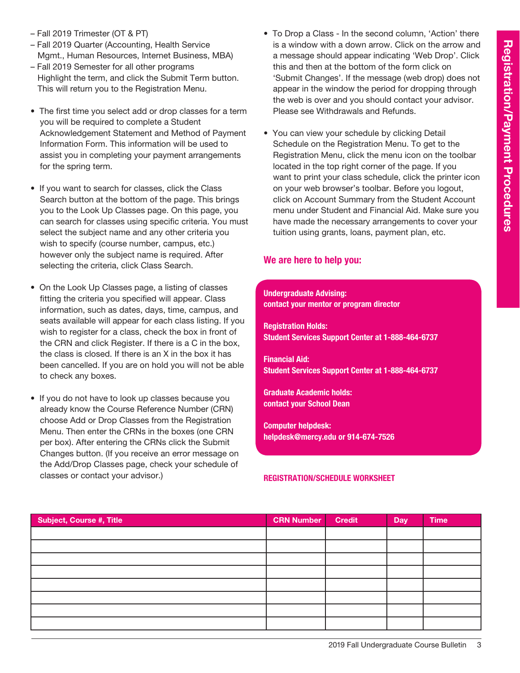- Fall 2019 Trimester (OT & PT)
- Fall 2019 Quarter (Accounting, Health Service Mgmt., Human Resources, Internet Business, MBA)
- Fall 2019 Semester for all other programs Highlight the term, and click the Submit Term button. This will return you to the Registration Menu.
- The first time you select add or drop classes for a term you will be required to complete a Student Acknowledgement Statement and Method of Payment Information Form. This information will be used to assist you in completing your payment arrangements for the spring term.
- If you want to search for classes, click the Class Search button at the bottom of the page. This brings you to the Look Up Classes page. On this page, you can search for classes using specific criteria. You must select the subject name and any other criteria you wish to specify (course number, campus, etc.) however only the subject name is required. After selecting the criteria, click Class Search.
- On the Look Up Classes page, a listing of classes fitting the criteria you specified will appear. Class information, such as dates, days, time, campus, and seats available will appear for each class listing. If you wish to register for a class, check the box in front of the CRN and click Register. If there is a C in the box, the class is closed. If there is an X in the box it has been cancelled. If you are on hold you will not be able to check any boxes.
- If you do not have to look up classes because you already know the Course Reference Number (CRN) choose Add or Drop Classes from the Registration Menu. Then enter the CRNs in the boxes (one CRN per box). After entering the CRNs click the Submit Changes button. (If you receive an error message on the Add/Drop Classes page, check your schedule of classes or contact your advisor.)
- To Drop a Class In the second column, 'Action' there is a window with a down arrow. Click on the arrow and a message should appear indicating 'Web Drop'. Click this and then at the bottom of the form click on 'Submit Changes'. If the message (web drop) does not appear in the window the period for dropping through the web is over and you should contact your advisor. Please see Withdrawals and Refunds.
- You can view your schedule by clicking Detail Schedule on the Registration Menu. To get to the Registration Menu, click the menu icon on the toolbar located in the top right corner of the page. If you want to print your class schedule, click the printer icon on your web browser's toolbar. Before you logout, click on Account Summary from the Student Account menu under Student and Financial Aid. Make sure you have made the necessary arrangements to cover your tuition using grants, loans, payment plan, etc.

### We are here to help you:

### Undergraduate Advising: contact your mentor or program director

Registration Holds: Student Services Support Center at 1-888-464-6737

Financial Aid: Student Services Support Center at 1-888-464-6737

Graduate Academic holds: contact your School Dean

Computer helpdesk: helpdesk@mercy.edu or 914-674-7526

### Registration/Schedule Worksheet

| Subject, Course #, Title | <b>CRN Number</b> | <b>Credit</b> | Day | <b>Time</b> |
|--------------------------|-------------------|---------------|-----|-------------|
|                          |                   |               |     |             |
|                          |                   |               |     |             |
|                          |                   |               |     |             |
|                          |                   |               |     |             |
|                          |                   |               |     |             |
|                          |                   |               |     |             |
|                          |                   |               |     |             |
|                          |                   |               |     |             |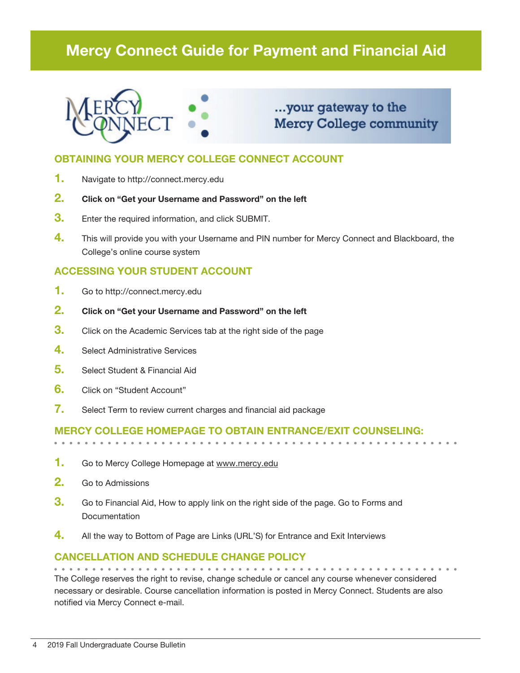# Mercy Connect Guide for Payment and Financial Aid



# ...your gateway to the **Mercy College community**

### OBTAINING YOUR MERCY COLLEGE CONNECT ACCOUNT

- 1. Navigate to http://connect.mercy.edu
- 2. Click on "Get your Username and Password" on the left
- **3.** Enter the required information, and click SUBMIT.
- 4. This will provide you with your Username and PIN number for Mercy Connect and Blackboard, the College's online course system

### ACCESSING YOUR STUDENT ACCOUNT

- 1. Go to http://connect.mercy.edu
- 2. Click on "Get your Username and Password" on the left
- **3.** Click on the Academic Services tab at the right side of the page
- 4. Select Administrative Services
- 5. Select Student & Financial Aid
- 6. Click on "Student Account"
- 7. Select Term to review current charges and financial aid package

### Mercy College homepage to obtain entrance/exit counseling:

- 1. Go to Mercy College Homepage at www.mercy.edu
- 2. Go to Admissions
- **3.** Go to Financial Aid, How to apply link on the right side of the page. Go to Forms and **Documentation**
- 4. All the way to Bottom of Page are Links (URL'S) for Entrance and Exit Interviews

### Cancellation and Schedule Change Policy

The College reserves the right to revise, change schedule or cancel any course whenever considered necessary or desirable. Course cancellation information is posted in Mercy Connect. Students are also notified via Mercy Connect e-mail.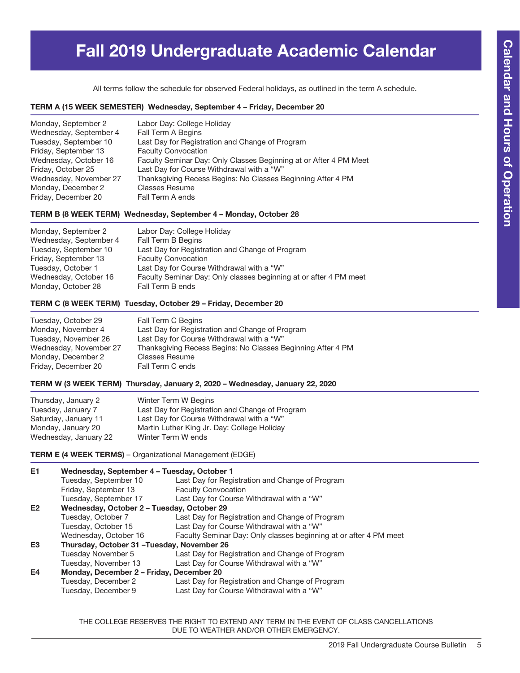# Fall 2019 Undergraduate Academic Calendar

All terms follow the schedule for observed Federal holidays, as outlined in the term A schedule.

### TERM A (15 WEEK SEMESTER) Wednesday, September 4 – Friday, December 20

| Monday, September 2    | Labor Day: College Holiday                                        |
|------------------------|-------------------------------------------------------------------|
| Wednesday, September 4 | Fall Term A Begins                                                |
| Tuesday, September 10  | Last Day for Registration and Change of Program                   |
| Friday, September 13   | <b>Faculty Convocation</b>                                        |
| Wednesday, October 16  | Faculty Seminar Day: Only Classes Beginning at or After 4 PM Meet |
| Friday, October 25     | Last Day for Course Withdrawal with a "W"                         |
| Wednesday, November 27 | Thanksgiving Recess Begins: No Classes Beginning After 4 PM       |
| Monday, December 2     | <b>Classes Resume</b>                                             |
| Friday, December 20    | Fall Term A ends                                                  |

### TERM B (8 WEEK TERM) Wednesday, September 4 – Monday, October 28

| Labor Day: College Holiday                                        |
|-------------------------------------------------------------------|
| Fall Term B Begins                                                |
| Last Day for Registration and Change of Program                   |
| <b>Faculty Convocation</b>                                        |
| Last Day for Course Withdrawal with a "W"                         |
| Faculty Seminar Day: Only classes beginning at or after 4 PM meet |
| Fall Term B ends                                                  |
|                                                                   |

### TERM C (8 WEEK TERM) Tuesday, October 29 – Friday, December 20

| Fall Term C Begins                                          |
|-------------------------------------------------------------|
| Last Day for Registration and Change of Program             |
| Last Day for Course Withdrawal with a "W"                   |
| Thanksgiving Recess Begins: No Classes Beginning After 4 PM |
| <b>Classes Resume</b>                                       |
| Fall Term C ends                                            |
|                                                             |

### TERM W (3 WEEK TERM) Thursday, January 2, 2020 – Wednesday, January 22, 2020

| Thursday, January 2   | Winter Term W Begins                            |
|-----------------------|-------------------------------------------------|
| Tuesday, January 7    | Last Day for Registration and Change of Program |
| Saturday, January 11  | Last Day for Course Withdrawal with a "W"       |
| Monday, January 20    | Martin Luther King Jr. Day: College Holiday     |
| Wednesday, January 22 | Winter Term W ends                              |
|                       |                                                 |

TERM E (4 WEEK TERMS) – Organizational Management (EDGE)

| E1             | Wednesday, September 4 - Tuesday, October 1 |                                                                   |  |  |  |
|----------------|---------------------------------------------|-------------------------------------------------------------------|--|--|--|
|                | Tuesday, September 10                       | Last Day for Registration and Change of Program                   |  |  |  |
|                | Friday, September 13                        | <b>Faculty Convocation</b>                                        |  |  |  |
|                | Tuesday, September 17                       | Last Day for Course Withdrawal with a "W"                         |  |  |  |
| E <sub>2</sub> | Wednesday, October 2 - Tuesday, October 29  |                                                                   |  |  |  |
|                | Tuesday, October 7                          | Last Day for Registration and Change of Program                   |  |  |  |
|                | Tuesday, October 15                         | Last Day for Course Withdrawal with a "W"                         |  |  |  |
|                | Wednesday, October 16                       | Faculty Seminar Day: Only classes beginning at or after 4 PM meet |  |  |  |
| E <sub>3</sub> | Thursday, October 31 - Tuesday, November 26 |                                                                   |  |  |  |
|                | Tuesday November 5                          | Last Day for Registration and Change of Program                   |  |  |  |
|                | Tuesday, November 13                        | Last Day for Course Withdrawal with a "W"                         |  |  |  |
| E4             | Monday, December 2 – Friday, December 20    |                                                                   |  |  |  |
|                | Tuesday, December 2                         | Last Day for Registration and Change of Program                   |  |  |  |
|                | Tuesday, December 9                         | Last Day for Course Withdrawal with a "W"                         |  |  |  |

THE COLLEGE RESERVES THE RIGHT TO EXTEND ANY TERM IN THE EVENT OF CLASS CANCELLATIONS DUE TO WEATHER AND/OR OTHER EMERGENCY.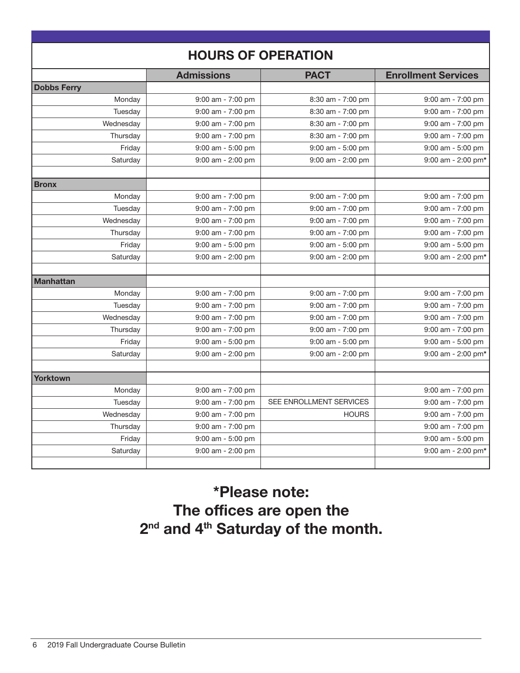| <b>HOURS OF OPERATION</b> |                       |                                            |                                            |  |
|---------------------------|-----------------------|--------------------------------------------|--------------------------------------------|--|
|                           | <b>Admissions</b>     | <b>PACT</b>                                | <b>Enrollment Services</b>                 |  |
| <b>Dobbs Ferry</b>        |                       |                                            |                                            |  |
| Monday                    | $9:00$ am - $7:00$ pm | 8:30 am - 7:00 pm                          | $9:00$ am - $7:00$ pm                      |  |
| Tuesday                   | $9:00$ am - $7:00$ pm | 8:30 am - 7:00 pm                          | $9:00$ am - $7:00$ pm                      |  |
| Wednesday                 | 9:00 am - 7:00 pm     | 8:30 am - 7:00 pm                          | $9:00$ am - $7:00$ pm                      |  |
| Thursday                  | 9:00 am - 7:00 pm     | 8:30 am - 7:00 pm                          | $9:00$ am - $7:00$ pm                      |  |
| Friday                    | 9:00 am - 5:00 pm     | 9:00 am - 5:00 pm                          | $9:00$ am - $5:00$ pm                      |  |
| Saturday                  | 9:00 am - 2:00 pm     | 9:00 am - 2:00 pm                          | $9:00$ am - 2:00 pm*                       |  |
|                           |                       |                                            |                                            |  |
| <b>Bronx</b>              |                       |                                            |                                            |  |
| Monday                    | $9:00$ am - $7:00$ pm | $9:00$ am - $7:00$ pm                      | $9:00$ am - $7:00$ pm                      |  |
| Tuesday<br>Wednesday      | $9:00$ am - $7:00$ pm | $9:00$ am - $7:00$ pm                      | $9:00$ am - $7:00$ pm                      |  |
|                           | $9:00$ am - $7:00$ pm | $9:00$ am - $7:00$ pm<br>9:00 am - 7:00 pm | $9:00$ am - $7:00$ pm<br>9:00 am - 7:00 pm |  |
| Thursday                  | $9:00$ am - $7:00$ pm |                                            |                                            |  |
| Friday                    | $9:00$ am - 5:00 pm   | $9:00$ am - $5:00$ pm                      | $9:00$ am - $5:00$ pm                      |  |
| Saturday                  | $9:00$ am - 2:00 pm   | $9:00$ am - 2:00 pm                        | $9:00$ am - 2:00 pm*                       |  |
| <b>Manhattan</b>          |                       |                                            |                                            |  |
| Monday                    | $9:00$ am - $7:00$ pm | 9:00 am - 7:00 pm                          | $9:00$ am - $7:00$ pm                      |  |
| Tuesday                   | $9:00$ am - $7:00$ pm | $9:00$ am - $7:00$ pm                      | $9:00$ am - $7:00$ pm                      |  |
| Wednesday                 | $9:00$ am - $7:00$ pm | $9:00$ am - $7:00$ pm                      | $9:00$ am - $7:00$ pm                      |  |
| Thursday                  | $9:00$ am - $7:00$ pm | $9:00$ am - $7:00$ pm                      | 9:00 am - 7:00 pm                          |  |
| Friday                    | 9:00 am - 5:00 pm     | 9:00 am - 5:00 pm                          | $9:00$ am - $5:00$ pm                      |  |
| Saturday                  | $9:00$ am - 2:00 pm   | 9:00 am - 2:00 pm                          | $9:00$ am - 2:00 pm*                       |  |
| <b>Yorktown</b>           |                       |                                            |                                            |  |
| Monday                    | 9:00 am - 7:00 pm     |                                            | $9:00$ am - $7:00$ pm                      |  |
| Tuesday                   | $9:00$ am - $7:00$ pm | SEE ENROLLMENT SERVICES                    | $9:00$ am - $7:00$ pm                      |  |
| Wednesday                 | 9:00 am - 7:00 pm     | <b>HOURS</b>                               | 9:00 am - 7:00 pm                          |  |
| Thursday                  | $9:00$ am - $7:00$ pm |                                            | 9:00 am - 7:00 pm                          |  |
| Friday                    | 9:00 am - 5:00 pm     |                                            | $9:00$ am - $5:00$ pm                      |  |
| Saturday                  | $9:00$ am - 2:00 pm   |                                            | 9:00 am - 2:00 pm*                         |  |
|                           |                       |                                            |                                            |  |

\*Please note: The offices are open the 2<sup>nd</sup> and 4<sup>th</sup> Saturday of the month.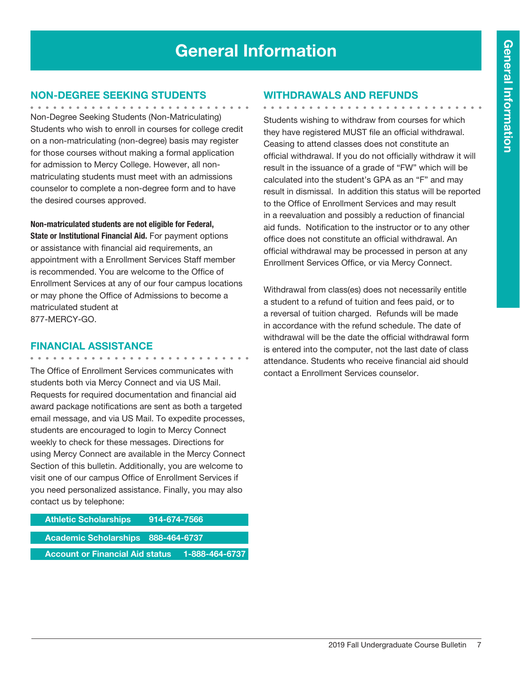# General Information

### Non-Degree Seeking Students

Non-Degree Seeking Students (Non-Matriculating) Students who wish to enroll in courses for college credit on a non-matriculating (non-degree) basis may register for those courses without making a formal application for admission to Mercy College. However, all nonmatriculating students must meet with an admissions counselor to complete a non-degree form and to have the desired courses approved.

Non-matriculated students are not eligible for Federal, State or Institutional Financial Aid. For payment options or assistance with financial aid requirements, an appointment with a Enrollment Services Staff member is recommended. You are welcome to the Office of Enrollment Services at any of our four campus locations or may phone the Office of Admissions to become a matriculated student at

877-MERCY-GO.

### Financial Assistance

. . . . . . . . . . . . . .

The Office of Enrollment Services communicates with students both via Mercy Connect and via US Mail. Requests for required documentation and financial aid award package notifications are sent as both a targeted email message, and via US Mail. To expedite processes, students are encouraged to login to Mercy Connect weekly to check for these messages. Directions for using Mercy Connect are available in the Mercy Connect Section of this bulletin. Additionally, you are welcome to visit one of our campus Office of Enrollment Services if you need personalized assistance. Finally, you may also contact us by telephone:

| <b>Athletic Scholarships</b>           | <u>914-674-7566 [</u> |  |
|----------------------------------------|-----------------------|--|
| Academic Scholarships 888-464-6737     |                       |  |
| <b>Account or Financial Aid status</b> | 1-888-464-6737        |  |

### Withdrawals and Refunds

. . . . . . . . . . . . . . . . . . Students wishing to withdraw from courses for which they have registered MUST file an official withdrawal. Ceasing to attend classes does not constitute an official withdrawal. If you do not officially withdraw it will result in the issuance of a grade of "FW" which will be calculated into the student's GPA as an "F" and may result in dismissal. In addition this status will be reported to the Office of Enrollment Services and may result in a reevaluation and possibly a reduction of financial aid funds. Notification to the instructor or to any other office does not constitute an official withdrawal. An official withdrawal may be processed in person at any Enrollment Services Office, or via Mercy Connect.

Withdrawal from class(es) does not necessarily entitle a student to a refund of tuition and fees paid, or to a reversal of tuition charged. Refunds will be made in accordance with the refund schedule. The date of withdrawal will be the date the official withdrawal form is entered into the computer, not the last date of class attendance. Students who receive financial aid should contact a Enrollment Services counselor.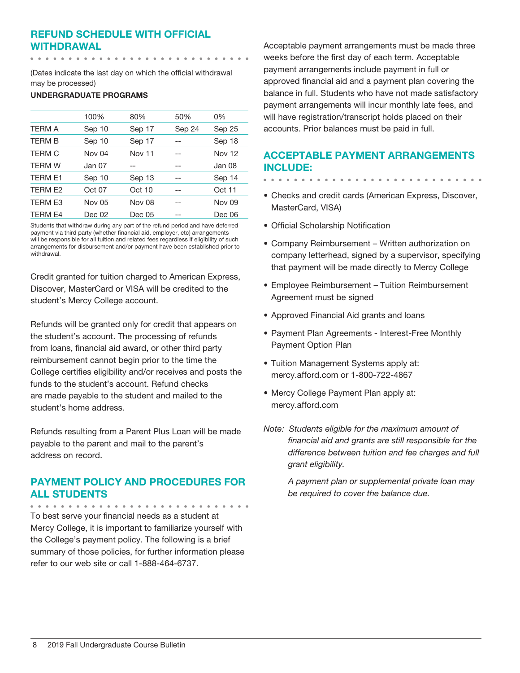### Refund Schedule with Official Withdrawal

(Dates indicate the last day on which the official withdrawal may be processed)

### UNDERGRADUATE PROGRAMS

|                | 100%   | 80%    | 50%    | 0%     |
|----------------|--------|--------|--------|--------|
| <b>TERM A</b>  | Sep 10 | Sep 17 | Sep 24 | Sep 25 |
| <b>TERM B</b>  | Sep 10 | Sep 17 |        | Sep 18 |
| <b>TERM C</b>  | Nov 04 | Nov 11 |        | Nov 12 |
| <b>TERM W</b>  | Jan 07 |        | --     | Jan 08 |
| <b>TERM E1</b> | Sep 10 | Sep 13 |        | Sep 14 |
| TERM E2        | Oct 07 | Oct 10 | --     | Oct 11 |
| <b>TERM E3</b> | Nov 05 | Nov 08 |        | Nov 09 |
| <b>TERM E4</b> | Dec 02 | Dec 05 | --     | Dec 06 |
|                |        |        |        |        |

Students that withdraw during any part of the refund period and have deferred payment via third party (whether financial aid, employer, etc) arrangements will be responsible for all tuition and related fees regardless if eligibility of such arrangements for disbursement and/or payment have been established prior to withdrawal.

Credit granted for tuition charged to American Express, Discover, MasterCard or VISA will be credited to the student's Mercy College account.

Refunds will be granted only for credit that appears on the student's account. The processing of refunds from loans, financial aid award, or other third party reimbursement cannot begin prior to the time the College certifies eligibility and/or receives and posts the funds to the student's account. Refund checks are made payable to the student and mailed to the student's home address.

Refunds resulting from a Parent Plus Loan will be made payable to the parent and mail to the parent's address on record.

### Payment Policy and Procedures for all Students

. . . . . . . . . . . . To best serve your financial needs as a student at Mercy College, it is important to familiarize yourself with the College's payment policy. The following is a brief summary of those policies, for further information please refer to our web site or call 1-888-464-6737.

Acceptable payment arrangements must be made three weeks before the first day of each term. Acceptable payment arrangements include payment in full or approved financial aid and a payment plan covering the balance in full. Students who have not made satisfactory payment arrangements will incur monthly late fees, and will have registration/transcript holds placed on their accounts. Prior balances must be paid in full.

### Acceptable Payment Arrangements include:

- Checks and credit cards (American Express, Discover, MasterCard, VISA)
- • Official Scholarship Notification
- Company Reimbursement Written authorization on company letterhead, signed by a supervisor, specifying that payment will be made directly to Mercy College
- Employee Reimbursement Tuition Reimbursement Agreement must be signed
- Approved Financial Aid grants and loans
- Payment Plan Agreements Interest-Free Monthly Payment Option Plan
- Tuition Management Systems apply at: mercy.afford.com or 1-800-722-4867
- Mercy College Payment Plan apply at: mercy.afford.com
- *Note: Students eligible for the maximum amount of financial aid and grants are still responsible for the difference between tuition and fee charges and full grant eligibility.*

*A payment plan or supplemental private loan may be required to cover the balance due.*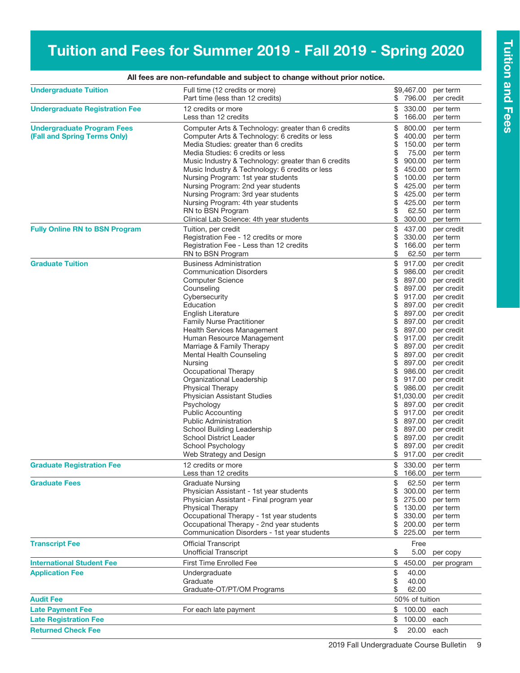# Tuition and Fees for Summer 2019 - Fall 2019 - Spring 2020

| <b>Undergraduate Tuition</b>          | Full time (12 credits or more)<br>Part time (less than 12 credits) | \$       | \$9,467.00<br>796.00 | per term<br>per credit |
|---------------------------------------|--------------------------------------------------------------------|----------|----------------------|------------------------|
|                                       |                                                                    |          |                      |                        |
| <b>Undergraduate Registration Fee</b> | 12 credits or more<br>Less than 12 credits                         | \$<br>\$ | 330.00<br>166.00     | per term<br>per term   |
| <b>Undergraduate Program Fees</b>     | Computer Arts & Technology: greater than 6 credits                 | \$       | 800.00               | per term               |
| (Fall and Spring Terms Only)          | Computer Arts & Technology: 6 credits or less                      | \$       | 400.00               | per term               |
|                                       | Media Studies: greater than 6 credits                              | \$       | 150.00               | per term               |
|                                       | Media Studies: 6 credits or less                                   | \$       | 75.00                | per term               |
|                                       | Music Industry & Technology: greater than 6 credits                | \$       | 900.00               | per term               |
|                                       | Music Industry & Technology: 6 credits or less                     | \$       | 450.00               | per term               |
|                                       | Nursing Program: 1st year students                                 | \$       | 100.00               | per term               |
|                                       | Nursing Program: 2nd year students                                 | \$       | 425.00               | per term               |
|                                       | Nursing Program: 3rd year students                                 | \$       | 425.00               | per term               |
|                                       | Nursing Program: 4th year students                                 | \$       | 425.00               | per term               |
|                                       | RN to BSN Program                                                  | \$       | 62.50                | per term               |
|                                       | Clinical Lab Science: 4th year students                            | \$       | 300.00               | per term               |
| <b>Fully Online RN to BSN Program</b> | Tuition, per credit                                                | \$       | 437.00               | per credit             |
|                                       | Registration Fee - 12 credits or more                              | \$       | 330.00               | per term               |
|                                       | Registration Fee - Less than 12 credits                            | \$       | 166.00               | per term               |
|                                       | RN to BSN Program                                                  | \$       | 62.50                | per term               |
| <b>Graduate Tuition</b>               | <b>Business Administration</b>                                     | \$       | 917.00               | per credit             |
|                                       | <b>Communication Disorders</b>                                     | \$       | 986.00               | per credit             |
|                                       | <b>Computer Science</b>                                            | \$       | 897.00               | per credit             |
|                                       | Counseling                                                         | \$       | 897.00               | per credit             |
|                                       | Cybersecurity                                                      | \$       | 917.00               | per credit             |
|                                       | Education                                                          | \$       | 897.00               | per credit             |
|                                       | <b>English Literature</b>                                          | \$       | 897.00               | per credit             |
|                                       | <b>Family Nurse Practitioner</b>                                   | \$       | 897.00               | per credit             |
|                                       | Health Services Management                                         | \$       | 897.00               | per credit             |
|                                       | Human Resource Management                                          | \$       | 917.00               | per credit             |
|                                       | Marriage & Family Therapy                                          | \$       | 897.00               | per credit             |
|                                       | Mental Health Counseling                                           | \$       | 897.00               | per credit             |
|                                       | Nursing                                                            | \$       | 897.00               | per credit             |
|                                       | Occupational Therapy                                               | \$       | 986.00               | per credit             |
|                                       | Organizational Leadership                                          | \$       | 917.00               | per credit             |
|                                       | <b>Physical Therapy</b>                                            | \$       | 986.00               | per credit             |
|                                       | <b>Physician Assistant Studies</b>                                 |          | \$1,030.00           | per credit             |
|                                       | Psychology                                                         | \$       | 897.00               | per credit             |
|                                       | <b>Public Accounting</b>                                           | \$       | 917.00               | per credit             |
|                                       | <b>Public Administration</b>                                       | \$       | 897.00               | per credit             |
|                                       | School Building Leadership                                         | \$       | 897.00               | per credit             |
|                                       | <b>School District Leader</b>                                      | \$       | 897.00               | per credit             |
|                                       | School Psychology                                                  | \$       | 897.00               | per credit             |
|                                       | Web Strategy and Design                                            | \$       | 917.00               | per credit             |
| <b>Graduate Registration Fee</b>      | 12 credits or more                                                 | \$       | 330.00               | per term               |
|                                       | Less than 12 credits                                               | \$       | 166.00               | per term               |
| <b>Graduate Fees</b>                  | <b>Graduate Nursing</b>                                            | \$       | 62.50                | per term               |
|                                       | Physician Assistant - 1st year students                            | \$       | 300.00               | per term               |
|                                       | Physician Assistant - Final program year                           | \$       | 275.00               | per term               |
|                                       | Physical Therapy                                                   | \$       | 130.00               | per term               |
|                                       | Occupational Therapy - 1st year students                           | \$       | 330.00               | per term               |
|                                       | Occupational Therapy - 2nd year students                           | \$       | 200.00               | per term               |
|                                       | Communication Disorders - 1st year students                        | \$       | 225.00               | per term               |
| <b>Transcript Fee</b>                 | <b>Official Transcript</b>                                         |          | Free                 |                        |
|                                       | <b>Unofficial Transcript</b>                                       | \$       | 5.00                 | per copy               |
| <b>International Student Fee</b>      | First Time Enrolled Fee                                            | \$       | 450.00               | per program            |
| <b>Application Fee</b>                | Undergraduate                                                      | \$       | 40.00                |                        |
|                                       | Graduate                                                           | \$       | 40.00                |                        |
|                                       | Graduate-OT/PT/OM Programs                                         | \$       | 62.00                |                        |
| <b>Audit Fee</b>                      |                                                                    |          | 50% of tuition       |                        |
| <b>Late Payment Fee</b>               | For each late payment                                              | \$       | 100.00               | each                   |
| <b>Late Registration Fee</b>          |                                                                    | \$       | 100.00               | each                   |
| <b>Returned Check Fee</b>             |                                                                    | \$       | 20.00 each           |                        |

### All fees are non-refundable and subject to change without prior notice.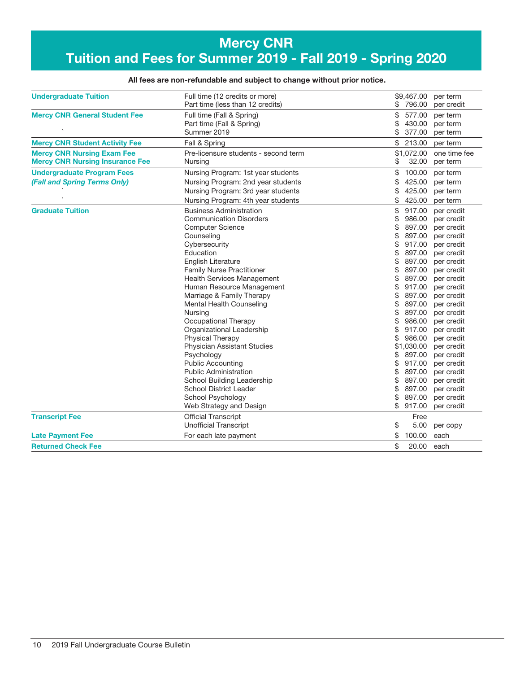### Mercy CNR Tuition and Fees for Summer 2019 - Fall 2019 - Spring 2020

### All fees are non-refundable and subject to change without prior notice.

| <b>Undergraduate Tuition</b>           | Full time (12 credits or more)<br>Part time (less than 12 credits) | \$9,467.00<br>\$ 796.00 | per term<br>per credit |
|----------------------------------------|--------------------------------------------------------------------|-------------------------|------------------------|
| <b>Mercy CNR General Student Fee</b>   | Full time (Fall & Spring)                                          | \$<br>577.00            | per term               |
|                                        | Part time (Fall & Spring)                                          | \$<br>430.00            | per term               |
|                                        | Summer 2019                                                        | \$<br>377.00            | per term               |
| <b>Mercy CNR Student Activity Fee</b>  | Fall & Spring                                                      | \$<br>213.00            | per term               |
| <b>Mercy CNR Nursing Exam Fee</b>      | Pre-licensure students - second term                               | \$1,072,00              | one time fee           |
| <b>Mercy CNR Nursing Insurance Fee</b> | Nursing                                                            | 32.00<br>\$             | per term               |
| <b>Undergraduate Program Fees</b>      | Nursing Program: 1st year students                                 | \$<br>100.00            | per term               |
| (Fall and Spring Terms Only)           | Nursing Program: 2nd year students                                 | 425.00<br>S             | per term               |
|                                        | Nursing Program: 3rd year students                                 | 425.00                  | per term               |
|                                        | Nursing Program: 4th year students                                 | \$<br>425.00            | per term               |
| <b>Graduate Tuition</b>                | <b>Business Administration</b>                                     | \$<br>917.00            | per credit             |
|                                        | <b>Communication Disorders</b>                                     | \$<br>986.00            | per credit             |
|                                        | <b>Computer Science</b>                                            | \$<br>897.00            | per credit             |
|                                        | Counseling                                                         | 897.00<br>\$            | per credit             |
|                                        | Cybersecurity                                                      | \$<br>917.00            | per credit             |
|                                        | Education                                                          | \$<br>897.00            | per credit             |
|                                        | <b>English Literature</b>                                          | \$<br>897.00            | per credit             |
|                                        | <b>Family Nurse Practitioner</b>                                   | \$<br>897.00            | per credit             |
|                                        | <b>Health Services Management</b>                                  | 897.00                  | per credit             |
|                                        | Human Resource Management                                          | \$<br>917.00            | per credit             |
|                                        | Marriage & Family Therapy                                          | \$<br>897.00            | per credit             |
|                                        | Mental Health Counseling                                           | 897.00<br>\$            | per credit             |
|                                        | Nursing                                                            | \$<br>897.00            | per credit             |
|                                        | Occupational Therapy                                               | \$<br>986.00            | per credit             |
|                                        | Organizational Leadership                                          | 917.00                  | per credit             |
|                                        | <b>Physical Therapy</b>                                            | \$<br>986.00            | per credit             |
|                                        | Physician Assistant Studies                                        | \$1,030.00              | per credit             |
|                                        | Psychology                                                         | \$<br>897.00            | per credit             |
|                                        | <b>Public Accounting</b>                                           | 917.00                  | per credit             |
|                                        | <b>Public Administration</b>                                       | 897.00<br>\$            | per credit             |
|                                        | School Building Leadership                                         | 897.00                  | per credit             |
|                                        | <b>School District Leader</b>                                      | 897.00<br>\$            | per credit             |
|                                        | School Psychology                                                  | \$<br>897.00            | per credit             |
|                                        | Web Strategy and Design                                            | \$<br>917.00            | per credit             |
| <b>Transcript Fee</b>                  | <b>Official Transcript</b>                                         | Free                    |                        |
|                                        | <b>Unofficial Transcript</b>                                       | \$<br>5.00              | per copy               |
| <b>Late Payment Fee</b>                | For each late payment                                              | \$<br>100.00            | each                   |
| <b>Returned Check Fee</b>              |                                                                    | \$<br>20.00             | each                   |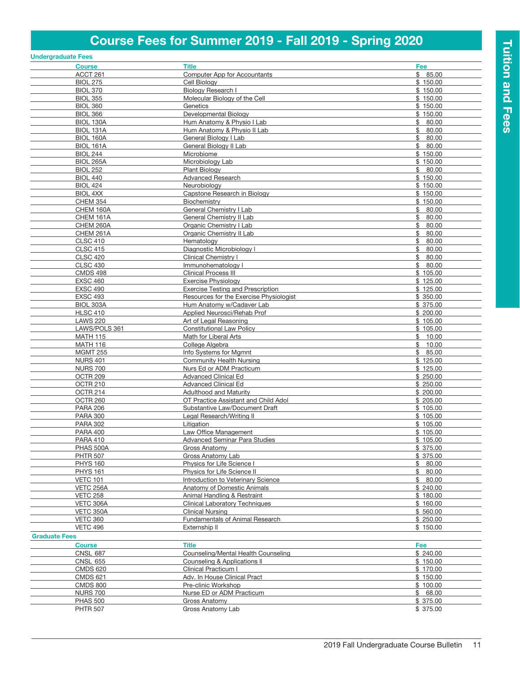# Course Fees for Summer 2019 - Fall 2019 - Spring 2020

|                      | <b>Undergraduate Fees</b>          |                                                     |                            |
|----------------------|------------------------------------|-----------------------------------------------------|----------------------------|
|                      | <b>Course</b>                      | <b>Title</b>                                        | Fee                        |
|                      | ACCT 261                           | <b>Computer App for Accountants</b>                 | \$85.00                    |
|                      | <b>BIOL 275</b>                    | Cell Biology                                        | \$150.00                   |
|                      | <b>BIOL 370</b>                    | Biology Research I                                  | \$150.00                   |
|                      | <b>BIOL 355</b>                    | Molecular Biology of the Cell                       | \$150.00                   |
|                      | <b>BIOL 360</b>                    | Genetics<br>Developmental Biology                   | \$150.00                   |
|                      | <b>BIOL 366</b><br>BIOL 130A       | Hum Anatomy & Physio I Lab                          | \$150.00<br>\$80.00        |
|                      | BIOL 131A                          | Hum Anatomy & Physio II Lab                         | \$<br>80.00                |
|                      | <b>BIOL 160A</b>                   | General Biology I Lab                               | \$<br>80.00                |
|                      | <b>BIOL 161A</b>                   | General Biology II Lab                              | 80.00<br>\$                |
|                      | <b>BIOL 244</b>                    | Microbiome                                          | \$150.00                   |
|                      | <b>BIOL 265A</b>                   | Microbiology Lab                                    | \$150.00                   |
|                      | <b>BIOL 252</b>                    | <b>Plant Biology</b>                                | 80.00<br>\$                |
|                      | <b>BIOL 440</b>                    | <b>Advanced Research</b>                            | \$150.00                   |
|                      | <b>BIOL 424</b>                    | Neurobiology                                        | \$150.00                   |
|                      | BIOL 4XX                           | Capstone Research in Biology                        | \$150.00                   |
|                      | <b>CHEM 354</b>                    | Biochemistry                                        | \$150.00                   |
|                      | CHEM 160A                          | General Chemistry I Lab                             | \$80.00                    |
|                      | CHEM 161A                          | General Chemistry II Lab                            | \$<br>80.00                |
|                      | CHEM 260A<br>CHEM 261A             | Organic Chemistry I Lab<br>Organic Chemistry II Lab | 80.00<br>\$<br>\$<br>80.00 |
|                      | <b>CLSC 410</b>                    | Hematology                                          | 80.00<br>\$                |
|                      | <b>CLSC 415</b>                    | Diagnostic Microbiology I                           | \$<br>80.00                |
|                      | <b>CLSC 420</b>                    | Clinical Chemistry I                                | 80.00<br>\$                |
|                      | <b>CLSC 430</b>                    | Immunohematology I                                  | \$<br>80.00                |
|                      | <b>CMDS 498</b>                    | Clinical Process III                                | \$105.00                   |
|                      | <b>EXSC 460</b>                    | <b>Exercise Physiology</b>                          | \$125.00                   |
|                      | <b>EXSC 490</b>                    | <b>Exercise Testing and Prescription</b>            | \$125.00                   |
|                      | <b>EXSC 493</b>                    | Resources for the Exercise Physiologist             | \$350.00                   |
|                      | BIOL 303A                          | Hum Anatomy w/Cadaver Lab                           | \$375.00                   |
|                      | <b>HLSC 410</b>                    | Applied Neurosci/Rehab Prof                         | \$200.00                   |
|                      | <b>LAWS 220</b>                    | Art of Legal Reasoning                              | \$105.00                   |
|                      | LAWS/POLS 361                      | <b>Constitutional Law Policy</b>                    | \$105.00                   |
|                      | <b>MATH 115</b><br><b>MATH 116</b> | Math for Liberal Arts<br>College Algebra            | \$10.00<br>\$10.00         |
|                      | <b>MGMT 255</b>                    | Info Systems for Mgmnt                              | \$85.00                    |
|                      | <b>NURS 401</b>                    | Community Health Nursing                            | \$125.00                   |
|                      | <b>NURS 700</b>                    | Nurs Ed or ADM Practicum                            | \$125.00                   |
|                      | OCTR <sub>209</sub>                | <b>Advanced Clinical Ed</b>                         | \$250.00                   |
|                      | OCTR 210                           | <b>Advanced Clinical Ed</b>                         | \$250.00                   |
|                      | OCTR 214                           | <b>Adulthood and Maturity</b>                       | \$200.00                   |
|                      | OCTR 260                           | OT Practice Assistant and Child Adol                | \$205.00                   |
|                      | <b>PARA 206</b>                    | Substantive Law/Document Draft                      | \$105.00                   |
|                      | <b>PARA 300</b>                    | Legal Research/Writing II                           | \$105.00                   |
|                      | <b>PARA 302</b>                    | Litigation                                          | \$105.00                   |
|                      | <b>PARA 400</b>                    | Law Office Management                               | \$105.00                   |
|                      | <b>PARA 410</b><br>PHAS 500A       | Advanced Seminar Para Studies<br>Gross Anatomy      | \$105.00<br>\$375.00       |
|                      | <b>PHTR 507</b>                    | Gross Anatomy Lab                                   | \$375.00                   |
|                      | <b>PHYS 160</b>                    | Physics for Life Science I                          | \$80.00                    |
|                      | <b>PHYS 161</b>                    | Physics for Life Science II                         | \$80.00                    |
|                      | <b>VETC 101</b>                    | Introduction to Veterinary Science                  | \$80.00                    |
|                      | VETC 256A                          | Anatomy of Domestic Animals                         | \$240.00                   |
|                      | <b>VETC 258</b>                    | Animal Handling & Restraint                         | \$180.00                   |
|                      | VETC 306A                          | <b>Clinical Laboratory Techniques</b>               | \$160.00                   |
|                      | VETC 350A                          | <b>Clinical Nursing</b>                             | \$560.00                   |
|                      | <b>VETC 360</b>                    | Fundamentals of Animal Research                     | \$250.00                   |
|                      | <b>VETC 496</b>                    | Externship II                                       | \$150.00                   |
| <b>Graduate Fees</b> |                                    |                                                     |                            |
|                      | <b>Course</b>                      | <b>Title</b>                                        | Fee                        |
|                      | <b>CNSL 687</b>                    | <b>Counseling/Mental Health Counseling</b>          | \$240.00                   |
|                      | <b>CNSL 655</b>                    | Counseling & Applications II                        | \$150.00                   |
|                      | <b>CMDS 620</b>                    | Clinical Practicum I                                | \$170.00                   |
|                      | <b>CMDS 621</b>                    | Adv. In House Clinical Pract                        | \$150.00                   |
|                      | <b>CMDS 800</b><br><b>NURS 700</b> | Pre-clinic Workshop<br>Nurse ED or ADM Practicum    | \$100.00<br>\$68.00        |
|                      | <b>PHAS 500</b>                    | Gross Anatomy                                       | \$375.00                   |
|                      | <b>PHTR 507</b>                    | Gross Anatomy Lab                                   | \$ 375.00                  |
|                      |                                    |                                                     |                            |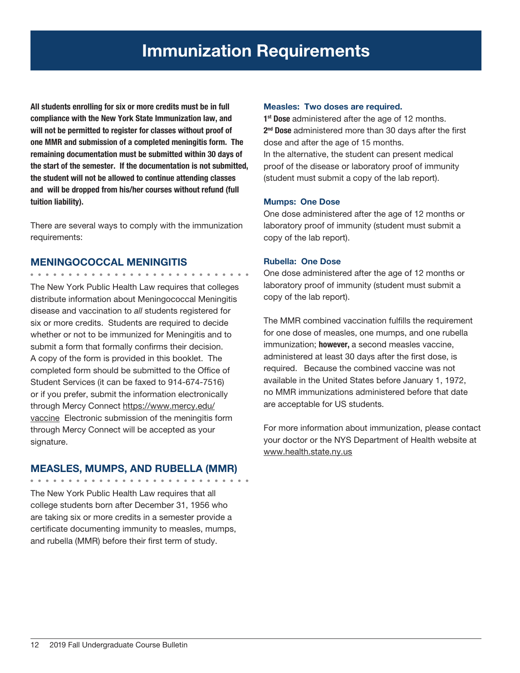All students enrolling for six or more credits must be in full compliance with the New York State Immunization law, and will not be permitted to register for classes without proof of one MMR and submission of a completed meningitis form. The remaining documentation must be submitted within 30 days of the start of the semester. If the documentation is not submitted, the student will not be allowed to continue attending classes and will be dropped from his/her courses without refund (full tuition liability).

There are several ways to comply with the immunization requirements:

### MENINGOCOCCAL MENINGITIS

. . . . . . . . . . . . . . .

The New York Public Health Law requires that colleges distribute information about Meningococcal Meningitis disease and vaccination to *all* students registered for six or more credits. Students are required to decide whether or not to be immunized for Meningitis and to submit a form that formally confirms their decision. A copy of the form is provided in this booklet. The completed form should be submitted to the Office of Student Services (it can be faxed to 914-674-7516) or if you prefer, submit the information electronically through Mercy Connect https://www.mercy.edu/ vaccine Electronic submission of the meningitis form through Mercy Connect will be accepted as your signature.

### MEASLES, MUMPS, AND RUBELLA (MMR)

The New York Public Health Law requires that all college students born after December 31, 1956 who are taking six or more credits in a semester provide a certificate documenting immunity to measles, mumps, and rubella (MMR) before their first term of study.

### Measles: Two doses are required.

1<sup>st</sup> Dose administered after the age of 12 months. 2<sup>nd</sup> Dose administered more than 30 days after the first dose and after the age of 15 months. In the alternative, the student can present medical proof of the disease or laboratory proof of immunity (student must submit a copy of the lab report).

### Mumps: One Dose

One dose administered after the age of 12 months or laboratory proof of immunity (student must submit a copy of the lab report).

### Rubella: One Dose

One dose administered after the age of 12 months or laboratory proof of immunity (student must submit a copy of the lab report).

The MMR combined vaccination fulfills the requirement for one dose of measles, one mumps, and one rubella immunization; however, a second measles vaccine, administered at least 30 days after the first dose, is required. Because the combined vaccine was not available in the United States before January 1, 1972, no MMR immunizations administered before that date are acceptable for US students.

For more information about immunization, please contact your doctor or the NYS Department of Health website at www.health.state.ny.us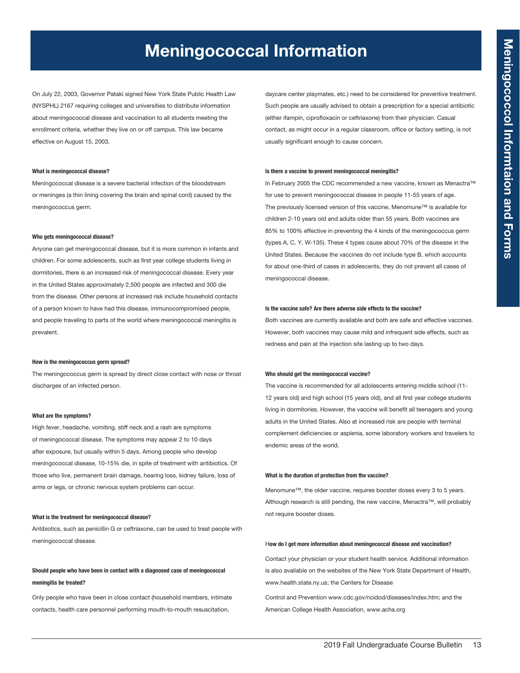# Meningococcal Information

On July 22, 2003, Governor Pataki signed New York State Public Health Law (NYSPHL) 2167 requiring colleges and universities to distribute information about meningococcal disease and vaccination to all students meeting the enrollment criteria, whether they live on or off campus. This law became effective on August 15, 2003.

### What is meningococcal disease?

Meningococcal disease is a severe bacterial infection of the bloodstream or meninges (a thin lining covering the brain and spinal cord) caused by the meningococcus germ.

### Who gets meningococcal disease?

Anyone can get meningococcal disease, but it is more common in infants and children. For some adolescents, such as first year college students living in dormitories, there is an increased risk of meningococcal disease. Every year in the United States approximately 2,500 people are infected and 300 die from the disease. Other persons at increased risk include household contacts of a person known to have had this disease, immunocompromised people, and people traveling to parts of the world where meningococcal meningitis is prevalent.

### How is the meningococcus germ spread?

The meningococcus germ is spread by direct close contact with nose or throat discharges of an infected person.

### What are the symptoms?

High fever, headache, vomiting, stiff neck and a rash are symptoms of meningococcal disease. The symptoms may appear 2 to 10 days after exposure, but usually within 5 days. Among people who develop meningococcal disease, 10-15% die, in spite of treatment with antibiotics. Of those who live, permanent brain damage, hearing loss, kidney failure, loss of arms or legs, or chronic nervous system problems can occur.

### What is the treatment for meningococcal disease?

Antibiotics, such as penicillin G or ceftriaxone, can be used to treat people with meningococcal disease.

### Should people who have been in contact with a diagnosed case of meningococcal meningitis be treated?

Only people who have been in close contact (household members, intimate contacts, health care personnel performing mouth-to-mouth resuscitation,

daycare center playmates, etc.) need to be considered for preventive treatment. Such people are usually advised to obtain a prescription for a special antibiotic (either ifampin, ciprofloxacin or ceftriaxone) from their physician. Casual contact, as might occur in a regular classroom, office or factory setting, is not usually significant enough to cause concern.

### Is there a vaccine to prevent meningococcal meningitis?

In February 2005 the CDC recommended a new vaccine, known as Menactra™ for use to prevent meningococcal disease in people 11-55 years of age. The previously licensed version of this vaccine, Menomune™ is available for children 2-10 years old and adults older than 55 years. Both vaccines are 85% to 100% effective in preventing the 4 kinds of the meningococcus germ (types A, C, Y, W-135). These 4 types cause about 70% of the disease in the United States. Because the vaccines do not include type B, which accounts for about one-third of cases in adolescents, they do not prevent all cases of meningococcal disease.

### Is the vaccine safe? Are there adverse side effects to the vaccine?

Both vaccines are currently available and both are safe and effective vaccines. However, both vaccines may cause mild and infrequent side effects, such as redness and pain at the injection site lasting up to two days.

### Who should get the meningococcal vaccine?

The vaccine is recommended for all adolescents entering middle school (11- 12 years old) and high school (15 years old), and all first year college students living in dormitories. However, the vaccine will benefit all teenagers and young adults in the United States. Also at increased risk are people with terminal complement deficiencies or asplenia, some laboratory workers and travelers to endemic areas of the world.

### What is the duration of protection from the vaccine?

Menomune™, the older vaccine, requires booster doses every 3 to 5 years. Although research is still pending, the new vaccine, Menactra™, will probably not require booster doses.

### How do I get more information about meningococcal disease and vaccination?

Contact your physician or your student health service. Additional information is also available on the websites of the New York State Department of Health, www.health.state.ny.us; the Centers for Disease

Control and Prevention www.cdc.gov/ncidod/diseases/index.htm; and the American College Health Association, www.acha.org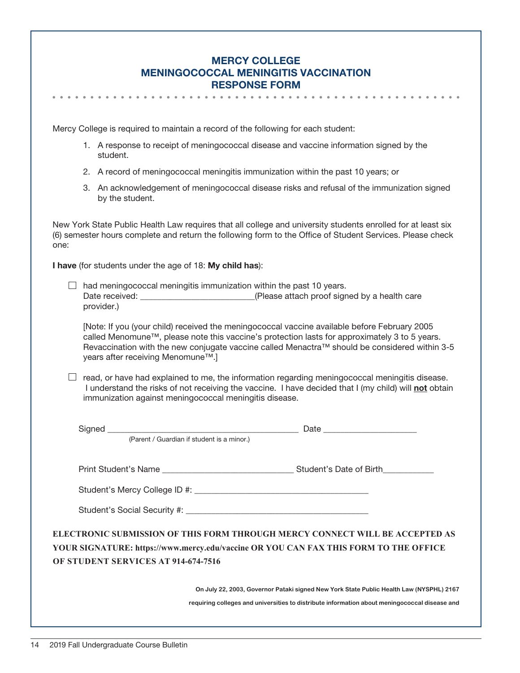### Mercy College Meningococcal Meningitis Vaccination Response Form

Mercy College is required to maintain a record of the following for each student:

- 1. A response to receipt of meningococcal disease and vaccine information signed by the student.
- 2. A record of meningococcal meningitis immunization within the past 10 years; or
- 3. An acknowledgement of meningococcal disease risks and refusal of the immunization signed by the student.

New York State Public Health Law requires that all college and university students enrolled for at least six (6) semester hours complete and return the following form to the Office of Student Services. Please check one:

I have (for students under the age of 18: My child has):

 $\Box$  had meningococcal meningitis immunization within the past 10 years. Date received: <br>  $(Please attach proof signed by a health care)$ provider.)

[Note: If you (your child) received the meningococcal vaccine available before February 2005 called Menomune™, please note this vaccine's protection lasts for approximately 3 to 5 years. Revaccination with the new conjugate vaccine called Menactra™ should be considered within 3-5 years after receiving Menomune™.]

 $\Box$  read, or have had explained to me, the information regarding meningococcal meningitis disease. I understand the risks of not receiving the vaccine. I have decided that I (my child) will not obtain immunization against meningococcal meningitis disease.

| (Parent / Guardian if student is a minor.) |                                                                                                                                                                      |
|--------------------------------------------|----------------------------------------------------------------------------------------------------------------------------------------------------------------------|
|                                            |                                                                                                                                                                      |
|                                            |                                                                                                                                                                      |
| OF STUDENT SERVICES AT 914-674-7516        | ELECTRONIC SUBMISSION OF THIS FORM THROUGH MERCY CONNECT WILL BE ACCEPTED AS<br>YOUR SIGNATURE: https://www.mercy.edu/vaccine OR YOU CAN FAX THIS FORM TO THE OFFICE |
|                                            | On July 22, 2003, Governor Pataki signed New York State Public Health Law (NYSPHL) 2167                                                                              |
|                                            | requiring colleges and universities to distribute information about meningococcal disease and                                                                        |
|                                            |                                                                                                                                                                      |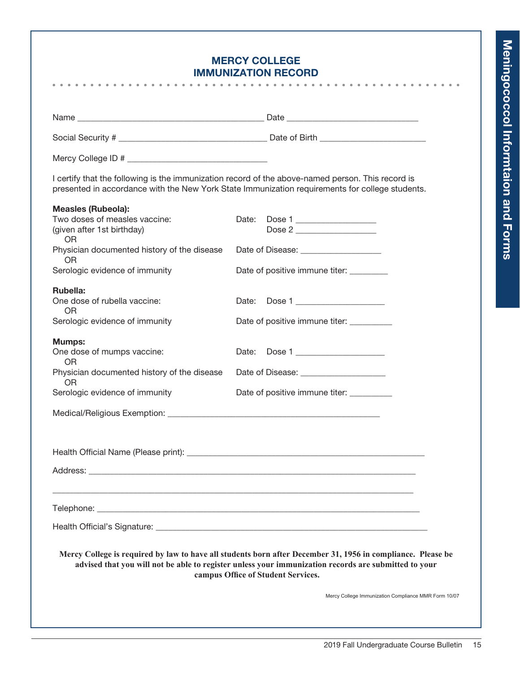### Mercy College Immunization Record

|                                                                                                                                                                                                                                | I certify that the following is the immunization record of the above-named person. This record is<br>presented in accordance with the New York State Immunization requirements for college students.                                                      |
|--------------------------------------------------------------------------------------------------------------------------------------------------------------------------------------------------------------------------------|-----------------------------------------------------------------------------------------------------------------------------------------------------------------------------------------------------------------------------------------------------------|
| <b>Measles (Rubeola):</b><br>Two doses of measles vaccine:<br>(given after 1st birthday)                                                                                                                                       | Date: Dose 1<br>Dose 2                                                                                                                                                                                                                                    |
| <b>OR</b><br>Physician documented history of the disease                                                                                                                                                                       | Date of Disease: ______________________                                                                                                                                                                                                                   |
| OR<br>Serologic evidence of immunity                                                                                                                                                                                           | Date of positive immune titer:                                                                                                                                                                                                                            |
| Rubella:<br>One dose of rubella vaccine:<br>OR                                                                                                                                                                                 | Date: Dose 1 _____________________                                                                                                                                                                                                                        |
| Serologic evidence of immunity                                                                                                                                                                                                 | Date of positive immune titer: __________                                                                                                                                                                                                                 |
| <b>Mumps:</b><br>One dose of mumps vaccine:<br>OR                                                                                                                                                                              | Date: Dose 1                                                                                                                                                                                                                                              |
| Physician documented history of the disease<br>OR                                                                                                                                                                              | Date of Disease: <u>____________________</u>                                                                                                                                                                                                              |
| Serologic evidence of immunity                                                                                                                                                                                                 | Date of positive immune titer: __________                                                                                                                                                                                                                 |
|                                                                                                                                                                                                                                |                                                                                                                                                                                                                                                           |
|                                                                                                                                                                                                                                |                                                                                                                                                                                                                                                           |
| Address: the contract of the contract of the contract of the contract of the contract of the contract of the contract of the contract of the contract of the contract of the contract of the contract of the contract of the c |                                                                                                                                                                                                                                                           |
|                                                                                                                                                                                                                                |                                                                                                                                                                                                                                                           |
|                                                                                                                                                                                                                                |                                                                                                                                                                                                                                                           |
|                                                                                                                                                                                                                                |                                                                                                                                                                                                                                                           |
|                                                                                                                                                                                                                                | Mercy College is required by law to have all students born after December 31, 1956 in compliance. Please be<br>advised that you will not be able to register unless your immunization records are submitted to your<br>campus Office of Student Services. |
|                                                                                                                                                                                                                                | Mercy College Immunization Compliance MMR Form 10/07                                                                                                                                                                                                      |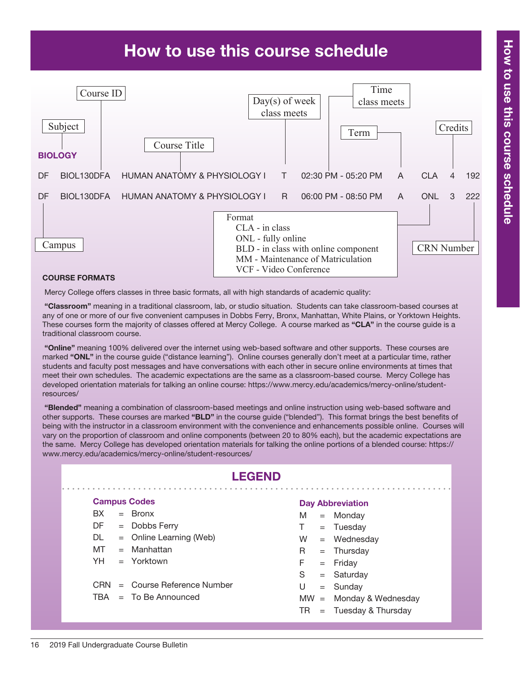# How to use this course schedule



### Course Formats

Mercy College offers classes in three basic formats, all with high standards of academic quality:

 "Classroom" meaning in a traditional classroom, lab, or studio situation. Students can take classroom-based courses at any of one or more of our five convenient campuses in Dobbs Ferry, Bronx, Manhattan, White Plains, or Yorktown Heights. These courses form the majority of classes offered at Mercy College. A course marked as "CLA" in the course guide is a traditional classroom course.

"Online" meaning 100% delivered over the internet using web-based software and other supports. These courses are marked "ONL" in the course quide ("distance learning"). Online courses generally don't meet at a particular time, rather students and faculty post messages and have conversations with each other in secure online environments at times that meet their own schedules. The academic expectations are the same as a classroom-based course. Mercy College has developed orientation materials for talking an online course: https://www.mercy.edu/academics/mercy-online/studentresources/

 "Blended" meaning a combination of classroom-based meetings and online instruction using web-based software and other supports. These courses are marked "BLD" in the course guide ("blended"). This format brings the best benefits of being with the instructor in a classroom environment with the convenience and enhancements possible online. Courses will vary on the proportion of classroom and online components (between 20 to 80% each), but the academic expectations are the same. Mercy College has developed orientation materials for talking the online portions of a blended course: https:// www.mercy.edu/academics/mercy-online/student-resources/

|      | <b>LEGEND</b> |                             |        |     |                         |  |  |  |  |
|------|---------------|-----------------------------|--------|-----|-------------------------|--|--|--|--|
|      |               | <b>Campus Codes</b>         |        |     | <b>Day Abbreviation</b> |  |  |  |  |
| BX.  |               | $=$ Bronx                   | M      | $=$ | Monday                  |  |  |  |  |
| DF   |               | $=$ Dobbs Ferry             | T.     |     | $=$ Tuesday             |  |  |  |  |
| DL.  |               | $=$ Online Learning (Web)   | W      |     | $=$ Wednesday           |  |  |  |  |
| MT   |               | $=$ Manhattan               | R.     |     | $=$ Thursday            |  |  |  |  |
| YH.  |               | $=$ Yorktown                | F.     | $=$ | Friday                  |  |  |  |  |
|      |               |                             | S      | $=$ | Saturday                |  |  |  |  |
| CRN. |               | $=$ Course Reference Number | U      | $=$ | Sunday                  |  |  |  |  |
|      |               | $TBA = To Be Announced$     | $MW =$ |     | Monday & Wednesday      |  |  |  |  |
|      |               |                             | TR     | $=$ | Tuesday & Thursday      |  |  |  |  |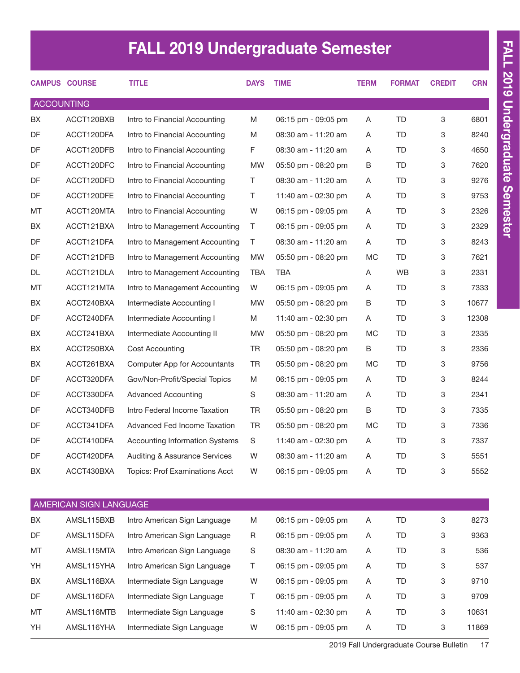# FALL 2019 Undergraduate Semester

|                   | <b>CAMPUS COURSE</b>   | <b>TITLE</b>                          | <b>DAYS</b> | <b>TIME</b>         | <b>TERM</b> | <b>FORMAT</b> | <b>CREDIT</b> | <b>CRN</b> |
|-------------------|------------------------|---------------------------------------|-------------|---------------------|-------------|---------------|---------------|------------|
| <b>ACCOUNTING</b> |                        |                                       |             |                     |             |               |               |            |
| BX                | ACCT120BXB             | Intro to Financial Accounting         | M           | 06:15 pm - 09:05 pm | A           | <b>TD</b>     | 3             | 6801       |
| DF                | ACCT120DFA             | Intro to Financial Accounting         | M           | 08:30 am - 11:20 am | A           | TD            | 3             | 8240       |
| DF                | ACCT120DFB             | Intro to Financial Accounting         | F           | 08:30 am - 11:20 am | A           | TD            | 3             | 4650       |
| DF                | ACCT120DFC             | Intro to Financial Accounting         | <b>MW</b>   | 05:50 pm - 08:20 pm | B           | TD            | 3             | 7620       |
| DF                | ACCT120DFD             | Intro to Financial Accounting         | T           | 08:30 am - 11:20 am | A           | TD            | 3             | 9276       |
| DF                | ACCT120DFE             | Intro to Financial Accounting         | T.          | 11:40 am - 02:30 pm | A           | TD            | 3             | 9753       |
| MT                | ACCT120MTA             | Intro to Financial Accounting         | W           | 06:15 pm - 09:05 pm | A           | TD            | 3             | 2326       |
| BX                | ACCT121BXA             | Intro to Management Accounting        | T.          | 06:15 pm - 09:05 pm | A           | TD            | 3             | 2329       |
| DF                | ACCT121DFA             | Intro to Management Accounting        | T.          | 08:30 am - 11:20 am | A           | TD            | 3             | 8243       |
| DF                | ACCT121DFB             | Intro to Management Accounting        | <b>MW</b>   | 05:50 pm - 08:20 pm | МC          | TD            | 3             | 7621       |
| DL                | ACCT121DLA             | Intro to Management Accounting        | <b>TBA</b>  | <b>TBA</b>          | Α           | WB            | 3             | 2331       |
| MT                | ACCT121MTA             | Intro to Management Accounting        | W           | 06:15 pm - 09:05 pm | A           | TD            | 3             | 7333       |
| BX                | ACCT240BXA             | Intermediate Accounting I             | <b>MW</b>   | 05:50 pm - 08:20 pm | B           | TD            | 3             | 10677      |
| DF                | ACCT240DFA             | Intermediate Accounting I             | M           | 11:40 am - 02:30 pm | A           | TD            | 3             | 12308      |
| BX                | ACCT241BXA             | Intermediate Accounting II            | <b>MW</b>   | 05:50 pm - 08:20 pm | <b>MC</b>   | TD            | 3             | 2335       |
| BX                | ACCT250BXA             | Cost Accounting                       | <b>TR</b>   | 05:50 pm - 08:20 pm | B           | TD            | 3             | 2336       |
| BX                | ACCT261BXA             | Computer App for Accountants          | <b>TR</b>   | 05:50 pm - 08:20 pm | МC          | TD            | 3             | 9756       |
| DF                | ACCT320DFA             | Gov/Non-Profit/Special Topics         | M           | 06:15 pm - 09:05 pm | Α           | TD            | 3             | 8244       |
| DF                | ACCT330DFA             | <b>Advanced Accounting</b>            | S           | 08:30 am - 11:20 am | A           | TD            | 3             | 2341       |
| DF                | ACCT340DFB             | Intro Federal Income Taxation         | <b>TR</b>   | 05:50 pm - 08:20 pm | B           | TD            | 3             | 7335       |
| DF                | ACCT341DFA             | Advanced Fed Income Taxation          | <b>TR</b>   | 05:50 pm - 08:20 pm | <b>MC</b>   | TD            | 3             | 7336       |
| DF                | ACCT410DFA             | <b>Accounting Information Systems</b> | S           | 11:40 am - 02:30 pm | Α           | TD            | 3             | 7337       |
| DF                | ACCT420DFA             | Auditing & Assurance Services         | W           | 08:30 am - 11:20 am | Α           | TD            | 3             | 5551       |
| BX                | ACCT430BXA             | Topics: Prof Examinations Acct        | W           | 06:15 pm - 09:05 pm | Α           | <b>TD</b>     | 3             | 5552       |
|                   |                        |                                       |             |                     |             |               |               |            |
|                   | AMERICAN SIGN LANGUAGE |                                       |             |                     |             |               |               |            |
| BX                | AMSL115BXB             | Intro American Sign Language          | M           | 06:15 pm - 09:05 pm | Α           | <b>TD</b>     | 3             | 8273       |
| DF                | AMSL115DFA             | Intro American Sign Language          | R           | 06:15 pm - 09:05 pm | Α           | TD            | 3             | 9363       |
| МT                | AMSL115MTA             | Intro American Sign Language          | S           | 08:30 am - 11:20 am | Α           | TD            | 3             | 536        |
| YH                | AMSL115YHA             | Intro American Sign Language          | T.          | 06:15 pm - 09:05 pm | Α           | <b>TD</b>     | 3             | 537        |
| BX                | AMSL116BXA             | Intermediate Sign Language            | W           | 06:15 pm - 09:05 pm | Α           | <b>TD</b>     | 3             | 9710       |

DF AMSL116DFA Intermediate Sign Language T 06:15 pm - 09:05 pm A TD 3 9709 MT AMSL116MTB Intermediate Sign Language S 11:40 am - 02:30 pm A TD 3 10631 YH AMSL116YHA Intermediate Sign Language W 06:15 pm - 09:05 pm A TD 3 11869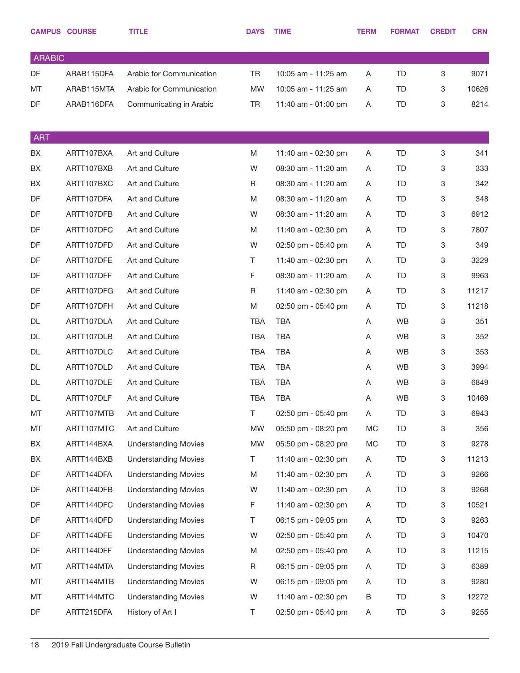|               | <b>CAMPUS COURSE</b> | <b>TITLE</b>                | <b>DAYS</b> | <b>TIME</b>         | <b>TERM</b> | <b>FORMAT</b> | <b>CREDIT</b> | <b>CRN</b> |
|---------------|----------------------|-----------------------------|-------------|---------------------|-------------|---------------|---------------|------------|
| <b>ARABIC</b> |                      |                             |             |                     |             |               |               |            |
| DF            | ARAB115DFA           | Arabic for Communication    | <b>TR</b>   | 10:05 am - 11:25 am | A           | TD            | 3             | 9071       |
| MT            | ARAB115MTA           | Arabic for Communication    | <b>MW</b>   | 10:05 am - 11:25 am | A           | TD            | 3             | 10626      |
| DF            | ARAB116DFA           | Communicating in Arabic     | <b>TR</b>   | 11:40 am - 01:00 pm | Α           | TD            | 3             | 8214       |
|               |                      |                             |             |                     |             |               |               |            |
| <b>ART</b>    |                      |                             |             |                     |             |               |               |            |
| BX            | ARTT107BXA           | Art and Culture             | M           | 11:40 am - 02:30 pm | Α           | TD            | 3             | 341        |
| BX            | ARTT107BXB           | Art and Culture             | W           | 08:30 am - 11:20 am | A           | TD            | 3             | 333        |
| BX            | ARTT107BXC           | Art and Culture             | R           | 08:30 am - 11:20 am | Α           | TD            | 3             | 342        |
| DF            | ARTT107DFA           | Art and Culture             | M           | 08:30 am - 11:20 am | A           | TD            | 3             | 348        |
| DF            | ARTT107DFB           | Art and Culture             | W           | 08:30 am - 11:20 am | Α           | TD            | 3             | 6912       |
| DF            | ARTT107DFC           | Art and Culture             | M           | 11:40 am - 02:30 pm | A           | TD            | 3             | 7807       |
| DF            | ARTT107DFD           | Art and Culture             | W           | 02:50 pm - 05:40 pm | Α           | TD            | 3             | 349        |
| DF            | ARTT107DFE           | Art and Culture             | T           | 11:40 am - 02:30 pm | A           | TD            | 3             | 3229       |
| DF            | ARTT107DFF           | Art and Culture             | $\mathsf F$ | 08:30 am - 11:20 am | Α           | TD            | 3             | 9963       |
| DF            | ARTT107DFG           | Art and Culture             | $\mathsf R$ | 11:40 am - 02:30 pm | A           | TD            | 3             | 11217      |
| DF            | ARTT107DFH           | Art and Culture             | M           | 02:50 pm - 05:40 pm | Α           | TD            | 3             | 11218      |
| DL            | ARTT107DLA           | Art and Culture             | TBA         | <b>TBA</b>          | A           | <b>WB</b>     | 3             | 351        |
| DL            | ARTT107DLB           | Art and Culture             | <b>TBA</b>  | <b>TBA</b>          | Α           | <b>WB</b>     | 3             | 352        |
| DL            | ARTT107DLC           | Art and Culture             | <b>TBA</b>  | <b>TBA</b>          | A           | <b>WB</b>     | 3             | 353        |
| DL            | ARTT107DLD           | Art and Culture             | <b>TBA</b>  | <b>TBA</b>          | A           | <b>WB</b>     | 3             | 3994       |
| DL            | ARTT107DLE           | Art and Culture             | <b>TBA</b>  | <b>TBA</b>          | A           | <b>WB</b>     | 3             | 6849       |
| DL            | ARTT107DLF           | Art and Culture             | <b>TBA</b>  | <b>TBA</b>          | Α           | <b>WB</b>     | 3             | 10469      |
| MT            | ARTT107MTB           | Art and Culture             | T           | 02:50 pm - 05:40 pm | A           | TD            | 3             | 6943       |
| MT            | ARTT107MTC           | Art and Culture             | <b>MW</b>   | 05:50 pm - 08:20 pm | МC          | TD            | 3             | 356        |
| BX            | ARTT144BXA           | <b>Understanding Movies</b> | <b>MW</b>   | 05:50 pm - 08:20 pm | MC          | TD            | 3             | 9278       |
| BX            | ARTT144BXB           | <b>Understanding Movies</b> | T           | 11:40 am - 02:30 pm | A           | TD.           | 3             | 11213      |
| DF            | ARTT144DFA           | <b>Understanding Movies</b> | M           | 11:40 am - 02:30 pm | Α           | TD            | 3             | 9266       |
| DF            | ARTT144DFB           | <b>Understanding Movies</b> | W           | 11:40 am - 02:30 pm | A           | TD.           | 3             | 9268       |
| DF            | ARTT144DFC           | <b>Understanding Movies</b> | F           | 11:40 am - 02:30 pm | Α           | TD.           | 3             | 10521      |
| DF            | ARTT144DFD           | <b>Understanding Movies</b> | T           | 06:15 pm - 09:05 pm | Α           | TD.           | 3             | 9263       |
| DF            | ARTT144DFE           | <b>Understanding Movies</b> | W           | 02:50 pm - 05:40 pm | Α           | TD.           | 3             | 10470      |
| DF            | ARTT144DFF           | <b>Understanding Movies</b> | M           | 02:50 pm - 05:40 pm | Α           | TD.           | 3             | 11215      |
| MT            | ARTT144MTA           | <b>Understanding Movies</b> | R           | 06:15 pm - 09:05 pm | Α           | TD            | 3             | 6389       |
| MT            | ARTT144MTB           | <b>Understanding Movies</b> | W           | 06:15 pm - 09:05 pm | A           | TD.           | 3             | 9280       |
| MT            | ARTT144MTC           | <b>Understanding Movies</b> | W           | 11:40 am - 02:30 pm | B           | TD            | 3             | 12272      |
| DF            | ARTT215DFA           | History of Art I            | T           | 02:50 pm - 05:40 pm | A           | TD            | 3             | 9255       |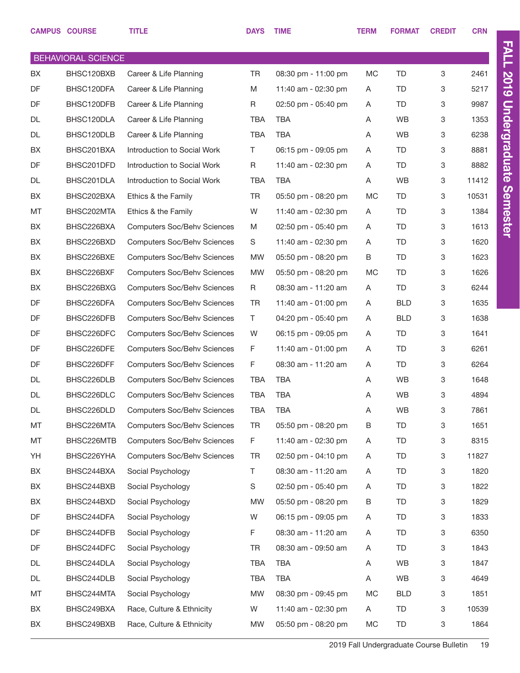|    | <b>CAMPUS COURSE</b>      | <b>TITLE</b>                       | <b>DAYS</b> | <b>TIME</b>         | <b>TERM</b> | <b>FORMAT</b> | <b>CREDIT</b> | <b>CRN</b> |
|----|---------------------------|------------------------------------|-------------|---------------------|-------------|---------------|---------------|------------|
|    | <b>BEHAVIORAL SCIENCE</b> |                                    |             |                     |             |               |               |            |
| BX | BHSC120BXB                | Career & Life Planning             | <b>TR</b>   | 08:30 pm - 11:00 pm | MC          | <b>TD</b>     | 3             | 2461       |
| DF | BHSC120DFA                | Career & Life Planning             | M           | 11:40 am - 02:30 pm | A           | TD            | 3             | 5217       |
| DF | BHSC120DFB                | Career & Life Planning             | R           | 02:50 pm - 05:40 pm | A           | <b>TD</b>     | 3             | 9987       |
| DL | BHSC120DLA                | Career & Life Planning             | <b>TBA</b>  | <b>TBA</b>          | A           | <b>WB</b>     | 3             | 1353       |
| DL | BHSC120DLB                | Career & Life Planning             | <b>TBA</b>  | <b>TBA</b>          | A           | WB            | 3             | 6238       |
| BX | BHSC201BXA                | Introduction to Social Work        | T.          | 06:15 pm - 09:05 pm | A           | <b>TD</b>     | 3             | 8881       |
| DF | BHSC201DFD                | Introduction to Social Work        | R           | 11:40 am - 02:30 pm | A           | <b>TD</b>     | 3             | 8882       |
| DL | BHSC201DLA                | Introduction to Social Work        | <b>TBA</b>  | <b>TBA</b>          | A           | WB            | 3             | 11412      |
| BX | BHSC202BXA                | Ethics & the Family                | TR          | 05:50 pm - 08:20 pm | <b>MC</b>   | TD            | 3             | 10531      |
| MT | BHSC202MTA                | Ethics & the Family                | W           | 11:40 am - 02:30 pm | A           | TD            | 3             | 1384       |
| BX | BHSC226BXA                | <b>Computers Soc/Behv Sciences</b> | M           | 02:50 pm - 05:40 pm | A           | <b>TD</b>     | 3             | 1613       |
| BX | BHSC226BXD                | <b>Computers Soc/Behv Sciences</b> | S           | 11:40 am - 02:30 pm | A           | <b>TD</b>     | 3             | 1620       |
| BX | BHSC226BXE                | <b>Computers Soc/Behv Sciences</b> | <b>MW</b>   | 05:50 pm - 08:20 pm | B           | <b>TD</b>     | 3             | 1623       |
| BX | BHSC226BXF                | <b>Computers Soc/Behv Sciences</b> | <b>MW</b>   | 05:50 pm - 08:20 pm | МC          | TD            | 3             | 1626       |
| BX | BHSC226BXG                | <b>Computers Soc/Behv Sciences</b> | R           | 08:30 am - 11:20 am | A           | <b>TD</b>     | 3             | 6244       |
| DF | BHSC226DFA                | <b>Computers Soc/Behv Sciences</b> | TR          | 11:40 am - 01:00 pm | A           | <b>BLD</b>    | 3             | 1635       |
| DF | BHSC226DFB                | <b>Computers Soc/Behv Sciences</b> | Τ           | 04:20 pm - 05:40 pm | A           | <b>BLD</b>    | 3             | 1638       |
| DF | BHSC226DFC                | <b>Computers Soc/Behv Sciences</b> | W           | 06:15 pm - 09:05 pm | A           | TD            | 3             | 1641       |
| DF | BHSC226DFE                | <b>Computers Soc/Behv Sciences</b> | F.          | 11:40 am - 01:00 pm | A           | <b>TD</b>     | 3             | 6261       |
| DF | BHSC226DFF                | <b>Computers Soc/Behv Sciences</b> | F.          | 08:30 am - 11:20 am | A           | <b>TD</b>     | 3             | 6264       |
| DL | BHSC226DLB                | <b>Computers Soc/Behv Sciences</b> | <b>TBA</b>  | <b>TBA</b>          | A           | <b>WB</b>     | 3             | 1648       |
| DL | BHSC226DLC                | <b>Computers Soc/Behv Sciences</b> | <b>TBA</b>  | <b>TBA</b>          | A           | WB            | 3             | 4894       |
| DL | BHSC226DLD                | <b>Computers Soc/Behv Sciences</b> | <b>TBA</b>  | <b>TBA</b>          | Α           | WB            | 3             | 7861       |
| МT | BHSC226MTA                | <b>Computers Soc/Behv Sciences</b> | TR          | 05:50 pm - 08:20 pm | В           | <b>TD</b>     | 3             | 1651       |
| МT | BHSC226MTB                | <b>Computers Soc/Behv Sciences</b> | F.          | 11:40 am - 02:30 pm | Α           | TD            | 3             | 8315       |
| YH | BHSC226YHA                | <b>Computers Soc/Behv Sciences</b> | TR          | 02:50 pm - 04:10 pm | Α           | <b>TD</b>     | 3             | 11827      |
| BX | BHSC244BXA                | Social Psychology                  | T.          | 08:30 am - 11:20 am | A           | TD            | 3             | 1820       |
| BX | BHSC244BXB                | Social Psychology                  | $\mathbb S$ | 02:50 pm - 05:40 pm | A           | <b>TD</b>     | 3             | 1822       |
| BX | BHSC244BXD                | Social Psychology                  | <b>MW</b>   | 05:50 pm - 08:20 pm | B           | <b>TD</b>     | 3             | 1829       |
| DF | BHSC244DFA                | Social Psychology                  | W           | 06:15 pm - 09:05 pm | Α           | <b>TD</b>     | 3             | 1833       |
| DF | BHSC244DFB                | Social Psychology                  | F.          | 08:30 am - 11:20 am | A           | <b>TD</b>     | 3             | 6350       |
| DF | BHSC244DFC                | Social Psychology                  | TR          | 08:30 am - 09:50 am | A           | <b>TD</b>     | 3             | 1843       |
| DL | BHSC244DLA                | Social Psychology                  | TBA         | <b>TBA</b>          | A           | WB            | 3             | 1847       |
| DL | BHSC244DLB                | Social Psychology                  | TBA         | TBA                 | Α           | WB            | 3             | 4649       |
| МT | BHSC244MTA                | Social Psychology                  | <b>MW</b>   | 08:30 pm - 09:45 pm | МC          | <b>BLD</b>    | 3             | 1851       |
| BX | BHSC249BXA                | Race, Culture & Ethnicity          | W           | 11:40 am - 02:30 pm | A           | <b>TD</b>     | 3             | 10539      |
| BX | BHSC249BXB                | Race, Culture & Ethnicity          | <b>MW</b>   | 05:50 pm - 08:20 pm | МC          | TD            | 3             | 1864       |

FALL 2019 Undergraduate Semester

FALL 2019 Undergraduate Semester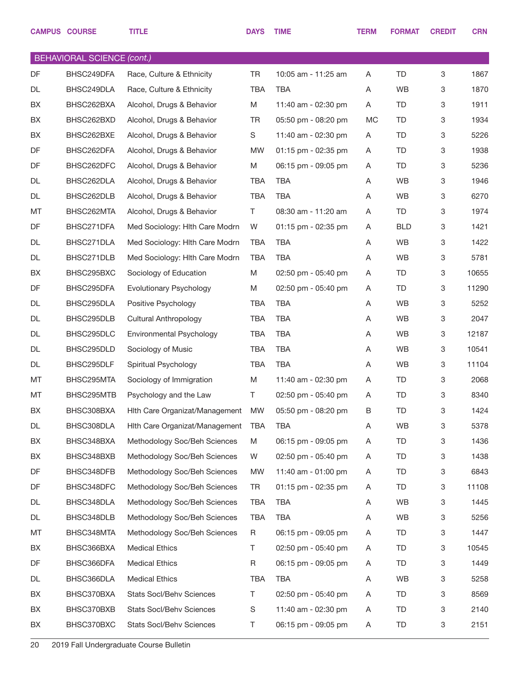|    | <b>CAMPUS COURSE</b>              | <b>TITLE</b>                    | <b>DAYS</b> | <b>TIME</b>         | <b>TERM</b> | <b>FORMAT</b> | <b>CREDIT</b> | <b>CRN</b> |
|----|-----------------------------------|---------------------------------|-------------|---------------------|-------------|---------------|---------------|------------|
|    | <b>BEHAVIORAL SCIENCE (cont.)</b> |                                 |             |                     |             |               |               |            |
| DF | BHSC249DFA                        | Race, Culture & Ethnicity       | <b>TR</b>   | 10:05 am - 11:25 am | Α           | <b>TD</b>     | 3             | 1867       |
| DL | BHSC249DLA                        | Race, Culture & Ethnicity       | <b>TBA</b>  | <b>TBA</b>          | Α           | <b>WB</b>     | 3             | 1870       |
| BX | BHSC262BXA                        | Alcohol, Drugs & Behavior       | M           | 11:40 am - 02:30 pm | Α           | TD            | 3             | 1911       |
| BX | BHSC262BXD                        | Alcohol, Drugs & Behavior       | <b>TR</b>   | 05:50 pm - 08:20 pm | <b>MC</b>   | TD            | 3             | 1934       |
| BX | BHSC262BXE                        | Alcohol, Drugs & Behavior       | S           | 11:40 am - 02:30 pm | Α           | TD            | 3             | 5226       |
| DF | BHSC262DFA                        | Alcohol, Drugs & Behavior       | <b>MW</b>   | 01:15 pm - 02:35 pm | A           | TD            | 3             | 1938       |
| DF | BHSC262DFC                        | Alcohol, Drugs & Behavior       | M           | 06:15 pm - 09:05 pm | Α           | TD.           | 3             | 5236       |
| DL | BHSC262DLA                        | Alcohol, Drugs & Behavior       | <b>TBA</b>  | <b>TBA</b>          | A           | <b>WB</b>     | 3             | 1946       |
| DL | BHSC262DLB                        | Alcohol, Drugs & Behavior       | <b>TBA</b>  | TBA                 | Α           | <b>WB</b>     | 3             | 6270       |
| MT | BHSC262MTA                        | Alcohol, Drugs & Behavior       | T.          | 08:30 am - 11:20 am | Α           | TD.           | 3             | 1974       |
| DF | BHSC271DFA                        | Med Sociology: Hlth Care Modrn  | W           | 01:15 pm - 02:35 pm | Α           | <b>BLD</b>    | 3             | 1421       |
| DL | BHSC271DLA                        | Med Sociology: Hith Care Modrn  | <b>TBA</b>  | TBA                 | Α           | <b>WB</b>     | 3             | 1422       |
| DL | BHSC271DLB                        | Med Sociology: Hith Care Modrn  | <b>TBA</b>  | TBA                 | Α           | <b>WB</b>     | 3             | 5781       |
| BX | BHSC295BXC                        | Sociology of Education          | M           | 02:50 pm - 05:40 pm | Α           | TD            | 3             | 10655      |
| DF | BHSC295DFA                        | Evolutionary Psychology         | M           | 02:50 pm - 05:40 pm | Α           | TD            | 3             | 11290      |
| DL | BHSC295DLA                        | Positive Psychology             | <b>TBA</b>  | TBA                 | A           | <b>WB</b>     | 3             | 5252       |
| DL | BHSC295DLB                        | <b>Cultural Anthropology</b>    | <b>TBA</b>  | <b>TBA</b>          | Α           | <b>WB</b>     | 3             | 2047       |
| DL | BHSC295DLC                        | Environmental Psychology        | <b>TBA</b>  | <b>TBA</b>          | Α           | <b>WB</b>     | 3             | 12187      |
| DL | BHSC295DLD                        | Sociology of Music              | <b>TBA</b>  | <b>TBA</b>          | Α           | <b>WB</b>     | 3             | 10541      |
| DL | BHSC295DLF                        | Spiritual Psychology            | TBA         | <b>TBA</b>          | Α           | <b>WB</b>     | 3             | 11104      |
| MT | BHSC295MTA                        | Sociology of Immigration        | M           | 11:40 am - 02:30 pm | Α           | TD            | 3             | 2068       |
| MT | BHSC295MTB                        | Psychology and the Law          | T.          | 02:50 pm - 05:40 pm | Α           | <b>TD</b>     | 3             | 8340       |
| BX | BHSC308BXA                        | Hith Care Organizat/Management  | MW          | 05:50 pm - 08:20 pm | В           | <b>TD</b>     | 3             | 1424       |
| DL | BHSC308DLA                        | Hith Care Organizat/Management  | <b>TBA</b>  | TBA                 | Α           | WB            | 3             | 5378       |
| BX | BHSC348BXA                        | Methodology Soc/Beh Sciences    | M           | 06:15 pm - 09:05 pm | Α           | TD            | 3             | 1436       |
| BX | BHSC348BXB                        | Methodology Soc/Beh Sciences    | W           | 02:50 pm - 05:40 pm | Α           | TD            | 3             | 1438       |
| DF | BHSC348DFB                        | Methodology Soc/Beh Sciences    | MW          | 11:40 am - 01:00 pm | A           | TD            | 3             | 6843       |
| DF | BHSC348DFC                        | Methodology Soc/Beh Sciences    | TR          | 01:15 pm - 02:35 pm | Α           | TD            | 3             | 11108      |
| DL | BHSC348DLA                        | Methodology Soc/Beh Sciences    | <b>TBA</b>  | <b>TBA</b>          | A           | <b>WB</b>     | 3             | 1445       |
| DL | BHSC348DLB                        | Methodology Soc/Beh Sciences    | <b>TBA</b>  | TBA                 | Α           | WB            | 3             | 5256       |
| MT | BHSC348MTA                        | Methodology Soc/Beh Sciences    | R           | 06:15 pm - 09:05 pm | Α           | TD            | 3             | 1447       |
| BX | BHSC366BXA                        | <b>Medical Ethics</b>           | Τ           | 02:50 pm - 05:40 pm | Α           | TD            | 3             | 10545      |
| DF | BHSC366DFA                        | <b>Medical Ethics</b>           | $\mathsf R$ | 06:15 pm - 09:05 pm | A           | TD            | 3             | 1449       |
| DL | BHSC366DLA                        | <b>Medical Ethics</b>           | <b>TBA</b>  | TBA                 | Α           | WB            | 3             | 5258       |
| BX | BHSC370BXA                        | Stats Socl/Behv Sciences        | T.          | 02:50 pm - 05:40 pm | Α           | TD            | 3             | 8569       |
| BX | BHSC370BXB                        | Stats Socl/Behv Sciences        | S           | 11:40 am - 02:30 pm | Α           | TD            | 3             | 2140       |
| BX | BHSC370BXC                        | <b>Stats Socl/Behv Sciences</b> | Τ           | 06:15 pm - 09:05 pm | A           | TD            | 3             | 2151       |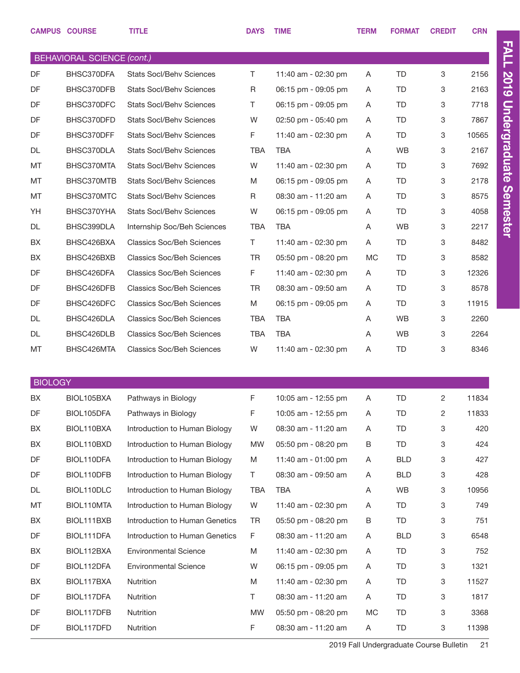|                | <b>CAMPUS COURSE</b>              | <b>TITLE</b>                                                     | <b>DAYS</b> | <b>TIME</b>                                | <b>TERM</b> | <b>FORMAT</b>    | <b>CREDIT</b> | <b>CRN</b>    |
|----------------|-----------------------------------|------------------------------------------------------------------|-------------|--------------------------------------------|-------------|------------------|---------------|---------------|
|                | <b>BEHAVIORAL SCIENCE (cont.)</b> |                                                                  |             |                                            |             |                  |               |               |
| DF             | BHSC370DFA                        | <b>Stats Socl/Behy Sciences</b>                                  | T.          | 11:40 am - 02:30 pm                        | A           | TD               | 3             | 2156          |
| DF             | BHSC370DFB                        | <b>Stats Socl/Behv Sciences</b>                                  | R           | 06:15 pm - 09:05 pm                        | A           | TD               | 3             | 2163          |
| DF             | BHSC370DFC                        | <b>Stats Socl/Behv Sciences</b>                                  | T.          | 06:15 pm - 09:05 pm                        | A           | TD               | 3             | 7718          |
| DF             | BHSC370DFD                        | <b>Stats Socl/Behv Sciences</b>                                  | W           | 02:50 pm - 05:40 pm                        | A           | TD               | 3             | 7867          |
| DF             | BHSC370DFF                        | <b>Stats Socl/Behv Sciences</b>                                  | F           | 11:40 am - 02:30 pm                        | A           | TD               | 3             | 10565         |
| DL             | BHSC370DLA                        | <b>Stats Socl/Behv Sciences</b>                                  | <b>TBA</b>  | TBA                                        | A           | <b>WB</b>        | 3             | 2167          |
| MT             | BHSC370MTA                        | <b>Stats Socl/Behv Sciences</b>                                  | W           | 11:40 am - 02:30 pm                        | A           | TD               | 3             | 7692          |
| MT             | BHSC370MTB                        | <b>Stats Socl/Behv Sciences</b>                                  | M           | 06:15 pm - 09:05 pm                        | A           | TD               | 3             | 2178          |
| MT             | BHSC370MTC                        | <b>Stats Socl/Behv Sciences</b>                                  | R           | 08:30 am - 11:20 am                        | A           | TD               | 3             | 8575          |
| YH             | BHSC370YHA                        | <b>Stats Socl/Behv Sciences</b>                                  | W           | 06:15 pm - 09:05 pm                        | A           | TD               | 3             | 4058          |
| DL             | BHSC399DLA                        | Internship Soc/Beh Sciences                                      | <b>TBA</b>  | <b>TBA</b>                                 | A           | <b>WB</b>        | 3             | 2217          |
| BX             | BHSC426BXA                        | <b>Classics Soc/Beh Sciences</b>                                 | T.          | 11:40 am - 02:30 pm                        | A           | TD               | 3             | 8482          |
| BX             | BHSC426BXB                        | <b>Classics Soc/Beh Sciences</b>                                 | <b>TR</b>   | 05:50 pm - 08:20 pm                        | МC          | TD               | 3             | 8582          |
| DF             | BHSC426DFA                        | <b>Classics Soc/Beh Sciences</b>                                 | F           | 11:40 am - 02:30 pm                        | A           | TD               | 3             | 12326         |
| DF             | BHSC426DFB                        | <b>Classics Soc/Beh Sciences</b>                                 | <b>TR</b>   | 08:30 am - 09:50 am                        | A           | TD               | 3             | 8578          |
| DF             | BHSC426DFC                        | <b>Classics Soc/Beh Sciences</b>                                 | M           | 06:15 pm - 09:05 pm                        | A           | TD               | 3             | 11915         |
| DL             | BHSC426DLA                        | <b>Classics Soc/Beh Sciences</b>                                 | <b>TBA</b>  | <b>TBA</b>                                 | A           | <b>WB</b>        | 3             | 2260          |
| DL             | BHSC426DLB                        | <b>Classics Soc/Beh Sciences</b>                                 | <b>TBA</b>  | <b>TBA</b>                                 | A           | WB               | 3             | 2264          |
| MT             | BHSC426MTA                        | <b>Classics Soc/Beh Sciences</b>                                 | W           | 11:40 am - 02:30 pm                        | Α           | TD               | 3             | 8346          |
|                |                                   |                                                                  |             |                                            |             |                  |               |               |
| <b>BIOLOGY</b> |                                   |                                                                  |             |                                            |             |                  |               |               |
| BX.            | BIOL105BXA                        | Pathways in Biology                                              | F           | 10:05 am - 12:55 pm                        | A           | TD               | 2             | 11834         |
| DF             | BIOL105DFA                        | Pathways in Biology                                              | F           | 10:05 am - 12:55 pm                        | A           | TD               | 2             | 11833         |
| BX             | BIOL110BXA                        | Introduction to Human Biology                                    | W           | 08:30 am - 11:20 am                        | A           | TD               | 3             | 420           |
| BX             | BIOL110BXD                        | Introduction to Human Biology                                    | <b>MW</b>   | 05:50 pm - 08:20 pm                        | В           | TD               | 3             | 424           |
| DF             | BIOL110DFA                        | Introduction to Human Biology                                    | M           | 11:40 am - 01:00 pm                        | A           | <b>BLD</b>       | 3             | 427           |
| DF             | BIOL110DFB                        | Introduction to Human Biology                                    | T.          | 08:30 am - 09:50 am                        | A           | <b>BLD</b>       | 3             | 428           |
| DL             | BIOL110DLC                        | Introduction to Human Biology                                    | TBA         | <b>TBA</b>                                 | A           | WB               | 3             | 10956         |
| МT             | BIOL110MTA                        | Introduction to Human Biology                                    | W           | 11:40 am - 02:30 pm                        | Α           | TD               | 3             | 749           |
| BX             | BIOL111BXB                        | Introduction to Human Genetics<br>Introduction to Human Genetics | TR          | 05:50 pm - 08:20 pm                        | В           | TD<br><b>BLD</b> | 3             | 751           |
| DF             | BIOL111DFA                        |                                                                  | F.          | 08:30 am - 11:20 am                        | A           | TD               | 3<br>3        | 6548<br>752   |
| BX             | BIOL112BXA                        | <b>Environmental Science</b>                                     | M<br>W      | 11:40 am - 02:30 pm                        | A           | TD               |               |               |
| DF             | BIOL112DFA                        | <b>Environmental Science</b>                                     |             | 06:15 pm - 09:05 pm                        | A           |                  | 3             | 1321          |
| BX<br>DF       | BIOL117BXA                        | Nutrition                                                        | M<br>T.     | 11:40 am - 02:30 pm<br>08:30 am - 11:20 am | A           | TD.<br>TD        | 3             | 11527<br>1817 |
| DF             | BIOL117DFA                        | Nutrition                                                        | <b>MW</b>   | 05:50 pm - 08:20 pm                        | A           |                  | 3<br>3        | 3368          |
|                | BIOL117DFB                        | Nutrition                                                        |             |                                            | МC          | TD               |               |               |
| DF             | BIOL117DFD                        | Nutrition                                                        | F           | 08:30 am - 11:20 am                        | A           | TD               | 3             | 11398         |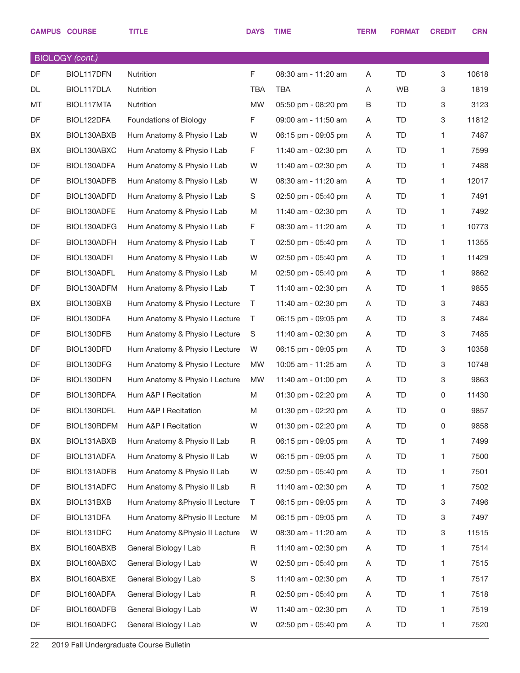|    | <b>BIOLOGY</b> (cont.) |                                 |             |                     |   |           |   |       |
|----|------------------------|---------------------------------|-------------|---------------------|---|-----------|---|-------|
| DF | BIOL117DFN             | Nutrition                       | $\mathsf F$ | 08:30 am - 11:20 am | A | <b>TD</b> | 3 | 10618 |
| DL | BIOL117DLA             | Nutrition                       | TBA         | <b>TBA</b>          | Α | WB        | 3 | 1819  |
| МT | BIOL117MTA             | Nutrition                       | <b>MW</b>   | 05:50 pm - 08:20 pm | B | TD        | 3 | 3123  |
| DF | BIOL122DFA             | Foundations of Biology          | F           | 09:00 am - 11:50 am | Α | TD        | 3 | 11812 |
| BX | BIOL130ABXB            | Hum Anatomy & Physio I Lab      | W           | 06:15 pm - 09:05 pm | A | TD        | 1 | 7487  |
| BX | BIOL130ABXC            | Hum Anatomy & Physio I Lab      | F           | 11:40 am - 02:30 pm | Α | TD        | 1 | 7599  |
| DF | BIOL130ADFA            | Hum Anatomy & Physio I Lab      | W           | 11:40 am - 02:30 pm | A | TD        | 1 | 7488  |
| DF | BIOL130ADFB            | Hum Anatomy & Physio I Lab      | W           | 08:30 am - 11:20 am | Α | TD        | 1 | 12017 |
| DF | BIOL130ADFD            | Hum Anatomy & Physio I Lab      | S           | 02:50 pm - 05:40 pm | A | TD        | 1 | 7491  |
| DF | BIOL130ADFE            | Hum Anatomy & Physio I Lab      | M           | 11:40 am - 02:30 pm | Α | TD        | 1 | 7492  |
| DF | BIOL130ADFG            | Hum Anatomy & Physio I Lab      | F           | 08:30 am - 11:20 am | Α | TD        | 1 | 10773 |
| DF | BIOL130ADFH            | Hum Anatomy & Physio I Lab      | T           | 02:50 pm - 05:40 pm | Α | TD        | 1 | 11355 |
| DF | BIOL130ADFI            | Hum Anatomy & Physio I Lab      | W           | 02:50 pm - 05:40 pm | A | TD        | 1 | 11429 |
| DF | BIOL130ADFL            | Hum Anatomy & Physio I Lab      | M           | 02:50 pm - 05:40 pm | Α | TD        | 1 | 9862  |
| DF | BIOL130ADFM            | Hum Anatomy & Physio I Lab      | T.          | 11:40 am - 02:30 pm | A | TD        | 1 | 9855  |
| BX | BIOL130BXB             | Hum Anatomy & Physio I Lecture  | T           | 11:40 am - 02:30 pm | A | TD        | 3 | 7483  |
| DF | BIOL130DFA             | Hum Anatomy & Physio I Lecture  | Τ           | 06:15 pm - 09:05 pm | A | TD        | 3 | 7484  |
| DF | BIOL130DFB             | Hum Anatomy & Physio I Lecture  | S           | 11:40 am - 02:30 pm | Α | TD        | 3 | 7485  |
| DF | BIOL130DFD             | Hum Anatomy & Physio I Lecture  | W           | 06:15 pm - 09:05 pm | A | TD        | 3 | 10358 |
| DF | BIOL130DFG             | Hum Anatomy & Physio I Lecture  | <b>MW</b>   | 10:05 am - 11:25 am | Α | TD        | 3 | 10748 |
| DF | BIOL130DFN             | Hum Anatomy & Physio I Lecture  | <b>MW</b>   | 11:40 am - 01:00 pm | A | TD        | 3 | 9863  |
| DF | BIOL130RDFA            | Hum A&P I Recitation            | M           | 01:30 pm - 02:20 pm | A | TD        | 0 | 11430 |
| DF | BIOL130RDFL            | Hum A&P I Recitation            | M           | 01:30 pm - 02:20 pm | Α | TD        | 0 | 9857  |
| DF | BIOL130RDFM            | Hum A&P I Recitation            | W           | 01:30 pm - 02:20 pm | Α | <b>TD</b> | 0 | 9858  |
| BX | BIOL131ABXB            | Hum Anatomy & Physio II Lab     | R           | 06:15 pm - 09:05 pm | Α | TD        | 1 | 7499  |
| DF | BIOL131ADFA            | Hum Anatomy & Physio II Lab     | W           | 06:15 pm - 09:05 pm | A | TD        | 1 | 7500  |
| DF | BIOL131ADFB            | Hum Anatomy & Physio II Lab     | W           | 02:50 pm - 05:40 pm | Α | TD        | 1 | 7501  |
| DF | BIOL131ADFC            | Hum Anatomy & Physio II Lab     | R           | 11:40 am - 02:30 pm | Α | TD        | 1 | 7502  |
| BX | BIOL131BXB             | Hum Anatomy & Physio II Lecture | Τ           | 06:15 pm - 09:05 pm | Α | TD        | 3 | 7496  |
| DF | BIOL131DFA             | Hum Anatomy & Physio II Lecture | M           | 06:15 pm - 09:05 pm | Α | TD        | 3 | 7497  |
| DF | BIOL131DFC             | Hum Anatomy & Physio II Lecture | W           | 08:30 am - 11:20 am | Α | TD        | 3 | 11515 |
| BX | BIOL160ABXB            | General Biology I Lab           | R           | 11:40 am - 02:30 pm | Α | TD        | 1 | 7514  |
| BX | BIOL160ABXC            | General Biology I Lab           | W           | 02:50 pm - 05:40 pm | Α | TD        | 1 | 7515  |
| BX | BIOL160ABXE            | General Biology I Lab           | S           | 11:40 am - 02:30 pm | Α | TD        | 1 | 7517  |
| DF | BIOL160ADFA            | General Biology I Lab           | R           | 02:50 pm - 05:40 pm | Α | TD        | 1 | 7518  |
| DF | BIOL160ADFB            | General Biology I Lab           | W           | 11:40 am - 02:30 pm | Α | TD        | 1 | 7519  |
| DF | BIOL160ADFC            | General Biology I Lab           | W           | 02:50 pm - 05:40 pm | Α | TD        | 1 | 7520  |
|    |                        |                                 |             |                     |   |           |   |       |

CAMPUS COURSE TITLE TERM FORMAT CREDIT CRN CAMPUS COURSE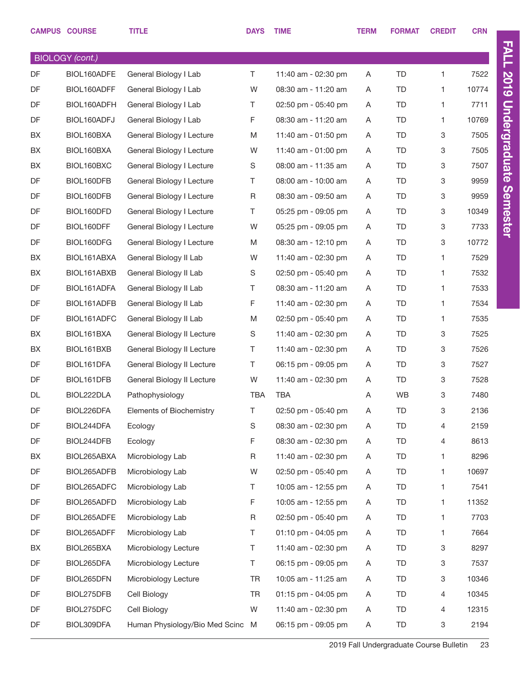|    | <b>CAMPUS COURSE</b>   | <b>TITLE</b>                     | <b>DAYS</b> | <b>TIME</b>         | <b>TERM</b> | <b>FORMAT</b> | <b>CREDIT</b> | <b>CRN</b> |
|----|------------------------|----------------------------------|-------------|---------------------|-------------|---------------|---------------|------------|
|    | <b>BIOLOGY</b> (cont.) |                                  |             |                     |             |               |               |            |
| DF | BIOL160ADFE            | General Biology I Lab            | T.          | 11:40 am - 02:30 pm | Α           | <b>TD</b>     | $\mathbf{1}$  | 7522       |
| DF | BIOL160ADFF            | General Biology I Lab            | W           | 08:30 am - 11:20 am | A           | TD            | $\mathbf{1}$  | 10774      |
| DF | BIOL160ADFH            | General Biology I Lab            | T.          | 02:50 pm - 05:40 pm | Α           | <b>TD</b>     | 1             | 7711       |
| DF | BIOL160ADFJ            | General Biology I Lab            | F           | 08:30 am - 11:20 am | A           | <b>TD</b>     | $\mathbf{1}$  | 10769      |
| BX | BIOL160BXA             | General Biology I Lecture        | M           | 11:40 am - 01:50 pm | Α           | <b>TD</b>     | 3             | 7505       |
| BX | BIOL160BXA             | General Biology I Lecture        | W           | 11:40 am - 01:00 pm | A           | TD            | 3             | 7505       |
| BX | BIOL160BXC             | General Biology I Lecture        | S           | 08:00 am - 11:35 am | Α           | TD            | 3             | 7507       |
| DF | BIOL160DFB             | General Biology I Lecture        | Τ           | 08:00 am - 10:00 am | A           | TD            | 3             | 9959       |
| DF | BIOL160DFB             | General Biology I Lecture        | R           | 08:30 am - 09:50 am | Α           | TD            | 3             | 9959       |
| DF | BIOL160DFD             | General Biology I Lecture        | T.          | 05:25 pm - 09:05 pm | A           | TD            | 3             | 10349      |
| DF | BIOL160DFF             | General Biology I Lecture        | W           | 05:25 pm - 09:05 pm | A           | TD            | 3             | 7733       |
| DF | BIOL160DFG             | General Biology I Lecture        | M           | 08:30 am - 12:10 pm | A           | TD            | 3             | 10772      |
| BX | BIOL161ABXA            | General Biology II Lab           | W           | 11:40 am - 02:30 pm | Α           | <b>TD</b>     | $\mathbf{1}$  | 7529       |
| BX | BIOL161ABXB            | General Biology II Lab           | S           | 02:50 pm - 05:40 pm | A           | <b>TD</b>     | $\mathbf{1}$  | 7532       |
| DF | BIOL161ADFA            | General Biology II Lab           | T.          | 08:30 am - 11:20 am | Α           | <b>TD</b>     | $\mathbf{1}$  | 7533       |
| DF | BIOL161ADFB            | General Biology II Lab           | F           | 11:40 am - 02:30 pm | A           | <b>TD</b>     | $\mathbf{1}$  | 7534       |
| DF | BIOL161ADFC            | General Biology II Lab           | M           | 02:50 pm - 05:40 pm | A           | <b>TD</b>     | $\mathbf{1}$  | 7535       |
| BX | BIOL161BXA             | General Biology II Lecture       | S           | 11:40 am - 02:30 pm | A           | TD            | 3             | 7525       |
| BX | BIOL161BXB             | General Biology II Lecture       | Τ           | 11:40 am - 02:30 pm | A           | TD            | 3             | 7526       |
| DF | BIOL161DFA             | General Biology II Lecture       | T.          | 06:15 pm - 09:05 pm | A           | TD            | 3             | 7527       |
| DF | BIOL161DFB             | General Biology II Lecture       | W           | 11:40 am - 02:30 pm | Α           | TD            | 3             | 7528       |
| DL | BIOL222DLA             | Pathophysiology                  | <b>TBA</b>  | <b>TBA</b>          | A           | <b>WB</b>     | 3             | 7480       |
| DF | BIOL226DFA             | Elements of Biochemistry         | Τ           | 02:50 pm - 05:40 pm | A           | <b>TD</b>     | 3             | 2136       |
| DF | BIOL244DFA             | Ecology                          | S           | 08:30 am - 02:30 pm | Α           | TD            | 4             | 2159       |
| DF | BIOL244DFB             | Ecology                          | F           | 08:30 am - 02:30 pm | Α           | TD            | 4             | 8613       |
| BX | BIOL265ABXA            | Microbiology Lab                 | R           | 11:40 am - 02:30 pm | Α           | TD            | 1             | 8296       |
| DF | BIOL265ADFB            | Microbiology Lab                 | W           | 02:50 pm - 05:40 pm | A           | TD            | $\mathbf{1}$  | 10697      |
| DF | BIOL265ADFC            | Microbiology Lab                 | T.          | 10:05 am - 12:55 pm | Α           | TD            | 1             | 7541       |
| DF | BIOL265ADFD            | Microbiology Lab                 | F           | 10:05 am - 12:55 pm | Α           | TD            | 1             | 11352      |
| DF | BIOL265ADFE            | Microbiology Lab                 | R           | 02:50 pm - 05:40 pm | Α           | TD            | 1             | 7703       |
| DF | BIOL265ADFF            | Microbiology Lab                 | Τ           | 01:10 pm - 04:05 pm | Α           | TD            | $\mathbf{1}$  | 7664       |
| BX | BIOL265BXA             | Microbiology Lecture             | Τ           | 11:40 am - 02:30 pm | Α           | TD            | 3             | 8297       |
| DF | BIOL265DFA             | Microbiology Lecture             | T.          | 06:15 pm - 09:05 pm | A           | TD            | 3             | 7537       |
| DF | BIOL265DFN             | Microbiology Lecture             | TR          | 10:05 am - 11:25 am | Α           | TD            | 3             | 10346      |
| DF | BIOL275DFB             | Cell Biology                     | <b>TR</b>   | 01:15 pm - 04:05 pm | A           | TD            | 4             | 10345      |
| DF | BIOL275DFC             | Cell Biology                     | W           | 11:40 am - 02:30 pm | Α           | TD            | 4             | 12315      |
| DF | BIOL309DFA             | Human Physiology/Bio Med Scinc M |             | 06:15 pm - 09:05 pm | A           | TD            | 3             | 2194       |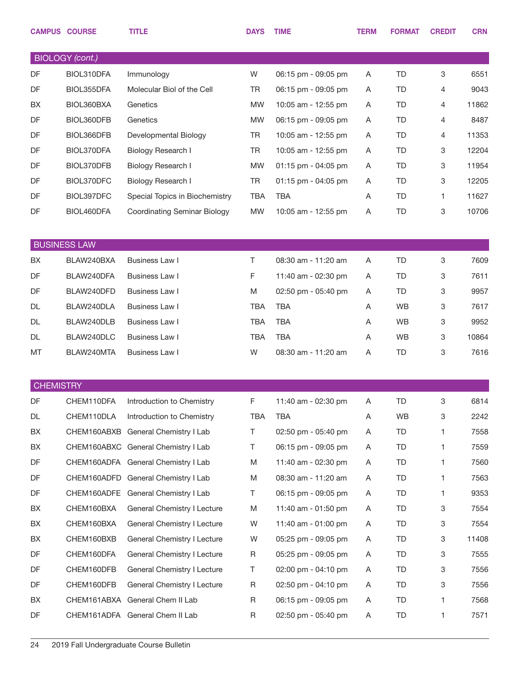|                  | <b>CAMPUS COURSE</b>   | <b>TITLE</b>                        | <b>DAYS</b> | <b>TIME</b>         | <b>TERM</b> | <b>FORMAT</b> | <b>CREDIT</b> | <b>CRN</b> |
|------------------|------------------------|-------------------------------------|-------------|---------------------|-------------|---------------|---------------|------------|
|                  | <b>BIOLOGY</b> (cont.) |                                     |             |                     |             |               |               |            |
| DF               | BIOL310DFA             | Immunology                          | W           | 06:15 pm - 09:05 pm | A           | TD            | 3             | 6551       |
| DF               | BIOL355DFA             | Molecular Biol of the Cell          | <b>TR</b>   | 06:15 pm - 09:05 pm | A           | TD            | 4             | 9043       |
| BX               | BIOL360BXA             | Genetics                            | <b>MW</b>   | 10:05 am - 12:55 pm | A           | TD            | 4             | 11862      |
| DF               | BIOL360DFB             | Genetics                            | <b>MW</b>   | 06:15 pm - 09:05 pm | A           | TD            | 4             | 8487       |
| DF               | BIOL366DFB             | Developmental Biology               | <b>TR</b>   | 10:05 am - 12:55 pm | A           | TD            | 4             | 11353      |
| DF               | BIOL370DFA             | Biology Research I                  | <b>TR</b>   | 10:05 am - 12:55 pm | Α           | TD            | 3             | 12204      |
| DF               | BIOL370DFB             | Biology Research I                  | <b>MW</b>   | 01:15 pm - 04:05 pm | A           | TD            | 3             | 11954      |
| DF               | BIOL370DFC             | Biology Research I                  | TR          | 01:15 pm - 04:05 pm | A           | TD            | 3             | 12205      |
| DF               | BIOL397DFC             | Special Topics in Biochemistry      | <b>TBA</b>  | <b>TBA</b>          | A           | TD            | 1             | 11627      |
| DF               | BIOL460DFA             | <b>Coordinating Seminar Biology</b> | <b>MW</b>   | 10:05 am - 12:55 pm | A           | TD            | 3             | 10706      |
|                  | <b>BUSINESS LAW</b>    |                                     |             |                     |             |               |               |            |
| BX               | BLAW240BXA             | <b>Business Law I</b>               | $\top$      | 08:30 am - 11:20 am | Α           | <b>TD</b>     | 3             | 7609       |
| DF               | BLAW240DFA             | Business Law I                      | F           | 11:40 am - 02:30 pm | Α           | TD            | 3             | 7611       |
| DF               | BLAW240DFD             | Business Law I                      | M           | 02:50 pm - 05:40 pm | Α           | TD            | 3             | 9957       |
| DL               | BLAW240DLA             | Business Law I                      | <b>TBA</b>  | <b>TBA</b>          | Α           | <b>WB</b>     | 3             | 7617       |
| DL               | BLAW240DLB             | Business Law I                      | <b>TBA</b>  | <b>TBA</b>          | Α           | <b>WB</b>     | 3             | 9952       |
| DL               | BLAW240DLC             | <b>Business Law I</b>               | <b>TBA</b>  | <b>TBA</b>          | Α           | <b>WB</b>     | 3             | 10864      |
| MT               | BLAW240MTA             | Business Law I                      | W           | 08:30 am - 11:20 am | Α           | TD            | 3             | 7616       |
|                  |                        |                                     |             |                     |             |               |               |            |
| <b>CHEMISTRY</b> |                        |                                     |             |                     |             |               |               |            |
| DF               | CHEM110DFA             | Introduction to Chemistry           | F.          | 11:40 am - 02:30 pm | A           | TD            | 3             | 6814       |
| DL               | CHEM110DLA             | Introduction to Chemistry           | TBA         | <b>TBA</b>          | A           | WB            | 3             | 2242       |
| BX               |                        | CHEM160ABXB General Chemistry I Lab | T.          | 02:50 pm - 05:40 pm | A           | TD            | 1.            | 7558       |
| BX               |                        | CHEM160ABXC General Chemistry I Lab | T           | 06:15 pm - 09:05 pm | A           | TD            | 1.            | 7559       |
| DF               |                        | CHEM160ADFA General Chemistry I Lab | M           | 11:40 am - 02:30 pm | A           | TD.           | 1.            | 7560       |
| DF               |                        | CHEM160ADFD General Chemistry I Lab | M           | 08:30 am - 11:20 am | A           | TD            | 1.            | 7563       |
| DF               |                        | CHEM160ADFE General Chemistry I Lab | T           | 06:15 pm - 09:05 pm | A           | TD            | 1.            | 9353       |
| BX               | CHEM160BXA             | General Chemistry I Lecture         | M           | 11:40 am - 01:50 pm | A           | TD            | 3             | 7554       |
| BX               | CHEM160BXA             | General Chemistry I Lecture         | W           | 11:40 am - 01:00 pm | A           | TD            | 3             | 7554       |
| BX               | CHEM160BXB             | General Chemistry I Lecture         | W           | 05:25 pm - 09:05 pm | A           | TD            | 3             | 11408      |
| DF               | CHEM160DFA             | General Chemistry I Lecture         | R           | 05:25 pm - 09:05 pm | A           | TD            | 3             | 7555       |
| DF               | CHEM160DFB             | General Chemistry I Lecture         | T           | 02:00 pm - 04:10 pm | A           | TD.           | 3             | 7556       |
| DF               | CHEM160DFB             | General Chemistry I Lecture         | R           | 02:50 pm - 04:10 pm | A           | TD.           | 3             | 7556       |
| BX               |                        | CHEM161ABXA General Chem II Lab     | R           | 06:15 pm - 09:05 pm | A           | TD            | 1             | 7568       |
| DF               |                        | CHEM161ADFA General Chem II Lab     | R           | 02:50 pm - 05:40 pm | A           | TD            | 1.            | 7571       |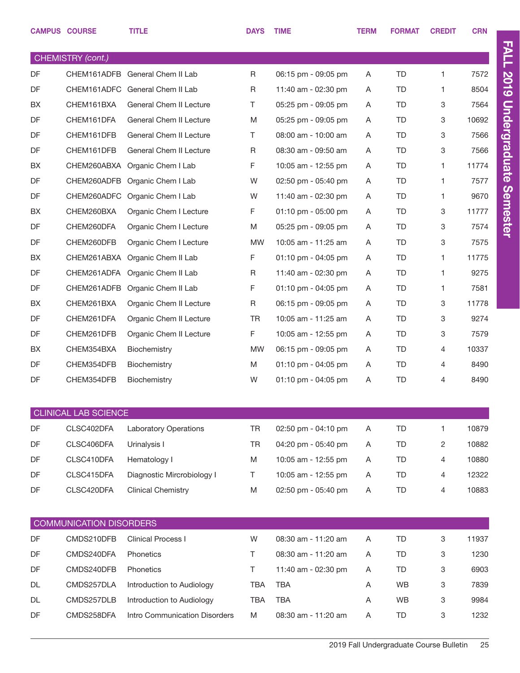|                   | <b>CAMPUS COURSE</b>           | <b>TITLE</b>                    | <b>DAYS</b> | <b>TIME</b>             | <b>TERM</b> | <b>FORMAT</b> | <b>CREDIT</b>  | <b>CRN</b> |  |
|-------------------|--------------------------------|---------------------------------|-------------|-------------------------|-------------|---------------|----------------|------------|--|
| CHEMISTRY (cont.) |                                |                                 |             |                         |             |               |                |            |  |
| DF                |                                | CHEM161ADFB General Chem II Lab | R           | 06:15 pm - 09:05 pm     | A           | <b>TD</b>     | $\mathbf{1}$   | 7572       |  |
| DF                |                                | CHEM161ADFC General Chem II Lab | R           | 11:40 am - 02:30 pm     | A           | <b>TD</b>     | 1.             | 8504       |  |
| <b>BX</b>         | CHEM161BXA                     | <b>General Chem II Lecture</b>  | T.          | 05:25 pm - 09:05 pm     | A           | <b>TD</b>     | 3              | 7564       |  |
| DF                | CHEM161DFA                     | General Chem II Lecture         | M           | 05:25 pm - 09:05 pm     | A           | TD            | 3              | 10692      |  |
| DF                | CHEM161DFB                     | General Chem II Lecture         | T.          | 08:00 am - 10:00 am     | A           | <b>TD</b>     | 3              | 7566       |  |
| DF                | CHEM161DFB                     | General Chem II Lecture         | R           | 08:30 am - 09:50 am     | A           | <b>TD</b>     | 3              | 7566       |  |
| <b>BX</b>         | CHEM260ABXA                    | Organic Chem I Lab              | F           | 10:05 am - 12:55 pm     | A           | <b>TD</b>     | 1.             | 11774      |  |
| DF                | CHEM260ADFB                    | Organic Chem I Lab              | W           | 02:50 pm - 05:40 pm     | A           | TD            | 1.             | 7577       |  |
| DF                |                                | CHEM260ADFC Organic Chem I Lab  | W           | 11:40 am - 02:30 pm     | A           | <b>TD</b>     | 1.             | 9670       |  |
| BX                | CHEM260BXA                     | Organic Chem I Lecture          | F.          | $01:10$ pm - $05:00$ pm | A           | <b>TD</b>     | 3              | 11777      |  |
| DF                | CHEM260DFA                     | Organic Chem I Lecture          | M           | 05:25 pm - 09:05 pm     | A           | <b>TD</b>     | 3              | 7574       |  |
| DF                | CHEM260DFB                     | Organic Chem I Lecture          | <b>MW</b>   | 10:05 am - 11:25 am     | A           | <b>TD</b>     | 3              | 7575       |  |
| BX                | CHEM261ABXA                    | Organic Chem II Lab             | F.          | 01:10 pm - 04:05 pm     | A           | <b>TD</b>     | 1.             | 11775      |  |
| DF                | CHEM261ADFA                    | Organic Chem II Lab             | R           | 11:40 am - 02:30 pm     | A           | TD            | 1.             | 9275       |  |
| DF                | CHEM261ADFB                    | Organic Chem II Lab             | F           | $01:10$ pm - 04:05 pm   | A           | <b>TD</b>     | 1.             | 7581       |  |
| <b>BX</b>         | CHEM261BXA                     | Organic Chem II Lecture         | R           | 06:15 pm - 09:05 pm     | A           | <b>TD</b>     | 3              | 11778      |  |
| DF                | CHEM261DFA                     | Organic Chem II Lecture         | <b>TR</b>   | 10:05 am - 11:25 am     | A           | <b>TD</b>     | 3              | 9274       |  |
| DF                | CHEM261DFB                     | Organic Chem II Lecture         | F.          | 10:05 am - 12:55 pm     | A           | TD            | 3              | 7579       |  |
| BX                | CHEM354BXA                     | <b>Biochemistry</b>             | <b>MW</b>   | 06:15 pm - 09:05 pm     | A           | <b>TD</b>     | 4              | 10337      |  |
| DF                | CHEM354DFB                     | Biochemistry                    | M           | $01:10$ pm - 04:05 pm   | A           | <b>TD</b>     | 4              | 8490       |  |
| DF                | CHEM354DFB                     | Biochemistry                    | W           | 01:10 pm - 04:05 pm     | A           | <b>TD</b>     | 4              | 8490       |  |
|                   | <b>CLINICAL LAB SCIENCE</b>    |                                 |             |                         |             |               |                |            |  |
| DF                | CLSC402DFA                     | <b>Laboratory Operations</b>    | <b>TR</b>   | 02:50 pm - 04:10 pm     | Α           | <b>TD</b>     | 1              | 10879      |  |
| DF                | CLSC406DFA                     | Urinalysis I                    | <b>TR</b>   | 04:20 pm - 05:40 pm     | A           | <b>TD</b>     | $\overline{2}$ | 10882      |  |
| DF                | CLSC410DFA                     | Hematology I                    | M           | 10:05 am - 12:55 pm     | A           | TD            | 4              | 10880      |  |
| DF                | CLSC415DFA                     | Diagnostic Mircrobiology I      | Τ           | 10:05 am - 12:55 pm     | A           | <b>TD</b>     | 4              | 12322      |  |
| DF                | CLSC420DFA                     | <b>Clinical Chemistry</b>       | M           | 02:50 pm - 05:40 pm     | Α           | TD            | 4              | 10883      |  |
|                   |                                |                                 |             |                         |             |               |                |            |  |
|                   | <b>COMMUNICATION DISORDERS</b> |                                 |             |                         |             |               |                |            |  |
| DF                | CMDS210DFB                     | Clinical Process I              | W           | 08:30 am - 11:20 am     | Α           | <b>TD</b>     | 3              | 11937      |  |
| DF                | CMDS240DFA                     | Phonetics                       | Τ           | 08:30 am - 11:20 am     | Α           | <b>TD</b>     | 3              | 1230       |  |
| DF                | CMDS240DFB                     | Phonetics                       | T.          | 11:40 am - 02:30 pm     | A           | <b>TD</b>     | 3              | 6903       |  |
| <b>DL</b>         | CMDS257DLA                     | Introduction to Audiology       | <b>TBA</b>  | <b>TBA</b>              | Α           | <b>WB</b>     | 3              | 7839       |  |
| DL                | CMDS257DLB                     | Introduction to Audiology       | <b>TBA</b>  | <b>TBA</b>              | Α           | WB            | 3              | 9984       |  |
| DF                | CMDS258DFA                     | Intro Communication Disorders   | M           | 08:30 am - 11:20 am     | Α           | TD            | 3              | 1232       |  |
|                   |                                |                                 |             |                         |             |               |                |            |  |

FALL 2019 Undergraduate Semester

FALL 2019 Undergraduate Semester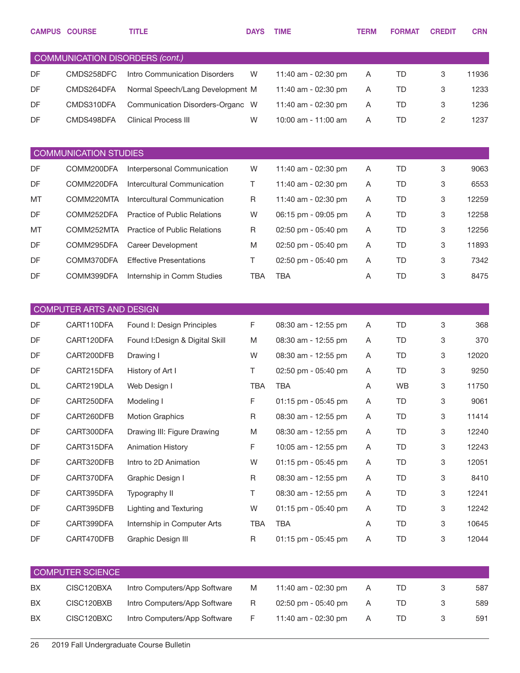|    | <b>CAMPUS COURSE</b>                   | <b>TITLE</b>                        | <b>DAYS</b> | <b>TIME</b>         | <b>TERM</b> | <b>FORMAT</b> | <b>CREDIT</b> | <b>CRN</b> |
|----|----------------------------------------|-------------------------------------|-------------|---------------------|-------------|---------------|---------------|------------|
|    | <b>COMMUNICATION DISORDERS (cont.)</b> |                                     |             |                     |             |               |               |            |
| DF | CMDS258DFC                             | Intro Communication Disorders       | W           | 11:40 am - 02:30 pm | Α           | <b>TD</b>     | 3             | 11936      |
| DF | CMDS264DFA                             | Normal Speech/Lang Development M    |             | 11:40 am - 02:30 pm | A           | TD            | 3             | 1233       |
| DF | CMDS310DFA                             | Communication Disorders-Organc W    |             | 11:40 am - 02:30 pm | Α           | <b>TD</b>     | 3             | 1236       |
| DF | CMDS498DFA                             | <b>Clinical Process III</b>         | W           | 10:00 am - 11:00 am | A           | <b>TD</b>     | 2             | 1237       |
|    |                                        |                                     |             |                     |             |               |               |            |
|    | <b>COMMUNICATION STUDIES</b>           |                                     |             |                     |             |               |               |            |
| DF | COMM200DFA                             | Interpersonal Communication         | W           | 11:40 am - 02:30 pm | A           | <b>TD</b>     | 3             | 9063       |
| DF | COMM220DFA                             | Intercultural Communication         | Τ           | 11:40 am - 02:30 pm | A           | TD            | 3             | 6553       |
| MT | COMM220MTA                             | Intercultural Communication         | R           | 11:40 am - 02:30 pm | A           | <b>TD</b>     | 3             | 12259      |
| DF | COMM252DFA                             | Practice of Public Relations        | W           | 06:15 pm - 09:05 pm | A           | TD.           | 3             | 12258      |
| MT | COMM252MTA                             | <b>Practice of Public Relations</b> | R           | 02:50 pm - 05:40 pm | A           | <b>TD</b>     | 3             | 12256      |
| DF | COMM295DFA                             | Career Development                  | M           | 02:50 pm - 05:40 pm | A           | TD.           | 3             | 11893      |
| DF | COMM370DFA                             | <b>Effective Presentations</b>      | Τ           | 02:50 pm - 05:40 pm | A           | <b>TD</b>     | 3             | 7342       |
| DF | COMM399DFA                             | Internship in Comm Studies          | <b>TBA</b>  | <b>TBA</b>          | A           | <b>TD</b>     | 3             | 8475       |
|    |                                        |                                     |             |                     |             |               |               |            |
|    | COMPUTER ARTS AND DESIGN               |                                     |             |                     |             |               |               |            |
| DF | CART110DFA                             | Found I: Design Principles          | F           | 08:30 am - 12:55 pm | Α           | <b>TD</b>     | 3             | 368        |
| DF | CART120DFA                             | Found I: Design & Digital Skill     | M           | 08:30 am - 12:55 pm | Α           | TD            | 3             | 370        |
| DF | CART200DFB                             | Drawing I                           | W           | 08:30 am - 12:55 pm | A           | TD            | 3             | 12020      |
| DF | CART215DFA                             | History of Art I                    | Τ           | 02:50 pm - 05:40 pm | Α           | TD            | 3             | 9250       |
| DL | CART219DLA                             | Web Design I                        | <b>TBA</b>  | <b>TBA</b>          | A           | <b>WB</b>     | 3             | 11750      |
| DF | CART250DFA                             | Modeling I                          | F           | 01:15 pm - 05:45 pm | Α           | TD            | 3             | 9061       |
| DF | CART260DFB                             | <b>Motion Graphics</b>              | R           | 08:30 am - 12:55 pm | Α           | <b>TD</b>     | 3             | 11414      |
| DF | CART300DFA                             | Drawing III: Figure Drawing         | M           | 08:30 am - 12:55 pm | Α           | TD            | 3             | 12240      |
| DF | CART315DFA                             | <b>Animation History</b>            | F           | 10:05 am - 12:55 pm | Α           | TD            | 3             | 12243      |
| DF | CART320DFB                             | Intro to 2D Animation               | W           | 01:15 pm - 05:45 pm | Α           | TD            | 3             | 12051      |
| DF | CART370DFA                             | Graphic Design I                    | $\mathsf R$ | 08:30 am - 12:55 pm | Α           | TD            | 3             | 8410       |
| DF | CART395DFA                             | Typography II                       | Τ           | 08:30 am - 12:55 pm | Α           | TD            | 3             | 12241      |
| DF | CART395DFB                             | <b>Lighting and Texturing</b>       | W           | 01:15 pm - 05:40 pm | Α           | TD            | 3             | 12242      |
| DF | CART399DFA                             | Internship in Computer Arts         | TBA         | <b>TBA</b>          | Α           | TD.           | 3             | 10645      |
| DF | CART470DFB                             | Graphic Design III                  | $\mathsf R$ | 01:15 pm - 05:45 pm | Α           | TD            | 3             | 12044      |
|    |                                        |                                     |             |                     |             |               |               |            |
|    | <b>COMPUTER SCIENCE</b>                |                                     |             |                     |             |               |               |            |
| BX | CISC120BXA                             | Intro Computers/App Software        | M           | 11:40 am - 02:30 pm | Α           | TD            | 3             | 587        |
| BX | CISC120BXB                             | Intro Computers/App Software        | R           | 02:50 pm - 05:40 pm | A           | TD            | 3             | 589        |
| BX | CISC120BXC                             | Intro Computers/App Software        | F           | 11:40 am - 02:30 pm | Α           | TD            | 3             | 591        |
|    |                                        |                                     |             |                     |             |               |               |            |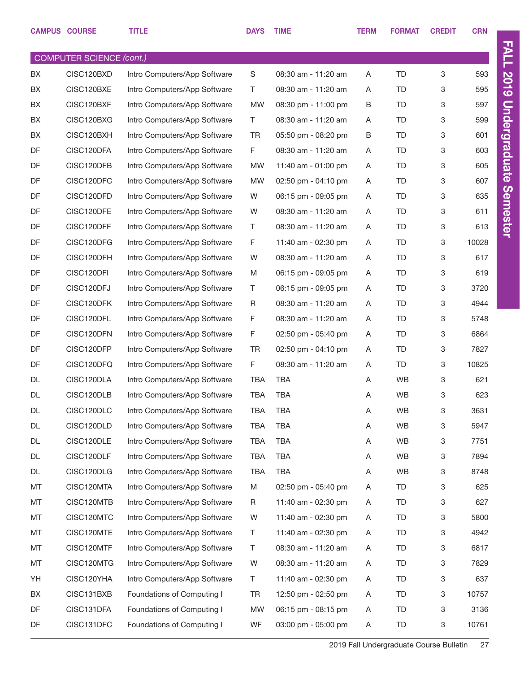|    | <b>CAMPUS COURSE</b>                          | <b>TITLE</b>                 | <b>DAYS</b> | <b>TIME</b>         | <b>TERM</b> | <b>FORMAT</b> | <b>CREDIT</b> | <b>CRN</b> |
|----|-----------------------------------------------|------------------------------|-------------|---------------------|-------------|---------------|---------------|------------|
|    |                                               |                              |             |                     |             |               |               |            |
| BX | <b>COMPUTER SCIENCE (cont.)</b><br>CISC120BXD | Intro Computers/App Software | S           | 08:30 am - 11:20 am | Α           | TD            | 3             | 593        |
| BX | CISC120BXE                                    | Intro Computers/App Software | T.          | 08:30 am - 11:20 am | A           | TD            | 3             | 595        |
| BX | CISC120BXF                                    | Intro Computers/App Software | <b>MW</b>   | 08:30 pm - 11:00 pm | B           | TD            | 3             | 597        |
| BX | CISC120BXG                                    | Intro Computers/App Software | T.          | 08:30 am - 11:20 am | Α           | <b>TD</b>     | 3             | 599        |
| BX | CISC120BXH                                    | Intro Computers/App Software | <b>TR</b>   | 05:50 pm - 08:20 pm | B           | TD            | 3             | 601        |
| DF | CISC120DFA                                    | Intro Computers/App Software | F           | 08:30 am - 11:20 am | Α           | TD            | 3             | 603        |
| DF | CISC120DFB                                    | Intro Computers/App Software | <b>MW</b>   | 11:40 am - 01:00 pm | Α           | TD            | 3             | 605        |
| DF | CISC120DFC                                    | Intro Computers/App Software | <b>MW</b>   | 02:50 pm - 04:10 pm | A           | TD            | 3             | 607        |
| DF | CISC120DFD                                    | Intro Computers/App Software | W           | 06:15 pm - 09:05 pm | Α           | TD            | 3             | 635        |
| DF | CISC120DFE                                    | Intro Computers/App Software | W           | 08:30 am - 11:20 am | A           | TD            | 3             | 611        |
| DF | CISC120DFF                                    | Intro Computers/App Software | T.          | 08:30 am - 11:20 am | Α           | TD            | 3             | 613        |
| DF | CISC120DFG                                    | Intro Computers/App Software | F           | 11:40 am - 02:30 pm | Α           | <b>TD</b>     | 3             | 10028      |
| DF | CISC120DFH                                    | Intro Computers/App Software | W           | 08:30 am - 11:20 am | Α           | TD            | 3             | 617        |
| DF | CISC120DFI                                    | Intro Computers/App Software | M           | 06:15 pm - 09:05 pm | Α           | <b>TD</b>     | 3             | 619        |
| DF | CISC120DFJ                                    | Intro Computers/App Software | T.          | 06:15 pm - 09:05 pm | Α           | TD            | 3             | 3720       |
| DF | CISC120DFK                                    | Intro Computers/App Software | R           | 08:30 am - 11:20 am | A           | TD            | 3             | 4944       |
| DF | CISC120DFL                                    | Intro Computers/App Software | F           | 08:30 am - 11:20 am | Α           | TD            | 3             | 5748       |
| DF | CISC120DFN                                    | Intro Computers/App Software | F           | 02:50 pm - 05:40 pm | A           | TD            | 3             | 6864       |
| DF | CISC120DFP                                    | Intro Computers/App Software | <b>TR</b>   | 02:50 pm - 04:10 pm | Α           | TD            | 3             | 7827       |
| DF | CISC120DFQ                                    | Intro Computers/App Software | F           | 08:30 am - 11:20 am | Α           | <b>TD</b>     | 3             | 10825      |
| DL | CISC120DLA                                    | Intro Computers/App Software | <b>TBA</b>  | <b>TBA</b>          | Α           | <b>WB</b>     | 3             | 621        |
| DL | CISC120DLB                                    | Intro Computers/App Software | <b>TBA</b>  | <b>TBA</b>          | Α           | <b>WB</b>     | 3             | 623        |
| DL | CISC120DLC                                    | Intro Computers/App Software | <b>TBA</b>  | <b>TBA</b>          | Α           | WB            | 3             | 3631       |
| DL | CISC120DLD                                    | Intro Computers/App Software | TBA         | <b>TBA</b>          | Α           | WB            | 3             | 5947       |
| DL | CISC120DLE                                    | Intro Computers/App Software | TBA         | <b>TBA</b>          | Α           | WB            | 3             | 7751       |
| DL | CISC120DLF                                    | Intro Computers/App Software | TBA         | <b>TBA</b>          | Α           | WB            | 3             | 7894       |
| DL | CISC120DLG                                    | Intro Computers/App Software | <b>TBA</b>  | <b>TBA</b>          | Α           | WB            | 3             | 8748       |
| MT | CISC120MTA                                    | Intro Computers/App Software | M           | 02:50 pm - 05:40 pm | A           | TD            | 3             | 625        |
| MT | CISC120MTB                                    | Intro Computers/App Software | R           | 11:40 am - 02:30 pm | Α           | <b>TD</b>     | 3             | 627        |
| MT | CISC120MTC                                    | Intro Computers/App Software | W           | 11:40 am - 02:30 pm | Α           | <b>TD</b>     | 3             | 5800       |
| MT | CISC120MTE                                    | Intro Computers/App Software | T           | 11:40 am - 02:30 pm | Α           | <b>TD</b>     | 3             | 4942       |
| MT | CISC120MTF                                    | Intro Computers/App Software | T           | 08:30 am - 11:20 am | Α           | TD            | 3             | 6817       |
| MT | CISC120MTG                                    | Intro Computers/App Software | W           | 08:30 am - 11:20 am | Α           | <b>TD</b>     | 3             | 7829       |
| YH | CISC120YHA                                    | Intro Computers/App Software | T.          | 11:40 am - 02:30 pm | Α           | TD            | 3             | 637        |
| BX | CISC131BXB                                    | Foundations of Computing I   | <b>TR</b>   | 12:50 pm - 02:50 pm | Α           | <b>TD</b>     | 3             | 10757      |
| DF | CISC131DFA                                    | Foundations of Computing I   | <b>MW</b>   | 06:15 pm - 08:15 pm | Α           | <b>TD</b>     | 3             | 3136       |
| DF | CISC131DFC                                    | Foundations of Computing I   | WF          | 03:00 pm - 05:00 pm | Α           | TD            | 3             | 10761      |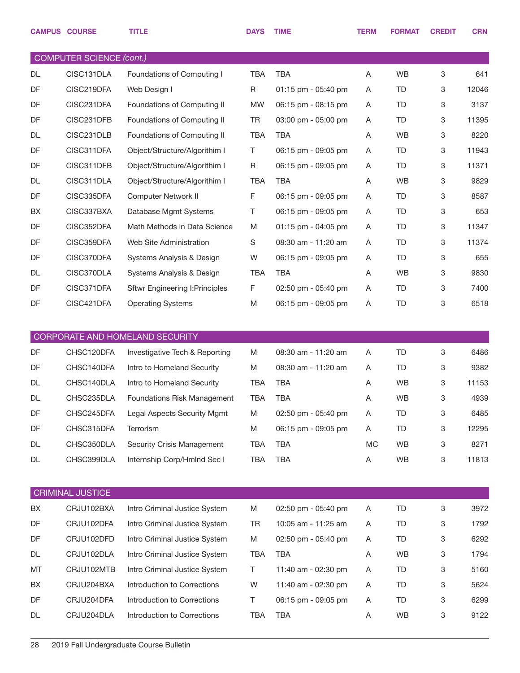|           | <b>CAMPUS COURSE</b>            | <b>TITLE</b>                           | <b>DAYS</b> | <b>TIME</b>         | <b>TERM</b> | <b>FORMAT</b> | <b>CREDIT</b> | <b>CRN</b> |
|-----------|---------------------------------|----------------------------------------|-------------|---------------------|-------------|---------------|---------------|------------|
|           | <b>COMPUTER SCIENCE (cont.)</b> |                                        |             |                     |             |               |               |            |
| DL        | CISC131DLA                      | Foundations of Computing I             | <b>TBA</b>  | <b>TBA</b>          | Α           | WB            | 3             | 641        |
| DF        | CISC219DFA                      | Web Design I                           | R           | 01:15 pm - 05:40 pm | A           | TD            | 3             | 12046      |
| DF        | CISC231DFA                      | Foundations of Computing II            | <b>MW</b>   | 06:15 pm - 08:15 pm | Α           | TD            | 3             | 3137       |
| DF        | CISC231DFB                      | Foundations of Computing II            | <b>TR</b>   | 03:00 pm - 05:00 pm | A           | TD            | 3             | 11395      |
| <b>DL</b> | CISC231DLB                      | Foundations of Computing II            | <b>TBA</b>  | <b>TBA</b>          | Α           | <b>WB</b>     | 3             | 8220       |
| DF        | CISC311DFA                      | Object/Structure/Algorithim I          | T.          | 06:15 pm - 09:05 pm | Α           | TD            | 3             | 11943      |
| DF        | CISC311DFB                      | Object/Structure/Algorithim I          | R           | 06:15 pm - 09:05 pm | Α           | TD            | 3             | 11371      |
| DL        | CISC311DLA                      | Object/Structure/Algorithim I          | <b>TBA</b>  | <b>TBA</b>          | A           | <b>WB</b>     | 3             | 9829       |
| DF        | CISC335DFA                      | <b>Computer Network II</b>             | F           | 06:15 pm - 09:05 pm | Α           | TD            | 3             | 8587       |
| BX        | CISC337BXA                      | Database Mgmt Systems                  | Τ           | 06:15 pm - 09:05 pm | A           | TD            | 3             | 653        |
| DF        | CISC352DFA                      | Math Methods in Data Science           | M           | 01:15 pm - 04:05 pm | Α           | TD            | 3             | 11347      |
| DF        | CISC359DFA                      | Web Site Administration                | S           | 08:30 am - 11:20 am | A           | TD            | 3             | 11374      |
| DF        | CISC370DFA                      | Systems Analysis & Design              | W           | 06:15 pm - 09:05 pm | Α           | TD            | 3             | 655        |
| DL        | CISC370DLA                      | Systems Analysis & Design              | <b>TBA</b>  | <b>TBA</b>          | Α           | <b>WB</b>     | 3             | 9830       |
| DF        | CISC371DFA                      | <b>Sftwr Engineering I: Principles</b> | F           | 02:50 pm - 05:40 pm | Α           | TD            | 3             | 7400       |
| DF        | CISC421DFA                      | <b>Operating Systems</b>               | M           | 06:15 pm - 09:05 pm | Α           | TD            | 3             | 6518       |
|           |                                 |                                        |             |                     |             |               |               |            |
|           |                                 | CORPORATE AND HOMELAND SECURITY        |             |                     |             |               |               |            |
| DF        | CHSC120DFA                      | Investigative Tech & Reporting         | M           | 08:30 am - 11:20 am | A           | <b>TD</b>     | 3             | 6486       |
| <b>DF</b> | CHSC140DFA                      | Intro to Homeland Security             | M           | 08:30 am - 11:20 am | A           | TD            | 3             | 9382       |
| DL        | CHSC140DLA                      | Intro to Homeland Security             | <b>TBA</b>  | <b>TBA</b>          | A           | WB.           | 3             | 11153      |
| DL        | CHSC235DLA                      | Foundations Risk Management            | <b>TBA</b>  | <b>TBA</b>          | A           | WB            | 3             | 4939       |
| DF        | CHSC245DFA                      | Legal Aspects Security Mgmt            | M           | 02:50 pm - 05:40 pm | A           | TD            | 3             | 6485       |
| DF        | CHSC315DFA                      | Terrorism                              | M           | 06:15 pm - 09:05 pm | Α           | TD            | 3             | 12295      |
| DL        | CHSC350DLA                      |                                        |             |                     |             |               |               |            |
|           |                                 | Security Crisis Management             | <b>TBA</b>  | <b>TBA</b>          | <b>MC</b>   | WB            | 3             | 8271       |
| DL        | CHSC399DLA                      | Internship Corp/Hmlnd Sec I            | <b>TBA</b>  | <b>TBA</b>          | Α           | WB            | 3             | 11813      |
|           |                                 |                                        |             |                     |             |               |               |            |
|           | <b>CRIMINAL JUSTICE</b>         |                                        |             |                     |             |               |               |            |
| BX        | CRJU102BXA                      | Intro Criminal Justice System          | M           | 02:50 pm - 05:40 pm | A           | TD            | 3             | 3972       |
| DF        | CRJU102DFA                      | Intro Criminal Justice System          | TR          | 10:05 am - 11:25 am | A           | TD            | 3             | 1792       |
| DF        | CRJU102DFD                      | Intro Criminal Justice System          | M           | 02:50 pm - 05:40 pm | A           | TD            | 3             | 6292       |
| DL        | CRJU102DLA                      | Intro Criminal Justice System          | <b>TBA</b>  | <b>TBA</b>          | A           | WB            | 3             | 1794       |
| MT        | CRJU102MTB                      | Intro Criminal Justice System          | Τ           | 11:40 am - 02:30 pm | A           | TD            | 3             | 5160       |
| BX        | CRJU204BXA                      | Introduction to Corrections            | W           | 11:40 am - 02:30 pm | A           | TD            | 3             | 5624       |
| DF        | CRJU204DFA                      | Introduction to Corrections            | Τ           | 06:15 pm - 09:05 pm | A           | TD            | 3             | 6299       |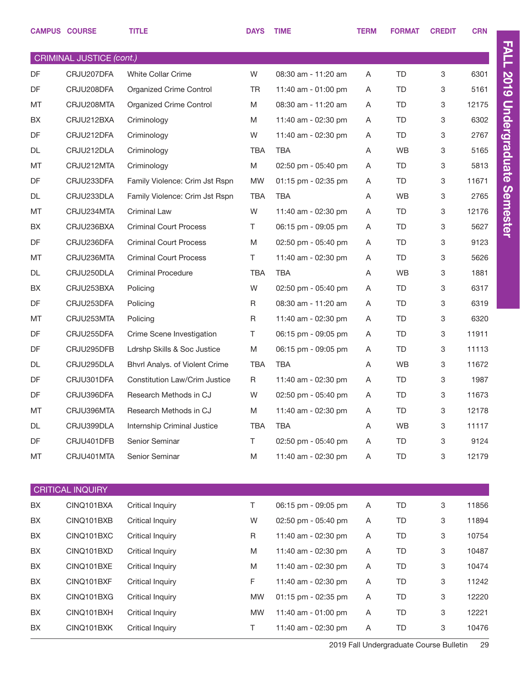|                                 | <b>CAMPUS COURSE</b>    | <b>TITLE</b>                         | <b>DAYS</b> | <b>TIME</b>         | <b>TERM</b> | <b>FORMAT</b> | <b>CREDIT</b> | <b>CRN</b> |  |
|---------------------------------|-------------------------|--------------------------------------|-------------|---------------------|-------------|---------------|---------------|------------|--|
| <b>CRIMINAL JUSTICE (cont.)</b> |                         |                                      |             |                     |             |               |               |            |  |
| DF                              | CRJU207DFA              | <b>White Collar Crime</b>            | W           | 08:30 am - 11:20 am | A           | <b>TD</b>     | 3             | 6301       |  |
| <b>DF</b>                       | CRJU208DFA              | Organized Crime Control              | <b>TR</b>   | 11:40 am - 01:00 pm | A           | <b>TD</b>     | 3             | 5161       |  |
| MT                              | CRJU208MTA              | <b>Organized Crime Control</b>       | M           | 08:30 am - 11:20 am | A           | <b>TD</b>     | 3             | 12175      |  |
| BX                              | CRJU212BXA              | Criminology                          | M           | 11:40 am - 02:30 pm | A           | TD            | 3             | 6302       |  |
| DF                              | CRJU212DFA              | Criminology                          | W           | 11:40 am - 02:30 pm | A           | <b>TD</b>     | 3             | 2767       |  |
| DL                              | CRJU212DLA              | Criminology                          | <b>TBA</b>  | TBA                 | Α           | <b>WB</b>     | 3             | 5165       |  |
| MT                              | CRJU212MTA              | Criminology                          | M           | 02:50 pm - 05:40 pm | A           | TD            | 3             | 5813       |  |
| DF                              | CRJU233DFA              | Family Violence: Crim Jst Rspn       | <b>MW</b>   | 01:15 pm - 02:35 pm | A           | TD            | 3             | 11671      |  |
| DL                              | CRJU233DLA              | Family Violence: Crim Jst Rspn       | <b>TBA</b>  | TBA                 | A           | <b>WB</b>     | 3             | 2765       |  |
| MT                              | CRJU234MTA              | <b>Criminal Law</b>                  | W           | 11:40 am - 02:30 pm | A           | TD            | 3             | 12176      |  |
| BX                              | CRJU236BXA              | <b>Criminal Court Process</b>        | T.          | 06:15 pm - 09:05 pm | A           | TD            | 3             | 5627       |  |
| DF                              | CRJU236DFA              | <b>Criminal Court Process</b>        | M           | 02:50 pm - 05:40 pm | A           | TD            | 3             | 9123       |  |
| MT                              | CRJU236MTA              | <b>Criminal Court Process</b>        | T.          | 11:40 am - 02:30 pm | A           | <b>TD</b>     | 3             | 5626       |  |
| DL                              | CRJU250DLA              | <b>Criminal Procedure</b>            | <b>TBA</b>  | TBA                 | Α           | <b>WB</b>     | 3             | 1881       |  |
| BX                              | CRJU253BXA              | Policing                             | W           | 02:50 pm - 05:40 pm | A           | <b>TD</b>     | 3             | 6317       |  |
| <b>DF</b>                       | CRJU253DFA              | Policing                             | R           | 08:30 am - 11:20 am | A           | TD            | 3             | 6319       |  |
| MT                              | CRJU253MTA              | Policing                             | R           | 11:40 am - 02:30 pm | A           | <b>TD</b>     | 3             | 6320       |  |
| DF                              | CRJU255DFA              | Crime Scene Investigation            | T.          | 06:15 pm - 09:05 pm | A           | TD            | 3             | 11911      |  |
| DF                              | CRJU295DFB              | Ldrshp Skills & Soc Justice          | M           | 06:15 pm - 09:05 pm | A           | <b>TD</b>     | 3             | 11113      |  |
| DL                              | CRJU295DLA              | Bhvrl Analys. of Violent Crime       | <b>TBA</b>  | TBA                 | Α           | <b>WB</b>     | 3             | 11672      |  |
| DF                              | CRJU301DFA              | <b>Constitution Law/Crim Justice</b> | R           | 11:40 am - 02:30 pm | A           | <b>TD</b>     | 3             | 1987       |  |
| DF                              | CRJU396DFA              | Research Methods in CJ               | W           | 02:50 pm - 05:40 pm | Α           | <b>TD</b>     | 3             | 11673      |  |
| MT                              | CRJU396MTA              | Research Methods in CJ               | M           | 11:40 am - 02:30 pm | Α           | TD            | 3             | 12178      |  |
| DL                              | CRJU399DLA              | Internship Criminal Justice          | TBA         | <b>TBA</b>          | Α           | <b>WB</b>     | 3             | 11117      |  |
| DF                              | CRJU401DFB              | Senior Seminar                       | T.          | 02:50 pm - 05:40 pm | Α           | TD            | 3             | 9124       |  |
| MT                              | CRJU401MTA              | Senior Seminar                       | M           | 11:40 am - 02:30 pm | Α           | TD            | 3             | 12179      |  |
|                                 |                         |                                      |             |                     |             |               |               |            |  |
|                                 | <b>CRITICAL INQUIRY</b> |                                      |             |                     |             |               |               |            |  |
| BX                              | CINQ101BXA              | <b>Critical Inquiry</b>              | T.          | 06:15 pm - 09:05 pm | A           | <b>TD</b>     | 3             | 11856      |  |
| BX                              | CINQ101BXB              | <b>Critical Inquiry</b>              | W           | 02:50 pm - 05:40 pm | Α           | TD            | 3             | 11894      |  |
| BX                              | CINQ101BXC              | <b>Critical Inquiry</b>              | R           | 11:40 am - 02:30 pm | Α           | <b>TD</b>     | 3             | 10754      |  |
| BX                              | CINQ101BXD              | <b>Critical Inquiry</b>              | M           | 11:40 am - 02:30 pm | Α           | TD            | 3             | 10487      |  |
| BX                              | CINQ101BXE              | <b>Critical Inquiry</b>              | M           | 11:40 am - 02:30 pm | Α           | TD            | 3             | 10474      |  |
| BX                              | CINQ101BXF              | <b>Critical Inquiry</b>              | F           | 11:40 am - 02:30 pm | Α           | TD            | 3             | 11242      |  |
| BX                              | CINQ101BXG              | <b>Critical Inquiry</b>              | <b>MW</b>   | 01:15 pm - 02:35 pm | Α           | TD            | 3             | 12220      |  |
| BX                              | CINQ101BXH              | <b>Critical Inquiry</b>              | <b>MW</b>   | 11:40 am - 01:00 pm | Α           | TD            | 3             | 12221      |  |
| BX                              | CINQ101BXK              | <b>Critical Inquiry</b>              | Τ           | 11:40 am - 02:30 pm | Α           | TD            | 3             | 10476      |  |

FALL 2019 Undergraduate Semester

FALL 2019 Undergraduate Semester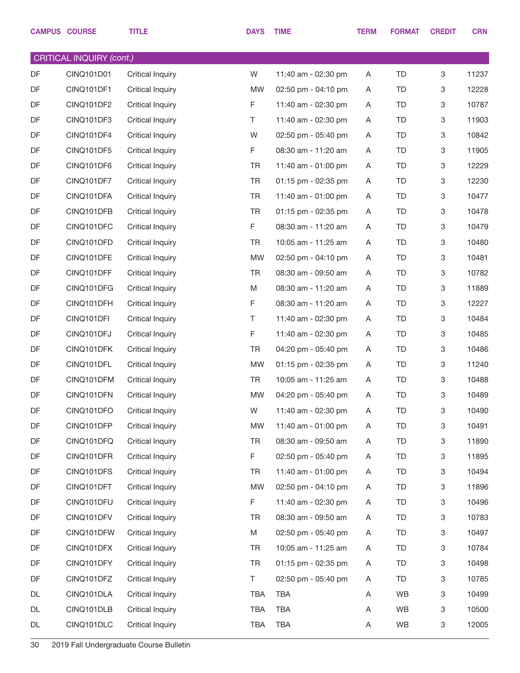|    | <b>CAMPUS COURSE</b>            | <b>TITLE</b>            | <b>DAYS</b> | <b>TIME</b>         | <b>TERM</b> | <b>FORMAT</b> | <b>CREDIT</b>             | <b>CRN</b> |
|----|---------------------------------|-------------------------|-------------|---------------------|-------------|---------------|---------------------------|------------|
|    | <b>CRITICAL INQUIRY (cont.)</b> |                         |             |                     |             |               |                           |            |
| DF | CINQ101D01                      | Critical Inquiry        | W           | 11:40 am - 02:30 pm | A           | <b>TD</b>     | 3                         | 11237      |
| DF | CINQ101DF1                      | <b>Critical Inquiry</b> | <b>MW</b>   | 02:50 pm - 04:10 pm | A           | <b>TD</b>     | 3                         | 12228      |
| DF | CINQ101DF2                      | <b>Critical Inquiry</b> | F           | 11:40 am - 02:30 pm | Α           | <b>TD</b>     | 3                         | 10787      |
| DF | CINQ101DF3                      | <b>Critical Inquiry</b> | Τ           | 11:40 am - 02:30 pm | A           | <b>TD</b>     | $\ensuremath{\mathsf{3}}$ | 11903      |
| DF | CINQ101DF4                      | <b>Critical Inquiry</b> | W           | 02:50 pm - 05:40 pm | A           | <b>TD</b>     | 3                         | 10842      |
| DF | CINQ101DF5                      | <b>Critical Inquiry</b> | F           | 08:30 am - 11:20 am | Α           | <b>TD</b>     | 3                         | 11905      |
| DF | CINQ101DF6                      | <b>Critical Inquiry</b> | <b>TR</b>   | 11:40 am - 01:00 pm | A           | <b>TD</b>     | 3                         | 12229      |
| DF | CINQ101DF7                      | <b>Critical Inquiry</b> | <b>TR</b>   | 01:15 pm - 02:35 pm | A           | <b>TD</b>     | 3                         | 12230      |
| DF | CINQ101DFA                      | <b>Critical Inquiry</b> | <b>TR</b>   | 11:40 am - 01:00 pm | Α           | <b>TD</b>     | 3                         | 10477      |
| DF | CINQ101DFB                      | <b>Critical Inquiry</b> | <b>TR</b>   | 01:15 pm - 02:35 pm | A           | <b>TD</b>     | 3                         | 10478      |
| DF | CINQ101DFC                      | <b>Critical Inquiry</b> | F           | 08:30 am - 11:20 am | Α           | <b>TD</b>     | 3                         | 10479      |
| DF | CINQ101DFD                      | <b>Critical Inquiry</b> | <b>TR</b>   | 10:05 am - 11:25 am | A           | <b>TD</b>     | $\ensuremath{\mathsf{3}}$ | 10480      |
| DF | CINQ101DFE                      | <b>Critical Inquiry</b> | <b>MW</b>   | 02:50 pm - 04:10 pm | Α           | <b>TD</b>     | 3                         | 10481      |
| DF | CINQ101DFF                      | <b>Critical Inquiry</b> | <b>TR</b>   | 08:30 am - 09:50 am | A           | <b>TD</b>     | $\ensuremath{\mathsf{3}}$ | 10782      |
| DF | CINQ101DFG                      | <b>Critical Inquiry</b> | M           | 08:30 am - 11:20 am | Α           | <b>TD</b>     | 3                         | 11889      |
| DF | CINQ101DFH                      | <b>Critical Inquiry</b> | F           | 08:30 am - 11:20 am | A           | <b>TD</b>     | $\ensuremath{\mathsf{3}}$ | 12227      |
| DF | CINQ101DFI                      | <b>Critical Inquiry</b> | Τ           | 11:40 am - 02:30 pm | Α           | <b>TD</b>     | 3                         | 10484      |
| DF | CINQ101DFJ                      | <b>Critical Inquiry</b> | F           | 11:40 am - 02:30 pm | A           | <b>TD</b>     | $\ensuremath{\mathsf{3}}$ | 10485      |
| DF | CINQ101DFK                      | <b>Critical Inquiry</b> | <b>TR</b>   | 04:20 pm - 05:40 pm | A           | <b>TD</b>     | 3                         | 10486      |
| DF | CINQ101DFL                      | <b>Critical Inquiry</b> | <b>MW</b>   | 01:15 pm - 02:35 pm | A           | TD            | 3                         | 11240      |
| DF | CINQ101DFM                      | <b>Critical Inquiry</b> | TR          | 10:05 am - 11:25 am | A           | TD            | 3                         | 10488      |
| DF | CINQ101DFN                      | <b>Critical Inquiry</b> | <b>MW</b>   | 04:20 pm - 05:40 pm | Α           | <b>TD</b>     | $\ensuremath{\mathsf{3}}$ | 10489      |
| DF | CINQ101DFO                      | <b>Critical Inquiry</b> | W           | 11:40 am - 02:30 pm | A           | <b>TD</b>     | 3                         | 10490      |
| DF | CINQ101DFP                      | <b>Critical Inquiry</b> | <b>MW</b>   | 11:40 am - 01:00 pm | A           | <b>TD</b>     | 3                         | 10491      |
| DF | CINQ101DFQ                      | <b>Critical Inquiry</b> | <b>TR</b>   | 08:30 am - 09:50 am | Α           | TD            | 3                         | 11890      |
| DF | CINQ101DFR                      | <b>Critical Inquiry</b> | F           | 02:50 pm - 05:40 pm | A           | TD            | 3                         | 11895      |
| DF | CINQ101DFS                      | <b>Critical Inquiry</b> | <b>TR</b>   | 11:40 am - 01:00 pm | A           | TD            | 3                         | 10494      |
| DF | CINQ101DFT                      | <b>Critical Inquiry</b> | <b>MW</b>   | 02:50 pm - 04:10 pm | A           | TD            | 3                         | 11896      |
| DF | CINQ101DFU                      | <b>Critical Inquiry</b> | F           | 11:40 am - 02:30 pm | A           | TD            | 3                         | 10496      |
| DF | CINQ101DFV                      | <b>Critical Inquiry</b> | <b>TR</b>   | 08:30 am - 09:50 am | Α           | TD            | 3                         | 10783      |
| DF | CINQ101DFW                      | <b>Critical Inquiry</b> | M           | 02:50 pm - 05:40 pm | A           | TD            | 3                         | 10497      |
| DF | CINQ101DFX                      | <b>Critical Inquiry</b> | <b>TR</b>   | 10:05 am - 11:25 am | Α           | TD            | 3                         | 10784      |
| DF | CINQ101DFY                      | <b>Critical Inquiry</b> | <b>TR</b>   | 01:15 pm - 02:35 pm | A           | TD            | 3                         | 10498      |
| DF | CINQ101DFZ                      | <b>Critical Inquiry</b> | T.          | 02:50 pm - 05:40 pm | Α           | TD            | 3                         | 10785      |
| DL | CINQ101DLA                      | <b>Critical Inquiry</b> | <b>TBA</b>  | <b>TBA</b>          | Α           | WB            | 3                         | 10499      |
| DL | CINQ101DLB                      | <b>Critical Inquiry</b> | <b>TBA</b>  | <b>TBA</b>          | Α           | WB            | 3                         | 10500      |
| DL | CINQ101DLC                      | <b>Critical Inquiry</b> | <b>TBA</b>  | <b>TBA</b>          | Α           | WB            | $\mathbf 3$               | 12005      |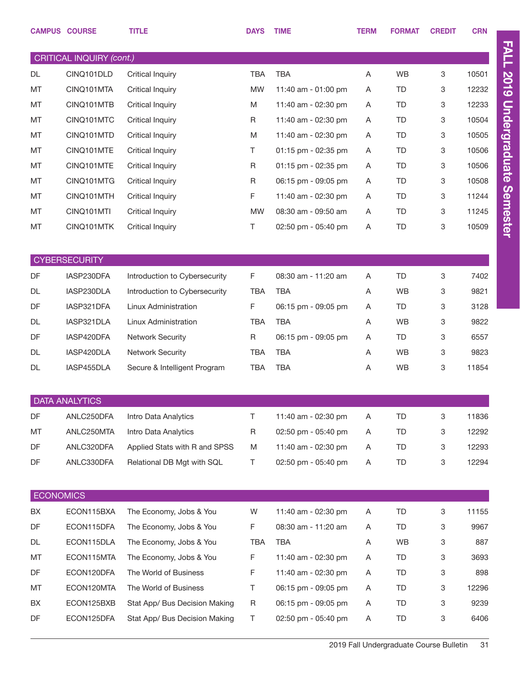| CRITICAL INQUIRY (cont.)<br><b>WB</b><br>3<br><b>TBA</b><br><b>TBA</b><br>10501<br>DL<br>CINQ101DLD<br><b>Critical Inquiry</b><br>A<br><b>MT</b><br>CINQ101MTA<br><b>MW</b><br>11:40 am - 01:00 pm<br><b>TD</b><br>3<br>12232<br><b>Critical Inquiry</b><br>Α<br>CINQ101MTB<br>M<br><b>TD</b><br>3<br>12233<br>MT<br><b>Critical Inquiry</b><br>11:40 am - 02:30 pm<br>A<br>MT<br>CINQ101MTC<br>R<br><b>TD</b><br>3<br>10504<br><b>Critical Inquiry</b><br>11:40 am - 02:30 pm<br>Α<br>CINQ101MTD<br>3<br>10505<br>MT<br><b>Critical Inquiry</b><br>M<br>11:40 am - 02:30 pm<br>TD<br>A<br>MT<br>CINQ101MTE<br>Τ<br>01:15 pm - 02:35 pm<br><b>TD</b><br>3<br>10506<br><b>Critical Inquiry</b><br>Α<br>CINQ101MTE<br>R<br><b>TD</b><br>3<br>10506<br>MT<br><b>Critical Inquiry</b><br>01:15 pm - 02:35 pm<br>A<br>MT<br>CINQ101MTG<br>R<br>06:15 pm - 09:05 pm<br><b>TD</b><br>3<br>10508<br><b>Critical Inquiry</b><br>Α<br>F<br>CINQ101MTH<br>3<br>11244<br>MT<br><b>Critical Inquiry</b><br>11:40 am - 02:30 pm<br>TD<br>A<br>CINQ101MTI<br>08:30 am - 09:50 am<br><b>TD</b><br>3<br>11245<br>MT<br><b>Critical Inquiry</b><br><b>MW</b><br>A<br>3<br>MT<br>CINQ101MTK<br>T.<br><b>TD</b><br>10509<br><b>Critical Inquiry</b><br>02:50 pm - 05:40 pm<br>A<br><b>CYBERSECURITY</b><br>DF<br>F<br>08:30 am - 11:20 am<br><b>TD</b><br>3<br>7402<br>IASP230DFA<br>Introduction to Cybersecurity<br>A<br>IASP230DLA<br>Introduction to Cybersecurity<br><b>TBA</b><br><b>WB</b><br>9821<br>DL<br><b>TBA</b><br>Α<br>3<br>DF<br>IASP321DFA<br>Linux Administration<br>F<br><b>TD</b><br>3128<br>06:15 pm - 09:05 pm<br>3<br>A<br>IASP321DLA<br><b>TBA</b><br><b>TBA</b><br><b>WB</b><br>9822<br>DL<br>Linux Administration<br>Α<br>3<br>DF<br>IASP420DFA<br>$\mathsf R$<br><b>TD</b><br>3<br>6557<br><b>Network Security</b><br>06:15 pm - 09:05 pm<br>A<br>IASP420DLA<br><b>TBA</b><br><b>WB</b><br>9823<br>DL<br><b>Network Security</b><br><b>TBA</b><br>3<br>A<br>IASP455DLA<br><b>TBA</b><br><b>TBA</b><br><b>WB</b><br>3<br>11854<br>DL<br>Secure & Intelligent Program<br>Α<br><b>DATA ANALYTICS</b><br>DF<br>ANLC250DFA<br>T.<br><b>TD</b><br>3<br>11836<br>Intro Data Analytics<br>11:40 am - 02:30 pm<br>Α<br>MT<br>$\mathsf R$<br>02:50 pm - 05:40 pm<br><b>TD</b><br>12292<br>ANLC250MTA<br>Intro Data Analytics<br>Α<br>3<br>DF<br>Applied Stats with R and SPSS<br>M<br>11:40 am - 02:30 pm<br><b>TD</b><br>3<br>12293<br>ANLC320DFA<br>Α<br><b>TD</b><br>DF<br>ANLC330DFA<br>T.<br>02:50 pm - 05:40 pm<br>3<br>12294<br>Relational DB Mgt with SQL<br>Α<br><b>ECONOMICS</b><br>11:40 am - 02:30 pm<br>3<br>BX<br>ECON115BXA<br>The Economy, Jobs & You<br>W<br>TD<br>11155<br>Α<br>DF<br>ECON115DFA<br>F<br>TD<br>3<br>The Economy, Jobs & You<br>08:30 am - 11:20 am<br>9967<br>A<br>ECON115DLA<br>WB<br>DL<br>The Economy, Jobs & You<br>TBA<br>TBA<br>Α<br>3<br>887<br>ECON115MTA<br>F<br>TD<br>3<br>MT<br>The Economy, Jobs & You<br>11:40 am - 02:30 pm<br>3693<br>Α<br>DF<br>ECON120DFA<br>F<br>11:40 am - 02:30 pm<br>TD<br>3<br>The World of Business<br>Α<br>898<br>ECON120MTA<br>T.<br>06:15 pm - 09:05 pm<br>TD<br>3<br>12296<br>МT<br>The World of Business<br>A<br>06:15 pm - 09:05 pm<br>TD<br>BX<br>ECON125BXB<br>Stat App/ Bus Decision Making<br>R<br>3<br>9239<br>Α<br>DF<br>ECON125DFA<br>T.<br>02:50 pm - 05:40 pm<br>TD<br>3<br>6406<br>Stat App/ Bus Decision Making<br>Α |  | <b>CAMPUS COURSE</b> | <b>TITLE</b> | <b>DAYS</b> | <b>TIME</b> | <b>TERM</b> | <b>FORMAT</b> | <b>CREDIT</b> | <b>CRN</b> |  |
|-------------------------------------------------------------------------------------------------------------------------------------------------------------------------------------------------------------------------------------------------------------------------------------------------------------------------------------------------------------------------------------------------------------------------------------------------------------------------------------------------------------------------------------------------------------------------------------------------------------------------------------------------------------------------------------------------------------------------------------------------------------------------------------------------------------------------------------------------------------------------------------------------------------------------------------------------------------------------------------------------------------------------------------------------------------------------------------------------------------------------------------------------------------------------------------------------------------------------------------------------------------------------------------------------------------------------------------------------------------------------------------------------------------------------------------------------------------------------------------------------------------------------------------------------------------------------------------------------------------------------------------------------------------------------------------------------------------------------------------------------------------------------------------------------------------------------------------------------------------------------------------------------------------------------------------------------------------------------------------------------------------------------------------------------------------------------------------------------------------------------------------------------------------------------------------------------------------------------------------------------------------------------------------------------------------------------------------------------------------------------------------------------------------------------------------------------------------------------------------------------------------------------------------------------------------------------------------------------------------------------------------------------------------------------------------------------------------------------------------------------------------------------------------------------------------------------------------------------------------------------------------------------------------------------------------------------------------------------------------------------------------------------------------------------------------------------------------------------------------------------------------------------------------------------------------------------------------------------------------------------------------------------------------------------------------------------------------------------------------------------------------------------------------|--|----------------------|--------------|-------------|-------------|-------------|---------------|---------------|------------|--|
|                                                                                                                                                                                                                                                                                                                                                                                                                                                                                                                                                                                                                                                                                                                                                                                                                                                                                                                                                                                                                                                                                                                                                                                                                                                                                                                                                                                                                                                                                                                                                                                                                                                                                                                                                                                                                                                                                                                                                                                                                                                                                                                                                                                                                                                                                                                                                                                                                                                                                                                                                                                                                                                                                                                                                                                                                                                                                                                                                                                                                                                                                                                                                                                                                                                                                                                                                                                                             |  |                      |              |             |             |             |               |               |            |  |
|                                                                                                                                                                                                                                                                                                                                                                                                                                                                                                                                                                                                                                                                                                                                                                                                                                                                                                                                                                                                                                                                                                                                                                                                                                                                                                                                                                                                                                                                                                                                                                                                                                                                                                                                                                                                                                                                                                                                                                                                                                                                                                                                                                                                                                                                                                                                                                                                                                                                                                                                                                                                                                                                                                                                                                                                                                                                                                                                                                                                                                                                                                                                                                                                                                                                                                                                                                                                             |  |                      |              |             |             |             |               |               |            |  |
|                                                                                                                                                                                                                                                                                                                                                                                                                                                                                                                                                                                                                                                                                                                                                                                                                                                                                                                                                                                                                                                                                                                                                                                                                                                                                                                                                                                                                                                                                                                                                                                                                                                                                                                                                                                                                                                                                                                                                                                                                                                                                                                                                                                                                                                                                                                                                                                                                                                                                                                                                                                                                                                                                                                                                                                                                                                                                                                                                                                                                                                                                                                                                                                                                                                                                                                                                                                                             |  |                      |              |             |             |             |               |               |            |  |
|                                                                                                                                                                                                                                                                                                                                                                                                                                                                                                                                                                                                                                                                                                                                                                                                                                                                                                                                                                                                                                                                                                                                                                                                                                                                                                                                                                                                                                                                                                                                                                                                                                                                                                                                                                                                                                                                                                                                                                                                                                                                                                                                                                                                                                                                                                                                                                                                                                                                                                                                                                                                                                                                                                                                                                                                                                                                                                                                                                                                                                                                                                                                                                                                                                                                                                                                                                                                             |  |                      |              |             |             |             |               |               |            |  |
|                                                                                                                                                                                                                                                                                                                                                                                                                                                                                                                                                                                                                                                                                                                                                                                                                                                                                                                                                                                                                                                                                                                                                                                                                                                                                                                                                                                                                                                                                                                                                                                                                                                                                                                                                                                                                                                                                                                                                                                                                                                                                                                                                                                                                                                                                                                                                                                                                                                                                                                                                                                                                                                                                                                                                                                                                                                                                                                                                                                                                                                                                                                                                                                                                                                                                                                                                                                                             |  |                      |              |             |             |             |               |               |            |  |
|                                                                                                                                                                                                                                                                                                                                                                                                                                                                                                                                                                                                                                                                                                                                                                                                                                                                                                                                                                                                                                                                                                                                                                                                                                                                                                                                                                                                                                                                                                                                                                                                                                                                                                                                                                                                                                                                                                                                                                                                                                                                                                                                                                                                                                                                                                                                                                                                                                                                                                                                                                                                                                                                                                                                                                                                                                                                                                                                                                                                                                                                                                                                                                                                                                                                                                                                                                                                             |  |                      |              |             |             |             |               |               |            |  |
|                                                                                                                                                                                                                                                                                                                                                                                                                                                                                                                                                                                                                                                                                                                                                                                                                                                                                                                                                                                                                                                                                                                                                                                                                                                                                                                                                                                                                                                                                                                                                                                                                                                                                                                                                                                                                                                                                                                                                                                                                                                                                                                                                                                                                                                                                                                                                                                                                                                                                                                                                                                                                                                                                                                                                                                                                                                                                                                                                                                                                                                                                                                                                                                                                                                                                                                                                                                                             |  |                      |              |             |             |             |               |               |            |  |
|                                                                                                                                                                                                                                                                                                                                                                                                                                                                                                                                                                                                                                                                                                                                                                                                                                                                                                                                                                                                                                                                                                                                                                                                                                                                                                                                                                                                                                                                                                                                                                                                                                                                                                                                                                                                                                                                                                                                                                                                                                                                                                                                                                                                                                                                                                                                                                                                                                                                                                                                                                                                                                                                                                                                                                                                                                                                                                                                                                                                                                                                                                                                                                                                                                                                                                                                                                                                             |  |                      |              |             |             |             |               |               |            |  |
|                                                                                                                                                                                                                                                                                                                                                                                                                                                                                                                                                                                                                                                                                                                                                                                                                                                                                                                                                                                                                                                                                                                                                                                                                                                                                                                                                                                                                                                                                                                                                                                                                                                                                                                                                                                                                                                                                                                                                                                                                                                                                                                                                                                                                                                                                                                                                                                                                                                                                                                                                                                                                                                                                                                                                                                                                                                                                                                                                                                                                                                                                                                                                                                                                                                                                                                                                                                                             |  |                      |              |             |             |             |               |               |            |  |
|                                                                                                                                                                                                                                                                                                                                                                                                                                                                                                                                                                                                                                                                                                                                                                                                                                                                                                                                                                                                                                                                                                                                                                                                                                                                                                                                                                                                                                                                                                                                                                                                                                                                                                                                                                                                                                                                                                                                                                                                                                                                                                                                                                                                                                                                                                                                                                                                                                                                                                                                                                                                                                                                                                                                                                                                                                                                                                                                                                                                                                                                                                                                                                                                                                                                                                                                                                                                             |  |                      |              |             |             |             |               |               |            |  |
|                                                                                                                                                                                                                                                                                                                                                                                                                                                                                                                                                                                                                                                                                                                                                                                                                                                                                                                                                                                                                                                                                                                                                                                                                                                                                                                                                                                                                                                                                                                                                                                                                                                                                                                                                                                                                                                                                                                                                                                                                                                                                                                                                                                                                                                                                                                                                                                                                                                                                                                                                                                                                                                                                                                                                                                                                                                                                                                                                                                                                                                                                                                                                                                                                                                                                                                                                                                                             |  |                      |              |             |             |             |               |               |            |  |
|                                                                                                                                                                                                                                                                                                                                                                                                                                                                                                                                                                                                                                                                                                                                                                                                                                                                                                                                                                                                                                                                                                                                                                                                                                                                                                                                                                                                                                                                                                                                                                                                                                                                                                                                                                                                                                                                                                                                                                                                                                                                                                                                                                                                                                                                                                                                                                                                                                                                                                                                                                                                                                                                                                                                                                                                                                                                                                                                                                                                                                                                                                                                                                                                                                                                                                                                                                                                             |  |                      |              |             |             |             |               |               |            |  |
|                                                                                                                                                                                                                                                                                                                                                                                                                                                                                                                                                                                                                                                                                                                                                                                                                                                                                                                                                                                                                                                                                                                                                                                                                                                                                                                                                                                                                                                                                                                                                                                                                                                                                                                                                                                                                                                                                                                                                                                                                                                                                                                                                                                                                                                                                                                                                                                                                                                                                                                                                                                                                                                                                                                                                                                                                                                                                                                                                                                                                                                                                                                                                                                                                                                                                                                                                                                                             |  |                      |              |             |             |             |               |               |            |  |
|                                                                                                                                                                                                                                                                                                                                                                                                                                                                                                                                                                                                                                                                                                                                                                                                                                                                                                                                                                                                                                                                                                                                                                                                                                                                                                                                                                                                                                                                                                                                                                                                                                                                                                                                                                                                                                                                                                                                                                                                                                                                                                                                                                                                                                                                                                                                                                                                                                                                                                                                                                                                                                                                                                                                                                                                                                                                                                                                                                                                                                                                                                                                                                                                                                                                                                                                                                                                             |  |                      |              |             |             |             |               |               |            |  |
|                                                                                                                                                                                                                                                                                                                                                                                                                                                                                                                                                                                                                                                                                                                                                                                                                                                                                                                                                                                                                                                                                                                                                                                                                                                                                                                                                                                                                                                                                                                                                                                                                                                                                                                                                                                                                                                                                                                                                                                                                                                                                                                                                                                                                                                                                                                                                                                                                                                                                                                                                                                                                                                                                                                                                                                                                                                                                                                                                                                                                                                                                                                                                                                                                                                                                                                                                                                                             |  |                      |              |             |             |             |               |               |            |  |
|                                                                                                                                                                                                                                                                                                                                                                                                                                                                                                                                                                                                                                                                                                                                                                                                                                                                                                                                                                                                                                                                                                                                                                                                                                                                                                                                                                                                                                                                                                                                                                                                                                                                                                                                                                                                                                                                                                                                                                                                                                                                                                                                                                                                                                                                                                                                                                                                                                                                                                                                                                                                                                                                                                                                                                                                                                                                                                                                                                                                                                                                                                                                                                                                                                                                                                                                                                                                             |  |                      |              |             |             |             |               |               |            |  |
|                                                                                                                                                                                                                                                                                                                                                                                                                                                                                                                                                                                                                                                                                                                                                                                                                                                                                                                                                                                                                                                                                                                                                                                                                                                                                                                                                                                                                                                                                                                                                                                                                                                                                                                                                                                                                                                                                                                                                                                                                                                                                                                                                                                                                                                                                                                                                                                                                                                                                                                                                                                                                                                                                                                                                                                                                                                                                                                                                                                                                                                                                                                                                                                                                                                                                                                                                                                                             |  |                      |              |             |             |             |               |               |            |  |
|                                                                                                                                                                                                                                                                                                                                                                                                                                                                                                                                                                                                                                                                                                                                                                                                                                                                                                                                                                                                                                                                                                                                                                                                                                                                                                                                                                                                                                                                                                                                                                                                                                                                                                                                                                                                                                                                                                                                                                                                                                                                                                                                                                                                                                                                                                                                                                                                                                                                                                                                                                                                                                                                                                                                                                                                                                                                                                                                                                                                                                                                                                                                                                                                                                                                                                                                                                                                             |  |                      |              |             |             |             |               |               |            |  |
|                                                                                                                                                                                                                                                                                                                                                                                                                                                                                                                                                                                                                                                                                                                                                                                                                                                                                                                                                                                                                                                                                                                                                                                                                                                                                                                                                                                                                                                                                                                                                                                                                                                                                                                                                                                                                                                                                                                                                                                                                                                                                                                                                                                                                                                                                                                                                                                                                                                                                                                                                                                                                                                                                                                                                                                                                                                                                                                                                                                                                                                                                                                                                                                                                                                                                                                                                                                                             |  |                      |              |             |             |             |               |               |            |  |
|                                                                                                                                                                                                                                                                                                                                                                                                                                                                                                                                                                                                                                                                                                                                                                                                                                                                                                                                                                                                                                                                                                                                                                                                                                                                                                                                                                                                                                                                                                                                                                                                                                                                                                                                                                                                                                                                                                                                                                                                                                                                                                                                                                                                                                                                                                                                                                                                                                                                                                                                                                                                                                                                                                                                                                                                                                                                                                                                                                                                                                                                                                                                                                                                                                                                                                                                                                                                             |  |                      |              |             |             |             |               |               |            |  |
|                                                                                                                                                                                                                                                                                                                                                                                                                                                                                                                                                                                                                                                                                                                                                                                                                                                                                                                                                                                                                                                                                                                                                                                                                                                                                                                                                                                                                                                                                                                                                                                                                                                                                                                                                                                                                                                                                                                                                                                                                                                                                                                                                                                                                                                                                                                                                                                                                                                                                                                                                                                                                                                                                                                                                                                                                                                                                                                                                                                                                                                                                                                                                                                                                                                                                                                                                                                                             |  |                      |              |             |             |             |               |               |            |  |
|                                                                                                                                                                                                                                                                                                                                                                                                                                                                                                                                                                                                                                                                                                                                                                                                                                                                                                                                                                                                                                                                                                                                                                                                                                                                                                                                                                                                                                                                                                                                                                                                                                                                                                                                                                                                                                                                                                                                                                                                                                                                                                                                                                                                                                                                                                                                                                                                                                                                                                                                                                                                                                                                                                                                                                                                                                                                                                                                                                                                                                                                                                                                                                                                                                                                                                                                                                                                             |  |                      |              |             |             |             |               |               |            |  |
|                                                                                                                                                                                                                                                                                                                                                                                                                                                                                                                                                                                                                                                                                                                                                                                                                                                                                                                                                                                                                                                                                                                                                                                                                                                                                                                                                                                                                                                                                                                                                                                                                                                                                                                                                                                                                                                                                                                                                                                                                                                                                                                                                                                                                                                                                                                                                                                                                                                                                                                                                                                                                                                                                                                                                                                                                                                                                                                                                                                                                                                                                                                                                                                                                                                                                                                                                                                                             |  |                      |              |             |             |             |               |               |            |  |
|                                                                                                                                                                                                                                                                                                                                                                                                                                                                                                                                                                                                                                                                                                                                                                                                                                                                                                                                                                                                                                                                                                                                                                                                                                                                                                                                                                                                                                                                                                                                                                                                                                                                                                                                                                                                                                                                                                                                                                                                                                                                                                                                                                                                                                                                                                                                                                                                                                                                                                                                                                                                                                                                                                                                                                                                                                                                                                                                                                                                                                                                                                                                                                                                                                                                                                                                                                                                             |  |                      |              |             |             |             |               |               |            |  |
|                                                                                                                                                                                                                                                                                                                                                                                                                                                                                                                                                                                                                                                                                                                                                                                                                                                                                                                                                                                                                                                                                                                                                                                                                                                                                                                                                                                                                                                                                                                                                                                                                                                                                                                                                                                                                                                                                                                                                                                                                                                                                                                                                                                                                                                                                                                                                                                                                                                                                                                                                                                                                                                                                                                                                                                                                                                                                                                                                                                                                                                                                                                                                                                                                                                                                                                                                                                                             |  |                      |              |             |             |             |               |               |            |  |
|                                                                                                                                                                                                                                                                                                                                                                                                                                                                                                                                                                                                                                                                                                                                                                                                                                                                                                                                                                                                                                                                                                                                                                                                                                                                                                                                                                                                                                                                                                                                                                                                                                                                                                                                                                                                                                                                                                                                                                                                                                                                                                                                                                                                                                                                                                                                                                                                                                                                                                                                                                                                                                                                                                                                                                                                                                                                                                                                                                                                                                                                                                                                                                                                                                                                                                                                                                                                             |  |                      |              |             |             |             |               |               |            |  |
|                                                                                                                                                                                                                                                                                                                                                                                                                                                                                                                                                                                                                                                                                                                                                                                                                                                                                                                                                                                                                                                                                                                                                                                                                                                                                                                                                                                                                                                                                                                                                                                                                                                                                                                                                                                                                                                                                                                                                                                                                                                                                                                                                                                                                                                                                                                                                                                                                                                                                                                                                                                                                                                                                                                                                                                                                                                                                                                                                                                                                                                                                                                                                                                                                                                                                                                                                                                                             |  |                      |              |             |             |             |               |               |            |  |
|                                                                                                                                                                                                                                                                                                                                                                                                                                                                                                                                                                                                                                                                                                                                                                                                                                                                                                                                                                                                                                                                                                                                                                                                                                                                                                                                                                                                                                                                                                                                                                                                                                                                                                                                                                                                                                                                                                                                                                                                                                                                                                                                                                                                                                                                                                                                                                                                                                                                                                                                                                                                                                                                                                                                                                                                                                                                                                                                                                                                                                                                                                                                                                                                                                                                                                                                                                                                             |  |                      |              |             |             |             |               |               |            |  |
|                                                                                                                                                                                                                                                                                                                                                                                                                                                                                                                                                                                                                                                                                                                                                                                                                                                                                                                                                                                                                                                                                                                                                                                                                                                                                                                                                                                                                                                                                                                                                                                                                                                                                                                                                                                                                                                                                                                                                                                                                                                                                                                                                                                                                                                                                                                                                                                                                                                                                                                                                                                                                                                                                                                                                                                                                                                                                                                                                                                                                                                                                                                                                                                                                                                                                                                                                                                                             |  |                      |              |             |             |             |               |               |            |  |
|                                                                                                                                                                                                                                                                                                                                                                                                                                                                                                                                                                                                                                                                                                                                                                                                                                                                                                                                                                                                                                                                                                                                                                                                                                                                                                                                                                                                                                                                                                                                                                                                                                                                                                                                                                                                                                                                                                                                                                                                                                                                                                                                                                                                                                                                                                                                                                                                                                                                                                                                                                                                                                                                                                                                                                                                                                                                                                                                                                                                                                                                                                                                                                                                                                                                                                                                                                                                             |  |                      |              |             |             |             |               |               |            |  |
|                                                                                                                                                                                                                                                                                                                                                                                                                                                                                                                                                                                                                                                                                                                                                                                                                                                                                                                                                                                                                                                                                                                                                                                                                                                                                                                                                                                                                                                                                                                                                                                                                                                                                                                                                                                                                                                                                                                                                                                                                                                                                                                                                                                                                                                                                                                                                                                                                                                                                                                                                                                                                                                                                                                                                                                                                                                                                                                                                                                                                                                                                                                                                                                                                                                                                                                                                                                                             |  |                      |              |             |             |             |               |               |            |  |
|                                                                                                                                                                                                                                                                                                                                                                                                                                                                                                                                                                                                                                                                                                                                                                                                                                                                                                                                                                                                                                                                                                                                                                                                                                                                                                                                                                                                                                                                                                                                                                                                                                                                                                                                                                                                                                                                                                                                                                                                                                                                                                                                                                                                                                                                                                                                                                                                                                                                                                                                                                                                                                                                                                                                                                                                                                                                                                                                                                                                                                                                                                                                                                                                                                                                                                                                                                                                             |  |                      |              |             |             |             |               |               |            |  |
|                                                                                                                                                                                                                                                                                                                                                                                                                                                                                                                                                                                                                                                                                                                                                                                                                                                                                                                                                                                                                                                                                                                                                                                                                                                                                                                                                                                                                                                                                                                                                                                                                                                                                                                                                                                                                                                                                                                                                                                                                                                                                                                                                                                                                                                                                                                                                                                                                                                                                                                                                                                                                                                                                                                                                                                                                                                                                                                                                                                                                                                                                                                                                                                                                                                                                                                                                                                                             |  |                      |              |             |             |             |               |               |            |  |
|                                                                                                                                                                                                                                                                                                                                                                                                                                                                                                                                                                                                                                                                                                                                                                                                                                                                                                                                                                                                                                                                                                                                                                                                                                                                                                                                                                                                                                                                                                                                                                                                                                                                                                                                                                                                                                                                                                                                                                                                                                                                                                                                                                                                                                                                                                                                                                                                                                                                                                                                                                                                                                                                                                                                                                                                                                                                                                                                                                                                                                                                                                                                                                                                                                                                                                                                                                                                             |  |                      |              |             |             |             |               |               |            |  |
|                                                                                                                                                                                                                                                                                                                                                                                                                                                                                                                                                                                                                                                                                                                                                                                                                                                                                                                                                                                                                                                                                                                                                                                                                                                                                                                                                                                                                                                                                                                                                                                                                                                                                                                                                                                                                                                                                                                                                                                                                                                                                                                                                                                                                                                                                                                                                                                                                                                                                                                                                                                                                                                                                                                                                                                                                                                                                                                                                                                                                                                                                                                                                                                                                                                                                                                                                                                                             |  |                      |              |             |             |             |               |               |            |  |
|                                                                                                                                                                                                                                                                                                                                                                                                                                                                                                                                                                                                                                                                                                                                                                                                                                                                                                                                                                                                                                                                                                                                                                                                                                                                                                                                                                                                                                                                                                                                                                                                                                                                                                                                                                                                                                                                                                                                                                                                                                                                                                                                                                                                                                                                                                                                                                                                                                                                                                                                                                                                                                                                                                                                                                                                                                                                                                                                                                                                                                                                                                                                                                                                                                                                                                                                                                                                             |  |                      |              |             |             |             |               |               |            |  |
|                                                                                                                                                                                                                                                                                                                                                                                                                                                                                                                                                                                                                                                                                                                                                                                                                                                                                                                                                                                                                                                                                                                                                                                                                                                                                                                                                                                                                                                                                                                                                                                                                                                                                                                                                                                                                                                                                                                                                                                                                                                                                                                                                                                                                                                                                                                                                                                                                                                                                                                                                                                                                                                                                                                                                                                                                                                                                                                                                                                                                                                                                                                                                                                                                                                                                                                                                                                                             |  |                      |              |             |             |             |               |               |            |  |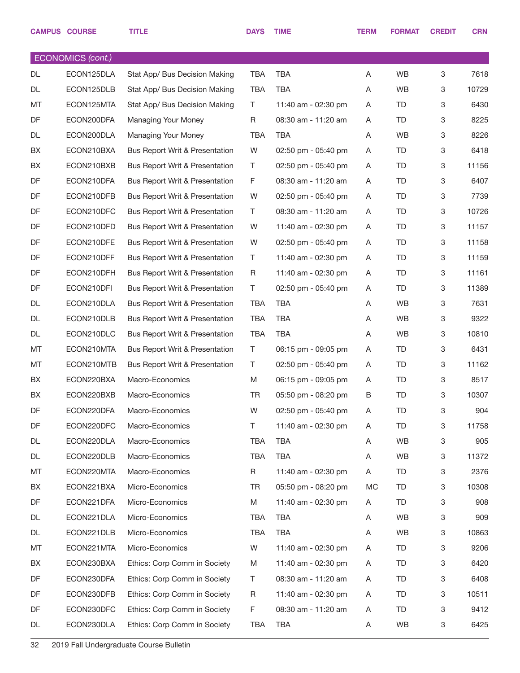|    | <b>CAMPUS COURSE</b>     | <b>TITLE</b>                              | <b>DAYS</b> | <b>TIME</b>             | <b>TERM</b> | <b>FORMAT</b> | <b>CREDIT</b> | <b>CRN</b> |
|----|--------------------------|-------------------------------------------|-------------|-------------------------|-------------|---------------|---------------|------------|
|    | <b>ECONOMICS (cont.)</b> |                                           |             |                         |             |               |               |            |
| DL | ECON125DLA               | Stat App/ Bus Decision Making             | <b>TBA</b>  | <b>TBA</b>              | Α           | <b>WB</b>     | 3             | 7618       |
| DL | ECON125DLB               | Stat App/ Bus Decision Making             | <b>TBA</b>  | <b>TBA</b>              | A           | <b>WB</b>     | 3             | 10729      |
| MT | ECON125MTA               | Stat App/ Bus Decision Making             | T.          | 11:40 am - 02:30 pm     | A           | TD            | 3             | 6430       |
| DF | ECON200DFA               | Managing Your Money                       | R           | 08:30 am - 11:20 am     | A           | TD            | 3             | 8225       |
| DL | ECON200DLA               | <b>Managing Your Money</b>                | <b>TBA</b>  | <b>TBA</b>              | Α           | <b>WB</b>     | 3             | 8226       |
| BX | ECON210BXA               | <b>Bus Report Writ &amp; Presentation</b> | W           | 02:50 pm - 05:40 pm     | A           | TD            | 3             | 6418       |
| BX | ECON210BXB               | <b>Bus Report Writ &amp; Presentation</b> | Τ           | 02:50 pm - 05:40 pm     | A           | TD            | 3             | 11156      |
| DF | ECON210DFA               | Bus Report Writ & Presentation            | F           | 08:30 am - 11:20 am     | A           | TD            | 3             | 6407       |
| DF | ECON210DFB               | <b>Bus Report Writ &amp; Presentation</b> | W           | 02:50 pm - 05:40 pm     | A           | TD            | 3             | 7739       |
| DF | ECON210DFC               | <b>Bus Report Writ &amp; Presentation</b> | T           | 08:30 am - 11:20 am     | A           | TD            | 3             | 10726      |
| DF | ECON210DFD               | <b>Bus Report Writ &amp; Presentation</b> | W           | 11:40 am - 02:30 pm     | A           | TD            | 3             | 11157      |
| DF | ECON210DFE               | Bus Report Writ & Presentation            | W           | 02:50 pm - 05:40 pm     | A           | TD            | 3             | 11158      |
| DF | ECON210DFF               | <b>Bus Report Writ &amp; Presentation</b> | Τ           | 11:40 am - 02:30 pm     | A           | TD            | 3             | 11159      |
| DF | ECON210DFH               | Bus Report Writ & Presentation            | R           | 11:40 am - 02:30 pm     | A           | TD            | 3             | 11161      |
| DF | ECON210DFI               | Bus Report Writ & Presentation            | Τ           | 02:50 pm - 05:40 pm     | A           | TD            | 3             | 11389      |
| DL | ECON210DLA               | <b>Bus Report Writ &amp; Presentation</b> | <b>TBA</b>  | <b>TBA</b>              | A           | <b>WB</b>     | 3             | 7631       |
| DL | ECON210DLB               | Bus Report Writ & Presentation            | <b>TBA</b>  | <b>TBA</b>              | A           | <b>WB</b>     | 3             | 9322       |
| DL | ECON210DLC               | Bus Report Writ & Presentation            | <b>TBA</b>  | <b>TBA</b>              | A           | <b>WB</b>     | 3             | 10810      |
| MT | ECON210MTA               | <b>Bus Report Writ &amp; Presentation</b> | T           | 06:15 pm - 09:05 pm     | A           | TD            | 3             | 6431       |
| MT | ECON210MTB               | Bus Report Writ & Presentation            | Τ           | $02:50$ pm - $05:40$ pm | A           | TD            | 3             | 11162      |
| BX | ECON220BXA               | Macro-Economics                           | M           | 06:15 pm - 09:05 pm     | A           | TD            | 3             | 8517       |
| BX | ECON220BXB               | Macro-Economics                           | TR          | 05:50 pm - 08:20 pm     | B           | TD            | 3             | 10307      |
| DF | ECON220DFA               | Macro-Economics                           | W           | 02:50 pm - 05:40 pm     | Α           | <b>TD</b>     | 3             | 904        |
| DF | ECON220DFC               | Macro-Economics                           | T.          | 11:40 am - 02:30 pm     | Α           | TD            | 3             | 11758      |
| DL | ECON220DLA               | Macro-Economics                           | TBA         | <b>TBA</b>              | Α           | <b>WB</b>     | 3             | 905        |
| DL | ECON220DLB               | Macro-Economics                           | <b>TBA</b>  | <b>TBA</b>              | Α           | <b>WB</b>     | 3             | 11372      |
| MT | ECON220MTA               | Macro-Economics                           | R           | 11:40 am - 02:30 pm     | A           | TD            | 3             | 2376       |
| BX | ECON221BXA               | Micro-Economics                           | TR          | 05:50 pm - 08:20 pm     | MC          | TD            | 3             | 10308      |
| DF | ECON221DFA               | Micro-Economics                           | M           | 11:40 am - 02:30 pm     | A           | TD            | 3             | 908        |
| DL | ECON221DLA               | Micro-Economics                           | TBA         | TBA                     | Α           | <b>WB</b>     | 3             | 909        |
| DL | ECON221DLB               | Micro-Economics                           | <b>TBA</b>  | <b>TBA</b>              | A           | <b>WB</b>     | 3             | 10863      |
| MT | ECON221MTA               | Micro-Economics                           | W           | 11:40 am - 02:30 pm     | A           | TD.           | 3             | 9206       |
| BX | ECON230BXA               | Ethics: Corp Comm in Society              | M           | 11:40 am - 02:30 pm     | Α           | TD            | 3             | 6420       |
| DF | ECON230DFA               | Ethics: Corp Comm in Society              | Τ           | 08:30 am - 11:20 am     | A           | TD            | 3             | 6408       |
| DF | ECON230DFB               | Ethics: Corp Comm in Society              | R           | 11:40 am - 02:30 pm     | A           | TD            | 3             | 10511      |
| DF | ECON230DFC               | Ethics: Corp Comm in Society              | F           | 08:30 am - 11:20 am     | Α           | TD            | 3             | 9412       |
| DL | ECON230DLA               | Ethics: Corp Comm in Society              | TBA         | <b>TBA</b>              | Α           | WB            | 3             | 6425       |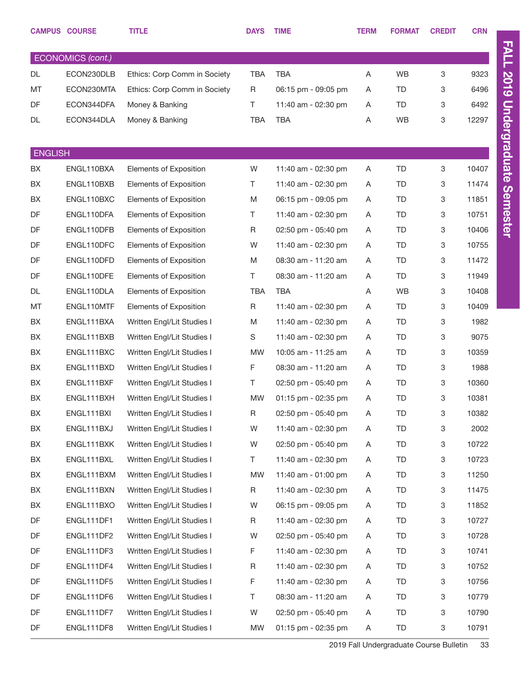|                   | <b>CAMPUS COURSE</b> | <b>TITLE</b>                 | <b>DAYS</b> | <b>TIME</b>         | <b>TERM</b> | <b>FORMAT</b> | <b>CREDIT</b> | <b>CRN</b> |  |
|-------------------|----------------------|------------------------------|-------------|---------------------|-------------|---------------|---------------|------------|--|
| ECONOMICS (cont.) |                      |                              |             |                     |             |               |               |            |  |
| <b>DL</b>         | ECON230DLB           | Ethics: Corp Comm in Society | <b>TBA</b>  | <b>TBA</b>          | Α           | <b>WB</b>     | 3             | 9323       |  |
| MT                | ECON230MTA           | Ethics: Corp Comm in Society | $\mathsf R$ | 06:15 pm - 09:05 pm | Α           | TD            | 3             | 6496       |  |
| DF                | ECON344DFA           | Money & Banking              | T.          | 11:40 am - 02:30 pm | A           | TD            | 3             | 6492       |  |
| DL                | ECON344DLA           | Money & Banking              | <b>TBA</b>  | <b>TBA</b>          | Α           | <b>WB</b>     | 3             | 12297      |  |
|                   |                      |                              |             |                     |             |               |               |            |  |
| <b>ENGLISH</b>    |                      |                              |             |                     |             |               |               |            |  |
| BX                | ENGL110BXA           | Elements of Exposition       | W           | 11:40 am - 02:30 pm | A           | TD            | 3             | 10407      |  |
| BX                | ENGL110BXB           | Elements of Exposition       | T.          | 11:40 am - 02:30 pm | Α           | TD            | 3             | 11474      |  |
| BX                | ENGL110BXC           | Elements of Exposition       | M           | 06:15 pm - 09:05 pm | A           | TD            | 3             | 11851      |  |
| DF                | ENGL110DFA           | Elements of Exposition       | T.          | 11:40 am - 02:30 pm | Α           | TD            | 3             | 10751      |  |
| DF                | ENGL110DFB           | Elements of Exposition       | R           | 02:50 pm - 05:40 pm | A           | TD            | 3             | 10406      |  |
| DF                | ENGL110DFC           | Elements of Exposition       | W           | 11:40 am - 02:30 pm | Α           | TD            | 3             | 10755      |  |
| DF                | ENGL110DFD           | Elements of Exposition       | M           | 08:30 am - 11:20 am | A           | TD            | 3             | 11472      |  |
| DF                | ENGL110DFE           | Elements of Exposition       | T.          | 08:30 am - 11:20 am | A           | TD            | 3             | 11949      |  |
| DL                | ENGL110DLA           | Elements of Exposition       | <b>TBA</b>  | <b>TBA</b>          | Α           | <b>WB</b>     | 3             | 10408      |  |
| MT                | ENGL110MTF           | Elements of Exposition       | $\mathsf R$ | 11:40 am - 02:30 pm | Α           | TD            | 3             | 10409      |  |
| BX                | ENGL111BXA           | Written Engl/Lit Studies I   | M           | 11:40 am - 02:30 pm | A           | TD            | 3             | 1982       |  |
| BX                | ENGL111BXB           | Written Engl/Lit Studies I   | S           | 11:40 am - 02:30 pm | A           | TD            | 3             | 9075       |  |
| BX                | ENGL111BXC           | Written Engl/Lit Studies I   | <b>MW</b>   | 10:05 am - 11:25 am | A           | TD            | 3             | 10359      |  |
| BX                | ENGL111BXD           | Written Engl/Lit Studies I   | F           | 08:30 am - 11:20 am | A           | TD            | 3             | 1988       |  |
| BX                | ENGL111BXF           | Written Engl/Lit Studies I   | T.          | 02:50 pm - 05:40 pm | A           | TD            | 3             | 10360      |  |
| BX                | ENGL111BXH           | Written Engl/Lit Studies I   | MW          | 01:15 pm - 02:35 pm | A           | TD            | 3             | 10381      |  |
| BX                | ENGL111BXI           | Written Engl/Lit Studies I   | R.          | 02:50 pm - 05:40 pm | A           | TD            | 3             | 10382      |  |
| BX                | ENGL111BXJ           | Written Engl/Lit Studies I   | W           | 11:40 am - 02:30 pm | A           | TD            | 3             | 2002       |  |
| BX                | ENGL111BXK           | Written Engl/Lit Studies I   | W           | 02:50 pm - 05:40 pm | A           | TD            | 3             | 10722      |  |
| BX                | ENGL111BXL           | Written Engl/Lit Studies I   | T.          | 11:40 am - 02:30 pm | A           | TD            | 3             | 10723      |  |
| BX                | ENGL111BXM           | Written Engl/Lit Studies I   | MW          | 11:40 am - 01:00 pm | A           | TD            | 3             | 11250      |  |
| BX                | ENGL111BXN           | Written Engl/Lit Studies I   | R           | 11:40 am - 02:30 pm | A           | TD            | 3             | 11475      |  |
| BX                | ENGL111BXO           | Written Engl/Lit Studies I   | W           | 06:15 pm - 09:05 pm | A           | TD            | 3             | 11852      |  |
| DF                | ENGL111DF1           | Written Engl/Lit Studies I   | R           | 11:40 am - 02:30 pm | A           | TD            | 3             | 10727      |  |
| DF                | ENGL111DF2           | Written Engl/Lit Studies I   | W           | 02:50 pm - 05:40 pm | A           | TD            | 3             | 10728      |  |
| DF                | ENGL111DF3           | Written Engl/Lit Studies I   | F           | 11:40 am - 02:30 pm | A           | TD            | 3             | 10741      |  |
| DF                | ENGL111DF4           | Written Engl/Lit Studies I   | $\mathsf R$ | 11:40 am - 02:30 pm | A           | TD            | 3             | 10752      |  |
| DF                | ENGL111DF5           | Written Engl/Lit Studies I   | F           | 11:40 am - 02:30 pm | A           | TD            | 3             | 10756      |  |
| DF                | ENGL111DF6           | Written Engl/Lit Studies I   | T.          | 08:30 am - 11:20 am | A           | TD            | 3             | 10779      |  |
| DF                | ENGL111DF7           | Written Engl/Lit Studies I   | W           | 02:50 pm - 05:40 pm | Α           | TD            | 3             | 10790      |  |
| DF                | ENGL111DF8           | Written Engl/Lit Studies I   | MW          | 01:15 pm - 02:35 pm | A           | TD            | 3             | 10791      |  |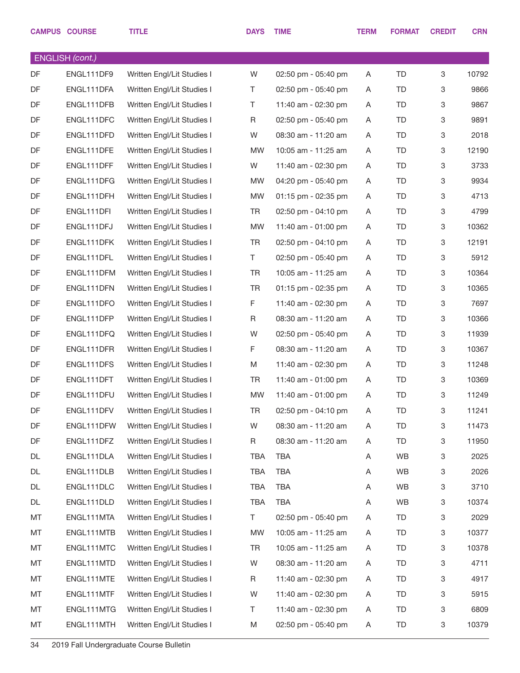|    | <b>CAMPUS COURSE</b>   | <b>TITLE</b>               | <b>DAYS</b> | <b>TIME</b>             | <b>TERM</b> | <b>FORMAT</b> | <b>CREDIT</b> | <b>CRN</b> |
|----|------------------------|----------------------------|-------------|-------------------------|-------------|---------------|---------------|------------|
|    | <b>ENGLISH</b> (cont.) |                            |             |                         |             |               |               |            |
| DF | ENGL111DF9             | Written Engl/Lit Studies I | W           | 02:50 pm - 05:40 pm     | A           | <b>TD</b>     | 3             | 10792      |
| DF | ENGL111DFA             | Written Engl/Lit Studies I | T.          | 02:50 pm - 05:40 pm     | Α           | <b>TD</b>     | 3             | 9866       |
| DF | ENGL111DFB             | Written Engl/Lit Studies I | T.          | 11:40 am - 02:30 pm     | A           | TD            | 3             | 9867       |
| DF | ENGL111DFC             | Written Engl/Lit Studies I | R           | $02:50$ pm - $05:40$ pm | A           | TD            | 3             | 9891       |
| DF | ENGL111DFD             | Written Engl/Lit Studies I | W           | 08:30 am - 11:20 am     | Α           | TD            | 3             | 2018       |
| DF | ENGL111DFE             | Written Engl/Lit Studies I | <b>MW</b>   | 10:05 am - 11:25 am     | A           | TD            | 3             | 12190      |
| DF | ENGL111DFF             | Written Engl/Lit Studies I | W           | 11:40 am - 02:30 pm     | A           | TD            | 3             | 3733       |
| DF | ENGL111DFG             | Written Engl/Lit Studies I | <b>MW</b>   | 04:20 pm - 05:40 pm     | A           | <b>TD</b>     | 3             | 9934       |
| DF | ENGL111DFH             | Written Engl/Lit Studies I | <b>MW</b>   | 01:15 pm - 02:35 pm     | Α           | TD            | 3             | 4713       |
| DF | ENGL111DFI             | Written Engl/Lit Studies I | TR          | 02:50 pm - 04:10 pm     | A           | TD            | 3             | 4799       |
| DF | ENGL111DFJ             | Written Engl/Lit Studies I | <b>MW</b>   | 11:40 am - 01:00 pm     | Α           | TD            | 3             | 10362      |
| DF | ENGL111DFK             | Written Engl/Lit Studies I | <b>TR</b>   | $02:50$ pm - $04:10$ pm | Α           | TD            | 3             | 12191      |
| DF | ENGL111DFL             | Written Engl/Lit Studies I | T.          | 02:50 pm - 05:40 pm     | Α           | TD            | 3             | 5912       |
| DF | ENGL111DFM             | Written Engl/Lit Studies I | <b>TR</b>   | 10:05 am - 11:25 am     | A           | TD            | 3             | 10364      |
| DF | ENGL111DFN             | Written Engl/Lit Studies I | <b>TR</b>   | 01:15 pm - 02:35 pm     | Α           | TD            | 3             | 10365      |
| DF | ENGL111DFO             | Written Engl/Lit Studies I | F           | 11:40 am - 02:30 pm     | Α           | TD            | 3             | 7697       |
| DF | ENGL111DFP             | Written Engl/Lit Studies I | R           | 08:30 am - 11:20 am     | Α           | TD            | 3             | 10366      |
| DF | ENGL111DFQ             | Written Engl/Lit Studies I | W           | 02:50 pm - 05:40 pm     | A           | TD            | 3             | 11939      |
| DF | ENGL111DFR             | Written Engl/Lit Studies I | F.          | 08:30 am - 11:20 am     | Α           | TD            | 3             | 10367      |
| DF | ENGL111DFS             | Written Engl/Lit Studies I | M           | 11:40 am - 02:30 pm     | A           | TD            | 3             | 11248      |
| DF | ENGL111DFT             | Written Engl/Lit Studies I | TR          | 11:40 am - 01:00 pm     | A           | TD            | 3             | 10369      |
| DF | ENGL111DFU             | Written Engl/Lit Studies I | <b>MW</b>   | 11:40 am - 01:00 pm     | A           | <b>TD</b>     | 3             | 11249      |
| DF | ENGL111DFV             | Written Engl/Lit Studies I | TR          | 02:50 pm - 04:10 pm     | Α           | TD            | $\mathbf 3$   | 11241      |
| DF | ENGL111DFW             | Written Engl/Lit Studies I | W           | 08:30 am - 11:20 am     | Α           | TD            | 3             | 11473      |
| DF | ENGL111DFZ             | Written Engl/Lit Studies I | R           | 08:30 am - 11:20 am     | Α           | TD            | 3             | 11950      |
| DL | ENGL111DLA             | Written Engl/Lit Studies I | TBA         | <b>TBA</b>              | Α           | WB            | 3             | 2025       |
| DL | ENGL111DLB             | Written Engl/Lit Studies I | TBA         | <b>TBA</b>              | Α           | WB            | 3             | 2026       |
| DL | ENGL111DLC             | Written Engl/Lit Studies I | TBA         | <b>TBA</b>              | Α           | WB            | 3             | 3710       |
| DL | ENGL111DLD             | Written Engl/Lit Studies I | <b>TBA</b>  | <b>TBA</b>              | Α           | WB            | 3             | 10374      |
| MT | ENGL111MTA             | Written Engl/Lit Studies I | T.          | 02:50 pm - 05:40 pm     | Α           | TD            | 3             | 2029       |
| MT | ENGL111MTB             | Written Engl/Lit Studies I | MW          | 10:05 am - 11:25 am     | Α           | TD            | 3             | 10377      |
| MT | ENGL111MTC             | Written Engl/Lit Studies I | <b>TR</b>   | 10:05 am - 11:25 am     | Α           | TD            | 3             | 10378      |
| MT | ENGL111MTD             | Written Engl/Lit Studies I | W           | 08:30 am - 11:20 am     | Α           | TD            | 3             | 4711       |
| MT | ENGL111MTE             | Written Engl/Lit Studies I | R           | 11:40 am - 02:30 pm     | Α           | TD            | 3             | 4917       |
| MT | ENGL111MTF             | Written Engl/Lit Studies I | W           | 11:40 am - 02:30 pm     | Α           | TD            | 3             | 5915       |
| MT | ENGL111MTG             | Written Engl/Lit Studies I | T           | 11:40 am - 02:30 pm     | Α           | TD            | 3             | 6809       |
| MT | ENGL111MTH             | Written Engl/Lit Studies I | M           | 02:50 pm - 05:40 pm     | Α           | TD            | 3             | 10379      |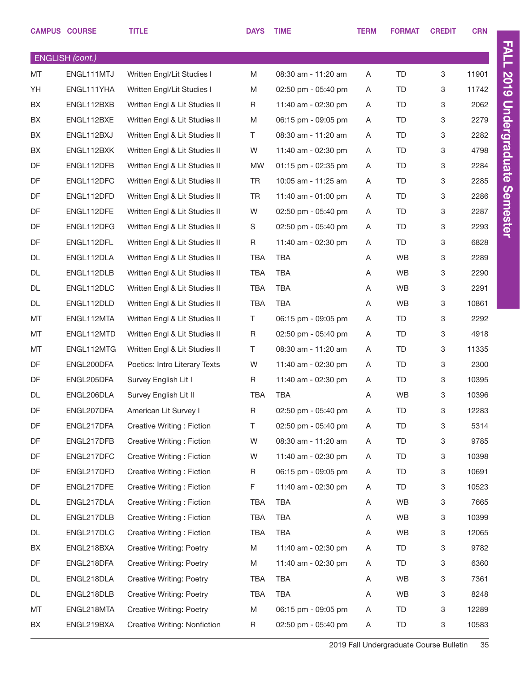|    | <b>CAMPUS COURSE</b>   | <b>TITLE</b>                    | <b>DAYS</b> | <b>TIME</b>           | <b>TERM</b> | <b>FORMAT</b> | <b>CREDIT</b> | <b>CRN</b> |
|----|------------------------|---------------------------------|-------------|-----------------------|-------------|---------------|---------------|------------|
|    | <b>ENGLISH</b> (cont.) |                                 |             |                       |             |               |               |            |
| MT | ENGL111MTJ             | Written Engl/Lit Studies I      | M           | 08:30 am - 11:20 am   | A           | TD            | 3             | 11901      |
| YH | ENGL111YHA             | Written Engl/Lit Studies I      | M           | 02:50 pm - 05:40 pm   | A           | TD            | 3             | 11742      |
| BX | ENGL112BXB             | Written Engl & Lit Studies II   | R           | 11:40 am - 02:30 pm   | A           | TD            | 3             | 2062       |
| BX | ENGL112BXE             | Written Engl & Lit Studies II   | M           | 06:15 pm - 09:05 pm   | A           | TD            | 3             | 2279       |
| BX | ENGL112BXJ             | Written Engl & Lit Studies II   | T.          | 08:30 am - 11:20 am   | Α           | TD            | 3             | 2282       |
| BX | ENGL112BXK             | Written Engl & Lit Studies II   | W           | 11:40 am - 02:30 pm   | A           | TD            | 3             | 4798       |
| DF | ENGL112DFB             | Written Engl & Lit Studies II   | <b>MW</b>   | $01:15$ pm - 02:35 pm | A           | TD            | 3             | 2284       |
| DF | ENGL112DFC             | Written Engl & Lit Studies II   | TR          | 10:05 am - 11:25 am   | A           | TD            | 3             | 2285       |
| DF | ENGL112DFD             | Written Engl & Lit Studies II   | TR          | 11:40 am - 01:00 pm   | A           | TD            | 3             | 2286       |
| DF | ENGL112DFE             | Written Engl & Lit Studies II   | W           | 02:50 pm - 05:40 pm   | A           | TD            | 3             | 2287       |
| DF | ENGL112DFG             | Written Engl & Lit Studies II   | S           | 02:50 pm - 05:40 pm   | Α           | TD            | 3             | 2293       |
| DF | ENGL112DFL             | Written Engl & Lit Studies II   | R           | 11:40 am - 02:30 pm   | A           | TD            | 3             | 6828       |
| DL | ENGL112DLA             | Written Engl & Lit Studies II   | TBA         | <b>TBA</b>            | A           | WB            | 3             | 2289       |
| DL | ENGL112DLB             | Written Engl & Lit Studies II   | <b>TBA</b>  | <b>TBA</b>            | A           | WB            | 3             | 2290       |
| DL | ENGL112DLC             | Written Engl & Lit Studies II   | <b>TBA</b>  | <b>TBA</b>            | Α           | WB            | 3             | 2291       |
| DL | ENGL112DLD             | Written Engl & Lit Studies II   | <b>TBA</b>  | <b>TBA</b>            | A           | WB            | 3             | 10861      |
| MT | ENGL112MTA             | Written Engl & Lit Studies II   | T.          | 06:15 pm - 09:05 pm   | Α           | TD            | 3             | 2292       |
| MT | ENGL112MTD             | Written Engl & Lit Studies II   | R           | 02:50 pm - 05:40 pm   | A           | TD            | 3             | 4918       |
| MT | ENGL112MTG             | Written Engl & Lit Studies II   | T.          | 08:30 am - 11:20 am   | A           | TD            | 3             | 11335      |
| DF | ENGL200DFA             | Poetics: Intro Literary Texts   | W           | 11:40 am - 02:30 pm   | A           | TD            | 3             | 2300       |
| DF | ENGL205DFA             | Survey English Lit I            | R           | 11:40 am - 02:30 pm   | Α           | TD            | 3             | 10395      |
| DL | ENGL206DLA             | Survey English Lit II           | <b>TBA</b>  | <b>TBA</b>            | A           | WB            | 3             | 10396      |
| DF | ENGL207DFA             | American Lit Survey I           | R           | 02:50 pm - 05:40 pm   | Α           | TD            | 3             | 12283      |
| DF | ENGL217DFA             | Creative Writing: Fiction       | Τ           | 02:50 pm - 05:40 pm   | Α           | TD            | 3             | 5314       |
| DF | ENGL217DFB             | Creative Writing: Fiction       | W           | 08:30 am - 11:20 am   | A           | TD            | 3             | 9785       |
| DF | ENGL217DFC             | Creative Writing: Fiction       | W           | 11:40 am - 02:30 pm   | Α           | TD            | 3             | 10398      |
| DF | ENGL217DFD             | Creative Writing: Fiction       | R           | 06:15 pm - 09:05 pm   | A           | TD            | 3             | 10691      |
| DF | ENGL217DFE             | Creative Writing: Fiction       | F           | 11:40 am - 02:30 pm   | Α           | TD            | 3             | 10523      |
| DL | ENGL217DLA             | Creative Writing: Fiction       | TBA         | TBA                   | A           | WB            | 3             | 7665       |
| DL | ENGL217DLB             | Creative Writing: Fiction       | TBA         | TBA                   | Α           | WB            | 3             | 10399      |
| DL | ENGL217DLC             | Creative Writing: Fiction       | <b>TBA</b>  | <b>TBA</b>            | A           | WB            | 3             | 12065      |
| BX | ENGL218BXA             | Creative Writing: Poetry        | M           | 11:40 am - 02:30 pm   | Α           | TD            | 3             | 9782       |
| DF | ENGL218DFA             | Creative Writing: Poetry        | M           | 11:40 am - 02:30 pm   | A           | TD            | 3             | 6360       |
| DL | ENGL218DLA             | Creative Writing: Poetry        | TBA         | TBA                   | Α           | WB            | 3             | 7361       |
| DL | ENGL218DLB             | Creative Writing: Poetry        | <b>TBA</b>  | <b>TBA</b>            | A           | WB            | 3             | 8248       |
| MT | ENGL218MTA             | <b>Creative Writing: Poetry</b> | M           | 06:15 pm - 09:05 pm   | Α           | TD            | 3             | 12289      |
| BX | ENGL219BXA             | Creative Writing: Nonfiction    | R           | 02:50 pm - 05:40 pm   | A           | TD            | 3             | 10583      |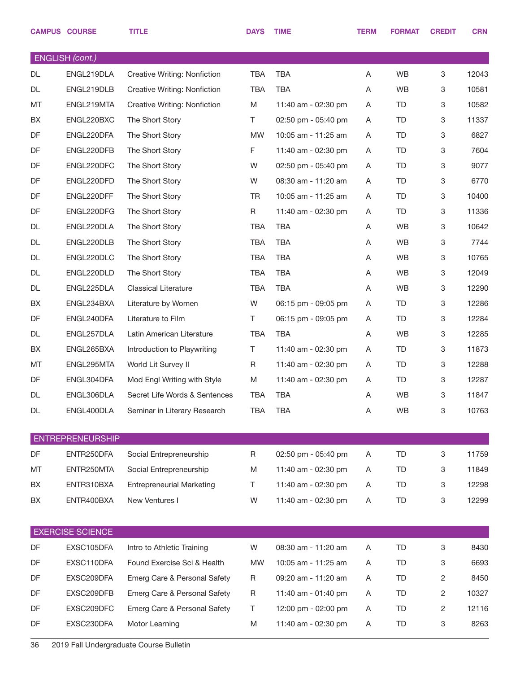|    | <b>CAMPUS COURSE</b>    | <b>TITLE</b>                     | <b>DAYS</b> | <b>TIME</b>         | TERM | <b>FORMAT</b> | <b>CREDIT</b>  | <b>CRN</b> |
|----|-------------------------|----------------------------------|-------------|---------------------|------|---------------|----------------|------------|
|    | <b>ENGLISH</b> (cont.)  |                                  |             |                     |      |               |                |            |
| DL | ENGL219DLA              | Creative Writing: Nonfiction     | <b>TBA</b>  | <b>TBA</b>          | Α    | <b>WB</b>     | 3              | 12043      |
| DL | ENGL219DLB              | Creative Writing: Nonfiction     | <b>TBA</b>  | <b>TBA</b>          | Α    | WB            | 3              | 10581      |
| MT | ENGL219MTA              | Creative Writing: Nonfiction     | M           | 11:40 am - 02:30 pm | Α    | TD            | 3              | 10582      |
| BX | ENGL220BXC              | The Short Story                  | T.          | 02:50 pm - 05:40 pm | A    | TD            | 3              | 11337      |
| DF | ENGL220DFA              | The Short Story                  | <b>MW</b>   | 10:05 am - 11:25 am | A    | TD            | 3              | 6827       |
| DF | ENGL220DFB              | The Short Story                  | F           | 11:40 am - 02:30 pm | Α    | TD            | 3              | 7604       |
| DF | ENGL220DFC              | The Short Story                  | W           | 02:50 pm - 05:40 pm | A    | TD            | 3              | 9077       |
| DF | ENGL220DFD              | The Short Story                  | W           | 08:30 am - 11:20 am | Α    | TD            | 3              | 6770       |
| DF | ENGL220DFF              | The Short Story                  | <b>TR</b>   | 10:05 am - 11:25 am | A    | TD            | 3              | 10400      |
| DF | ENGL220DFG              | The Short Story                  | R           | 11:40 am - 02:30 pm | Α    | TD            | 3              | 11336      |
| DL | ENGL220DLA              | The Short Story                  | <b>TBA</b>  | <b>TBA</b>          | Α    | <b>WB</b>     | 3              | 10642      |
| DL | ENGL220DLB              | The Short Story                  | <b>TBA</b>  | <b>TBA</b>          | Α    | WB            | 3              | 7744       |
| DL | ENGL220DLC              | The Short Story                  | <b>TBA</b>  | <b>TBA</b>          | Α    | <b>WB</b>     | 3              | 10765      |
| DL | ENGL220DLD              | The Short Story                  | <b>TBA</b>  | <b>TBA</b>          | A    | <b>WB</b>     | 3              | 12049      |
| DL | ENGL225DLA              | <b>Classical Literature</b>      | <b>TBA</b>  | <b>TBA</b>          | Α    | <b>WB</b>     | 3              | 12290      |
| BX | ENGL234BXA              | Literature by Women              | W           | 06:15 pm - 09:05 pm | Α    | TD            | 3              | 12286      |
| DF | ENGL240DFA              | Literature to Film               | T.          | 06:15 pm - 09:05 pm | A    | TD            | 3              | 12284      |
| DL | ENGL257DLA              | Latin American Literature        | <b>TBA</b>  | <b>TBA</b>          | Α    | WB            | 3              | 12285      |
| BX | ENGL265BXA              | Introduction to Playwriting      | T.          | 11:40 am - 02:30 pm | A    | TD            | 3              | 11873      |
| MT | ENGL295MTA              | World Lit Survey II              | R           | 11:40 am - 02:30 pm | Α    | TD            | 3              | 12288      |
| DF | ENGL304DFA              | Mod Engl Writing with Style      | M           | 11:40 am - 02:30 pm | A    | TD            | 3              | 12287      |
| DL | ENGL306DLA              | Secret Life Words & Sentences    | <b>TBA</b>  | <b>TBA</b>          | Α    | <b>WB</b>     | 3              | 11847      |
| DL | ENGL400DLA              | Seminar in Literary Research     | <b>TBA</b>  | <b>TBA</b>          | Α    | <b>WB</b>     | 3              | 10763      |
|    | <b>ENTREPRENEURSHIP</b> |                                  |             |                     |      |               |                |            |
| DF | ENTR250DFA              | Social Entrepreneurship          | R           | 02:50 pm - 05:40 pm | Α    | TD            | 3              | 11759      |
| MT | ENTR250MTA              | Social Entrepreneurship          | M           | 11:40 am - 02:30 pm | A    | TD            | 3              | 11849      |
| BX | ENTR310BXA              | <b>Entrepreneurial Marketing</b> | Τ           | 11:40 am - 02:30 pm | Α    | TD            | 3              | 12298      |
| BX | ENTR400BXA              | New Ventures I                   | W           | 11:40 am - 02:30 pm | Α    | TD            | 3              | 12299      |
|    | <b>EXERCISE SCIENCE</b> |                                  |             |                     |      |               |                |            |
| DF | EXSC105DFA              | Intro to Athletic Training       | W           | 08:30 am - 11:20 am | Α    | TD            | 3              | 8430       |
| DF | EXSC110DFA              | Found Exercise Sci & Health      | <b>MW</b>   | 10:05 am - 11:25 am | Α    | TD            | 3              | 6693       |
| DF | EXSC209DFA              | Emerg Care & Personal Safety     | $\mathsf R$ | 09:20 am - 11:20 am | Α    | TD            | $\overline{c}$ | 8450       |
| DF | EXSC209DFB              | Emerg Care & Personal Safety     | $\mathsf R$ | 11:40 am - 01:40 pm | A    | TD            | 2              | 10327      |
| DF | EXSC209DFC              | Emerg Care & Personal Safety     | T           | 12:00 pm - 02:00 pm | Α    | TD            | 2              | 12116      |
| DF | EXSC230DFA              | Motor Learning                   | M           | 11:40 am - 02:30 pm | A    | TD            | 3              | 8263       |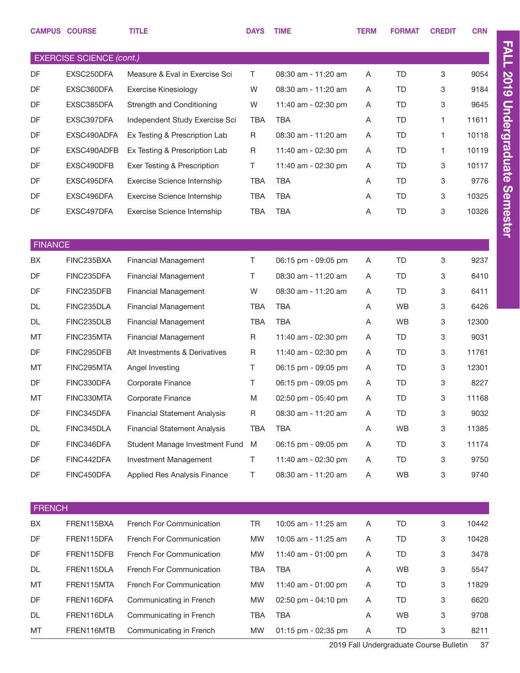|                | <b>CAMPUS COURSE</b>            | <b>TITLE</b>                        | <b>DAYS</b> | <b>TIME</b>         | <b>TERM</b> | <b>FORMAT</b> | <b>CREDIT</b> | <b>CRN</b> |
|----------------|---------------------------------|-------------------------------------|-------------|---------------------|-------------|---------------|---------------|------------|
|                |                                 |                                     |             |                     |             |               |               |            |
|                | <b>EXERCISE SCIENCE (cont.)</b> |                                     |             |                     |             |               |               |            |
| DF             | EXSC250DFA                      | Measure & Eval in Exercise Sci      | T.          | 08:30 am - 11:20 am | A           | <b>TD</b>     | 3             | 9054       |
| DF             | EXSC360DFA                      | <b>Exercise Kinesiology</b>         | W           | 08:30 am - 11:20 am | Α           | <b>TD</b>     | 3             | 9184       |
| DF             | EXSC385DFA                      | Strength and Conditioning           | W           | 11:40 am - 02:30 pm | A           | TD            | 3             | 9645       |
| DF             | EXSC397DFA                      | Independent Study Exercise Sci      | TBA         | <b>TBA</b>          | Α           | <b>TD</b>     | 1             | 11611      |
| DF             | EXSC490ADFA                     | Ex Testing & Prescription Lab       | R           | 08:30 am - 11:20 am | Α           | TD            | $\mathbf{1}$  | 10118      |
| DF             | EXSC490ADFB                     | Ex Testing & Prescription Lab       | R           | 11:40 am - 02:30 pm | A           | <b>TD</b>     | 1             | 10119      |
| DF             | EXSC490DFB                      | Exer Testing & Prescription         | Τ           | 11:40 am - 02:30 pm | A           | TD            | 3             | 10117      |
| DF             | EXSC495DFA                      | Exercise Science Internship         | TBA         | <b>TBA</b>          | A           | <b>TD</b>     | 3             | 9776       |
| DF             | EXSC496DFA                      | Exercise Science Internship         | <b>TBA</b>  | TBA                 | A           | TD            | 3             | 10325      |
| DF             | EXSC497DFA                      | Exercise Science Internship         | <b>TBA</b>  | <b>TBA</b>          | Α           | <b>TD</b>     | 3             | 10326      |
|                |                                 |                                     |             |                     |             |               |               |            |
| <b>FINANCE</b> |                                 |                                     |             |                     |             |               |               |            |
| BX             | FINC235BXA                      | <b>Financial Management</b>         | Τ           | 06:15 pm - 09:05 pm | Α           | <b>TD</b>     | 3             | 9237       |
| DF             | FINC235DFA                      | <b>Financial Management</b>         | Τ           | 08:30 am - 11:20 am | A           | TD            | 3             | 6410       |
| DF             | FINC235DFB                      | <b>Financial Management</b>         | W           | 08:30 am - 11:20 am | Α           | <b>TD</b>     | 3             | 6411       |
| DL             | FINC235DLA                      | <b>Financial Management</b>         | <b>TBA</b>  | <b>TBA</b>          | Α           | <b>WB</b>     | 3             | 6426       |
| DL             | FINC235DLB                      | <b>Financial Management</b>         | <b>TBA</b>  | <b>TBA</b>          | A           | <b>WB</b>     | 3             | 12300      |
| MT             | FINC235MTA                      | <b>Financial Management</b>         | R           | 11:40 am - 02:30 pm | Α           | <b>TD</b>     | 3             | 9031       |
| DF             | FINC295DFB                      | Alt Investments & Derivatives       | R           | 11:40 am - 02:30 pm | Α           | <b>TD</b>     | 3             | 11761      |
| <b>MT</b>      | FINC295MTA                      | Angel Investing                     | T.          | 06:15 pm - 09:05 pm | Α           | <b>TD</b>     | 3             | 12301      |
| DF             | FINC330DFA                      | Corporate Finance                   | Τ           | 06:15 pm - 09:05 pm | Α           | <b>TD</b>     | 3             | 8227       |
| MT             | FINC330MTA                      | Corporate Finance                   | M           | 02:50 pm - 05:40 pm | Α           | <b>TD</b>     | 3             | 11168      |
| DF             | FINC345DFA                      | <b>Financial Statement Analysis</b> | R           | 08:30 am - 11:20 am | Α           | TD            | 3             | 9032       |
| DL             | FINC345DLA                      | <b>Financial Statement Analysis</b> | <b>TBA</b>  | <b>TBA</b>          | Α           | WB            | 3             | 11385      |
| DF             | FINC346DFA                      | Student Manage Investment Fund      | M           | 06:15 pm - 09:05 pm | Α           | TD            | 3             | 11174      |
| DF             | FINC442DFA                      | Investment Management               | T.          | 11:40 am - 02:30 pm | Α           | <b>TD</b>     | 3             | 9750       |
| DF             | FINC450DFA                      | Applied Res Analysis Finance        | Τ           | 08:30 am - 11:20 am | Α           | <b>WB</b>     | 3             | 9740       |
|                |                                 |                                     |             |                     |             |               |               |            |
| <b>FRENCH</b>  |                                 |                                     |             |                     |             |               |               |            |
| BX             | FREN115BXA                      | French For Communication            | <b>TR</b>   | 10:05 am - 11:25 am | Α           | <b>TD</b>     | 3             | 10442      |
| DF             | FREN115DFA                      | French For Communication            | <b>MW</b>   | 10:05 am - 11:25 am | Α           | TD            | 3             | 10428      |
| DF             | FREN115DFB                      | French For Communication            | <b>MW</b>   | 11:40 am - 01:00 pm | Α           | <b>TD</b>     | 3             | 3478       |
| DL             | FREN115DLA                      | French For Communication            | TBA         | TBA                 | Α           | <b>WB</b>     | 3             | 5547       |
| MT             | FREN115MTA                      | French For Communication            | <b>MW</b>   | 11:40 am - 01:00 pm | Α           | <b>TD</b>     | 3             | 11829      |
| DF             | FREN116DFA                      | Communicating in French             | <b>MW</b>   | 02:50 pm - 04:10 pm | Α           | TD            | 3             | 6620       |
| DL             | FREN116DLA                      | Communicating in French             | <b>TBA</b>  | <b>TBA</b>          | Α           | <b>WB</b>     | 3             | 9708       |
| MT             | FREN116MTB                      | Communicating in French             | <b>MW</b>   | 01:15 pm - 02:35 pm | Α           | TD            | 3             | 8211       |
|                |                                 |                                     |             |                     |             |               |               |            |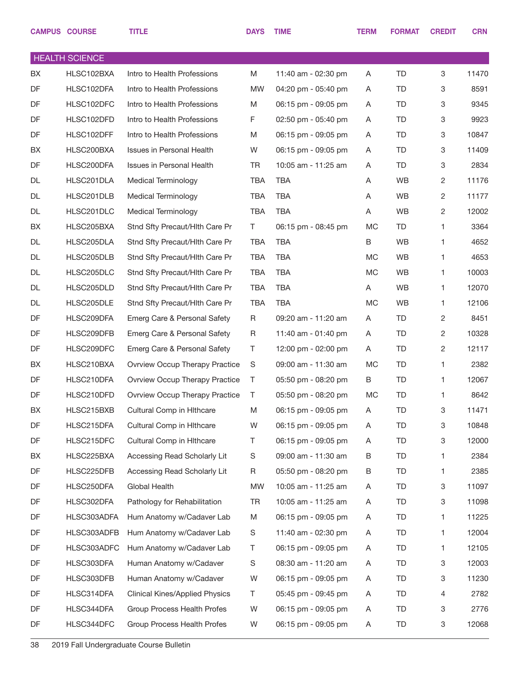|    | <b>CAMPUS COURSE</b>  | <b>TITLE</b>                          | <b>DAYS</b> | <b>TIME</b>         | <b>TERM</b> | <b>FORMAT</b> | <b>CREDIT</b>  | <b>CRN</b> |
|----|-----------------------|---------------------------------------|-------------|---------------------|-------------|---------------|----------------|------------|
|    | <b>HEALTH SCIENCE</b> |                                       |             |                     |             |               |                |            |
| BX | HLSC102BXA            | Intro to Health Professions           | M           | 11:40 am - 02:30 pm | A           | <b>TD</b>     | 3              | 11470      |
| DF | HLSC102DFA            | Intro to Health Professions           | <b>MW</b>   | 04:20 pm - 05:40 pm | A           | <b>TD</b>     | 3              | 8591       |
| DF | HLSC102DFC            | Intro to Health Professions           | M           | 06:15 pm - 09:05 pm | A           | TD            | 3              | 9345       |
| DF | HLSC102DFD            | Intro to Health Professions           | F           | 02:50 pm - 05:40 pm | A           | <b>TD</b>     | 3              | 9923       |
| DF | HLSC102DFF            | Intro to Health Professions           | M           | 06:15 pm - 09:05 pm | A           | TD            | 3              | 10847      |
| BX | HLSC200BXA            | Issues in Personal Health             | W           | 06:15 pm - 09:05 pm | A           | <b>TD</b>     | 3              | 11409      |
| DF | HLSC200DFA            | Issues in Personal Health             | <b>TR</b>   | 10:05 am - 11:25 am | A           | TD            | 3              | 2834       |
| DL | HLSC201DLA            | <b>Medical Terminology</b>            | <b>TBA</b>  | <b>TBA</b>          | Α           | <b>WB</b>     | 2              | 11176      |
| DL | HLSC201DLB            | <b>Medical Terminology</b>            | <b>TBA</b>  | <b>TBA</b>          | Α           | <b>WB</b>     | 2              | 11177      |
| DL | HLSC201DLC            | <b>Medical Terminology</b>            | <b>TBA</b>  | <b>TBA</b>          | Α           | <b>WB</b>     | $\overline{c}$ | 12002      |
| BX | HLSC205BXA            | Stnd Sfty Precaut/Hlth Care Pr        | T           | 06:15 pm - 08:45 pm | <b>MC</b>   | <b>TD</b>     | 1              | 3364       |
| DL | HLSC205DLA            | Stnd Sfty Precaut/Hith Care Pr        | <b>TBA</b>  | <b>TBA</b>          | B           | <b>WB</b>     | 1              | 4652       |
| DL | HLSC205DLB            | Stnd Sfty Precaut/Hith Care Pr        | <b>TBA</b>  | <b>TBA</b>          | <b>MC</b>   | <b>WB</b>     | 1              | 4653       |
| DL | HLSC205DLC            | Stnd Sfty Precaut/Hith Care Pr        | <b>TBA</b>  | <b>TBA</b>          | <b>MC</b>   | <b>WB</b>     | 1              | 10003      |
| DL | HLSC205DLD            | Stnd Sfty Precaut/Hith Care Pr        | <b>TBA</b>  | <b>TBA</b>          | Α           | <b>WB</b>     | 1              | 12070      |
| DL | HLSC205DLE            | Stnd Sfty Precaut/Hith Care Pr        | <b>TBA</b>  | <b>TBA</b>          | <b>MC</b>   | <b>WB</b>     | 1              | 12106      |
| DF | HLSC209DFA            | Emerg Care & Personal Safety          | R           | 09:20 am - 11:20 am | Α           | <b>TD</b>     | 2              | 8451       |
| DF | HLSC209DFB            | Emerg Care & Personal Safety          | R           | 11:40 am - 01:40 pm | A           | <b>TD</b>     | 2              | 10328      |
| DF | HLSC209DFC            | Emerg Care & Personal Safety          | Τ           | 12:00 pm - 02:00 pm | A           | TD            | 2              | 12117      |
| BX | HLSC210BXA            | <b>Ovrview Occup Therapy Practice</b> | S           | 09:00 am - 11:30 am | MC          | TD            | 1              | 2382       |
| DF | HLSC210DFA            | Ovrview Occup Therapy Practice        | Τ           | 05:50 pm - 08:20 pm | B           | TD            | 1              | 12067      |
| DF | HLSC210DFD            | Ovrview Occup Therapy Practice        | T           | 05:50 pm - 08:20 pm | MC          | <b>TD</b>     | 1              | 8642       |
| BX | HLSC215BXB            | Cultural Comp in Hithcare             | M           | 06:15 pm - 09:05 pm | Α           | TD            | 3              | 11471      |
| DF | HLSC215DFA            | Cultural Comp in Hithcare             | W           | 06:15 pm - 09:05 pm | A           | TD            | 3              | 10848      |
| DF | HLSC215DFC            | Cultural Comp in Hithcare             | Τ           | 06:15 pm - 09:05 pm | A           | TD            | 3              | 12000      |
| BX | HLSC225BXA            | Accessing Read Scholarly Lit          | S           | 09:00 am - 11:30 am | В           | TD            | 1              | 2384       |
| DF | HLSC225DFB            | Accessing Read Scholarly Lit          | R           | 05:50 pm - 08:20 pm | Β           | TD            | 1              | 2385       |
| DF | HLSC250DFA            | Global Health                         | <b>MW</b>   | 10:05 am - 11:25 am | Α           | TD            | 3              | 11097      |
| DF | HLSC302DFA            | Pathology for Rehabilitation          | TR          | 10:05 am - 11:25 am | A           | TD            | 3              | 11098      |
| DF | HLSC303ADFA           | Hum Anatomy w/Cadaver Lab             | M           | 06:15 pm - 09:05 pm | A           | TD            | 1              | 11225      |
| DF | HLSC303ADFB           | Hum Anatomy w/Cadaver Lab             | S           | 11:40 am - 02:30 pm | A           | TD            | 1              | 12004      |
| DF | HLSC303ADFC           | Hum Anatomy w/Cadaver Lab             | Τ           | 06:15 pm - 09:05 pm | A           | TD            | 1              | 12105      |
| DF | HLSC303DFA            | Human Anatomy w/Cadaver               | S           | 08:30 am - 11:20 am | A           | TD            | 3              | 12003      |
| DF | HLSC303DFB            | Human Anatomy w/Cadaver               | W           | 06:15 pm - 09:05 pm | A           | TD            | 3              | 11230      |
| DF | HLSC314DFA            | <b>Clinical Kines/Applied Physics</b> | Τ           | 05:45 pm - 09:45 pm | A           | TD            | 4              | 2782       |
| DF | HLSC344DFA            | Group Process Health Profes           | W           | 06:15 pm - 09:05 pm | A           | TD            | 3              | 2776       |
| DF | HLSC344DFC            | Group Process Health Profes           | W           | 06:15 pm - 09:05 pm | Α           | TD            | 3              | 12068      |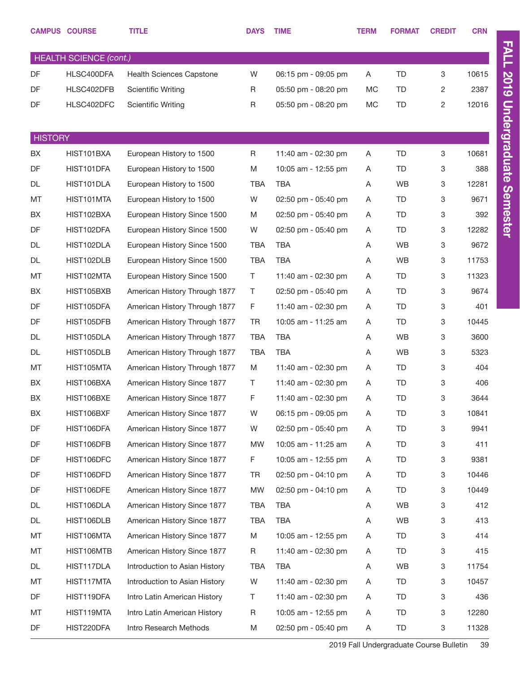|                | <b>CAMPUS COURSE</b>          | <b>TITLE</b>                  | <b>DAYS</b> | <b>TIME</b>         | <b>TERM</b> | <b>FORMAT</b> | <b>CREDIT</b> | <b>CRN</b> |
|----------------|-------------------------------|-------------------------------|-------------|---------------------|-------------|---------------|---------------|------------|
|                | <b>HEALTH SCIENCE (cont.)</b> |                               |             |                     |             |               |               |            |
| DF             | HLSC400DFA                    | Health Sciences Capstone      | W           | 06:15 pm - 09:05 pm | Α           | <b>TD</b>     | 3             | 10615      |
| DF             | HLSC402DFB                    | <b>Scientific Writing</b>     | R           | 05:50 pm - 08:20 pm | $MC$        | <b>TD</b>     | 2             | 2387       |
| DF             | HLSC402DFC                    | <b>Scientific Writing</b>     | R           | 05:50 pm - 08:20 pm | MC          | <b>TD</b>     | 2             | 12016      |
|                |                               |                               |             |                     |             |               |               |            |
| <b>HISTORY</b> |                               |                               |             |                     |             |               |               |            |
| BX             | HIST101BXA                    | European History to 1500      | R           | 11:40 am - 02:30 pm | A           | <b>TD</b>     | 3             | 10681      |
| DF             | HIST101DFA                    | European History to 1500      | M           | 10:05 am - 12:55 pm | A           | <b>TD</b>     | 3             | 388        |
| <b>DL</b>      | HIST101DLA                    | European History to 1500      | TBA         | <b>TBA</b>          | Α           | WB            | 3             | 12281      |
| MT             | HIST101MTA                    | European History to 1500      | W           | 02:50 pm - 05:40 pm | A           | <b>TD</b>     | 3             | 9671       |
| BX             | HIST102BXA                    | European History Since 1500   | M           | 02:50 pm - 05:40 pm | A           | <b>TD</b>     | 3             | 392        |
| DF             | HIST102DFA                    | European History Since 1500   | W           | 02:50 pm - 05:40 pm | A           | <b>TD</b>     | 3             | 12282      |
| <b>DL</b>      | HIST102DLA                    | European History Since 1500   | <b>TBA</b>  | <b>TBA</b>          | A           | WB            | 3             | 9672       |
| <b>DL</b>      | HIST102DLB                    | European History Since 1500   | <b>TBA</b>  | <b>TBA</b>          | Α           | WB            | 3             | 11753      |
| MT             | HIST102MTA                    | European History Since 1500   | T           | 11:40 am - 02:30 pm | Α           | <b>TD</b>     | 3             | 11323      |
| BX             | HIST105BXB                    | American History Through 1877 | T           | 02:50 pm - 05:40 pm | A           | <b>TD</b>     | 3             | 9674       |
| DF             | HIST105DFA                    | American History Through 1877 | F           | 11:40 am - 02:30 pm | A           | <b>TD</b>     | 3             | 401        |
| DF             | HIST105DFB                    | American History Through 1877 | TR          | 10:05 am - 11:25 am | A           | <b>TD</b>     | 3             | 10445      |
| <b>DL</b>      | HIST105DLA                    | American History Through 1877 | TBA         | <b>TBA</b>          | Α           | WB            | 3             | 3600       |
| DL             | HIST105DLB                    | American History Through 1877 | <b>TBA</b>  | <b>TBA</b>          | A           | WB            | 3             | 5323       |
| MT             | HIST105MTA                    | American History Through 1877 | M           | 11:40 am - 02:30 pm | Α           | <b>TD</b>     | 3             | 404        |
| BX             | HIST106BXA                    | American History Since 1877   | Τ           | 11:40 am - 02:30 pm | A           | <b>TD</b>     | 3             | 406        |
| BX             | HIST106BXE                    | American History Since 1877   | F           | 11:40 am - 02:30 pm | A           | TD            | 3             | 3644       |
| BX             | HIST106BXF                    | American History Since 1877   | W           | 06:15 pm - 09:05 pm | A           | <b>TD</b>     | 3             | 10841      |
| DF             | HIST106DFA                    | American History Since 1877   | W           | 02:50 pm - 05:40 pm | A           | <b>TD</b>     | 3             | 9941       |
| DF             | HIST106DFB                    | American History Since 1877   | MW          | 10:05 am - 11:25 am | A           | <b>TD</b>     | 3             | 411        |
| DF             | HIST106DFC                    | American History Since 1877   | F.          | 10:05 am - 12:55 pm | A           | TD            | 3             | 9381       |
| DF             | HIST106DFD                    | American History Since 1877   | TR          | 02:50 pm - 04:10 pm | A           | <b>TD</b>     | 3             | 10446      |
| DF             | HIST106DFE                    | American History Since 1877   | MW          | 02:50 pm - 04:10 pm | A           | <b>TD</b>     | 3             | 10449      |
| DL             | HIST106DLA                    | American History Since 1877   | <b>TBA</b>  | TBA                 | A           | WB            | 3             | 412        |
| DL             | HIST106DLB                    | American History Since 1877   | <b>TBA</b>  | TBA                 | A           | WB            | 3             | 413        |
| МT             | HIST106MTA                    | American History Since 1877   | Μ           | 10:05 am - 12:55 pm | A           | <b>TD</b>     | 3             | 414        |
| МT             | HIST106MTB                    | American History Since 1877   | R           | 11:40 am - 02:30 pm | A           | <b>TD</b>     | 3             | 415        |
| DL             | HIST117DLA                    | Introduction to Asian History | TBA         | TBA                 | A           | WB            | 3             | 11754      |
| МT             | HIST117MTA                    | Introduction to Asian History | W           | 11:40 am - 02:30 pm | A           | <b>TD</b>     | 3             | 10457      |
| DF             | HIST119DFA                    | Intro Latin American History  | Τ           | 11:40 am - 02:30 pm | A           | <b>TD</b>     | 3             | 436        |
| МT             | HIST119MTA                    | Intro Latin American History  | R           | 10:05 am - 12:55 pm | A           | <b>TD</b>     | 3             | 12280      |
| DF             | HIST220DFA                    | Intro Research Methods        | M           | 02:50 pm - 05:40 pm | A           | <b>TD</b>     | 3             | 11328      |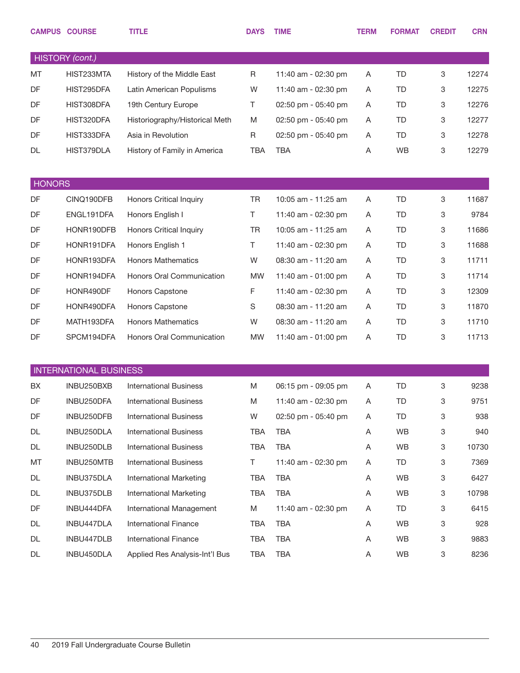|               | <b>CAMPUS COURSE</b>          | <b>TITLE</b>                   | <b>DAYS</b> | <b>TIME</b>         | <b>TERM</b> | <b>FORMAT</b> | <b>CREDIT</b> | <b>CRN</b> |
|---------------|-------------------------------|--------------------------------|-------------|---------------------|-------------|---------------|---------------|------------|
|               | HISTORY (cont.)               |                                |             |                     |             |               |               |            |
| MT            | HIST233MTA                    | History of the Middle East     | R           | 11:40 am - 02:30 pm | Α           | <b>TD</b>     | 3             | 12274      |
| DF            | HIST295DFA                    | Latin American Populisms       | W           | 11:40 am - 02:30 pm | Α           | <b>TD</b>     | 3             | 12275      |
| DF            | HIST308DFA                    | 19th Century Europe            | Τ           | 02:50 pm - 05:40 pm | A           | TD            | 3             | 12276      |
| DF            | HIST320DFA                    | Historiography/Historical Meth | M           | 02:50 pm - 05:40 pm | Α           | TD            | 3             | 12277      |
| DF            | HIST333DFA                    | Asia in Revolution             | R           | 02:50 pm - 05:40 pm | A           | TD            | 3             | 12278      |
| <b>DL</b>     | HIST379DLA                    | History of Family in America   | <b>TBA</b>  | <b>TBA</b>          | Α           | <b>WB</b>     | 3             | 12279      |
| <b>HONORS</b> |                               |                                |             |                     |             |               |               |            |
| DF            | CINQ190DFB                    | <b>Honors Critical Inquiry</b> | <b>TR</b>   | 10:05 am - 11:25 am | Α           | <b>TD</b>     | 3             | 11687      |
| DF            | ENGL191DFA                    | Honors English I               | Τ           | 11:40 am - 02:30 pm | A           | TD            | 3             | 9784       |
| DF            | HONR190DFB                    | <b>Honors Critical Inquiry</b> | <b>TR</b>   | 10:05 am - 11:25 am | Α           | <b>TD</b>     | 3             | 11686      |
| DF            | HONR191DFA                    | Honors English 1               | Τ           | 11:40 am - 02:30 pm | A           | TD            | 3             | 11688      |
| DF            | HONR193DFA                    | <b>Honors Mathematics</b>      | W           | 08:30 am - 11:20 am | Α           | <b>TD</b>     | 3             | 11711      |
| DF            | HONR194DFA                    | Honors Oral Communication      | <b>MW</b>   | 11:40 am - 01:00 pm | A           | TD            | 3             | 11714      |
| DF            | HONR490DF                     | Honors Capstone                | F           | 11:40 am - 02:30 pm | Α           | <b>TD</b>     | 3             | 12309      |
| DF            | HONR490DFA                    | Honors Capstone                | S           | 08:30 am - 11:20 am | A           | TD            | 3             | 11870      |
| DF            | MATH193DFA                    | <b>Honors Mathematics</b>      | W           | 08:30 am - 11:20 am | A           | TD            | 3             | 11710      |
| DF            | SPCM194DFA                    | Honors Oral Communication      | <b>MW</b>   | 11:40 am - 01:00 pm | Α           | <b>TD</b>     | 3             | 11713      |
|               | <b>INTERNATIONAL BUSINESS</b> |                                |             |                     |             |               |               |            |
| BX            | INBU250BXB                    | <b>International Business</b>  | M           | 06:15 pm - 09:05 pm | Α           | <b>TD</b>     | 3             | 9238       |
| DF            | INBU250DFA                    | <b>International Business</b>  | M           | 11:40 am - 02:30 pm | Α           | TD            | 3             | 9751       |
| DF            | INBU250DFB                    | <b>International Business</b>  | W           | 02:50 pm - 05:40 pm | Α           | TD            | 3             | 938        |
| DL            | INBU250DLA                    | <b>International Business</b>  | TBA         | <b>TBA</b>          | Α           | WB            | 3             | 940        |
| DL            | INBU250DLB                    | <b>International Business</b>  | <b>TBA</b>  | <b>TBA</b>          | A           | WB            | 3             | 10730      |
| MT            | INBU250MTB                    | <b>International Business</b>  | T           | 11:40 am - 02:30 pm | Α           | TD            | 3             | 7369       |
| DL            | INBU375DLA                    | <b>International Marketing</b> | TBA         | <b>TBA</b>          | A           | WB            | 3             | 6427       |
| DL            | INBU375DLB                    | <b>International Marketing</b> | TBA         | <b>TBA</b>          | A           | WB            | 3             | 10798      |
| DF            | INBU444DFA                    | International Management       | M           | 11:40 am - 02:30 pm | A           | TD            | 3             | 6415       |
| DL            | INBU447DLA                    | <b>International Finance</b>   | TBA         | <b>TBA</b>          | Α           | WB            | 3             | 928        |
| DL            | INBU447DLB                    | <b>International Finance</b>   | TBA         | <b>TBA</b>          | A           | WB            | 3             | 9883       |
| DL            | INBU450DLA                    | Applied Res Analysis-Int'l Bus | TBA         | <b>TBA</b>          | A           | WB            | 3             | 8236       |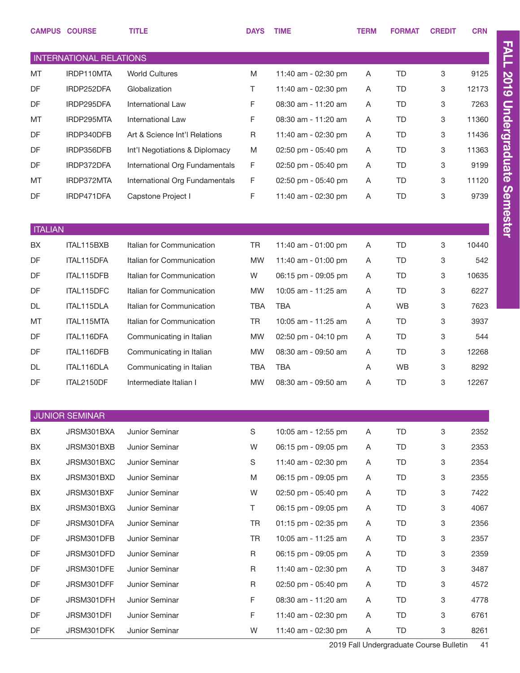|                | <b>CAMPUS COURSE</b>           | TITLE                          | <b>DAYS</b> | <b>TIME</b>           | <b>TERM</b> | <b>FORMAT</b> | <b>CREDIT</b>             | <b>CRN</b> |
|----------------|--------------------------------|--------------------------------|-------------|-----------------------|-------------|---------------|---------------------------|------------|
|                | <b>INTERNATIONAL RELATIONS</b> |                                |             |                       |             |               |                           |            |
| MT             | IRDP110MTA                     | <b>World Cultures</b>          | M           | 11:40 am - 02:30 pm   | A           | <b>TD</b>     | 3                         | 9125       |
| DF             | IRDP252DFA                     | Globalization                  | T.          | 11:40 am - 02:30 pm   | A           | <b>TD</b>     | 3                         | 12173      |
| DF             | IRDP295DFA                     | International Law              | F           | 08:30 am - 11:20 am   | A           | <b>TD</b>     | 3                         | 7263       |
| MT             | IRDP295MTA                     | International Law              | F           | 08:30 am - 11:20 am   | A           | <b>TD</b>     | 3                         | 11360      |
| DF             | IRDP340DFB                     | Art & Science Int'l Relations  | R           | 11:40 am - 02:30 pm   | A           | <b>TD</b>     | 3                         | 11436      |
| DF             | IRDP356DFB                     | Int'l Negotiations & Diplomacy | M           | 02:50 pm - 05:40 pm   | A           | TD            | 3                         | 11363      |
| DF             | IRDP372DFA                     | International Org Fundamentals | F           | 02:50 pm - 05:40 pm   | A           | <b>TD</b>     | 3                         | 9199       |
| MT             | IRDP372MTA                     | International Org Fundamentals | F           | 02:50 pm - 05:40 pm   | A           | TD            | 3                         | 11120      |
| DF             | IRDP471DFA                     | Capstone Project I             | F           | 11:40 am - 02:30 pm   | Α           | <b>TD</b>     | 3                         | 9739       |
|                |                                |                                |             |                       |             |               |                           |            |
| <b>ITALIAN</b> |                                |                                |             |                       |             |               |                           |            |
| BX             | ITAL115BXB                     | Italian for Communication      | TR          | 11:40 am - 01:00 pm   | A           | <b>TD</b>     | 3                         | 10440      |
| DF             | ITAL115DFA                     | Italian for Communication      | <b>MW</b>   | 11:40 am - 01:00 pm   | A           | <b>TD</b>     | 3                         | 542        |
| DF             | ITAL115DFB                     | Italian for Communication      | W           | 06:15 pm - 09:05 pm   | A           | <b>TD</b>     | 3                         | 10635      |
| DF             | ITAL115DFC                     | Italian for Communication      | <b>MW</b>   | 10:05 am - 11:25 am   | A           | <b>TD</b>     | 3                         | 6227       |
| <b>DL</b>      | ITAL115DLA                     | Italian for Communication      | TBA         | <b>TBA</b>            | Α           | <b>WB</b>     | 3                         | 7623       |
| MT             | ITAL115MTA                     | Italian for Communication      | <b>TR</b>   | 10:05 am - 11:25 am   | Α           | <b>TD</b>     | 3                         | 3937       |
| DF             | ITAL116DFA                     | Communicating in Italian       | <b>MW</b>   | 02:50 pm - 04:10 pm   | A           | <b>TD</b>     | 3                         | 544        |
| DF             | ITAL116DFB                     | Communicating in Italian       | <b>MW</b>   | 08:30 am - 09:50 am   | A           | <b>TD</b>     | 3                         | 12268      |
| <b>DL</b>      | ITAL116DLA                     | Communicating in Italian       | <b>TBA</b>  | <b>TBA</b>            | Α           | <b>WB</b>     | 3                         | 8292       |
| DF             | ITAL2150DF                     | Intermediate Italian I         | <b>MW</b>   | 08:30 am - 09:50 am   | A           | <b>TD</b>     | 3                         | 12267      |
|                |                                |                                |             |                       |             |               |                           |            |
|                | <b>JUNIOR SEMINAR</b>          |                                |             |                       |             |               |                           |            |
| BX             | JRSM301BXA                     | Junior Seminar                 | $\mathbb S$ | 10:05 am - 12:55 pm   | Α           | TD            | $\ensuremath{\mathsf{3}}$ | 2352       |
| BX             | JRSM301BXB                     | Junior Seminar                 | W           | 06:15 pm - 09:05 pm   | A           | <b>TD</b>     | 3                         | 2353       |
| BX             | JRSM301BXC                     | Junior Seminar                 | S           | 11:40 am - 02:30 pm   | Α           | TD            | 3                         | 2354       |
| BX             | JRSM301BXD                     | Junior Seminar                 | M           | 06:15 pm - 09:05 pm   | A           | TD            | 3                         | 2355       |
| BX             | JRSM301BXF                     | Junior Seminar                 | W           | 02:50 pm - 05:40 pm   | A           | TD            | 3                         | 7422       |
| BX             | JRSM301BXG                     | Junior Seminar                 | T.          | 06:15 pm - 09:05 pm   | A           | TD            | 3                         | 4067       |
| DF             | JRSM301DFA                     | Junior Seminar                 | <b>TR</b>   | $01:15$ pm - 02:35 pm | A           | TD            | 3                         | 2356       |
| DF             | JRSM301DFB                     | Junior Seminar                 | <b>TR</b>   | 10:05 am - 11:25 am   | A           | TD            | 3                         | 2357       |
| DF             | JRSM301DFD                     | Junior Seminar                 | R           | 06:15 pm - 09:05 pm   | A           | TD            | 3                         | 2359       |
| DF             | JRSM301DFE                     | Junior Seminar                 | R           | 11:40 am - 02:30 pm   | A           | TD            | 3                         | 3487       |
| DF             | JRSM301DFF                     | Junior Seminar                 | R           | 02:50 pm - 05:40 pm   | A           | TD            | 3                         | 4572       |
| DF             | JRSM301DFH                     | Junior Seminar                 | F           | 08:30 am - 11:20 am   | A           | TD            | 3                         | 4778       |
| DF             | JRSM301DFI                     | Junior Seminar                 | F           | 11:40 am - 02:30 pm   | A           | TD            | 3                         | 6761       |
| DF             | JRSM301DFK                     | Junior Seminar                 | W           | 11:40 am - 02:30 pm   | A           | TD            | 3                         | 8261       |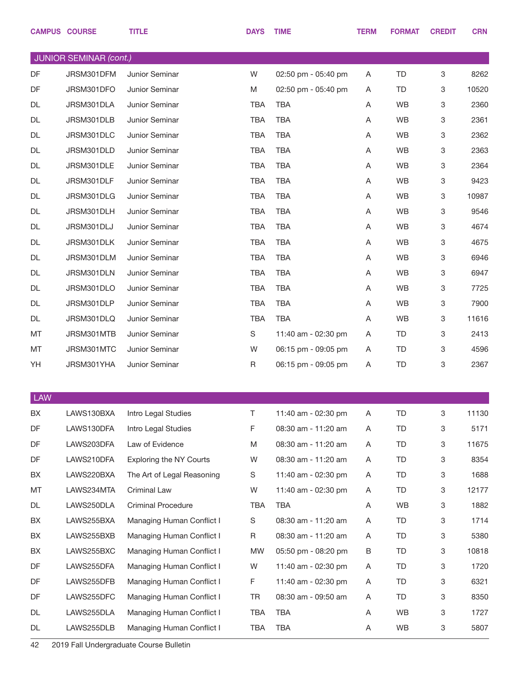|            | <b>CAMPUS COURSE</b>   | <b>TITLE</b>                   | <b>DAYS</b> | <b>TIME</b>         | <b>TERM</b> | <b>FORMAT</b> | <b>CREDIT</b> | <b>CRN</b> |
|------------|------------------------|--------------------------------|-------------|---------------------|-------------|---------------|---------------|------------|
|            | JUNIOR SEMINAR (cont.) |                                |             |                     |             |               |               |            |
| DF         | JRSM301DFM             | Junior Seminar                 | W           | 02:50 pm - 05:40 pm | Α           | <b>TD</b>     | 3             | 8262       |
| DF         | JRSM301DFO             | Junior Seminar                 | M           | 02:50 pm - 05:40 pm | A           | TD            | 3             | 10520      |
| DL         | JRSM301DLA             | Junior Seminar                 | <b>TBA</b>  | <b>TBA</b>          | Α           | WB            | 3             | 2360       |
| DL         | JRSM301DLB             | Junior Seminar                 | <b>TBA</b>  | <b>TBA</b>          | Α           | <b>WB</b>     | 3             | 2361       |
| DL         | JRSM301DLC             | Junior Seminar                 | <b>TBA</b>  | <b>TBA</b>          | Α           | WB            | 3             | 2362       |
| DL         | JRSM301DLD             | Junior Seminar                 | <b>TBA</b>  | <b>TBA</b>          | Α           | <b>WB</b>     | 3             | 2363       |
| DL         | JRSM301DLE             | Junior Seminar                 | <b>TBA</b>  | <b>TBA</b>          | Α           | WB            | 3             | 2364       |
| DL         | JRSM301DLF             | Junior Seminar                 | <b>TBA</b>  | <b>TBA</b>          | Α           | <b>WB</b>     | 3             | 9423       |
| DL         | JRSM301DLG             | Junior Seminar                 | <b>TBA</b>  | <b>TBA</b>          | Α           | WB            | 3             | 10987      |
| DL         | JRSM301DLH             | Junior Seminar                 | <b>TBA</b>  | <b>TBA</b>          | Α           | <b>WB</b>     | 3             | 9546       |
| DL         | JRSM301DLJ             | Junior Seminar                 | <b>TBA</b>  | <b>TBA</b>          | Α           | WB            | 3             | 4674       |
| DL         | JRSM301DLK             | Junior Seminar                 | TBA         | <b>TBA</b>          | Α           | <b>WB</b>     | 3             | 4675       |
| DL         | JRSM301DLM             | Junior Seminar                 | <b>TBA</b>  | <b>TBA</b>          | Α           | WB            | 3             | 6946       |
| DL         | JRSM301DLN             | Junior Seminar                 | TBA         | <b>TBA</b>          | Α           | <b>WB</b>     | 3             | 6947       |
| DL         | JRSM301DLO             | Junior Seminar                 | <b>TBA</b>  | <b>TBA</b>          | Α           | WB            | 3             | 7725       |
| DL         | JRSM301DLP             | Junior Seminar                 | <b>TBA</b>  | <b>TBA</b>          | Α           | <b>WB</b>     | 3             | 7900       |
| DL         | JRSM301DLQ             | Junior Seminar                 | <b>TBA</b>  | <b>TBA</b>          | Α           | WB            | 3             | 11616      |
| MT         | JRSM301MTB             | Junior Seminar                 | S           | 11:40 am - 02:30 pm | Α           | TD            | 3             | 2413       |
| MT         | JRSM301MTC             | Junior Seminar                 | W           | 06:15 pm - 09:05 pm | Α           | TD            | 3             | 4596       |
| YH         | JRSM301YHA             | Junior Seminar                 | $\mathsf R$ | 06:15 pm - 09:05 pm | Α           | <b>TD</b>     | 3             | 2367       |
|            |                        |                                |             |                     |             |               |               |            |
| <b>LAW</b> |                        |                                |             |                     |             |               |               |            |
| BX         | LAWS130BXA             | Intro Legal Studies            | T.          | 11:40 am - 02:30 pm | A           | <b>TD</b>     | 3             | 11130      |
| DF         | LAWS130DFA             | Intro Legal Studies            | F           | 08:30 am - 11:20 am | Α           | TD            | 3             | 5171       |
| DF         | LAWS203DFA             | Law of Evidence                | M           | 08:30 am - 11:20 am | Α           | TD            | 3             | 11675      |
| DF         | LAWS210DFA             | <b>Exploring the NY Courts</b> | W           | 08:30 am - 11:20 am | Α           | TD            | 3             | 8354       |
| BX         | LAWS220BXA             | The Art of Legal Reasoning     | S           | 11:40 am - 02:30 pm | A           | TD            | 3             | 1688       |
| MT         | LAWS234MTA             | Criminal Law                   | W           | 11:40 am - 02:30 pm | Α           | <b>TD</b>     | 3             | 12177      |
| DL         | LAWS250DLA             | <b>Criminal Procedure</b>      | <b>TBA</b>  | <b>TBA</b>          | Α           | WB            | 3             | 1882       |
| BX         | LAWS255BXA             | Managing Human Conflict I      | $\mathbb S$ | 08:30 am - 11:20 am | A           | TD            | 3             | 1714       |
| BX         | LAWS255BXB             | Managing Human Conflict I      | $\mathsf R$ | 08:30 am - 11:20 am | A           | <b>TD</b>     | 3             | 5380       |
| BX         | LAWS255BXC             | Managing Human Conflict I      | MW          | 05:50 pm - 08:20 pm | В           | TD            | 3             | 10818      |
| DF         | LAWS255DFA             | Managing Human Conflict I      | W           | 11:40 am - 02:30 pm | A           | TD            | 3             | 1720       |
| DF         | LAWS255DFB             | Managing Human Conflict I      | F           | 11:40 am - 02:30 pm | A           | TD            | 3             | 6321       |
| DF         | LAWS255DFC             | Managing Human Conflict I      | <b>TR</b>   | 08:30 am - 09:50 am | A           | TD            | 3             | 8350       |
| DL         | LAWS255DLA             | Managing Human Conflict I      | <b>TBA</b>  | <b>TBA</b>          | Α           | WB            | 3             | 1727       |
| DL         | LAWS255DLB             | Managing Human Conflict I      | <b>TBA</b>  | <b>TBA</b>          | Α           | WB            | $\mathbf 3$   | 5807       |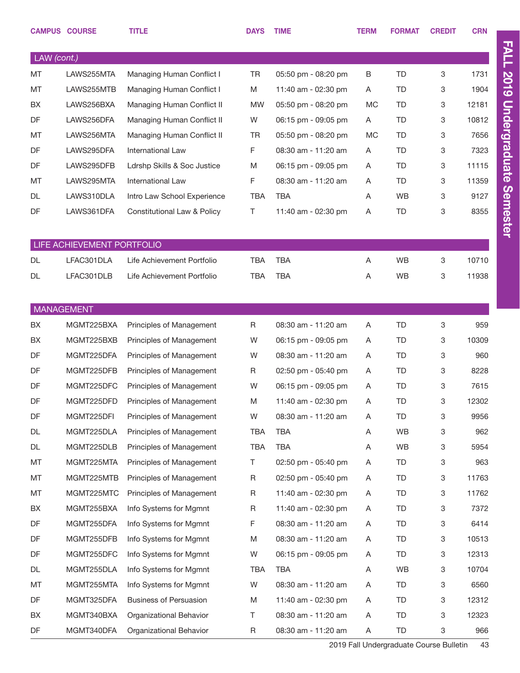|                   | <b>CAMPUS COURSE</b>       | <b>TITLE</b>                           | <b>DAYS</b> | <b>TIME</b>         | <b>TERM</b> | <b>FORMAT</b> | <b>CREDIT</b> | <b>CRN</b> |
|-------------------|----------------------------|----------------------------------------|-------------|---------------------|-------------|---------------|---------------|------------|
| LAW (cont.)       |                            |                                        |             |                     |             |               |               |            |
| <b>MT</b>         | LAWS255MTA                 | Managing Human Conflict I              | <b>TR</b>   | 05:50 pm - 08:20 pm | B           | <b>TD</b>     | 3             | 1731       |
| MT                | LAWS255MTB                 | Managing Human Conflict I              | M           | 11:40 am - 02:30 pm | Α           | <b>TD</b>     | 3             | 1904       |
| BX                | LAWS256BXA                 | Managing Human Conflict II             | <b>MW</b>   | 05:50 pm - 08:20 pm | MC          | <b>TD</b>     | 3             | 12181      |
| DF                | LAWS256DFA                 | Managing Human Conflict II             | W           | 06:15 pm - 09:05 pm | Α           | <b>TD</b>     | 3             | 10812      |
| MT                | LAWS256MTA                 | Managing Human Conflict II             | TR          | 05:50 pm - 08:20 pm | <b>MC</b>   | <b>TD</b>     | 3             | 7656       |
| DF                | LAWS295DFA                 | <b>International Law</b>               | F           | 08:30 am - 11:20 am | Α           | <b>TD</b>     | 3             | 7323       |
| DF                | LAWS295DFB                 | Ldrshp Skills & Soc Justice            | M           | 06:15 pm - 09:05 pm | Α           | <b>TD</b>     | 3             | 11115      |
| MT                | LAWS295MTA                 | International Law                      | F           | 08:30 am - 11:20 am | Α           | <b>TD</b>     | 3             | 11359      |
| DL                | LAWS310DLA                 | Intro Law School Experience            | <b>TBA</b>  | <b>TBA</b>          | A           | <b>WB</b>     | 3             | 9127       |
| DF                | LAWS361DFA                 | <b>Constitutional Law &amp; Policy</b> | Τ           | 11:40 am - 02:30 pm | Α           | <b>TD</b>     | 3             | 8355       |
|                   | LIFE ACHIEVEMENT PORTFOLIO |                                        |             |                     |             |               |               |            |
| DL                | LFAC301DLA                 | Life Achievement Portfolio             | <b>TBA</b>  | <b>TBA</b>          | A           | <b>WB</b>     | 3             | 10710      |
| DL                | LFAC301DLB                 | Life Achievement Portfolio             | <b>TBA</b>  | <b>TBA</b>          | Α           | <b>WB</b>     | 3             | 11938      |
|                   |                            |                                        |             |                     |             |               |               |            |
| <b>MANAGEMENT</b> |                            |                                        |             |                     |             |               |               |            |
| BX                | MGMT225BXA                 | Principles of Management               | R           | 08:30 am - 11:20 am | Α           | <b>TD</b>     | 3             | 959        |
| <b>BX</b>         | MGMT225BXB                 | Principles of Management               | W           | 06:15 pm - 09:05 pm | A           | TD            | 3             | 10309      |
| DF                | MGMT225DFA                 | Principles of Management               | W           | 08:30 am - 11:20 am | A           | <b>TD</b>     | 3             | 960        |
| DF                | MGMT225DFB                 | Principles of Management               | R           | 02:50 pm - 05:40 pm | A           | <b>TD</b>     | 3             | 8228       |
| DF                | MGMT225DFC                 | Principles of Management               | W           | 06:15 pm - 09:05 pm | Α           | TD            | 3             | 7615       |
| DF                | MGMT225DFD                 | Principles of Management               | M           | 11:40 am - 02:30 pm | Α           | TD            | 3             | 12302      |
| DF                | MGMT225DFI                 | Principles of Management               | W           | 08:30 am - 11:20 am | Α           | TD            | 3             | 9956       |
| DL                | MGMT225DLA                 | Principles of Management               | TBA         | TBA                 | Α           | WB            | 3             | 962        |
| DL                | MGMT225DLB                 | Principles of Management               | <b>TBA</b>  | TBA                 | Α           | WB            | 3             | 5954       |
| MT                | MGMT225MTA                 | Principles of Management               | T.          | 02:50 pm - 05:40 pm | Α           | TD            | 3             | 963        |
| MT                | MGMT225MTB                 | Principles of Management               | R           | 02:50 pm - 05:40 pm | A           | TD            | 3             | 11763      |
| MT                | MGMT225MTC                 | Principles of Management               | R           | 11:40 am - 02:30 pm | Α           | TD            | 3             | 11762      |
| BX                | MGMT255BXA                 | Info Systems for Mgmnt                 | R           | 11:40 am - 02:30 pm | Α           | TD            | 3             | 7372       |
| DF                | MGMT255DFA                 | Info Systems for Mgmnt                 | F           | 08:30 am - 11:20 am | Α           | <b>TD</b>     | 3             | 6414       |
| DF                | MGMT255DFB                 | Info Systems for Mgmnt                 | M           | 08:30 am - 11:20 am | Α           | TD            | 3             | 10513      |
| DF                | MGMT255DFC                 | Info Systems for Mgmnt                 | W           | 06:15 pm - 09:05 pm | Α           | TD            | 3             | 12313      |
| DL                | MGMT255DLA                 | Info Systems for Mgmnt                 | TBA         | TBA                 | Α           | WB            | 3             | 10704      |
| MT                | MGMT255MTA                 | Info Systems for Mgmnt                 | W           | 08:30 am - 11:20 am | Α           | TD            | 3             | 6560       |
| DF                | MGMT325DFA                 | <b>Business of Persuasion</b>          | M           | 11:40 am - 02:30 pm | Α           | TD            | 3             | 12312      |
| BX                | MGMT340BXA                 | Organizational Behavior                | Τ           | 08:30 am - 11:20 am | Α           | <b>TD</b>     | 3             | 12323      |
| DF                | MGMT340DFA                 | Organizational Behavior                | R           | 08:30 am - 11:20 am | A           | <b>TD</b>     | 3             | 966        |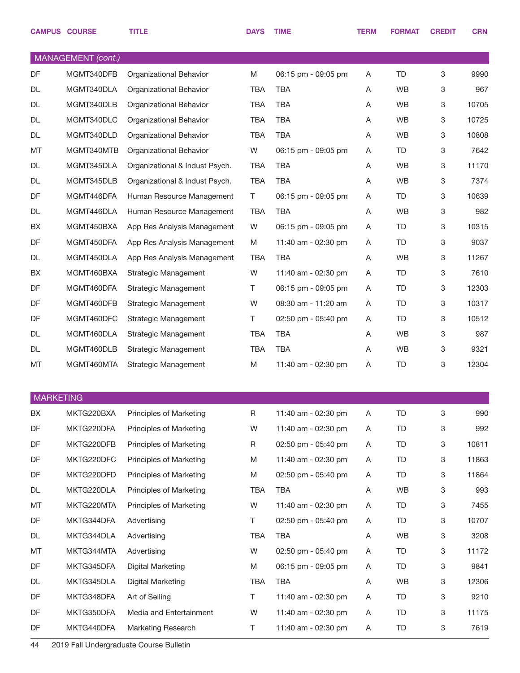|                  | <b>CAMPUS COURSE</b> | <b>TITLE</b>                   | <b>DAYS</b> | <b>TIME</b>         | <b>TERM</b> | <b>FORMAT</b> | <b>CREDIT</b>             | <b>CRN</b> |
|------------------|----------------------|--------------------------------|-------------|---------------------|-------------|---------------|---------------------------|------------|
|                  | MANAGEMENT (cont.)   |                                |             |                     |             |               |                           |            |
| DF               | MGMT340DFB           | Organizational Behavior        | M           | 06:15 pm - 09:05 pm | Α           | <b>TD</b>     | 3                         | 9990       |
| <b>DL</b>        | MGMT340DLA           | Organizational Behavior        | <b>TBA</b>  | <b>TBA</b>          | Α           | WB            | 3                         | 967        |
| DL               | MGMT340DLB           | Organizational Behavior        | <b>TBA</b>  | <b>TBA</b>          | A           | WB            | 3                         | 10705      |
| DL               | MGMT340DLC           | Organizational Behavior        | <b>TBA</b>  | <b>TBA</b>          | Α           | <b>WB</b>     | 3                         | 10725      |
| DL               | MGMT340DLD           | Organizational Behavior        | <b>TBA</b>  | <b>TBA</b>          | Α           | WB            | 3                         | 10808      |
| MT               | MGMT340MTB           | Organizational Behavior        | W           | 06:15 pm - 09:05 pm | A           | TD            | 3                         | 7642       |
| DL               | MGMT345DLA           | Organizational & Indust Psych. | <b>TBA</b>  | <b>TBA</b>          | A           | WB            | 3                         | 11170      |
| DL               | MGMT345DLB           | Organizational & Indust Psych. | <b>TBA</b>  | <b>TBA</b>          | Α           | WB            | 3                         | 7374       |
| DF               | MGMT446DFA           | Human Resource Management      | T           | 06:15 pm - 09:05 pm | Α           | <b>TD</b>     | 3                         | 10639      |
| DL               | MGMT446DLA           | Human Resource Management      | <b>TBA</b>  | <b>TBA</b>          | Α           | <b>WB</b>     | 3                         | 982        |
| BX               | MGMT450BXA           | App Res Analysis Management    | W           | 06:15 pm - 09:05 pm | Α           | <b>TD</b>     | 3                         | 10315      |
| DF               | MGMT450DFA           | App Res Analysis Management    | M           | 11:40 am - 02:30 pm | A           | TD            | 3                         | 9037       |
| DL               | MGMT450DLA           | App Res Analysis Management    | <b>TBA</b>  | <b>TBA</b>          | Α           | WB            | 3                         | 11267      |
| BX               | MGMT460BXA           | Strategic Management           | W           | 11:40 am - 02:30 pm | Α           | TD            | 3                         | 7610       |
| DF               | MGMT460DFA           | Strategic Management           | Τ           | 06:15 pm - 09:05 pm | Α           | <b>TD</b>     | 3                         | 12303      |
| DF               | MGMT460DFB           | Strategic Management           | W           | 08:30 am - 11:20 am | A           | <b>TD</b>     | 3                         | 10317      |
| DF               | MGMT460DFC           | Strategic Management           | Τ           | 02:50 pm - 05:40 pm | A           | <b>TD</b>     | 3                         | 10512      |
| DL               | MGMT460DLA           | Strategic Management           | <b>TBA</b>  | <b>TBA</b>          | A           | <b>WB</b>     | 3                         | 987        |
| DL               | MGMT460DLB           | Strategic Management           | <b>TBA</b>  | <b>TBA</b>          | Α           | WB            | 3                         | 9321       |
| MT               | MGMT460MTA           | Strategic Management           | M           | 11:40 am - 02:30 pm | Α           | TD            | 3                         | 12304      |
| <b>MARKETING</b> |                      |                                |             |                     |             |               |                           |            |
| BX               | MKTG220BXA           | Principles of Marketing        | R           | 11:40 am - 02:30 pm | Α           | <b>TD</b>     | $\ensuremath{\mathsf{3}}$ | 990        |
| DF               | MKTG220DFA           | Principles of Marketing        | W           | 11:40 am - 02:30 pm | Α           | <b>TD</b>     | 3                         | 992        |
| DF               | MKTG220DFB           | Principles of Marketing        | R           | 02:50 pm - 05:40 pm | Α           | TD            | 3                         | 10811      |
| DF               | MKTG220DFC           | Principles of Marketing        | M           | 11:40 am - 02:30 pm | A           | <b>TD</b>     | $\ensuremath{\mathsf{3}}$ | 11863      |
| DF               | MKTG220DFD           | Principles of Marketing        | M           | 02:50 pm - 05:40 pm | A           | TD            | 3                         | 11864      |
| DL               | MKTG220DLA           | Principles of Marketing        | TBA         | <b>TBA</b>          | Α           | WB            | 3                         | 993        |
| MT               | MKTG220MTA           | Principles of Marketing        | W           | 11:40 am - 02:30 pm | Α           | TD            | 3                         | 7455       |
| DF               | MKTG344DFA           | Advertising                    | T.          | 02:50 pm - 05:40 pm | A           | TD            | 3                         | 10707      |
| DL               | MKTG344DLA           | Advertising                    | <b>TBA</b>  | <b>TBA</b>          | Α           | WB            | 3                         | 3208       |
| MT               | MKTG344MTA           | Advertising                    | W           | 02:50 pm - 05:40 pm | A           | TD.           | 3                         | 11172      |
| DF               | MKTG345DFA           | Digital Marketing              | M           | 06:15 pm - 09:05 pm | Α           | TD            | 3                         | 9841       |
| DL               | MKTG345DLA           | Digital Marketing              | <b>TBA</b>  | <b>TBA</b>          | Α           | WB            | 3                         | 12306      |
| DF               | MKTG348DFA           | Art of Selling                 | T.          | 11:40 am - 02:30 pm | A           | TD            | 3                         | 9210       |
| DF               | MKTG350DFA           | Media and Entertainment        | W           | 11:40 am - 02:30 pm | Α           | TD.           | 3                         | 11175      |
| DF               | MKTG440DFA           | Marketing Research             | Τ           | 11:40 am - 02:30 pm | A           | TD            | $\mathbf 3$               | 7619       |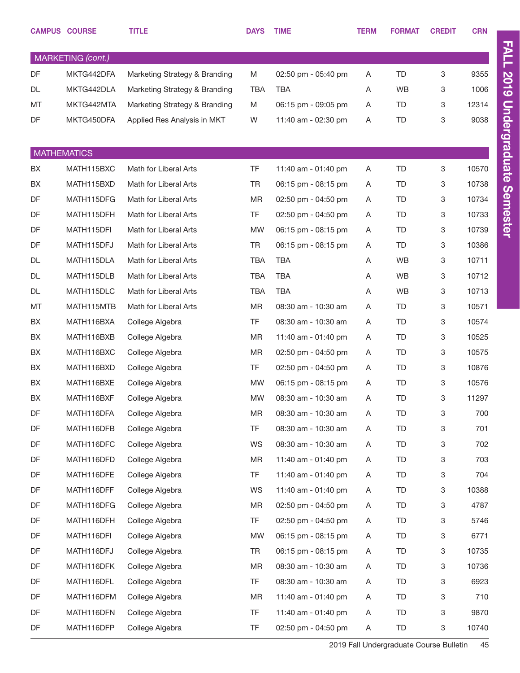|           | <b>CAMPUS COURSE</b>     | <b>TITLE</b>                       | <b>DAYS</b>     | <b>TIME</b>                                | <b>TERM</b> | <b>FORMAT</b>          | <b>CREDIT</b> | <b>CRN</b>   |
|-----------|--------------------------|------------------------------------|-----------------|--------------------------------------------|-------------|------------------------|---------------|--------------|
|           | MARKETING (cont.)        |                                    |                 |                                            |             |                        |               |              |
| DF        | MKTG442DFA               | Marketing Strategy & Branding      | M               | 02:50 pm - 05:40 pm                        | Α           | <b>TD</b>              | 3             | 9355         |
| DL        | MKTG442DLA               | Marketing Strategy & Branding      | <b>TBA</b>      | <b>TBA</b>                                 | Α           | <b>WB</b>              | 3             | 1006         |
| MT        | MKTG442MTA               | Marketing Strategy & Branding      | M               | 06:15 pm - 09:05 pm                        | Α           | <b>TD</b>              | 3             | 12314        |
| DF        | MKTG450DFA               | Applied Res Analysis in MKT        | W               | 11:40 am - 02:30 pm                        | Α           | <b>TD</b>              | 3             | 9038         |
|           |                          |                                    |                 |                                            |             |                        |               |              |
|           | <b>MATHEMATICS</b>       |                                    |                 |                                            |             |                        |               |              |
| BX        | MATH115BXC               | Math for Liberal Arts              | <b>TF</b>       | 11:40 am - 01:40 pm                        | Α           | <b>TD</b>              | 3             | 10570        |
| BX        | MATH115BXD               | Math for Liberal Arts              | TR              | 06:15 pm - 08:15 pm                        | Α           | <b>TD</b>              | 3             | 10738        |
| DF        | MATH115DFG               | Math for Liberal Arts              | <b>MR</b>       | 02:50 pm - 04:50 pm                        | A           | TD                     | 3             | 10734        |
| DF        | MATH115DFH               | Math for Liberal Arts              | <b>TF</b>       | 02:50 pm - 04:50 pm                        | Α           | <b>TD</b>              | 3             | 10733        |
| DF        | MATH115DFI               | Math for Liberal Arts              | <b>MW</b>       | 06:15 pm - 08:15 pm                        | A           | TD                     | 3             | 10739        |
| DF        | MATH115DFJ               | Math for Liberal Arts              | TR              | 06:15 pm - 08:15 pm                        | A           | <b>TD</b>              | 3             | 10386        |
| <b>DL</b> | MATH115DLA               | Math for Liberal Arts              | <b>TBA</b>      | <b>TBA</b>                                 | Α           | WB                     | 3             | 10711        |
| DL        | MATH115DLB               | Math for Liberal Arts              | <b>TBA</b>      | <b>TBA</b>                                 | Α           | WB                     | 3             | 10712        |
| DL        | MATH115DLC               | Math for Liberal Arts              | <b>TBA</b>      | <b>TBA</b>                                 | A           | WB                     | 3             | 10713        |
| MT        | MATH115MTB               | Math for Liberal Arts              | MR              | 08:30 am - 10:30 am                        | Α           | TD                     | 3             | 10571        |
| BX        | MATH116BXA               | College Algebra                    | TF              | 08:30 am - 10:30 am                        | A           | TD                     | 3             | 10574        |
| BX        | MATH116BXB               | College Algebra                    | <b>MR</b>       | 11:40 am - 01:40 pm                        | Α           | <b>TD</b>              | 3             | 10525        |
| BX        | MATH116BXC               | College Algebra                    | <b>MR</b>       | 02:50 pm - 04:50 pm                        | A           | <b>TD</b>              | 3             | 10575        |
| BX        | MATH116BXD               | College Algebra                    | <b>TF</b>       | 02:50 pm - 04:50 pm                        | Α           | <b>TD</b>              | 3             | 10876        |
| BX        | MATH116BXE               | College Algebra                    | <b>MW</b>       |                                            |             | TD                     | 3             | 10576        |
| BX        | MATH116BXF               |                                    | <b>MW</b>       | 06:15 pm - 08:15 pm<br>08:30 am - 10:30 am | A<br>Α      | TD                     | 3             | 11297        |
| DF        | MATH116DFA               | College Algebra<br>College Algebra | <b>MR</b>       | 08:30 am - 10:30 am                        |             | <b>TD</b>              | 3             | 700          |
| DF        | MATH116DFB               |                                    | <b>TF</b>       | 08:30 am - 10:30 am                        | Α           | <b>TD</b>              |               | 701          |
| DF        |                          | College Algebra<br>College Algebra |                 |                                            | Α           |                        | 3             |              |
| DF        | MATH116DFC<br>MATH116DFD |                                    | WS<br><b>MR</b> | 08:30 am - 10:30 am<br>11:40 am - 01:40 pm | Α           | <b>TD</b><br><b>TD</b> | 3             | 702<br>703   |
| DF        | MATH116DFE               | College Algebra<br>College Algebra | <b>TF</b>       | 11:40 am - 01:40 pm                        | Α           | <b>TD</b>              | 3             | 704          |
| DF        | MATH116DFF               |                                    |                 | 11:40 am - 01:40 pm                        | Α           | <b>TD</b>              | 3             |              |
| DF        | MATH116DFG               | College Algebra                    | WS              | 02:50 pm - 04:50 pm                        | Α           | <b>TD</b>              | 3             | 10388        |
| DF        | MATH116DFH               | College Algebra                    | MR<br>TF        | 02:50 pm - 04:50 pm                        | Α           | <b>TD</b>              | 3             | 4787<br>5746 |
| DF        | MATH116DFI               | College Algebra                    | <b>MW</b>       | 06:15 pm - 08:15 pm                        | A           | <b>TD</b>              | 3             | 6771         |
| DF        | MATH116DFJ               | College Algebra                    | TR              | 06:15 pm - 08:15 pm                        | Α           | <b>TD</b>              | 3             | 10735        |
|           |                          | College Algebra                    |                 |                                            | A           |                        | 3             |              |
| DF        | MATH116DFK               | College Algebra                    | <b>MR</b>       | 08:30 am - 10:30 am                        | Α           | <b>TD</b>              | 3             | 10736        |
| DF        | MATH116DFL               | College Algebra                    | TF              | 08:30 am - 10:30 am                        | A           | <b>TD</b>              | 3             | 6923         |
| DF        | MATH116DFM               | College Algebra                    | <b>MR</b>       | 11:40 am - 01:40 pm                        | Α           | <b>TD</b>              | 3             | 710          |
| DF        | MATH116DFN               | College Algebra                    | TF              | 11:40 am - 01:40 pm                        | Α           | <b>TD</b>              | 3             | 9870         |
| DF        | MATH116DFP               | College Algebra                    | TF              | 02:50 pm - 04:50 pm                        | A           | TD                     | 3             | 10740        |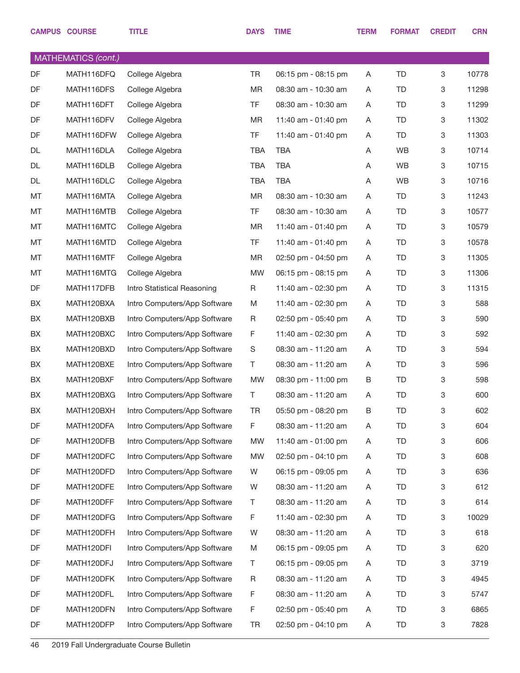|    | <b>CAMPUS COURSE</b> | <b>TITLE</b>                 | <b>DAYS</b> | <b>TIME</b>         | <b>TERM</b> | <b>FORMAT</b> | <b>CREDIT</b>             | <b>CRN</b> |
|----|----------------------|------------------------------|-------------|---------------------|-------------|---------------|---------------------------|------------|
|    | MATHEMATICS (cont.)  |                              |             |                     |             |               |                           |            |
| DF | MATH116DFQ           | College Algebra              | <b>TR</b>   | 06:15 pm - 08:15 pm | A           | TD            | $\ensuremath{\mathsf{3}}$ | 10778      |
| DF | MATH116DFS           | College Algebra              | <b>MR</b>   | 08:30 am - 10:30 am | A           | TD            | 3                         | 11298      |
| DF | MATH116DFT           | College Algebra              | <b>TF</b>   | 08:30 am - 10:30 am | Α           | TD            | 3                         | 11299      |
| DF | MATH116DFV           | College Algebra              | <b>MR</b>   | 11:40 am - 01:40 pm | A           | TD            | 3                         | 11302      |
| DF | MATH116DFW           | College Algebra              | <b>TF</b>   | 11:40 am - 01:40 pm | A           | TD            | 3                         | 11303      |
| DL | MATH116DLA           | College Algebra              | TBA         | <b>TBA</b>          | Α           | <b>WB</b>     | 3                         | 10714      |
| DL | MATH116DLB           | College Algebra              | TBA         | <b>TBA</b>          | Α           | <b>WB</b>     | 3                         | 10715      |
| DL | MATH116DLC           | College Algebra              | <b>TBA</b>  | <b>TBA</b>          | Α           | <b>WB</b>     | 3                         | 10716      |
| MT | MATH116MTA           | College Algebra              | MR          | 08:30 am - 10:30 am | Α           | TD            | 3                         | 11243      |
| MT | MATH116MTB           | College Algebra              | <b>TF</b>   | 08:30 am - 10:30 am | Α           | TD            | 3                         | 10577      |
| MT | MATH116MTC           | College Algebra              | <b>MR</b>   | 11:40 am - 01:40 pm | A           | TD            | 3                         | 10579      |
| MT | MATH116MTD           | College Algebra              | <b>TF</b>   | 11:40 am - 01:40 pm | A           | TD            | 3                         | 10578      |
| MT | MATH116MTF           | College Algebra              | MR          | 02:50 pm - 04:50 pm | A           | TD            | 3                         | 11305      |
| MT | MATH116MTG           | College Algebra              | <b>MW</b>   | 06:15 pm - 08:15 pm | A           | TD            | 3                         | 11306      |
| DF | MATH117DFB           | Intro Statistical Reasoning  | R           | 11:40 am - 02:30 pm | Α           | TD            | 3                         | 11315      |
| BX | MATH120BXA           | Intro Computers/App Software | M           | 11:40 am - 02:30 pm | A           | TD            | $\ensuremath{\mathsf{3}}$ | 588        |
| BX | MATH120BXB           | Intro Computers/App Software | R           | 02:50 pm - 05:40 pm | A           | TD            | 3                         | 590        |
| BX | MATH120BXC           | Intro Computers/App Software | F           | 11:40 am - 02:30 pm | A           | TD            | 3                         | 592        |
| BX | MATH120BXD           | Intro Computers/App Software | S           | 08:30 am - 11:20 am | A           | TD            | 3                         | 594        |
| BX | MATH120BXE           | Intro Computers/App Software | Τ           | 08:30 am - 11:20 am | A           | TD            | 3                         | 596        |
| BX | MATH120BXF           | Intro Computers/App Software | MW          | 08:30 pm - 11:00 pm | В           | TD            | 3                         | 598        |
| BX | MATH120BXG           | Intro Computers/App Software | Τ           | 08:30 am - 11:20 am | Α           | TD            | $\ensuremath{\mathsf{3}}$ | 600        |
| BX | MATH120BXH           | Intro Computers/App Software | TR          | 05:50 pm - 08:20 pm | В           | <b>TD</b>     | 3                         | 602        |
| DF | MATH120DFA           | Intro Computers/App Software | F           | 08:30 am - 11:20 am | Α           | TD            | 3                         | 604        |
| DF | MATH120DFB           | Intro Computers/App Software | MW          | 11:40 am - 01:00 pm | Α           | TD            | $\ensuremath{\mathsf{3}}$ | 606        |
| DF | MATH120DFC           | Intro Computers/App Software | MW          | 02:50 pm - 04:10 pm | Α           | TD            | 3                         | 608        |
| DF | MATH120DFD           | Intro Computers/App Software | W           | 06:15 pm - 09:05 pm | Α           | TD            | 3                         | 636        |
| DF | MATH120DFE           | Intro Computers/App Software | W           | 08:30 am - 11:20 am | Α           | TD            | 3                         | 612        |
| DF | MATH120DFF           | Intro Computers/App Software | T           | 08:30 am - 11:20 am | Α           | TD            | $\ensuremath{\mathsf{3}}$ | 614        |
| DF | MATH120DFG           | Intro Computers/App Software | F           | 11:40 am - 02:30 pm | Α           | TD            | 3                         | 10029      |
| DF | MATH120DFH           | Intro Computers/App Software | W           | 08:30 am - 11:20 am | Α           | TD            | $\ensuremath{\mathsf{3}}$ | 618        |
| DF | MATH120DFI           | Intro Computers/App Software | M           | 06:15 pm - 09:05 pm | Α           | TD            | 3                         | 620        |
| DF | MATH120DFJ           | Intro Computers/App Software | Τ           | 06:15 pm - 09:05 pm | Α           | TD            | 3                         | 3719       |
| DF | MATH120DFK           | Intro Computers/App Software | R           | 08:30 am - 11:20 am | Α           | TD            | 3                         | 4945       |
| DF | MATH120DFL           | Intro Computers/App Software | F           | 08:30 am - 11:20 am | Α           | TD            | $\ensuremath{\mathsf{3}}$ | 5747       |
| DF | MATH120DFN           | Intro Computers/App Software | F           | 02:50 pm - 05:40 pm | Α           | TD            | 3                         | 6865       |
| DF | MATH120DFP           | Intro Computers/App Software | TR          | 02:50 pm - 04:10 pm | Α           | TD            | 3                         | 7828       |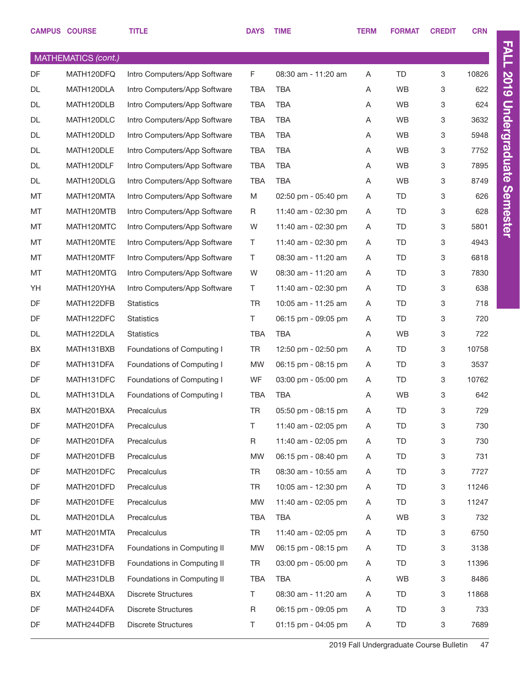|           | <b>CAMPUS COURSE</b>       | <b>TITLE</b>                 | <b>DAYS</b> | <b>TIME</b>         | <b>TERM</b> | <b>FORMAT</b> | <b>CREDIT</b> | <b>CRN</b> |
|-----------|----------------------------|------------------------------|-------------|---------------------|-------------|---------------|---------------|------------|
|           | <b>MATHEMATICS (cont.)</b> |                              |             |                     |             |               |               |            |
| DF        | MATH120DFQ                 | Intro Computers/App Software | F.          | 08:30 am - 11:20 am | Α           | <b>TD</b>     | 3             | 10826      |
| <b>DL</b> | MATH120DLA                 | Intro Computers/App Software | <b>TBA</b>  | <b>TBA</b>          | Α           | WB            | 3             | 622        |
| DL        | MATH120DLB                 | Intro Computers/App Software | <b>TBA</b>  | <b>TBA</b>          | Α           | WB            | 3             | 624        |
| DL        | MATH120DLC                 | Intro Computers/App Software | <b>TBA</b>  | <b>TBA</b>          | Α           | WB            | 3             | 3632       |
| DL        | MATH120DLD                 | Intro Computers/App Software | <b>TBA</b>  | <b>TBA</b>          | Α           | WB            | 3             | 5948       |
| DL        | MATH120DLE                 | Intro Computers/App Software | <b>TBA</b>  | <b>TBA</b>          | Α           | WB            | 3             | 7752       |
| DL        | MATH120DLF                 | Intro Computers/App Software | <b>TBA</b>  | <b>TBA</b>          | Α           | WB            | 3             | 7895       |
| DL        | MATH120DLG                 | Intro Computers/App Software | <b>TBA</b>  | <b>TBA</b>          | Α           | WB            | 3             | 8749       |
| MT        | MATH120MTA                 | Intro Computers/App Software | M           | 02:50 pm - 05:40 pm | Α           | TD            | 3             | 626        |
| MT        | MATH120MTB                 | Intro Computers/App Software | R           | 11:40 am - 02:30 pm | Α           | <b>TD</b>     | 3             | 628        |
| MT        | MATH120MTC                 | Intro Computers/App Software | W           | 11:40 am - 02:30 pm | Α           | <b>TD</b>     | 3             | 5801       |
| MT        | MATH120MTE                 | Intro Computers/App Software | T           | 11:40 am - 02:30 pm | Α           | <b>TD</b>     | 3             | 4943       |
| MT        | MATH120MTF                 | Intro Computers/App Software | Τ           | 08:30 am - 11:20 am | Α           | <b>TD</b>     | 3             | 6818       |
| MT        | MATH120MTG                 | Intro Computers/App Software | W           | 08:30 am - 11:20 am | Α           | <b>TD</b>     | 3             | 7830       |
| YH        | MATH120YHA                 | Intro Computers/App Software | T.          | 11:40 am - 02:30 pm | Α           | <b>TD</b>     | 3             | 638        |
| DF        | MATH122DFB                 | <b>Statistics</b>            | <b>TR</b>   | 10:05 am - 11:25 am | A           | <b>TD</b>     | 3             | 718        |
| DF        | MATH122DFC                 | <b>Statistics</b>            | Τ           | 06:15 pm - 09:05 pm | Α           | <b>TD</b>     | 3             | 720        |
| DL        | MATH122DLA                 | <b>Statistics</b>            | <b>TBA</b>  | <b>TBA</b>          | Α           | WB            | 3             | 722        |
| BX        | MATH131BXB                 | Foundations of Computing I   | <b>TR</b>   | 12:50 pm - 02:50 pm | Α           | TD            | 3             | 10758      |
| DF        | MATH131DFA                 | Foundations of Computing I   | <b>MW</b>   | 06:15 pm - 08:15 pm | Α           | <b>TD</b>     | 3             | 3537       |
| DF        | MATH131DFC                 | Foundations of Computing I   | WF          | 03:00 pm - 05:00 pm | Α           | <b>TD</b>     | 3             | 10762      |
| DL        | MATH131DLA                 | Foundations of Computing I   | <b>TBA</b>  | <b>TBA</b>          | Α           | WB            | 3             | 642        |
| BX        | MATH201BXA                 | Precalculus                  | <b>TR</b>   | 05:50 pm - 08:15 pm | Α           | <b>TD</b>     | 3             | 729        |
| DF        | MATH201DFA                 | Precalculus                  | T.          | 11:40 am - 02:05 pm | Α           | <b>TD</b>     | 3             | 730        |
| DF        | MATH201DFA                 | Precalculus                  | R           | 11:40 am - 02:05 pm | Α           | <b>TD</b>     | 3             | 730        |
| DF        | MATH201DFB                 | Precalculus                  | <b>MW</b>   | 06:15 pm - 08:40 pm | Α           | <b>TD</b>     | 3             | 731        |
| DF        | MATH201DFC                 | Precalculus                  | <b>TR</b>   | 08:30 am - 10:55 am | Α           | TD            | 3             | 7727       |
| DF        | MATH201DFD                 | Precalculus                  | <b>TR</b>   | 10:05 am - 12:30 pm | Α           | <b>TD</b>     | 3             | 11246      |
| DF        | MATH201DFE                 | Precalculus                  | <b>MW</b>   | 11:40 am - 02:05 pm | Α           | TD            | 3             | 11247      |
| DL        | MATH201DLA                 | Precalculus                  | TBA         | TBA                 | Α           | WB            | 3             | 732        |
| MT        | MATH201MTA                 | Precalculus                  | TR          | 11:40 am - 02:05 pm | Α           | TD            | 3             | 6750       |
| DF        | MATH231DFA                 | Foundations in Computing II  | MW          | 06:15 pm - 08:15 pm | Α           | <b>TD</b>     | 3             | 3138       |
| DF        | MATH231DFB                 | Foundations in Computing II  | TR          | 03:00 pm - 05:00 pm | Α           | TD            | 3             | 11396      |
| DL        | MATH231DLB                 | Foundations in Computing II  | TBA         | TBA                 | Α           | WB            | 3             | 8486       |
| BX        | MATH244BXA                 | <b>Discrete Structures</b>   | Τ           | 08:30 am - 11:20 am | Α           | TD            | 3             | 11868      |
| DF        | MATH244DFA                 | <b>Discrete Structures</b>   | R           | 06:15 pm - 09:05 pm | Α           | <b>TD</b>     | 3             | 733        |
| DF        | MATH244DFB                 | <b>Discrete Structures</b>   | T.          | 01:15 pm - 04:05 pm | A           | TD            | 3             | 7689       |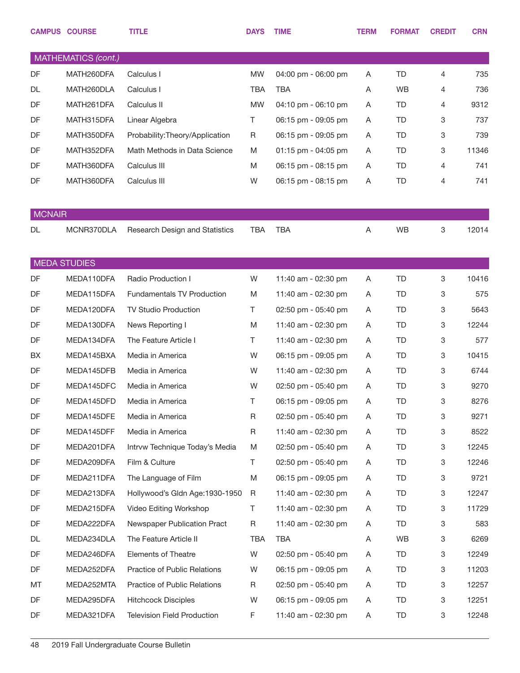|               | <b>CAMPUS COURSE</b> | <b>TITLE</b>                       | <b>DAYS</b> | <b>TIME</b>         | <b>TERM</b> | <b>FORMAT</b> | <b>CREDIT</b> | <b>CRN</b> |
|---------------|----------------------|------------------------------------|-------------|---------------------|-------------|---------------|---------------|------------|
|               | MATHEMATICS (cont.)  |                                    |             |                     |             |               |               |            |
| DF            | MATH260DFA           | Calculus I                         | <b>MW</b>   | 04:00 pm - 06:00 pm | Α           | TD            | 4             | 735        |
| DL            | MATH260DLA           | Calculus I                         | <b>TBA</b>  | <b>TBA</b>          | A           | <b>WB</b>     | 4             | 736        |
| DF            | MATH261DFA           | Calculus II                        | <b>MW</b>   | 04:10 pm - 06:10 pm | Α           | TD            | 4             | 9312       |
| DF            | MATH315DFA           | Linear Algebra                     | Τ           | 06:15 pm - 09:05 pm | A           | TD            | 3             | 737        |
| DF            | MATH350DFA           | Probability: Theory/Application    | R           | 06:15 pm - 09:05 pm | Α           | TD            | 3             | 739        |
| DF            | MATH352DFA           | Math Methods in Data Science       | M           | 01:15 pm - 04:05 pm | A           | TD            | 3             | 11346      |
| DF            | MATH360DFA           | Calculus III                       | M           | 06:15 pm - 08:15 pm | Α           | TD            | 4             | 741        |
| DF            | MATH360DFA           | Calculus III                       | W           | 06:15 pm - 08:15 pm | Α           | TD            | 4             | 741        |
|               |                      |                                    |             |                     |             |               |               |            |
| <b>MCNAIR</b> |                      |                                    |             |                     |             |               |               |            |
| DL            | MCNR370DLA           | Research Design and Statistics     | <b>TBA</b>  | <b>TBA</b>          | A           | <b>WB</b>     | 3             | 12014      |
|               | <b>MEDA STUDIES</b>  |                                    |             |                     |             |               |               |            |
| DF            | MEDA110DFA           | Radio Production I                 | W           | 11:40 am - 02:30 pm | A           | TD            | 3             | 10416      |
| DF            | MEDA115DFA           | <b>Fundamentals TV Production</b>  | M           | 11:40 am - 02:30 pm | A           | TD            | 3             | 575        |
| DF            | MEDA120DFA           | TV Studio Production               | Τ           | 02:50 pm - 05:40 pm | A           | TD            | 3             | 5643       |
| DF            | MEDA130DFA           | News Reporting I                   | M           | 11:40 am - 02:30 pm | A           | TD            | 3             | 12244      |
| DF            | MEDA134DFA           | The Feature Article I              | Τ           | 11:40 am - 02:30 pm | A           | TD            | 3             | 577        |
| BX            | MEDA145BXA           | Media in America                   | W           | 06:15 pm - 09:05 pm | A           | TD            | 3             | 10415      |
| DF            | MEDA145DFB           | Media in America                   | W           | 11:40 am - 02:30 pm | A           | TD            | 3             | 6744       |
| DF            | MEDA145DFC           | Media in America                   | W           | 02:50 pm - 05:40 pm | A           | TD            | 3             | 9270       |
| DF            | MEDA145DFD           | Media in America                   | T.          | 06:15 pm - 09:05 pm | A           | TD            | 3             | 8276       |
| DF            | MEDA145DFE           | Media in America                   | R           | 02:50 pm - 05:40 pm | A           | TD            | 3             | 9271       |
| DF            | MEDA145DFF           | Media in America                   | R           | 11:40 am - 02:30 pm | A           | TD            | 3             | 8522       |
| DF            | MEDA201DFA           | Intrvw Technique Today's Media     | M           | 02:50 pm - 05:40 pm | A           | TD            | 3             | 12245      |
| DF            | MEDA209DFA           | Film & Culture                     | Τ           | 02:50 pm - 05:40 pm | A           | TD            | 3             | 12246      |
| DF            | MEDA211DFA           | The Language of Film               | M           | 06:15 pm - 09:05 pm | A           | TD            | 3             | 9721       |
| DF            | MEDA213DFA           | Hollywood's Gldn Age: 1930-1950    | R           | 11:40 am - 02:30 pm | A           | TD            | 3             | 12247      |
| DF            | MEDA215DFA           | Video Editing Workshop             | Τ           | 11:40 am - 02:30 pm | A           | TD            | 3             | 11729      |
| DF            | MEDA222DFA           | Newspaper Publication Pract        | R           | 11:40 am - 02:30 pm | A           | TD            | 3             | 583        |
| DL            | MEDA234DLA           | The Feature Article II             | TBA         | TBA                 | A           | <b>WB</b>     | 3             | 6269       |
| DF            | MEDA246DFA           | <b>Elements of Theatre</b>         | W           | 02:50 pm - 05:40 pm | A           | TD            | 3             | 12249      |
| DF            | MEDA252DFA           | Practice of Public Relations       | W           | 06:15 pm - 09:05 pm | A           | TD            | 3             | 11203      |
| МT            | MEDA252MTA           | Practice of Public Relations       | R           | 02:50 pm - 05:40 pm | A           | TD            | 3             | 12257      |
| DF            | MEDA295DFA           | <b>Hitchcock Disciples</b>         | W           | 06:15 pm - 09:05 pm | A           | TD            | 3             | 12251      |
| DF            | MEDA321DFA           | <b>Television Field Production</b> | F           | 11:40 am - 02:30 pm | A           | TD            | 3             | 12248      |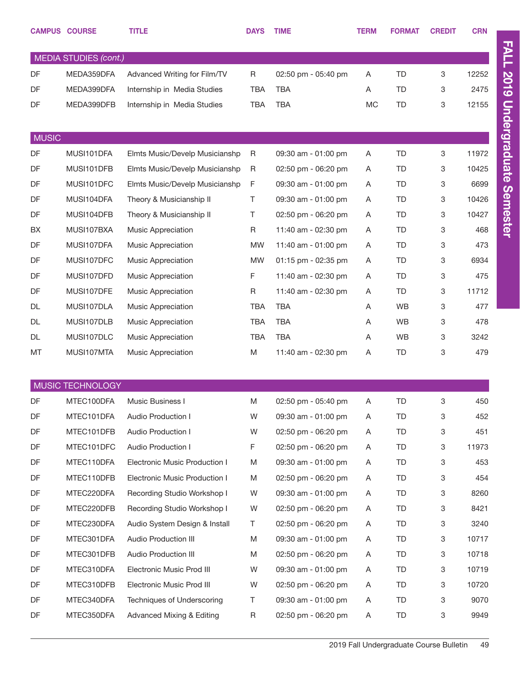|                              | <b>CAMPUS COURSE</b> | <b>TITLE</b>                         | <b>DAYS</b> | <b>TIME</b>         | <b>TERM</b> | <b>FORMAT</b> | <b>CREDIT</b>             | <b>CRN</b> |
|------------------------------|----------------------|--------------------------------------|-------------|---------------------|-------------|---------------|---------------------------|------------|
| <b>MEDIA STUDIES (cont.)</b> |                      |                                      |             |                     |             |               |                           |            |
| DF                           | MEDA359DFA           | Advanced Writing for Film/TV         | $\mathsf R$ | 02:50 pm - 05:40 pm | Α           | <b>TD</b>     | 3                         | 12252      |
| DF                           | MEDA399DFA           | Internship in Media Studies          | <b>TBA</b>  | <b>TBA</b>          | Α           | <b>TD</b>     | 3                         | 2475       |
| DF                           | MEDA399DFB           | Internship in Media Studies          | <b>TBA</b>  | <b>TBA</b>          | <b>MC</b>   | <b>TD</b>     | 3                         | 12155      |
|                              |                      |                                      |             |                     |             |               |                           |            |
| <b>MUSIC</b>                 |                      |                                      |             |                     |             |               |                           |            |
| DF                           | MUSI101DFA           | Elmts Music/Develp Musicianshp       | R           | 09:30 am - 01:00 pm | Α           | <b>TD</b>     | $\ensuremath{\mathsf{3}}$ | 11972      |
| DF                           | MUSI101DFB           | Elmts Music/Develp Musicianshp       | $\mathsf R$ | 02:50 pm - 06:20 pm | A           | <b>TD</b>     | 3                         | 10425      |
| DF                           | MUSI101DFC           | Elmts Music/Develp Musicianshp       | F           | 09:30 am - 01:00 pm | Α           | <b>TD</b>     | 3                         | 6699       |
| DF                           | MUSI104DFA           | Theory & Musicianship II             | Τ           | 09:30 am - 01:00 pm | Α           | <b>TD</b>     | 3                         | 10426      |
| DF                           | MUSI104DFB           | Theory & Musicianship II             | Τ           | 02:50 pm - 06:20 pm | Α           | <b>TD</b>     | 3                         | 10427      |
| BX                           | MUSI107BXA           | Music Appreciation                   | R           | 11:40 am - 02:30 pm | A           | <b>TD</b>     | 3                         | 468        |
| DF                           | MUSI107DFA           | Music Appreciation                   | <b>MW</b>   | 11:40 am - 01:00 pm | Α           | <b>TD</b>     | 3                         | 473        |
| DF                           | MUSI107DFC           | Music Appreciation                   | <b>MW</b>   | 01:15 pm - 02:35 pm | A           | <b>TD</b>     | 3                         | 6934       |
| DF                           | MUSI107DFD           | Music Appreciation                   | F           | 11:40 am - 02:30 pm | Α           | <b>TD</b>     | 3                         | 475        |
| DF                           | MUSI107DFE           | Music Appreciation                   | R           | 11:40 am - 02:30 pm | Α           | <b>TD</b>     | 3                         | 11712      |
| <b>DL</b>                    | MUSI107DLA           | Music Appreciation                   | <b>TBA</b>  | <b>TBA</b>          | Α           | <b>WB</b>     | 3                         | 477        |
| DL                           | MUSI107DLB           | Music Appreciation                   | <b>TBA</b>  | <b>TBA</b>          | A           | <b>WB</b>     | 3                         | 478        |
| DL                           | MUSI107DLC           | Music Appreciation                   | <b>TBA</b>  | <b>TBA</b>          | Α           | <b>WB</b>     | 3                         | 3242       |
| MT                           | MUSI107MTA           | Music Appreciation                   | M           | 11:40 am - 02:30 pm | Α           | TD            | 3                         | 479        |
|                              |                      |                                      |             |                     |             |               |                           |            |
|                              | MUSIC TECHNOLOGY     |                                      |             |                     |             |               |                           |            |
| DF                           | MTEC100DFA           | Music Business I                     | M           | 02:50 pm - 05:40 pm | A           | TD            |                           | 450        |
| DF                           | MTEC101DFA           | Audio Production I                   | W           | 09:30 am - 01:00 pm | A           | TD            | 3                         | 452        |
| DF                           | MTEC101DFB           | Audio Production I                   | W           | 02:50 pm - 06:20 pm | Α           | TD            | 3                         | 451        |
| DF                           | MTEC101DFC           | Audio Production I                   | F           | 02:50 pm - 06:20 pm | A           | TD            | 3                         | 11973      |
| DF                           | MTEC110DFA           | Electronic Music Production I        | M           | 09:30 am - 01:00 pm | A           | TD            | 3                         | 453        |
| DF                           | MTEC110DFB           | Electronic Music Production I        | M           | 02:50 pm - 06:20 pm | A           | TD            | 3                         | 454        |
| DF                           | MTEC220DFA           | Recording Studio Workshop I          | W           | 09:30 am - 01:00 pm | Α           | TD            | 3                         | 8260       |
| DF                           | MTEC220DFB           | Recording Studio Workshop I          | W           | 02:50 pm - 06:20 pm | A           | TD            | 3                         | 8421       |
| DF                           | MTEC230DFA           | Audio System Design & Install        | T.          | 02:50 pm - 06:20 pm | A           | TD            | 3                         | 3240       |
| DF                           | MTEC301DFA           | <b>Audio Production III</b>          | M           | 09:30 am - 01:00 pm | A           | TD            | 3                         | 10717      |
| DF                           | MTEC301DFB           | <b>Audio Production III</b>          | M           | 02:50 pm - 06:20 pm | A           | TD            | 3                         | 10718      |
| DF                           | MTEC310DFA           | Electronic Music Prod III            | W           | 09:30 am - 01:00 pm | A           | TD            | 3                         | 10719      |
| DF                           | MTEC310DFB           | Electronic Music Prod III            | W           | 02:50 pm - 06:20 pm | Α           | TD            | 3                         | 10720      |
| DF                           | MTEC340DFA           | Techniques of Underscoring           | Τ           | 09:30 am - 01:00 pm | Α           | <b>TD</b>     | 3                         | 9070       |
| DF                           | MTEC350DFA           | <b>Advanced Mixing &amp; Editing</b> | R           | 02:50 pm - 06:20 pm | A           | TD            | 3                         | 9949       |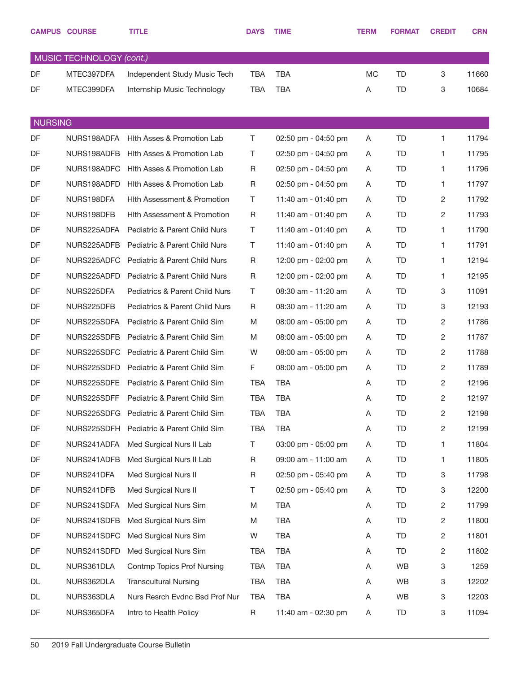|                | <b>CAMPUS COURSE</b>     | <b>TITLE</b>                             | <b>DAYS</b> | <b>TIME</b>         | <b>TERM</b> | <b>FORMAT</b> | <b>CREDIT</b>  | <b>CRN</b> |
|----------------|--------------------------|------------------------------------------|-------------|---------------------|-------------|---------------|----------------|------------|
|                | MUSIC TECHNOLOGY (cont.) |                                          |             |                     |             |               |                |            |
| DF             | MTEC397DFA               | Independent Study Music Tech             | <b>TBA</b>  | <b>TBA</b>          | MC          | TD            | 3              | 11660      |
| DF             | MTEC399DFA               | Internship Music Technology              | <b>TBA</b>  | <b>TBA</b>          | Α           | TD            | 3              | 10684      |
|                |                          |                                          |             |                     |             |               |                |            |
| <b>NURSING</b> |                          |                                          |             |                     |             |               |                |            |
| DF             | NURS198ADFA              | Hith Asses & Promotion Lab               | Τ           | 02:50 pm - 04:50 pm | Α           | <b>TD</b>     | 1              | 11794      |
| DF             | NURS198ADFB              | Hith Asses & Promotion Lab               | Τ           | 02:50 pm - 04:50 pm | Α           | <b>TD</b>     | 1              | 11795      |
| DF             | NURS198ADFC              | Hith Asses & Promotion Lab               | R           | 02:50 pm - 04:50 pm | A           | TD            | 1.             | 11796      |
| DF             | NURS198ADFD              | Hith Asses & Promotion Lab               | $\mathsf R$ | 02:50 pm - 04:50 pm | Α           | TD            | 1.             | 11797      |
| DF             | NURS198DFA               | <b>Hith Assessment &amp; Promotion</b>   | Τ           | 11:40 am - 01:40 pm | Α           | TD            | 2              | 11792      |
| DF             | NURS198DFB               | Hith Assessment & Promotion              | $\mathsf R$ | 11:40 am - 01:40 pm | Α           | <b>TD</b>     | 2              | 11793      |
| DF             | NURS225ADFA              | Pediatric & Parent Child Nurs            | Τ           | 11:40 am - 01:40 pm | A           | TD            | 1.             | 11790      |
| DF             | NURS225ADFB              | Pediatric & Parent Child Nurs            | Τ           | 11:40 am - 01:40 pm | Α           | TD            | 1.             | 11791      |
| DF             | NURS225ADFC              | Pediatric & Parent Child Nurs            | $\mathsf R$ | 12:00 pm - 02:00 pm | A           | <b>TD</b>     | 1.             | 12194      |
| DF             | NURS225ADFD              | Pediatric & Parent Child Nurs            | $\mathsf R$ | 12:00 pm - 02:00 pm | A           | TD            | 1.             | 12195      |
| DF             | NURS225DFA               | Pediatrics & Parent Child Nurs           | Τ           | 08:30 am - 11:20 am | A           | TD            | 3              | 11091      |
| DF             | NURS225DFB               | Pediatrics & Parent Child Nurs           | $\mathsf R$ | 08:30 am - 11:20 am | Α           | <b>TD</b>     | 3              | 12193      |
| DF             | NURS225SDFA              | Pediatric & Parent Child Sim             | M           | 08:00 am - 05:00 pm | A           | TD            | 2              | 11786      |
| DF             | NURS225SDFB              | Pediatric & Parent Child Sim             | M           | 08:00 am - 05:00 pm | A           | TD            | 2              | 11787      |
| DF             | NURS225SDFC              | Pediatric & Parent Child Sim             | W           | 08:00 am - 05:00 pm | A           | <b>TD</b>     | 2              | 11788      |
| DF             | NURS225SDFD              | Pediatric & Parent Child Sim             | F           | 08:00 am - 05:00 pm | Α           | TD            | 2              | 11789      |
| DF             | NURS225SDFE              | Pediatric & Parent Child Sim             | <b>TBA</b>  | <b>TBA</b>          | A           | <b>TD</b>     | 2              | 12196      |
| DF             | NURS225SDFF              | Pediatric & Parent Child Sim             | <b>TBA</b>  | <b>TBA</b>          | A           | TD            | 2              | 12197      |
| DF             |                          | NURS225SDFG Pediatric & Parent Child Sim | <b>TBA</b>  | <b>TBA</b>          | A           | TD            | $\overline{2}$ | 12198      |
| DF             | NURS225SDFH              | Pediatric & Parent Child Sim             | <b>TBA</b>  | <b>TBA</b>          | A           | TD            | 2              | 12199      |
| DF             | NURS241ADFA              | Med Surgical Nurs II Lab                 | Τ           | 03:00 pm - 05:00 pm | A           | TD            | 1.             | 11804      |
| DF             | NURS241ADFB              | Med Surgical Nurs II Lab                 | $\mathsf R$ | 09:00 am - 11:00 am | A           | TD            | 1.             | 11805      |
| DF             | NURS241DFA               | <b>Med Surgical Nurs II</b>              | R           | 02:50 pm - 05:40 pm | A           | TD            | 3              | 11798      |
| DF             | NURS241DFB               | Med Surgical Nurs II                     | Τ           | 02:50 pm - 05:40 pm | A           | TD            | 3              | 12200      |
| DF             | NURS241SDFA              | Med Surgical Nurs Sim                    | M           | <b>TBA</b>          | A           | TD            | $\overline{c}$ | 11799      |
| DF             | NURS241SDFB              | Med Surgical Nurs Sim                    | M           | <b>TBA</b>          | A           | TD            | $\overline{2}$ | 11800      |
| DF             | NURS241SDFC              | Med Surgical Nurs Sim                    | W           | <b>TBA</b>          | A           | TD            | 2              | 11801      |
| DF             | NURS241SDFD              | Med Surgical Nurs Sim                    | TBA         | <b>TBA</b>          | A           | TD            | $\overline{2}$ | 11802      |
| DL             | NURS361DLA               | <b>Contmp Topics Prof Nursing</b>        | TBA         | <b>TBA</b>          | A           | WB            | 3              | 1259       |
| DL             | NURS362DLA               | <b>Transcultural Nursing</b>             | TBA         | <b>TBA</b>          | A           | WB            | 3              | 12202      |
| DL             | NURS363DLA               | Nurs Resrch Evdnc Bsd Prof Nur           | TBA         | <b>TBA</b>          | Α           | WB            | 3              | 12203      |
| DF             | NURS365DFA               | Intro to Health Policy                   | R           | 11:40 am - 02:30 pm | A           | TD            | 3              | 11094      |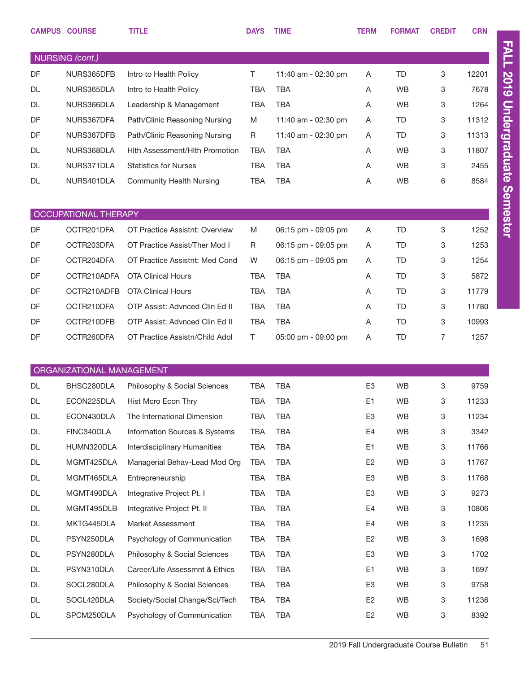|                 | <b>CAMPUS COURSE</b>      | <b>TITLE</b>                        | <b>DAYS</b> | <b>TIME</b>         | <b>TERM</b>    | <b>FORMAT</b> | <b>CREDIT</b> | <b>CRN</b> |  |
|-----------------|---------------------------|-------------------------------------|-------------|---------------------|----------------|---------------|---------------|------------|--|
| NURSING (cont.) |                           |                                     |             |                     |                |               |               |            |  |
| DF              | NURS365DFB                | Intro to Health Policy              | T.          | 11:40 am - 02:30 pm | A              | <b>TD</b>     | 3             | 12201      |  |
| DL              | NURS365DLA                | Intro to Health Policy              | <b>TBA</b>  | TBA                 | A              | <b>WB</b>     | 3             | 7678       |  |
| DL              | NURS366DLA                | Leadership & Management             | <b>TBA</b>  | <b>TBA</b>          | Α              | <b>WB</b>     | 3             | 1264       |  |
| DF              | NURS367DFA                | Path/Clinic Reasoning Nursing       | M           | 11:40 am - 02:30 pm | A              | <b>TD</b>     | 3             | 11312      |  |
| DF              | NURS367DFB                | Path/Clinic Reasoning Nursing       | R           | 11:40 am - 02:30 pm | A              | <b>TD</b>     | 3             | 11313      |  |
| DL              | NURS368DLA                | Hith Assessment/Hith Promotion      | <b>TBA</b>  | TBA                 | A              | <b>WB</b>     | 3             | 11807      |  |
| DL              | NURS371DLA                | <b>Statistics for Nurses</b>        | <b>TBA</b>  | <b>TBA</b>          | A              | <b>WB</b>     | 3             | 2455       |  |
| DL              | NURS401DLA                | <b>Community Health Nursing</b>     | TBA         | <b>TBA</b>          | Α              | <b>WB</b>     | 6             | 8584       |  |
|                 |                           |                                     |             |                     |                |               |               |            |  |
|                 | OCCUPATIONAL THERAPY      |                                     |             |                     |                |               |               |            |  |
| DF              | OCTR201DFA                | OT Practice Assistnt: Overview      | M           | 06:15 pm - 09:05 pm | A              | <b>TD</b>     | 3             | 1252       |  |
| DF              | OCTR203DFA                | OT Practice Assist/Ther Mod I       | R           | 06:15 pm - 09:05 pm | A              | <b>TD</b>     | 3             | 1253       |  |
| DF              | OCTR204DFA                | OT Practice Assistnt: Med Cond      | W           | 06:15 pm - 09:05 pm | A              | <b>TD</b>     | 3             | 1254       |  |
| DF              | OCTR210ADFA               | <b>OTA Clinical Hours</b>           | <b>TBA</b>  | <b>TBA</b>          | A              | <b>TD</b>     | 3             | 5872       |  |
| DF              | OCTR210ADFB               | <b>OTA Clinical Hours</b>           | <b>TBA</b>  | TBA                 | A              | <b>TD</b>     | 3             | 11779      |  |
| DF              | OCTR210DFA                | OTP Assist: Advnced Clin Ed II      | <b>TBA</b>  | <b>TBA</b>          | A              | <b>TD</b>     | 3             | 11780      |  |
| DF              | OCTR210DFB                | OTP Assist: Advnced Clin Ed II      | <b>TBA</b>  | <b>TBA</b>          | A              | <b>TD</b>     | 3             | 10993      |  |
| DF              | OCTR260DFA                | OT Practice Assistn/Child Adol      | T.          | 05:00 pm - 09:00 pm | Α              | <b>TD</b>     | 7             | 1257       |  |
|                 | ORGANIZATIONAL MANAGEMENT |                                     |             |                     |                |               |               |            |  |
| DL              | BHSC280DLA                | Philosophy & Social Sciences        | <b>TBA</b>  | <b>TBA</b>          | E <sub>3</sub> | <b>WB</b>     | 3             | 9759       |  |
| DL              |                           | ECON225DLA Hist Mcro Econ Thry      | TBA         | <b>TBA</b>          | E1             | WB            | $\mathbf{3}$  | 11233      |  |
| DL              | ECON430DLA                | The International Dimension         | <b>TBA</b>  | <b>TBA</b>          | E <sub>3</sub> | <b>WB</b>     | 3             | 11234      |  |
| DL              | FINC340DLA                | Information Sources & Systems       | TBA         | <b>TBA</b>          | E4             | WB            | 3             | 3342       |  |
| DL              | HUMN320DLA                | <b>Interdisciplinary Humanities</b> | TBA         | <b>TBA</b>          | E1             | <b>WB</b>     | 3             | 11766      |  |
| DL              | MGMT425DLA                | Managerial Behav-Lead Mod Org       | TBA         | <b>TBA</b>          | E <sub>2</sub> | WB            | 3             | 11767      |  |
| DL              | MGMT465DLA                | Entrepreneurship                    | TBA         | <b>TBA</b>          | E <sub>3</sub> | WB            | 3             | 11768      |  |
| DL              | MGMT490DLA                | Integrative Project Pt. I           | TBA         | <b>TBA</b>          | E <sub>3</sub> | WB            | 3             | 9273       |  |
| DL              | MGMT495DLB                | Integrative Project Pt. II          | <b>TBA</b>  | <b>TBA</b>          | E4             | WB            | 3             | 10806      |  |
| DL              | MKTG445DLA                | Market Assessment                   | TBA         | <b>TBA</b>          | E4             | WB            | 3             | 11235      |  |
| DL              | PSYN250DLA                | Psychology of Communication         | TBA         | <b>TBA</b>          | E <sub>2</sub> | <b>WB</b>     | 3             | 1698       |  |
| DL              | PSYN280DLA                | Philosophy & Social Sciences        | TBA         | <b>TBA</b>          | E <sub>3</sub> | WB            | 3             | 1702       |  |
| DL              | PSYN310DLA                | Career/Life Assessmnt & Ethics      | TBA         | <b>TBA</b>          | E1             | <b>WB</b>     | 3             | 1697       |  |
| DL              | SOCL280DLA                | Philosophy & Social Sciences        | TBA         | <b>TBA</b>          | E <sub>3</sub> | WB            | 3             | 9758       |  |
| DL              | SOCL420DLA                | Society/Social Change/Sci/Tech      | TBA         | <b>TBA</b>          | E <sub>2</sub> | <b>WB</b>     | 3             | 11236      |  |
| DL              | SPCM250DLA                | Psychology of Communication         | TBA         | <b>TBA</b>          | E <sub>2</sub> | WB            | 3             | 8392       |  |

2019 Fall Undergraduate Course Bulletin 51

FALL 2019 Undergraduate Semester

FALL 2019 Undergraduate Semester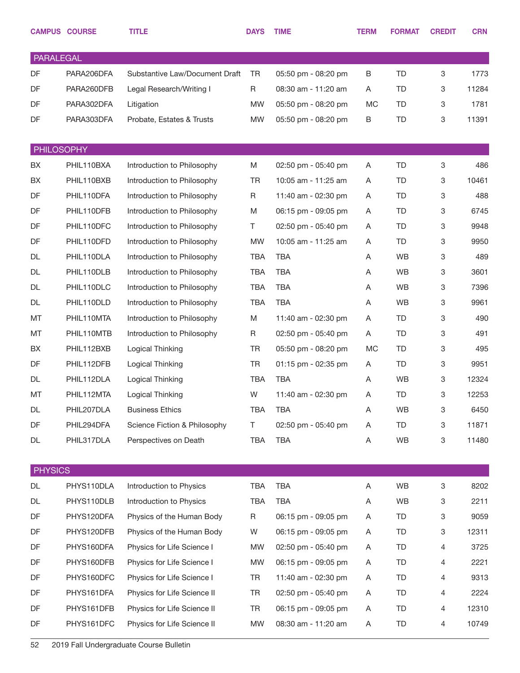|            | <b>CAMPUS COURSE</b> | <b>TITLE</b>                   | <b>DAYS</b> | <b>TIME</b>         | <b>TERM</b> | <b>FORMAT</b> | <b>CREDIT</b> | <b>CRN</b> |
|------------|----------------------|--------------------------------|-------------|---------------------|-------------|---------------|---------------|------------|
| PARALEGAL  |                      |                                |             |                     |             |               |               |            |
| DF         | PARA206DFA           | Substantive Law/Document Draft | <b>TR</b>   | 05:50 pm - 08:20 pm | B           | <b>TD</b>     | 3             | 1773       |
| DF         | PARA260DFB           | Legal Research/Writing I       | R           | 08:30 am - 11:20 am | A           | TD            | 3             | 11284      |
| DF         | PARA302DFA           | Litigation                     | <b>MW</b>   | 05:50 pm - 08:20 pm | <b>MC</b>   | TD            | 3             | 1781       |
| DF         | PARA303DFA           | Probate, Estates & Trusts      | <b>MW</b>   | 05:50 pm - 08:20 pm | B           | TD            | 3             | 11391      |
|            |                      |                                |             |                     |             |               |               |            |
| PHILOSOPHY |                      |                                |             |                     |             |               |               |            |
| BX         | PHIL110BXA           | Introduction to Philosophy     | M           | 02:50 pm - 05:40 pm | Α           | TD            | 3             | 486        |
| BX         | PHIL110BXB           | Introduction to Philosophy     | <b>TR</b>   | 10:05 am - 11:25 am | Α           | TD            | 3             | 10461      |
| DF         | PHIL110DFA           | Introduction to Philosophy     | R           | 11:40 am - 02:30 pm | A           | TD            | 3             | 488        |
| DF         | PHIL110DFB           | Introduction to Philosophy     | M           | 06:15 pm - 09:05 pm | Α           | TD            | 3             | 6745       |
| DF         | PHIL110DFC           | Introduction to Philosophy     | T.          | 02:50 pm - 05:40 pm | A           | TD            | 3             | 9948       |
| DF         | PHIL110DFD           | Introduction to Philosophy     | <b>MW</b>   | 10:05 am - 11:25 am | Α           | TD            | 3             | 9950       |
| DL         | PHIL110DLA           | Introduction to Philosophy     | <b>TBA</b>  | <b>TBA</b>          | Α           | <b>WB</b>     | 3             | 489        |
| DL         | PHIL110DLB           | Introduction to Philosophy     | <b>TBA</b>  | <b>TBA</b>          | Α           | <b>WB</b>     | 3             | 3601       |
| DL         | PHIL110DLC           | Introduction to Philosophy     | <b>TBA</b>  | <b>TBA</b>          | Α           | <b>WB</b>     | 3             | 7396       |
| DL         | PHIL110DLD           | Introduction to Philosophy     | <b>TBA</b>  | <b>TBA</b>          | Α           | <b>WB</b>     | 3             | 9961       |
| MT         | PHIL110MTA           | Introduction to Philosophy     | M           | 11:40 am - 02:30 pm | Α           | TD            | 3             | 490        |
| MT         | PHIL110MTB           | Introduction to Philosophy     | R           | 02:50 pm - 05:40 pm | Α           | TD            | 3             | 491        |
| BX         | PHIL112BXB           | Logical Thinking               | <b>TR</b>   | 05:50 pm - 08:20 pm | <b>MC</b>   | TD            | 3             | 495        |
| DF         | PHIL112DFB           | Logical Thinking               | <b>TR</b>   | 01:15 pm - 02:35 pm | A           | TD            | 3             | 9951       |
| DL         | PHIL112DLA           | Logical Thinking               | <b>TBA</b>  | <b>TBA</b>          | A           | <b>WB</b>     | 3             | 12324      |
| MT         | PHIL112MTA           | Logical Thinking               | W           | 11:40 am - 02:30 pm | Α           | TD            | 3             | 12253      |
| DL         | PHIL207DLA           | <b>Business Ethics</b>         | <b>TBA</b>  | <b>TBA</b>          | Α           | <b>WB</b>     | 3             | 6450       |
| DF         | PHIL294DFA           | Science Fiction & Philosophy   | T           | 02:50 pm - 05:40 pm | Α           | TD            | 3             | 11871      |
| DL         | PHIL317DLA           | Perspectives on Death          | TBA         | <b>TBA</b>          | Α           | WB            | 3             | 11480      |
|            |                      |                                |             |                     |             |               |               |            |
| PHYSICS    |                      |                                |             |                     |             |               |               |            |
| DL         | PHYS110DLA           | Introduction to Physics        | <b>TBA</b>  | <b>TBA</b>          | Α           | <b>WB</b>     | 3             | 8202       |
| DL         | PHYS110DLB           | Introduction to Physics        | <b>TBA</b>  | <b>TBA</b>          | Α           | WB            | 3             | 2211       |
| DF         | PHYS120DFA           | Physics of the Human Body      | $\mathsf R$ | 06:15 pm - 09:05 pm | A           | TD            | 3             | 9059       |
| DF         | PHYS120DFB           | Physics of the Human Body      | W           | 06:15 pm - 09:05 pm | A           | TD            | 3             | 12311      |
| DF         | PHYS160DFA           | Physics for Life Science I     | <b>MW</b>   | 02:50 pm - 05:40 pm | A           | TD            | 4             | 3725       |
| DF         | PHYS160DFB           | Physics for Life Science I     | <b>MW</b>   | 06:15 pm - 09:05 pm | A           | TD            | 4             | 2221       |
| DF         | PHYS160DFC           | Physics for Life Science I     | <b>TR</b>   | 11:40 am - 02:30 pm | A           | TD            | 4             | 9313       |
| DF         | PHYS161DFA           | Physics for Life Science II    | <b>TR</b>   | 02:50 pm - 05:40 pm | A           | TD            | 4             | 2224       |
| DF         | PHYS161DFB           | Physics for Life Science II    | TR          | 06:15 pm - 09:05 pm | A           | TD            | 4             | 12310      |
| DF         | PHYS161DFC           | Physics for Life Science II    | <b>MW</b>   | 08:30 am - 11:20 am | Α           | TD            | 4             | 10749      |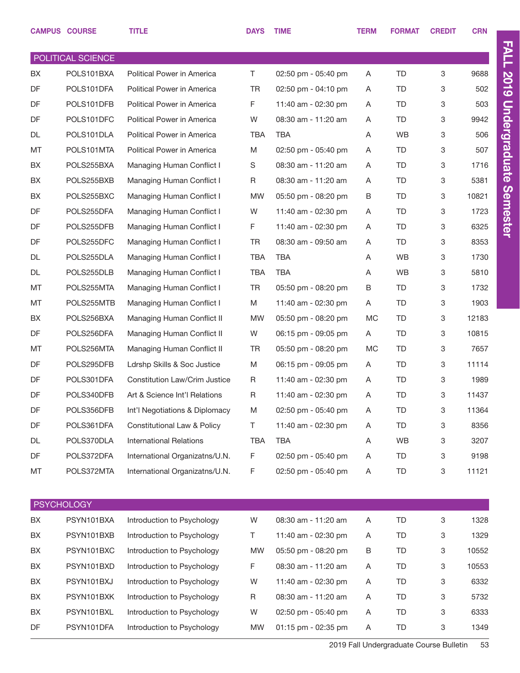|           | <b>CAMPUS COURSE</b> | <b>TITLE</b>                         | <b>DAYS</b> | <b>TIME</b>         | <b>TERM</b> | <b>FORMAT</b> | <b>CREDIT</b> | <b>CRN</b> |
|-----------|----------------------|--------------------------------------|-------------|---------------------|-------------|---------------|---------------|------------|
|           | POLITICAL SCIENCE    |                                      |             |                     |             |               |               |            |
| BX        | POLS101BXA           | Political Power in America           | T.          | 02:50 pm - 05:40 pm | A           | TD            | 3             | 9688       |
| <b>DF</b> | POLS101DFA           | Political Power in America           | <b>TR</b>   | 02:50 pm - 04:10 pm | A           | TD            | 3             | 502        |
| DF        | POLS101DFB           | Political Power in America           | F.          | 11:40 am - 02:30 pm | A           | TD            | 3             | 503        |
| DF        | POLS101DFC           | Political Power in America           | W           | 08:30 am - 11:20 am | A           | TD            | 3             | 9942       |
| DL        | POLS101DLA           | Political Power in America           | <b>TBA</b>  | <b>TBA</b>          | Α           | <b>WB</b>     | 3             | 506        |
| MT        | POLS101MTA           | Political Power in America           | M           | 02:50 pm - 05:40 pm | A           | TD            | 3             | 507        |
| BX        | POLS255BXA           | Managing Human Conflict I            | S           | 08:30 am - 11:20 am | A           | TD            | 3             | 1716       |
| BX        | POLS255BXB           | Managing Human Conflict I            | R           | 08:30 am - 11:20 am | A           | TD            | 3             | 5381       |
| BX        | POLS255BXC           | Managing Human Conflict I            | <b>MW</b>   | 05:50 pm - 08:20 pm | B           | TD            | 3             | 10821      |
| DF        | POLS255DFA           | Managing Human Conflict I            | W           | 11:40 am - 02:30 pm | A           | TD            | 3             | 1723       |
| DF        | POLS255DFB           | Managing Human Conflict I            | F.          | 11:40 am - 02:30 pm | A           | TD            | 3             | 6325       |
| DF        | POLS255DFC           | Managing Human Conflict I            | <b>TR</b>   | 08:30 am - 09:50 am | A           | TD            | 3             | 8353       |
| <b>DL</b> | POLS255DLA           | Managing Human Conflict I            | <b>TBA</b>  | <b>TBA</b>          | A           | <b>WB</b>     | 3             | 1730       |
| DL        | POLS255DLB           | Managing Human Conflict I            | <b>TBA</b>  | <b>TBA</b>          | A           | <b>WB</b>     | 3             | 5810       |
| MT        | POLS255MTA           | Managing Human Conflict I            | <b>TR</b>   | 05:50 pm - 08:20 pm | B           | TD            | 3             | 1732       |
| MT        | POLS255MTB           | Managing Human Conflict I            | M           | 11:40 am - 02:30 pm | A           | TD            | 3             | 1903       |
| BX        | POLS256BXA           | Managing Human Conflict II           | <b>MW</b>   | 05:50 pm - 08:20 pm | <b>MC</b>   | <b>TD</b>     | 3             | 12183      |
| DF        | POLS256DFA           | Managing Human Conflict II           | W           | 06:15 pm - 09:05 pm | A           | TD            | 3             | 10815      |
| MT        | POLS256MTA           | Managing Human Conflict II           | TR          | 05:50 pm - 08:20 pm | <b>MC</b>   | TD            | 3             | 7657       |
| DF        | POLS295DFB           | Ldrshp Skills & Soc Justice          | M           | 06:15 pm - 09:05 pm | A           | TD            | 3             | 11114      |
| DF        | POLS301DFA           | <b>Constitution Law/Crim Justice</b> | R           | 11:40 am - 02:30 pm | A           | TD            | 3             | 1989       |
| DF        | POLS340DFB           | Art & Science Int'l Relations        | R           | 11:40 am - 02:30 pm | Α           | <b>TD</b>     | 3             | 11437      |
| DF        | POLS356DFB           | Int'l Negotiations & Diplomacy       | M           | 02:50 pm - 05:40 pm | Α           | TD            | 3             | 11364      |
| DF        | POLS361DFA           | Constitutional Law & Policy          | Τ           | 11:40 am - 02:30 pm | A           | TD            | 3             | 8356       |
| DL        | POLS370DLA           | <b>International Relations</b>       | <b>TBA</b>  | <b>TBA</b>          | Α           | WB            | 3             | 3207       |
| DF        | POLS372DFA           | International Organizatns/U.N.       | F           | 02:50 pm - 05:40 pm | Α           | TD            | 3             | 9198       |
| MT        | POLS372MTA           | International Organizatns/U.N.       | F           | 02:50 pm - 05:40 pm | Α           | TD            | 3             | 11121      |
|           |                      |                                      |             |                     |             |               |               |            |
|           | <b>PSYCHOLOGY</b>    |                                      |             |                     |             |               |               |            |
| BX        | PSYN101BXA           | Introduction to Psychology           | W           | 08:30 am - 11:20 am | A           | TD            | 3             | 1328       |
| BX        | PSYN101BXB           | Introduction to Psychology           | Τ           | 11:40 am - 02:30 pm | A           | TD            | 3             | 1329       |
| BX        | PSYN101BXC           | Introduction to Psychology           | <b>MW</b>   | 05:50 pm - 08:20 pm | B           | TD            | 3             | 10552      |
| BX        | PSYN101BXD           | Introduction to Psychology           | F           | 08:30 am - 11:20 am | A           | TD            | 3             | 10553      |
| BX        | PSYN101BXJ           | Introduction to Psychology           | W           | 11:40 am - 02:30 pm | A           | TD            | 3             | 6332       |
| BX        | PSYN101BXK           | Introduction to Psychology           | R           | 08:30 am - 11:20 am | A           | TD            | 3             | 5732       |
| BX        | PSYN101BXL           | Introduction to Psychology           | W           | 02:50 pm - 05:40 pm | A           | TD            | 3             | 6333       |

DF PSYN101DFA Introduction to Psychology MW 01:15 pm - 02:35 pm A TD 3 1349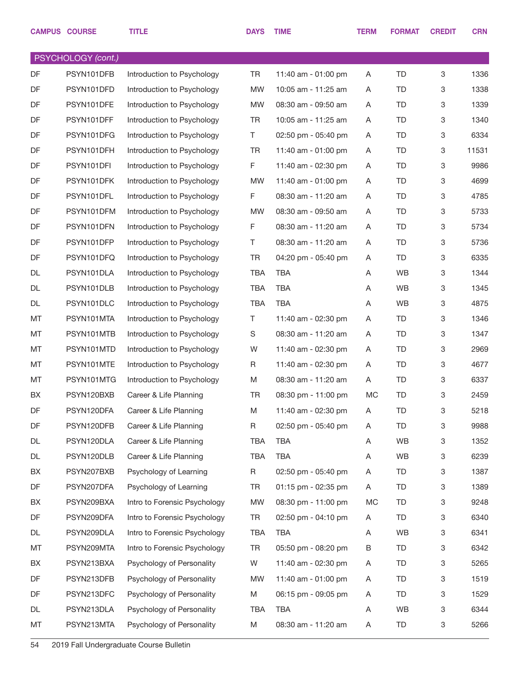|           | <b>CAMPUS COURSE</b> | <b>TITLE</b>                 | <b>DAYS</b> | <b>TIME</b>         | <b>TERM</b> | <b>FORMAT</b> | <b>CREDIT</b> | <b>CRN</b> |
|-----------|----------------------|------------------------------|-------------|---------------------|-------------|---------------|---------------|------------|
|           | PSYCHOLOGY (cont.)   |                              |             |                     |             |               |               |            |
| DF        | PSYN101DFB           | Introduction to Psychology   | TR          | 11:40 am - 01:00 pm | A           | <b>TD</b>     | 3             | 1336       |
| DF        | PSYN101DFD           | Introduction to Psychology   | <b>MW</b>   | 10:05 am - 11:25 am | A           | <b>TD</b>     | 3             | 1338       |
| DF        | PSYN101DFE           | Introduction to Psychology   | <b>MW</b>   | 08:30 am - 09:50 am | A           | TD            | 3             | 1339       |
| DF        | PSYN101DFF           | Introduction to Psychology   | <b>TR</b>   | 10:05 am - 11:25 am | A           | <b>TD</b>     | 3             | 1340       |
| DF        | PSYN101DFG           | Introduction to Psychology   | T.          | 02:50 pm - 05:40 pm | A           | TD            | 3             | 6334       |
| DF        | PSYN101DFH           | Introduction to Psychology   | <b>TR</b>   | 11:40 am - 01:00 pm | Α           | <b>TD</b>     | 3             | 11531      |
| DF        | PSYN101DFI           | Introduction to Psychology   | F           | 11:40 am - 02:30 pm | Α           | TD            | 3             | 9986       |
| DF        | PSYN101DFK           | Introduction to Psychology   | <b>MW</b>   | 11:40 am - 01:00 pm | A           | TD            | 3             | 4699       |
| DF        | PSYN101DFL           | Introduction to Psychology   | F           | 08:30 am - 11:20 am | Α           | TD            | 3             | 4785       |
| DF        | PSYN101DFM           | Introduction to Psychology   | <b>MW</b>   | 08:30 am - 09:50 am | A           | <b>TD</b>     | 3             | 5733       |
| DF        | PSYN101DFN           | Introduction to Psychology   | F           | 08:30 am - 11:20 am | A           | TD            | 3             | 5734       |
| DF        | PSYN101DFP           | Introduction to Psychology   | T.          | 08:30 am - 11:20 am | A           | TD            | 3             | 5736       |
| DF        | PSYN101DFQ           | Introduction to Psychology   | <b>TR</b>   | 04:20 pm - 05:40 pm | Α           | TD            | 3             | 6335       |
| <b>DL</b> | PSYN101DLA           | Introduction to Psychology   | <b>TBA</b>  | <b>TBA</b>          | Α           | WB            | 3             | 1344       |
| <b>DL</b> | PSYN101DLB           | Introduction to Psychology   | <b>TBA</b>  | <b>TBA</b>          | Α           | WB            | 3             | 1345       |
| <b>DL</b> | PSYN101DLC           | Introduction to Psychology   | <b>TBA</b>  | <b>TBA</b>          | Α           | WB            | 3             | 4875       |
| MT        | PSYN101MTA           | Introduction to Psychology   | T.          | 11:40 am - 02:30 pm | Α           | TD            | 3             | 1346       |
| MT        | PSYN101MTB           | Introduction to Psychology   | S           | 08:30 am - 11:20 am | Α           | TD            | 3             | 1347       |
| MT        | PSYN101MTD           | Introduction to Psychology   | W           | 11:40 am - 02:30 pm | Α           | TD            | 3             | 2969       |
| MT        | PSYN101MTE           | Introduction to Psychology   | R           | 11:40 am - 02:30 pm | A           | TD            | 3             | 4677       |
| MT        | PSYN101MTG           | Introduction to Psychology   | M           | 08:30 am - 11:20 am | Α           | TD            | 3             | 6337       |
| BX        | PSYN120BXB           | Career & Life Planning       | <b>TR</b>   | 08:30 pm - 11:00 pm | <b>MC</b>   | <b>TD</b>     | 3             | 2459       |
| DF        | PSYN120DFA           | Career & Life Planning       | M           | 11:40 am - 02:30 pm | Α           | TD            | 3             | 5218       |
| DF        | PSYN120DFB           | Career & Life Planning       | R           | 02:50 pm - 05:40 pm | Α           | TD            | 3             | 9988       |
| DL        | PSYN120DLA           | Career & Life Planning       | TBA         | <b>TBA</b>          | Α           | WB            | 3             | 1352       |
| DL        | PSYN120DLB           | Career & Life Planning       | <b>TBA</b>  | <b>TBA</b>          | Α           | WB            | 3             | 6239       |
| BX        | PSYN207BXB           | Psychology of Learning       | R           | 02:50 pm - 05:40 pm | Α           | TD            | 3             | 1387       |
| DF        | PSYN207DFA           | Psychology of Learning       | TR          | 01:15 pm - 02:35 pm | A           | TD            | 3             | 1389       |
| BX        | PSYN209BXA           | Intro to Forensic Psychology | MW          | 08:30 pm - 11:00 pm | МC          | TD            | 3             | 9248       |
| DF        | PSYN209DFA           | Intro to Forensic Psychology | TR          | 02:50 pm - 04:10 pm | A           | TD            | 3             | 6340       |
| DL        | PSYN209DLA           | Intro to Forensic Psychology | <b>TBA</b>  | <b>TBA</b>          | A           | WB            | 3             | 6341       |
| MT        | PSYN209MTA           | Intro to Forensic Psychology | TR          | 05:50 pm - 08:20 pm | B           | TD            | 3             | 6342       |
| BX        | PSYN213BXA           | Psychology of Personality    | W           | 11:40 am - 02:30 pm | Α           | TD            | 3             | 5265       |
| DF        | PSYN213DFB           | Psychology of Personality    | MW          | 11:40 am - 01:00 pm | A           | TD            | 3             | 1519       |
| DF        | PSYN213DFC           | Psychology of Personality    | M           | 06:15 pm - 09:05 pm | A           | TD            | 3             | 1529       |
| DL        | PSYN213DLA           | Psychology of Personality    | TBA         | <b>TBA</b>          | Α           | WB            | 3             | 6344       |
| MT        | PSYN213MTA           | Psychology of Personality    | M           | 08:30 am - 11:20 am | A           | TD            | 3             | 5266       |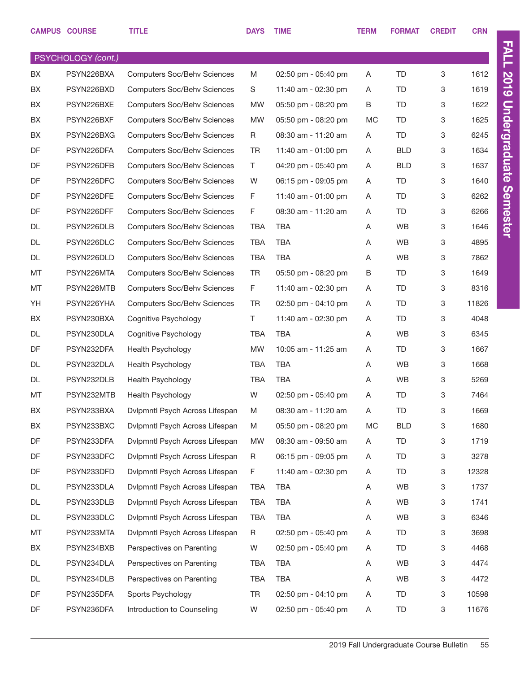|           | <b>CAMPUS COURSE</b> | <b>TITLE</b>                       | <b>DAYS</b> | <b>TIME</b>         | <b>TERM</b> | <b>FORMAT</b> | <b>CREDIT</b> | <b>CRN</b> |
|-----------|----------------------|------------------------------------|-------------|---------------------|-------------|---------------|---------------|------------|
|           | PSYCHOLOGY (cont.)   |                                    |             |                     |             |               |               |            |
| BX        | PSYN226BXA           | <b>Computers Soc/Behv Sciences</b> | M           | 02:50 pm - 05:40 pm | A           | <b>TD</b>     | 3             | 1612       |
| BX        | PSYN226BXD           | <b>Computers Soc/Behv Sciences</b> | S           | 11:40 am - 02:30 pm | A           | <b>TD</b>     | 3             | 1619       |
| BX        | PSYN226BXE           | <b>Computers Soc/Behv Sciences</b> | <b>MW</b>   | 05:50 pm - 08:20 pm | Β           | <b>TD</b>     | 3             | 1622       |
| BX        | PSYN226BXF           | <b>Computers Soc/Behv Sciences</b> | <b>MW</b>   | 05:50 pm - 08:20 pm | MC          | <b>TD</b>     | 3             | 1625       |
| BX        | PSYN226BXG           | <b>Computers Soc/Behv Sciences</b> | R           | 08:30 am - 11:20 am | A           | <b>TD</b>     | 3             | 6245       |
| DF        | PSYN226DFA           | <b>Computers Soc/Behv Sciences</b> | <b>TR</b>   | 11:40 am - 01:00 pm | A           | <b>BLD</b>    | 3             | 1634       |
| DF        | PSYN226DFB           | <b>Computers Soc/Behv Sciences</b> | T.          | 04:20 pm - 05:40 pm | A           | <b>BLD</b>    | 3             | 1637       |
| DF        | PSYN226DFC           | <b>Computers Soc/Behv Sciences</b> | W           | 06:15 pm - 09:05 pm | Α           | TD            | 3             | 1640       |
| DF        | PSYN226DFE           | <b>Computers Soc/Behv Sciences</b> | F           | 11:40 am - 01:00 pm | A           | <b>TD</b>     | 3             | 6262       |
| DF        | PSYN226DFF           | <b>Computers Soc/Behv Sciences</b> | F           | 08:30 am - 11:20 am | A           | TD            | 3             | 6266       |
| <b>DL</b> | PSYN226DLB           | <b>Computers Soc/Behv Sciences</b> | <b>TBA</b>  | <b>TBA</b>          | A           | <b>WB</b>     | 3             | 1646       |
| <b>DL</b> | PSYN226DLC           | <b>Computers Soc/Behv Sciences</b> | <b>TBA</b>  | <b>TBA</b>          | A           | WB            | 3             | 4895       |
| <b>DL</b> | PSYN226DLD           | <b>Computers Soc/Behv Sciences</b> | <b>TBA</b>  | <b>TBA</b>          | A           | <b>WB</b>     | 3             | 7862       |
| MT        | PSYN226MTA           | <b>Computers Soc/Behv Sciences</b> | <b>TR</b>   | 05:50 pm - 08:20 pm | В           | TD            | 3             | 1649       |
| MT        | PSYN226MTB           | <b>Computers Soc/Behv Sciences</b> | F           | 11:40 am - 02:30 pm | A           | <b>TD</b>     | 3             | 8316       |
| YH        | PSYN226YHA           | <b>Computers Soc/Behv Sciences</b> | <b>TR</b>   | 02:50 pm - 04:10 pm | Α           | <b>TD</b>     | 3             | 11826      |
| BX        | PSYN230BXA           | Cognitive Psychology               | T           | 11:40 am - 02:30 pm | A           | <b>TD</b>     | 3             | 4048       |
| <b>DL</b> | PSYN230DLA           | Cognitive Psychology               | <b>TBA</b>  | <b>TBA</b>          | A           | <b>WB</b>     | 3             | 6345       |
| DF        | PSYN232DFA           | Health Psychology                  | <b>MW</b>   | 10:05 am - 11:25 am | A           | <b>TD</b>     | 3             | 1667       |
| <b>DL</b> | PSYN232DLA           | <b>Health Psychology</b>           | <b>TBA</b>  | <b>TBA</b>          | A           | WB            | 3             | 1668       |
| DL        | PSYN232DLB           | Health Psychology                  | <b>TBA</b>  | <b>TBA</b>          | A           | <b>WB</b>     | 3             | 5269       |
| MT        | PSYN232MTB           | <b>Health Psychology</b>           | W           | 02:50 pm - 05:40 pm | Α           | <b>TD</b>     | 3             | 7464       |
| BX        | PSYN233BXA           | Dvlpmntl Psych Across Lifespan     | M           | 08:30 am - 11:20 am | A           | TD            | 3             | 1669       |
| BX        | PSYN233BXC           | Dvlpmntl Psych Across Lifespan     | M           | 05:50 pm - 08:20 pm | MC          | <b>BLD</b>    | 3             | 1680       |
| DF        | PSYN233DFA           | Dvlpmntl Psych Across Lifespan     | <b>MW</b>   | 08:30 am - 09:50 am | A           | TD            | 3             | 1719       |
| DF        | PSYN233DFC           | Dvlpmntl Psych Across Lifespan     | R           | 06:15 pm - 09:05 pm | A           | <b>TD</b>     | 3             | 3278       |
| DF        | PSYN233DFD           | Dvlpmntl Psych Across Lifespan     | F           | 11:40 am - 02:30 pm | A           | <b>TD</b>     | 3             | 12328      |
| DL        | PSYN233DLA           | Dvlpmntl Psych Across Lifespan     | TBA         | TBA                 | A           | WB            | 3             | 1737       |
| DL        | PSYN233DLB           | Dvlpmntl Psych Across Lifespan     | <b>TBA</b>  | TBA                 | Α           | WB            | 3             | 1741       |
| DL        | PSYN233DLC           | Dvlpmntl Psych Across Lifespan     | TBA         | TBA                 | Α           | WB            | 3             | 6346       |
| MT        | PSYN233MTA           | Dvlpmntl Psych Across Lifespan     | R           | 02:50 pm - 05:40 pm | A           | TD            | 3             | 3698       |
| BX        | PSYN234BXB           | Perspectives on Parenting          | W           | 02:50 pm - 05:40 pm | A           | <b>TD</b>     | 3             | 4468       |
| DL        | PSYN234DLA           | Perspectives on Parenting          | TBA         | TBA                 | A           | WB            | 3             | 4474       |
| DL        | PSYN234DLB           | Perspectives on Parenting          | <b>TBA</b>  | TBA                 | Α           | WB            | 3             | 4472       |
| DF        | PSYN235DFA           | Sports Psychology                  | <b>TR</b>   | 02:50 pm - 04:10 pm | A           | <b>TD</b>     | 3             | 10598      |
| DF        | PSYN236DFA           | Introduction to Counseling         | W           | 02:50 pm - 05:40 pm | A           | TD            | 3             | 11676      |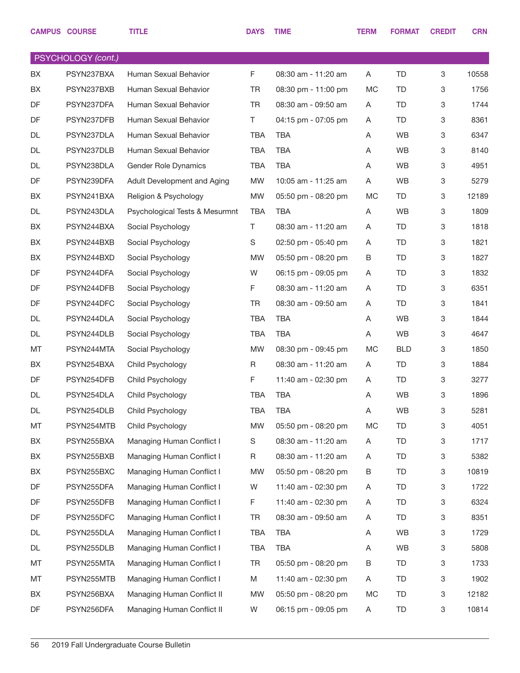|           | <b>CAMPUS COURSE</b> | <b>TITLE</b>                   | <b>DAYS</b> | <b>TIME</b>         | <b>TERM</b> | <b>FORMAT</b> | <b>CREDIT</b>             | <b>CRN</b> |
|-----------|----------------------|--------------------------------|-------------|---------------------|-------------|---------------|---------------------------|------------|
|           | PSYCHOLOGY (cont.)   |                                |             |                     |             |               |                           |            |
| <b>BX</b> | PSYN237BXA           | Human Sexual Behavior          | F           | 08:30 am - 11:20 am | A           | <b>TD</b>     | 3                         | 10558      |
| BX        | PSYN237BXB           | Human Sexual Behavior          | <b>TR</b>   | 08:30 pm - 11:00 pm | МC          | TD            | 3                         | 1756       |
| <b>DF</b> | PSYN237DFA           | Human Sexual Behavior          | <b>TR</b>   | 08:30 am - 09:50 am | A           | TD            | 3                         | 1744       |
| DF        | PSYN237DFB           | Human Sexual Behavior          | T.          | 04:15 pm - 07:05 pm | A           | TD            | 3                         | 8361       |
| DL        | PSYN237DLA           | Human Sexual Behavior          | <b>TBA</b>  | <b>TBA</b>          | Α           | WB            | 3                         | 6347       |
| DL        | PSYN237DLB           | Human Sexual Behavior          | <b>TBA</b>  | <b>TBA</b>          | A           | WB            | $\ensuremath{\mathsf{3}}$ | 8140       |
| DL        | PSYN238DLA           | Gender Role Dynamics           | <b>TBA</b>  | <b>TBA</b>          | A           | WB            | 3                         | 4951       |
| DF        | PSYN239DFA           | Adult Development and Aging    | <b>MW</b>   | 10:05 am - 11:25 am | A           | WB            | $\mathbf 3$               | 5279       |
| BX        | PSYN241BXA           | Religion & Psychology          | <b>MW</b>   | 05:50 pm - 08:20 pm | MC          | TD            | 3                         | 12189      |
| DL        | PSYN243DLA           | Psychological Tests & Mesurmnt | <b>TBA</b>  | <b>TBA</b>          | A           | WB            | $\ensuremath{\mathsf{3}}$ | 1809       |
| BX        | PSYN244BXA           | Social Psychology              | T           | 08:30 am - 11:20 am | A           | TD            | 3                         | 1818       |
| BX        | PSYN244BXB           | Social Psychology              | S           | 02:50 pm - 05:40 pm | A           | TD            | $\ensuremath{\mathsf{3}}$ | 1821       |
| BX        | PSYN244BXD           | Social Psychology              | <b>MW</b>   | 05:50 pm - 08:20 pm | B           | TD            | 3                         | 1827       |
| DF        | PSYN244DFA           | Social Psychology              | W           | 06:15 pm - 09:05 pm | A           | TD            | 3                         | 1832       |
| DF        | PSYN244DFB           | Social Psychology              | F           | 08:30 am - 11:20 am | A           | TD            | 3                         | 6351       |
| DF        | PSYN244DFC           | Social Psychology              | TR          | 08:30 am - 09:50 am | A           | TD            | $\ensuremath{\mathsf{3}}$ | 1841       |
| DL        | PSYN244DLA           | Social Psychology              | <b>TBA</b>  | <b>TBA</b>          | A           | WB            | 3                         | 1844       |
| DL        | PSYN244DLB           | Social Psychology              | <b>TBA</b>  | <b>TBA</b>          | A           | WB            | $\mathbf 3$               | 4647       |
| MT        | PSYN244MTA           | Social Psychology              | <b>MW</b>   | 08:30 pm - 09:45 pm | MC          | <b>BLD</b>    | 3                         | 1850       |
| BX        | PSYN254BXA           | Child Psychology               | R           | 08:30 am - 11:20 am | A           | TD            | 3                         | 1884       |
| DF        | PSYN254DFB           | Child Psychology               | F           | 11:40 am - 02:30 pm | A           | TD            | 3                         | 3277       |
| DL        | PSYN254DLA           | Child Psychology               | <b>TBA</b>  | <b>TBA</b>          | A           | <b>WB</b>     | $\ensuremath{\mathsf{3}}$ | 1896       |
| DL        | PSYN254DLB           | Child Psychology               | TBA         | TBA                 | Α           | WB            | $\ensuremath{\mathsf{3}}$ | 5281       |
| МT        | PSYN254MTB           | Child Psychology               | <b>MW</b>   | 05:50 pm - 08:20 pm | MC          | TD            | $\mathbf 3$               | 4051       |
| BX        | PSYN255BXA           | Managing Human Conflict I      | S           | 08:30 am - 11:20 am | A           | TD            | $\mathbf 3$               | 1717       |
| BX        | PSYN255BXB           | Managing Human Conflict I      | R           | 08:30 am - 11:20 am | A           | TD.           | $\mathbf 3$               | 5382       |
| BX        | PSYN255BXC           | Managing Human Conflict I      | MW          | 05:50 pm - 08:20 pm | В           | TD            | $\mathbf 3$               | 10819      |
| DF        | PSYN255DFA           | Managing Human Conflict I      | W           | 11:40 am - 02:30 pm | A           | TD            | $\mathbf 3$               | 1722       |
| DF        | PSYN255DFB           | Managing Human Conflict I      | F           | 11:40 am - 02:30 pm | A           | TD            | $\mathbf 3$               | 6324       |
| DF        | PSYN255DFC           | Managing Human Conflict I      | TR          | 08:30 am - 09:50 am | A           | TD.           | $\mathbf 3$               | 8351       |
| DL        | PSYN255DLA           | Managing Human Conflict I      | TBA         | <b>TBA</b>          | Α           | WB            | $\mathbf 3$               | 1729       |
| DL        | PSYN255DLB           | Managing Human Conflict I      | <b>TBA</b>  | <b>TBA</b>          | A           | WB            | $\mathbf 3$               | 5808       |
| МT        | PSYN255MTA           | Managing Human Conflict I      | TR          | 05:50 pm - 08:20 pm | В           | TD.           | $\mathbf 3$               | 1733       |
| МT        | PSYN255MTB           | Managing Human Conflict I      | M           | 11:40 am - 02:30 pm | A           | TD            | $\mathbf 3$               | 1902       |
| BX        | PSYN256BXA           | Managing Human Conflict II     | MW          | 05:50 pm - 08:20 pm | МC          | TD            | $\mathbf 3$               | 12182      |
| DF        | PSYN256DFA           | Managing Human Conflict II     | W           | 06:15 pm - 09:05 pm | A           | TD            | 3                         | 10814      |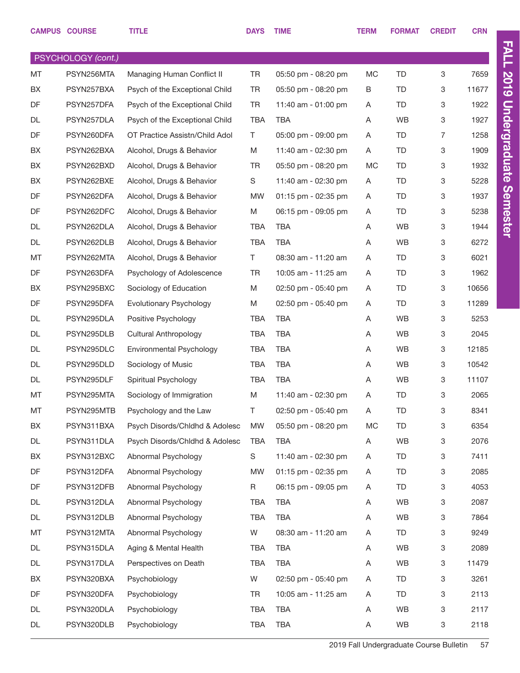|           | <b>CAMPUS COURSE</b> | <b>TITLE</b>                   | <b>DAYS</b> | <b>TIME</b>           | <b>TERM</b> | <b>FORMAT</b> | <b>CREDIT</b> | <b>CRN</b> |
|-----------|----------------------|--------------------------------|-------------|-----------------------|-------------|---------------|---------------|------------|
|           | PSYCHOLOGY (cont.)   |                                |             |                       |             |               |               |            |
| MT        | PSYN256MTA           | Managing Human Conflict II     | <b>TR</b>   | 05:50 pm - 08:20 pm   | MC          | <b>TD</b>     | 3             | 7659       |
| BX        | PSYN257BXA           | Psych of the Exceptional Child | <b>TR</b>   | 05:50 pm - 08:20 pm   | B           | TD            | 3             | 11677      |
| <b>DF</b> | PSYN257DFA           | Psych of the Exceptional Child | <b>TR</b>   | 11:40 am - 01:00 pm   | Α           | <b>TD</b>     | 3             | 1922       |
| DL        | PSYN257DLA           | Psych of the Exceptional Child | <b>TBA</b>  | TBA                   | A           | WB            | 3             | 1927       |
| DF        | PSYN260DFA           | OT Practice Assistn/Child Adol | T.          | 05:00 pm - 09:00 pm   | Α           | <b>TD</b>     | 7             | 1258       |
| BX        | PSYN262BXA           | Alcohol, Drugs & Behavior      | M           | 11:40 am - 02:30 pm   | Α           | <b>TD</b>     | 3             | 1909       |
| BX        | PSYN262BXD           | Alcohol, Drugs & Behavior      | TR          | 05:50 pm - 08:20 pm   | МC          | <b>TD</b>     | 3             | 1932       |
| BX        | PSYN262BXE           | Alcohol, Drugs & Behavior      | S           | 11:40 am - 02:30 pm   | A           | <b>TD</b>     | 3             | 5228       |
| <b>DF</b> | PSYN262DFA           | Alcohol, Drugs & Behavior      | <b>MW</b>   | $01:15$ pm - 02:35 pm | Α           | <b>TD</b>     | 3             | 1937       |
| DF        | PSYN262DFC           | Alcohol, Drugs & Behavior      | M           | 06:15 pm - 09:05 pm   | A           | <b>TD</b>     | 3             | 5238       |
| DL        | PSYN262DLA           | Alcohol, Drugs & Behavior      | <b>TBA</b>  | <b>TBA</b>            | Α           | WB            | 3             | 1944       |
| DL        | PSYN262DLB           | Alcohol, Drugs & Behavior      | <b>TBA</b>  | TBA                   | A           | <b>WB</b>     | 3             | 6272       |
| MT        | PSYN262MTA           | Alcohol, Drugs & Behavior      | T.          | 08:30 am - 11:20 am   | Α           | <b>TD</b>     | 3             | 6021       |
| <b>DF</b> | PSYN263DFA           | Psychology of Adolescence      | <b>TR</b>   | 10:05 am - 11:25 am   | A           | <b>TD</b>     | 3             | 1962       |
| BX        | PSYN295BXC           | Sociology of Education         | M           | 02:50 pm - 05:40 pm   | Α           | <b>TD</b>     | 3             | 10656      |
| <b>DF</b> | PSYN295DFA           | Evolutionary Psychology        | M           | 02:50 pm - 05:40 pm   | A           | <b>TD</b>     | 3             | 11289      |
| DL        | PSYN295DLA           | Positive Psychology            | <b>TBA</b>  | <b>TBA</b>            | Α           | <b>WB</b>     | 3             | 5253       |
| DL        | PSYN295DLB           | Cultural Anthropology          | <b>TBA</b>  | TBA                   | A           | WB            | 3             | 2045       |
| DL        | PSYN295DLC           | Environmental Psychology       | <b>TBA</b>  | <b>TBA</b>            | Α           | WB            | 3             | 12185      |
| DL        | PSYN295DLD           | Sociology of Music             | <b>TBA</b>  | <b>TBA</b>            | A           | WB            | 3             | 10542      |
| DL        | PSYN295DLF           | Spiritual Psychology           | <b>TBA</b>  | <b>TBA</b>            | Α           | <b>WB</b>     | 3             | 11107      |
| MT        | PSYN295MTA           | Sociology of Immigration       | M           | 11:40 am - 02:30 pm   | Α           | <b>TD</b>     | 3             | 2065       |
| MT        | PSYN295MTB           | Psychology and the Law         | T.          | 02:50 pm - 05:40 pm   | Α           | <b>TD</b>     | 3             | 8341       |
| BX        | PSYN311BXA           | Psych Disords/Chldhd & Adolesc | <b>MW</b>   | 05:50 pm - 08:20 pm   | MC          | <b>TD</b>     | 3             | 6354       |
| DL        | PSYN311DLA           | Psych Disords/Chldhd & Adolesc | TBA         | <b>TBA</b>            | Α           | WB            | 3             | 2076       |
| BX        | PSYN312BXC           | Abnormal Psychology            | S           | 11:40 am - 02:30 pm   | Α           | <b>TD</b>     | 3             | 7411       |
| DF        | PSYN312DFA           | Abnormal Psychology            | <b>MW</b>   | 01:15 pm - 02:35 pm   | Α           | <b>TD</b>     | 3             | 2085       |
| DF        | PSYN312DFB           | Abnormal Psychology            | R           | 06:15 pm - 09:05 pm   | Α           | <b>TD</b>     | 3             | 4053       |
| DL        | PSYN312DLA           | Abnormal Psychology            | TBA         | TBA                   | Α           | WB            | 3             | 2087       |
| DL        | PSYN312DLB           | Abnormal Psychology            | TBA         | TBA                   | Α           | WB            | 3             | 7864       |
| MT        | PSYN312MTA           | Abnormal Psychology            | W           | 08:30 am - 11:20 am   | Α           | TD            | 3             | 9249       |
| DL        | PSYN315DLA           | Aging & Mental Health          | TBA         | TBA                   | Α           | WB            | 3             | 2089       |
| DL        | PSYN317DLA           | Perspectives on Death          | TBA         | <b>TBA</b>            | Α           | WB            | 3             | 11479      |
| BX        | PSYN320BXA           | Psychobiology                  | W           | 02:50 pm - 05:40 pm   | Α           | <b>TD</b>     | 3             | 3261       |
| DF        | PSYN320DFA           | Psychobiology                  | TR          | 10:05 am - 11:25 am   | Α           | <b>TD</b>     | 3             | 2113       |
| DL        | PSYN320DLA           | Psychobiology                  | TBA         | TBA                   | Α           | WB            | 3             | 2117       |
| DL        | PSYN320DLB           | Psychobiology                  | TBA         | TBA                   | Α           | WB            | 3             | 2118       |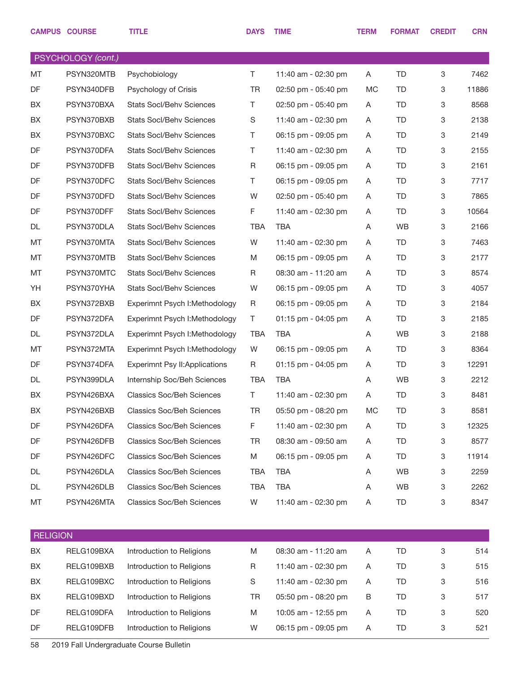|                 | <b>CAMPUS COURSE</b> | <b>TITLE</b>                         | <b>DAYS</b> | <b>TIME</b>         | <b>TERM</b> | <b>FORMAT</b> | <b>CREDIT</b> | <b>CRN</b> |
|-----------------|----------------------|--------------------------------------|-------------|---------------------|-------------|---------------|---------------|------------|
|                 | PSYCHOLOGY (cont.)   |                                      |             |                     |             |               |               |            |
| MT              | PSYN320MTB           | Psychobiology                        | T.          | 11:40 am - 02:30 pm | A           | <b>TD</b>     | 3             | 7462       |
| DF              | PSYN340DFB           | Psychology of Crisis                 | <b>TR</b>   | 02:50 pm - 05:40 pm | <b>MC</b>   | TD            | 3             | 11886      |
| BX              | PSYN370BXA           | Stats Socl/Behv Sciences             | Τ           | 02:50 pm - 05:40 pm | A           | TD            | 3             | 8568       |
| BX              | PSYN370BXB           | <b>Stats Socl/Behv Sciences</b>      | $\mathbb S$ | 11:40 am - 02:30 pm | Α           | <b>TD</b>     | 3             | 2138       |
| BX              | PSYN370BXC           | Stats Socl/Behv Sciences             | Τ           | 06:15 pm - 09:05 pm | A           | TD            | 3             | 2149       |
| DF              | PSYN370DFA           | <b>Stats Socl/Behv Sciences</b>      | Τ           | 11:40 am - 02:30 pm | Α           | <b>TD</b>     | 3             | 2155       |
| DF              | PSYN370DFB           | <b>Stats Socl/Behv Sciences</b>      | R           | 06:15 pm - 09:05 pm | A           | TD            | 3             | 2161       |
| DF              | PSYN370DFC           | <b>Stats Socl/Behv Sciences</b>      | Τ           | 06:15 pm - 09:05 pm | Α           | TD            | 3             | 7717       |
| DF              | PSYN370DFD           | <b>Stats Socl/Behv Sciences</b>      | W           | 02:50 pm - 05:40 pm | A           | TD            | 3             | 7865       |
| DF              | PSYN370DFF           | <b>Stats Socl/Behv Sciences</b>      | F           | 11:40 am - 02:30 pm | Α           | TD            | 3             | 10564      |
| DL              | PSYN370DLA           | Stats Socl/Behv Sciences             | <b>TBA</b>  | <b>TBA</b>          | Α           | WB            | 3             | 2166       |
| MT              | PSYN370MTA           | <b>Stats Socl/Behv Sciences</b>      | W           | 11:40 am - 02:30 pm | Α           | TD            | 3             | 7463       |
| MT              | PSYN370MTB           | Stats Socl/Behv Sciences             | M           | 06:15 pm - 09:05 pm | A           | TD            | 3             | 2177       |
| MT              | PSYN370MTC           | <b>Stats Socl/Behy Sciences</b>      | R           | 08:30 am - 11:20 am | Α           | TD            | 3             | 8574       |
| YH              | PSYN370YHA           | <b>Stats Socl/Behv Sciences</b>      | W           | 06:15 pm - 09:05 pm | A           | TD            | 3             | 4057       |
| BX              | PSYN372BXB           | Experimnt Psych I: Methodology       | R           | 06:15 pm - 09:05 pm | Α           | TD            | 3             | 2184       |
| DF              | PSYN372DFA           | Experimnt Psych I: Methodology       | Τ           | 01:15 pm - 04:05 pm | A           | TD            | 3             | 2185       |
| DL              | PSYN372DLA           | Experimnt Psych I: Methodology       | <b>TBA</b>  | <b>TBA</b>          | Α           | <b>WB</b>     | 3             | 2188       |
| MT              | PSYN372MTA           | Experimnt Psych I: Methodology       | W           | 06:15 pm - 09:05 pm | Α           | TD            | 3             | 8364       |
| DF              | PSYN374DFA           | <b>Experimnt Psy II:Applications</b> | R           | 01:15 pm - 04:05 pm | Α           | TD            | 3             | 12291      |
| DL              | PSYN399DLA           | Internship Soc/Beh Sciences          | TBA         | <b>TBA</b>          | A           | <b>WB</b>     | 3             | 2212       |
| BX              | PSYN426BXA           | <b>Classics Soc/Beh Sciences</b>     | Τ           | 11:40 am - 02:30 pm | Α           | TD            | 3             | 8481       |
| BX              | PSYN426BXB           | <b>Classics Soc/Beh Sciences</b>     | TR          | 05:50 pm - 08:20 pm | МC          | TD            | 3             | 8581       |
| DF              | PSYN426DFA           | <b>Classics Soc/Beh Sciences</b>     | F           | 11:40 am - 02:30 pm | A           | TD            | 3             | 12325      |
| DF              | PSYN426DFB           | <b>Classics Soc/Beh Sciences</b>     | TR          | 08:30 am - 09:50 am | Α           | TD            | 3             | 8577       |
| DF              | PSYN426DFC           | <b>Classics Soc/Beh Sciences</b>     | M           | 06:15 pm - 09:05 pm | Α           | TD            | 3             | 11914      |
| DL              | PSYN426DLA           | <b>Classics Soc/Beh Sciences</b>     | <b>TBA</b>  | <b>TBA</b>          | Α           | WB            | 3             | 2259       |
| DL              | PSYN426DLB           | <b>Classics Soc/Beh Sciences</b>     | <b>TBA</b>  | <b>TBA</b>          | Α           | WB            | 3             | 2262       |
| MT              | PSYN426MTA           | <b>Classics Soc/Beh Sciences</b>     | W           | 11:40 am - 02:30 pm | Α           | TD            | 3             | 8347       |
| <b>RELIGION</b> |                      |                                      |             |                     |             |               |               |            |
| BX              | RELG109BXA           | Introduction to Religions            | M           | 08:30 am - 11:20 am | Α           | TD            | 3             | 514        |
| BX              | RELG109BXB           | Introduction to Religions            | R           | 11:40 am - 02:30 pm | A           | TD            | 3             | 515        |
| BX              | RELG109BXC           | Introduction to Religions            | S           | 11:40 am - 02:30 pm | A           | TD            | 3             | 516        |
| BX              | RELG109BXD           | Introduction to Religions            | TR          | 05:50 pm - 08:20 pm | B           | TD            | 3             | 517        |
| DF              | RELG109DFA           | Introduction to Religions            | M           | 10:05 am - 12:55 pm | Α           | <b>TD</b>     | 3             | 520        |
| DF              | RELG109DFB           | Introduction to Religions            | W           | 06:15 pm - 09:05 pm | Α           | TD            | 3             | 521        |
|                 |                      |                                      |             |                     |             |               |               |            |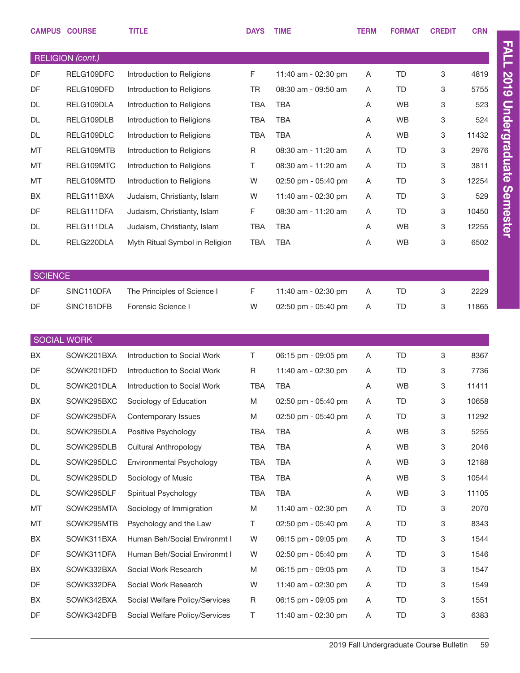| <b>RELIGION</b> (cont.)<br>DF<br>F.<br><b>TD</b><br>3<br>RELG109DFC<br>Introduction to Religions<br>11:40 am - 02:30 pm<br>Α<br>4819<br>DF<br><b>TD</b><br>5755<br>RELG109DFD<br>Introduction to Religions<br><b>TR</b><br>08:30 am - 09:50 am<br>Α<br>3<br><b>TBA</b><br><b>WB</b><br>3<br>DL<br>RELG109DLA<br>Introduction to Religions<br><b>TBA</b><br>523<br>A<br><b>TBA</b><br>WB<br>DL<br>RELG109DLB<br>Introduction to Religions<br><b>TBA</b><br>Α<br>3<br>524<br><b>TBA</b><br><b>TBA</b><br>WB<br>DL<br>RELG109DLC<br>Introduction to Religions<br>3<br>11432<br>A<br><b>TD</b><br>2976<br>MT<br>RELG109MTB<br>Introduction to Religions<br>R<br>08:30 am - 11:20 am<br>Α<br>3<br>3811<br>MT<br>RELG109MTC<br>Introduction to Religions<br>Τ<br>08:30 am - 11:20 am<br>TD<br>3<br>A<br>MT<br><b>TD</b><br>12254<br>RELG109MTD<br>Introduction to Religions<br>W<br>02:50 pm - 05:40 pm<br>Α<br>3<br>BX<br><b>TD</b><br>3<br>RELG111BXA<br>Judaism, Christianty, Islam<br>W<br>11:40 am - 02:30 pm<br>529<br>A<br>DF<br>F<br><b>TD</b><br>RELG111DFA<br>Judaism, Christianty, Islam<br>08:30 am - 11:20 am<br>Α<br>3<br>10450<br><b>TBA</b><br>DL<br>RELG111DLA<br>Judaism, Christianty, Islam<br><b>TBA</b><br><b>WB</b><br>3<br>12255<br>Α<br><b>TBA</b><br>WB<br>6502<br>DL<br>RELG220DLA<br>Myth Ritual Symbol in Religion<br><b>TBA</b><br>Α<br>3<br><b>SCIENCE</b><br>DF<br>SINC110DFA<br>F.<br>2229<br>The Principles of Science I<br>11:40 am - 02:30 pm<br>TD<br>3<br>A<br>DF<br>SINC161DFB<br>Forensic Science I<br>W<br><b>TD</b><br>3<br>11865<br>02:50 pm - 05:40 pm<br>Α<br><b>SOCIAL WORK</b><br>BX<br>Introduction to Social Work<br>Τ<br><b>TD</b><br>SOWK201BXA<br>06:15 pm - 09:05 pm<br>3<br>8367<br>A<br>DF<br>Introduction to Social Work<br>11:40 am - 02:30 pm<br>7736<br>SOWK201DFD<br>R<br>TD<br>3<br>A<br>SOWK201DLA<br>Introduction to Social Work<br><b>TBA</b><br><b>TBA</b><br>WB<br>3<br>11411<br>DL<br>Α<br>M<br>SOWK295BXC<br>Sociology of Education<br>02:50 pm - 05:40 pm<br>A<br>TD<br>3<br>BX<br>10658<br>DF<br>SOWK295DFA<br>M<br>02:50 pm - 05:40 pm<br><b>TD</b><br>11292<br>Contemporary Issues<br>Α<br>3<br>WB<br>5255<br>DL<br>SOWK295DLA<br>Positive Psychology<br>TBA<br>TBA<br>Α<br>3<br>SOWK295DLB<br>WB<br>3<br>2046<br>DL<br><b>Cultural Anthropology</b><br><b>TBA</b><br>TBA<br>Α<br>12188<br>SOWK295DLC<br>Environmental Psychology<br><b>TBA</b><br>WB<br>DL<br><b>TBA</b><br>Α<br>3<br>SOWK295DLD<br>Sociology of Music<br>WB<br>3<br>10544<br>DL<br><b>TBA</b><br>TBA<br>Α |    | <b>CAMPUS COURSE</b> | <b>TITLE</b>         | <b>DAYS</b> | <b>TIME</b> | <b>TERM</b> | <b>FORMAT</b> | <b>CREDIT</b> | <b>CRN</b> |
|----------------------------------------------------------------------------------------------------------------------------------------------------------------------------------------------------------------------------------------------------------------------------------------------------------------------------------------------------------------------------------------------------------------------------------------------------------------------------------------------------------------------------------------------------------------------------------------------------------------------------------------------------------------------------------------------------------------------------------------------------------------------------------------------------------------------------------------------------------------------------------------------------------------------------------------------------------------------------------------------------------------------------------------------------------------------------------------------------------------------------------------------------------------------------------------------------------------------------------------------------------------------------------------------------------------------------------------------------------------------------------------------------------------------------------------------------------------------------------------------------------------------------------------------------------------------------------------------------------------------------------------------------------------------------------------------------------------------------------------------------------------------------------------------------------------------------------------------------------------------------------------------------------------------------------------------------------------------------------------------------------------------------------------------------------------------------------------------------------------------------------------------------------------------------------------------------------------------------------------------------------------------------------------------------------------------------------------------------------------------------------------------------------------------------------------------------------------------------------------------------------------------------------------------|----|----------------------|----------------------|-------------|-------------|-------------|---------------|---------------|------------|
|                                                                                                                                                                                                                                                                                                                                                                                                                                                                                                                                                                                                                                                                                                                                                                                                                                                                                                                                                                                                                                                                                                                                                                                                                                                                                                                                                                                                                                                                                                                                                                                                                                                                                                                                                                                                                                                                                                                                                                                                                                                                                                                                                                                                                                                                                                                                                                                                                                                                                                                                              |    |                      |                      |             |             |             |               |               |            |
|                                                                                                                                                                                                                                                                                                                                                                                                                                                                                                                                                                                                                                                                                                                                                                                                                                                                                                                                                                                                                                                                                                                                                                                                                                                                                                                                                                                                                                                                                                                                                                                                                                                                                                                                                                                                                                                                                                                                                                                                                                                                                                                                                                                                                                                                                                                                                                                                                                                                                                                                              |    |                      |                      |             |             |             |               |               |            |
|                                                                                                                                                                                                                                                                                                                                                                                                                                                                                                                                                                                                                                                                                                                                                                                                                                                                                                                                                                                                                                                                                                                                                                                                                                                                                                                                                                                                                                                                                                                                                                                                                                                                                                                                                                                                                                                                                                                                                                                                                                                                                                                                                                                                                                                                                                                                                                                                                                                                                                                                              |    |                      |                      |             |             |             |               |               |            |
|                                                                                                                                                                                                                                                                                                                                                                                                                                                                                                                                                                                                                                                                                                                                                                                                                                                                                                                                                                                                                                                                                                                                                                                                                                                                                                                                                                                                                                                                                                                                                                                                                                                                                                                                                                                                                                                                                                                                                                                                                                                                                                                                                                                                                                                                                                                                                                                                                                                                                                                                              |    |                      |                      |             |             |             |               |               |            |
|                                                                                                                                                                                                                                                                                                                                                                                                                                                                                                                                                                                                                                                                                                                                                                                                                                                                                                                                                                                                                                                                                                                                                                                                                                                                                                                                                                                                                                                                                                                                                                                                                                                                                                                                                                                                                                                                                                                                                                                                                                                                                                                                                                                                                                                                                                                                                                                                                                                                                                                                              |    |                      |                      |             |             |             |               |               |            |
|                                                                                                                                                                                                                                                                                                                                                                                                                                                                                                                                                                                                                                                                                                                                                                                                                                                                                                                                                                                                                                                                                                                                                                                                                                                                                                                                                                                                                                                                                                                                                                                                                                                                                                                                                                                                                                                                                                                                                                                                                                                                                                                                                                                                                                                                                                                                                                                                                                                                                                                                              |    |                      |                      |             |             |             |               |               |            |
|                                                                                                                                                                                                                                                                                                                                                                                                                                                                                                                                                                                                                                                                                                                                                                                                                                                                                                                                                                                                                                                                                                                                                                                                                                                                                                                                                                                                                                                                                                                                                                                                                                                                                                                                                                                                                                                                                                                                                                                                                                                                                                                                                                                                                                                                                                                                                                                                                                                                                                                                              |    |                      |                      |             |             |             |               |               |            |
|                                                                                                                                                                                                                                                                                                                                                                                                                                                                                                                                                                                                                                                                                                                                                                                                                                                                                                                                                                                                                                                                                                                                                                                                                                                                                                                                                                                                                                                                                                                                                                                                                                                                                                                                                                                                                                                                                                                                                                                                                                                                                                                                                                                                                                                                                                                                                                                                                                                                                                                                              |    |                      |                      |             |             |             |               |               |            |
|                                                                                                                                                                                                                                                                                                                                                                                                                                                                                                                                                                                                                                                                                                                                                                                                                                                                                                                                                                                                                                                                                                                                                                                                                                                                                                                                                                                                                                                                                                                                                                                                                                                                                                                                                                                                                                                                                                                                                                                                                                                                                                                                                                                                                                                                                                                                                                                                                                                                                                                                              |    |                      |                      |             |             |             |               |               |            |
|                                                                                                                                                                                                                                                                                                                                                                                                                                                                                                                                                                                                                                                                                                                                                                                                                                                                                                                                                                                                                                                                                                                                                                                                                                                                                                                                                                                                                                                                                                                                                                                                                                                                                                                                                                                                                                                                                                                                                                                                                                                                                                                                                                                                                                                                                                                                                                                                                                                                                                                                              |    |                      |                      |             |             |             |               |               |            |
|                                                                                                                                                                                                                                                                                                                                                                                                                                                                                                                                                                                                                                                                                                                                                                                                                                                                                                                                                                                                                                                                                                                                                                                                                                                                                                                                                                                                                                                                                                                                                                                                                                                                                                                                                                                                                                                                                                                                                                                                                                                                                                                                                                                                                                                                                                                                                                                                                                                                                                                                              |    |                      |                      |             |             |             |               |               |            |
|                                                                                                                                                                                                                                                                                                                                                                                                                                                                                                                                                                                                                                                                                                                                                                                                                                                                                                                                                                                                                                                                                                                                                                                                                                                                                                                                                                                                                                                                                                                                                                                                                                                                                                                                                                                                                                                                                                                                                                                                                                                                                                                                                                                                                                                                                                                                                                                                                                                                                                                                              |    |                      |                      |             |             |             |               |               |            |
|                                                                                                                                                                                                                                                                                                                                                                                                                                                                                                                                                                                                                                                                                                                                                                                                                                                                                                                                                                                                                                                                                                                                                                                                                                                                                                                                                                                                                                                                                                                                                                                                                                                                                                                                                                                                                                                                                                                                                                                                                                                                                                                                                                                                                                                                                                                                                                                                                                                                                                                                              |    |                      |                      |             |             |             |               |               |            |
|                                                                                                                                                                                                                                                                                                                                                                                                                                                                                                                                                                                                                                                                                                                                                                                                                                                                                                                                                                                                                                                                                                                                                                                                                                                                                                                                                                                                                                                                                                                                                                                                                                                                                                                                                                                                                                                                                                                                                                                                                                                                                                                                                                                                                                                                                                                                                                                                                                                                                                                                              |    |                      |                      |             |             |             |               |               |            |
|                                                                                                                                                                                                                                                                                                                                                                                                                                                                                                                                                                                                                                                                                                                                                                                                                                                                                                                                                                                                                                                                                                                                                                                                                                                                                                                                                                                                                                                                                                                                                                                                                                                                                                                                                                                                                                                                                                                                                                                                                                                                                                                                                                                                                                                                                                                                                                                                                                                                                                                                              |    |                      |                      |             |             |             |               |               |            |
|                                                                                                                                                                                                                                                                                                                                                                                                                                                                                                                                                                                                                                                                                                                                                                                                                                                                                                                                                                                                                                                                                                                                                                                                                                                                                                                                                                                                                                                                                                                                                                                                                                                                                                                                                                                                                                                                                                                                                                                                                                                                                                                                                                                                                                                                                                                                                                                                                                                                                                                                              |    |                      |                      |             |             |             |               |               |            |
|                                                                                                                                                                                                                                                                                                                                                                                                                                                                                                                                                                                                                                                                                                                                                                                                                                                                                                                                                                                                                                                                                                                                                                                                                                                                                                                                                                                                                                                                                                                                                                                                                                                                                                                                                                                                                                                                                                                                                                                                                                                                                                                                                                                                                                                                                                                                                                                                                                                                                                                                              |    |                      |                      |             |             |             |               |               |            |
|                                                                                                                                                                                                                                                                                                                                                                                                                                                                                                                                                                                                                                                                                                                                                                                                                                                                                                                                                                                                                                                                                                                                                                                                                                                                                                                                                                                                                                                                                                                                                                                                                                                                                                                                                                                                                                                                                                                                                                                                                                                                                                                                                                                                                                                                                                                                                                                                                                                                                                                                              |    |                      |                      |             |             |             |               |               |            |
|                                                                                                                                                                                                                                                                                                                                                                                                                                                                                                                                                                                                                                                                                                                                                                                                                                                                                                                                                                                                                                                                                                                                                                                                                                                                                                                                                                                                                                                                                                                                                                                                                                                                                                                                                                                                                                                                                                                                                                                                                                                                                                                                                                                                                                                                                                                                                                                                                                                                                                                                              |    |                      |                      |             |             |             |               |               |            |
|                                                                                                                                                                                                                                                                                                                                                                                                                                                                                                                                                                                                                                                                                                                                                                                                                                                                                                                                                                                                                                                                                                                                                                                                                                                                                                                                                                                                                                                                                                                                                                                                                                                                                                                                                                                                                                                                                                                                                                                                                                                                                                                                                                                                                                                                                                                                                                                                                                                                                                                                              |    |                      |                      |             |             |             |               |               |            |
|                                                                                                                                                                                                                                                                                                                                                                                                                                                                                                                                                                                                                                                                                                                                                                                                                                                                                                                                                                                                                                                                                                                                                                                                                                                                                                                                                                                                                                                                                                                                                                                                                                                                                                                                                                                                                                                                                                                                                                                                                                                                                                                                                                                                                                                                                                                                                                                                                                                                                                                                              |    |                      |                      |             |             |             |               |               |            |
|                                                                                                                                                                                                                                                                                                                                                                                                                                                                                                                                                                                                                                                                                                                                                                                                                                                                                                                                                                                                                                                                                                                                                                                                                                                                                                                                                                                                                                                                                                                                                                                                                                                                                                                                                                                                                                                                                                                                                                                                                                                                                                                                                                                                                                                                                                                                                                                                                                                                                                                                              |    |                      |                      |             |             |             |               |               |            |
|                                                                                                                                                                                                                                                                                                                                                                                                                                                                                                                                                                                                                                                                                                                                                                                                                                                                                                                                                                                                                                                                                                                                                                                                                                                                                                                                                                                                                                                                                                                                                                                                                                                                                                                                                                                                                                                                                                                                                                                                                                                                                                                                                                                                                                                                                                                                                                                                                                                                                                                                              |    |                      |                      |             |             |             |               |               |            |
|                                                                                                                                                                                                                                                                                                                                                                                                                                                                                                                                                                                                                                                                                                                                                                                                                                                                                                                                                                                                                                                                                                                                                                                                                                                                                                                                                                                                                                                                                                                                                                                                                                                                                                                                                                                                                                                                                                                                                                                                                                                                                                                                                                                                                                                                                                                                                                                                                                                                                                                                              |    |                      |                      |             |             |             |               |               |            |
|                                                                                                                                                                                                                                                                                                                                                                                                                                                                                                                                                                                                                                                                                                                                                                                                                                                                                                                                                                                                                                                                                                                                                                                                                                                                                                                                                                                                                                                                                                                                                                                                                                                                                                                                                                                                                                                                                                                                                                                                                                                                                                                                                                                                                                                                                                                                                                                                                                                                                                                                              |    |                      |                      |             |             |             |               |               |            |
|                                                                                                                                                                                                                                                                                                                                                                                                                                                                                                                                                                                                                                                                                                                                                                                                                                                                                                                                                                                                                                                                                                                                                                                                                                                                                                                                                                                                                                                                                                                                                                                                                                                                                                                                                                                                                                                                                                                                                                                                                                                                                                                                                                                                                                                                                                                                                                                                                                                                                                                                              |    |                      |                      |             |             |             |               |               |            |
|                                                                                                                                                                                                                                                                                                                                                                                                                                                                                                                                                                                                                                                                                                                                                                                                                                                                                                                                                                                                                                                                                                                                                                                                                                                                                                                                                                                                                                                                                                                                                                                                                                                                                                                                                                                                                                                                                                                                                                                                                                                                                                                                                                                                                                                                                                                                                                                                                                                                                                                                              |    |                      |                      |             |             |             |               |               |            |
|                                                                                                                                                                                                                                                                                                                                                                                                                                                                                                                                                                                                                                                                                                                                                                                                                                                                                                                                                                                                                                                                                                                                                                                                                                                                                                                                                                                                                                                                                                                                                                                                                                                                                                                                                                                                                                                                                                                                                                                                                                                                                                                                                                                                                                                                                                                                                                                                                                                                                                                                              |    |                      |                      |             |             |             |               |               |            |
|                                                                                                                                                                                                                                                                                                                                                                                                                                                                                                                                                                                                                                                                                                                                                                                                                                                                                                                                                                                                                                                                                                                                                                                                                                                                                                                                                                                                                                                                                                                                                                                                                                                                                                                                                                                                                                                                                                                                                                                                                                                                                                                                                                                                                                                                                                                                                                                                                                                                                                                                              | DL | SOWK295DLF           | Spiritual Psychology | TBA         | <b>TBA</b>  | Α           | WB            | 3             | 11105      |
| MT<br>SOWK295MTA<br>Sociology of Immigration<br>TD<br>2070<br>M<br>11:40 am - 02:30 pm<br>Α<br>3                                                                                                                                                                                                                                                                                                                                                                                                                                                                                                                                                                                                                                                                                                                                                                                                                                                                                                                                                                                                                                                                                                                                                                                                                                                                                                                                                                                                                                                                                                                                                                                                                                                                                                                                                                                                                                                                                                                                                                                                                                                                                                                                                                                                                                                                                                                                                                                                                                             |    |                      |                      |             |             |             |               |               |            |
| MT<br>Psychology and the Law<br>T.<br>02:50 pm - 05:40 pm<br><b>TD</b><br>8343<br>SOWK295MTB<br>Α<br>3                                                                                                                                                                                                                                                                                                                                                                                                                                                                                                                                                                                                                                                                                                                                                                                                                                                                                                                                                                                                                                                                                                                                                                                                                                                                                                                                                                                                                                                                                                                                                                                                                                                                                                                                                                                                                                                                                                                                                                                                                                                                                                                                                                                                                                                                                                                                                                                                                                       |    |                      |                      |             |             |             |               |               |            |
| BX<br>SOWK311BXA<br>Human Beh/Social Environmt I<br>W<br>06:15 pm - 09:05 pm<br>TD<br>3<br>1544<br>Α                                                                                                                                                                                                                                                                                                                                                                                                                                                                                                                                                                                                                                                                                                                                                                                                                                                                                                                                                                                                                                                                                                                                                                                                                                                                                                                                                                                                                                                                                                                                                                                                                                                                                                                                                                                                                                                                                                                                                                                                                                                                                                                                                                                                                                                                                                                                                                                                                                         |    |                      |                      |             |             |             |               |               |            |
| DF<br>SOWK311DFA<br>Human Beh/Social Environmt I<br>02:50 pm - 05:40 pm<br><b>TD</b><br>1546<br>W<br>Α<br>3                                                                                                                                                                                                                                                                                                                                                                                                                                                                                                                                                                                                                                                                                                                                                                                                                                                                                                                                                                                                                                                                                                                                                                                                                                                                                                                                                                                                                                                                                                                                                                                                                                                                                                                                                                                                                                                                                                                                                                                                                                                                                                                                                                                                                                                                                                                                                                                                                                  |    |                      |                      |             |             |             |               |               |            |
| BX<br>SOWK332BXA<br>06:15 pm - 09:05 pm<br>TD<br>1547<br>Social Work Research<br>M<br>Α<br>3                                                                                                                                                                                                                                                                                                                                                                                                                                                                                                                                                                                                                                                                                                                                                                                                                                                                                                                                                                                                                                                                                                                                                                                                                                                                                                                                                                                                                                                                                                                                                                                                                                                                                                                                                                                                                                                                                                                                                                                                                                                                                                                                                                                                                                                                                                                                                                                                                                                 |    |                      |                      |             |             |             |               |               |            |
| DF<br>11:40 am - 02:30 pm<br><b>TD</b><br>1549<br>SOWK332DFA<br>Social Work Research<br>W<br>Α<br>3                                                                                                                                                                                                                                                                                                                                                                                                                                                                                                                                                                                                                                                                                                                                                                                                                                                                                                                                                                                                                                                                                                                                                                                                                                                                                                                                                                                                                                                                                                                                                                                                                                                                                                                                                                                                                                                                                                                                                                                                                                                                                                                                                                                                                                                                                                                                                                                                                                          |    |                      |                      |             |             |             |               |               |            |
| BX<br>SOWK342BXA<br>06:15 pm - 09:05 pm<br>TD<br>3<br>1551<br>Social Welfare Policy/Services<br>R<br>Α                                                                                                                                                                                                                                                                                                                                                                                                                                                                                                                                                                                                                                                                                                                                                                                                                                                                                                                                                                                                                                                                                                                                                                                                                                                                                                                                                                                                                                                                                                                                                                                                                                                                                                                                                                                                                                                                                                                                                                                                                                                                                                                                                                                                                                                                                                                                                                                                                                       |    |                      |                      |             |             |             |               |               |            |
| $\top$<br>6383<br>DF<br>Social Welfare Policy/Services<br>11:40 am - 02:30 pm<br>TD<br>SOWK342DFB<br>Α<br>3                                                                                                                                                                                                                                                                                                                                                                                                                                                                                                                                                                                                                                                                                                                                                                                                                                                                                                                                                                                                                                                                                                                                                                                                                                                                                                                                                                                                                                                                                                                                                                                                                                                                                                                                                                                                                                                                                                                                                                                                                                                                                                                                                                                                                                                                                                                                                                                                                                  |    |                      |                      |             |             |             |               |               |            |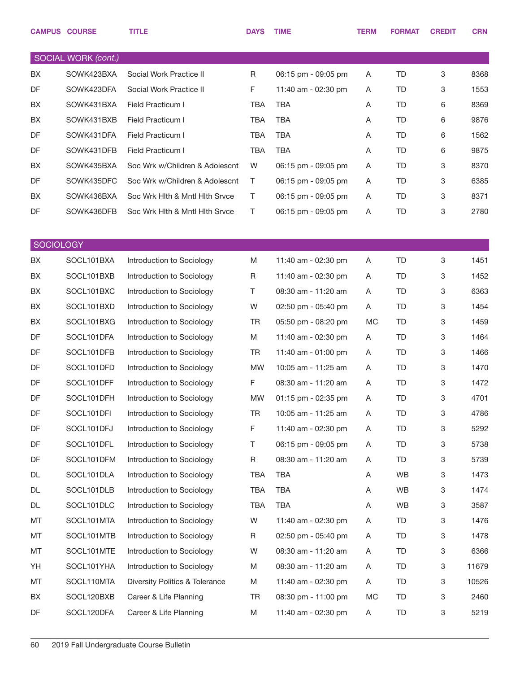|                  | <b>CAMPUS COURSE</b> | <b>TITLE</b>                   | <b>DAYS</b> | <b>TIME</b>         | <b>TERM</b> | <b>FORMAT</b> | <b>CREDIT</b> | <b>CRN</b> |
|------------------|----------------------|--------------------------------|-------------|---------------------|-------------|---------------|---------------|------------|
|                  | SOCIAL WORK (cont.)  |                                |             |                     |             |               |               |            |
| BX               | SOWK423BXA           | Social Work Practice II        | R           | 06:15 pm - 09:05 pm | A           | TD            | 3             | 8368       |
| DF               | SOWK423DFA           | Social Work Practice II        | F           | 11:40 am - 02:30 pm | A           | TD            | 3             | 1553       |
| BX               | SOWK431BXA           | Field Practicum I              | <b>TBA</b>  | <b>TBA</b>          | A           | TD            | 6             | 8369       |
| BX               | SOWK431BXB           | Field Practicum I              | <b>TBA</b>  | <b>TBA</b>          | A           | TD            | 6             | 9876       |
| DF               | SOWK431DFA           | Field Practicum I              | <b>TBA</b>  | <b>TBA</b>          | A           | TD            | 6             | 1562       |
| DF               | SOWK431DFB           | Field Practicum I              | <b>TBA</b>  | <b>TBA</b>          | A           | TD            | 6             | 9875       |
| BX               | SOWK435BXA           | Soc Wrk w/Children & Adolescnt | W           | 06:15 pm - 09:05 pm | Α           | TD            | 3             | 8370       |
| DF               | SOWK435DFC           | Soc Wrk w/Children & Adolescnt | Τ           | 06:15 pm - 09:05 pm | A           | TD            | 3             | 6385       |
| BX               | SOWK436BXA           | Soc Wrk Hith & Mntl Hith Srvce | T           | 06:15 pm - 09:05 pm | A           | TD            | 3             | 8371       |
| DF               | SOWK436DFB           | Soc Wrk Hith & Mntl Hith Srvce | T           | 06:15 pm - 09:05 pm | A           | TD            | $\,3$         | 2780       |
|                  |                      |                                |             |                     |             |               |               |            |
| <b>SOCIOLOGY</b> |                      |                                |             |                     |             |               |               |            |
| BX               | SOCL101BXA           | Introduction to Sociology      | M           | 11:40 am - 02:30 pm | A           | <b>TD</b>     | $\,3$         | 1451       |
| BX               | SOCL101BXB           | Introduction to Sociology      | R           | 11:40 am - 02:30 pm | A           | TD            | 3             | 1452       |
| BX               | SOCL101BXC           | Introduction to Sociology      | Τ           | 08:30 am - 11:20 am | A           | TD            | 3             | 6363       |
| BX               | SOCL101BXD           | Introduction to Sociology      | W           | 02:50 pm - 05:40 pm | A           | TD            | 3             | 1454       |
| BX               | SOCL101BXG           | Introduction to Sociology      | <b>TR</b>   | 05:50 pm - 08:20 pm | МC          | TD            | 3             | 1459       |
| DF               | SOCL101DFA           | Introduction to Sociology      | M           | 11:40 am - 02:30 pm | Α           | TD            | 3             | 1464       |
| DF               | SOCL101DFB           | Introduction to Sociology      | TR          | 11:40 am - 01:00 pm | A           | TD            | 3             | 1466       |
| DF               | SOCL101DFD           | Introduction to Sociology      | <b>MW</b>   | 10:05 am - 11:25 am | A           | TD            | 3             | 1470       |
| DF               | SOCL101DFF           | Introduction to Sociology      | F           | 08:30 am - 11:20 am | A           | TD            | 3             | 1472       |
| DF               | SOCL101DFH           | Introduction to Sociology      | <b>MW</b>   | 01:15 pm - 02:35 pm | A           | <b>TD</b>     | 3             | 4701       |
| DF               | SOCL101DFI           | Introduction to Sociology      | <b>TR</b>   | 10:05 am - 11:25 am | A           | TD            | 3             | 4786       |
| DF               | SOCL101DFJ           | Introduction to Sociology      | F           | 11:40 am - 02:30 pm | A           | TD            | 3             | 5292       |
| DF               | SOCL101DFL           | Introduction to Sociology      | Τ           | 06:15 pm - 09:05 pm | A           | TD            | 3             | 5738       |
| DF               | SOCL101DFM           | Introduction to Sociology      | R           | 08:30 am - 11:20 am | A           | TD            | 3             | 5739       |
| DL               | SOCL101DLA           | Introduction to Sociology      | TBA         | TBA                 | Α           | WB            | 3             | 1473       |
| DL               | SOCL101DLB           | Introduction to Sociology      | TBA         | <b>TBA</b>          | A           | <b>WB</b>     | 3             | 1474       |
| DL               | SOCL101DLC           | Introduction to Sociology      | TBA         | <b>TBA</b>          | A           | <b>WB</b>     | 3             | 3587       |
| МT               | SOCL101MTA           | Introduction to Sociology      | W           | 11:40 am - 02:30 pm | A           | TD            | 3             | 1476       |
| МT               | SOCL101MTB           | Introduction to Sociology      | R           | 02:50 pm - 05:40 pm | A           | TD            | 3             | 1478       |
| МT               | SOCL101MTE           | Introduction to Sociology      | W           | 08:30 am - 11:20 am | A           | TD            | 3             | 6366       |
| YH               | SOCL101YHA           | Introduction to Sociology      | M           | 08:30 am - 11:20 am | A           | TD            | 3             | 11679      |
| МT               | SOCL110MTA           | Diversity Politics & Tolerance | M           | 11:40 am - 02:30 pm | A           | TD            | 3             | 10526      |
| BX               | SOCL120BXB           | Career & Life Planning         | <b>TR</b>   | 08:30 pm - 11:00 pm | MC          | TD            | 3             | 2460       |
| DF               | SOCL120DFA           | Career & Life Planning         | M           | 11:40 am - 02:30 pm | A           | TD            | 3             | 5219       |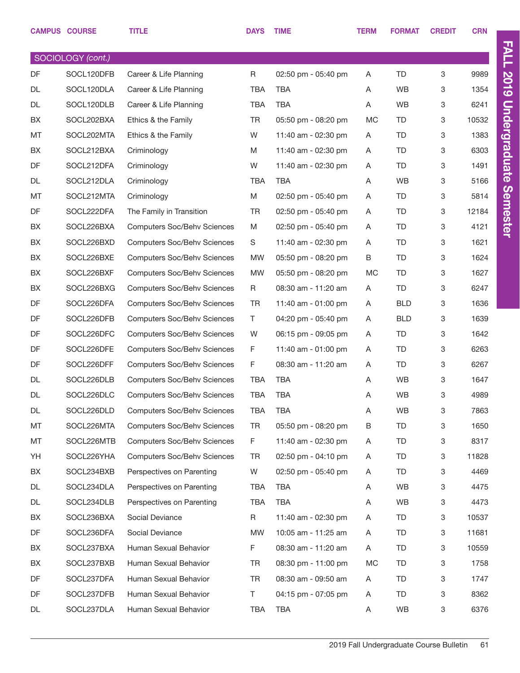|           | <b>CAMPUS COURSE</b> | <b>TITLE</b>                       | <b>DAYS</b> | <b>TIME</b>         | <b>TERM</b> | <b>FORMAT</b> | <b>CREDIT</b> | <b>CRN</b> |
|-----------|----------------------|------------------------------------|-------------|---------------------|-------------|---------------|---------------|------------|
|           | SOCIOLOGY (cont.)    |                                    |             |                     |             |               |               |            |
| DF        | SOCL120DFB           | Career & Life Planning             | R           | 02:50 pm - 05:40 pm | A           | TD            | 3             | 9989       |
| <b>DL</b> | SOCL120DLA           | Career & Life Planning             | <b>TBA</b>  | <b>TBA</b>          | A           | <b>WB</b>     | 3             | 1354       |
| DL        | SOCL120DLB           | Career & Life Planning             | <b>TBA</b>  | <b>TBA</b>          | A           | <b>WB</b>     | 3             | 6241       |
| BX        | SOCL202BXA           | Ethics & the Family                | <b>TR</b>   | 05:50 pm - 08:20 pm | MC          | TD            | 3             | 10532      |
| MT        | SOCL202MTA           | Ethics & the Family                | W           | 11:40 am - 02:30 pm | A           | TD            | 3             | 1383       |
| BX        | SOCL212BXA           | Criminology                        | M           | 11:40 am - 02:30 pm | A           | TD            | 3             | 6303       |
| DF        | SOCL212DFA           | Criminology                        | W           | 11:40 am - 02:30 pm | A           | TD            | 3             | 1491       |
| DL        | SOCL212DLA           | Criminology                        | <b>TBA</b>  | <b>TBA</b>          | A           | <b>WB</b>     | 3             | 5166       |
| MT        | SOCL212MTA           | Criminology                        | M           | 02:50 pm - 05:40 pm | A           | TD            | 3             | 5814       |
| DF        | SOCL222DFA           | The Family in Transition           | <b>TR</b>   | 02:50 pm - 05:40 pm | A           | TD            | 3             | 12184      |
| BX        | SOCL226BXA           | <b>Computers Soc/Behv Sciences</b> | M           | 02:50 pm - 05:40 pm | A           | TD            | 3             | 4121       |
| BX        | SOCL226BXD           | <b>Computers Soc/Behv Sciences</b> | S           | 11:40 am - 02:30 pm | A           | TD            | 3             | 1621       |
| BX        | SOCL226BXE           | <b>Computers Soc/Behv Sciences</b> | <b>MW</b>   | 05:50 pm - 08:20 pm | B           | TD            | 3             | 1624       |
| BX        | SOCL226BXF           | <b>Computers Soc/Behv Sciences</b> | <b>MW</b>   | 05:50 pm - 08:20 pm | <b>MC</b>   | TD            | 3             | 1627       |
| BX        | SOCL226BXG           | <b>Computers Soc/Behv Sciences</b> | R           | 08:30 am - 11:20 am | A           | TD            | 3             | 6247       |
| DF        | SOCL226DFA           | <b>Computers Soc/Behv Sciences</b> | TR          | 11:40 am - 01:00 pm | A           | <b>BLD</b>    | 3             | 1636       |
| DF        | SOCL226DFB           | <b>Computers Soc/Behv Sciences</b> | T.          | 04:20 pm - 05:40 pm | A           | <b>BLD</b>    | 3             | 1639       |
| DF        | SOCL226DFC           | <b>Computers Soc/Behv Sciences</b> | W           | 06:15 pm - 09:05 pm | A           | TD            | 3             | 1642       |
| DF        | SOCL226DFE           | <b>Computers Soc/Behv Sciences</b> | F           | 11:40 am - 01:00 pm | A           | TD            | 3             | 6263       |
| DF        | SOCL226DFF           | <b>Computers Soc/Behv Sciences</b> | F           | 08:30 am - 11:20 am | A           | TD            | 3             | 6267       |
| DL        | SOCL226DLB           | <b>Computers Soc/Behv Sciences</b> | <b>TBA</b>  | <b>TBA</b>          | A           | <b>WB</b>     | 3             | 1647       |
| DL        | SOCL226DLC           | <b>Computers Soc/Behv Sciences</b> | <b>TBA</b>  | <b>TBA</b>          | A           | WB            | 3             | 4989       |
| DL        | SOCL226DLD           | <b>Computers Soc/Behv Sciences</b> | <b>TBA</b>  | TBA                 | Α           | WB            | 3             | 7863       |
| MT        | SOCL226MTA           | <b>Computers Soc/Behv Sciences</b> | TR          | 05:50 pm - 08:20 pm | B           | TD            | 3             | 1650       |
| МT        | SOCL226MTB           | <b>Computers Soc/Behv Sciences</b> | F.          | 11:40 am - 02:30 pm | A           | TD            | 3             | 8317       |
| YH        | SOCL226YHA           | <b>Computers Soc/Behv Sciences</b> | TR          | 02:50 pm - 04:10 pm | A           | TD            | 3             | 11828      |
| BX        | SOCL234BXB           | Perspectives on Parenting          | W           | 02:50 pm - 05:40 pm | A           | TD            | 3             | 4469       |
| DL        | SOCL234DLA           | Perspectives on Parenting          | TBA         | TBA                 | A           | WB            | 3             | 4475       |
| DL        | SOCL234DLB           | Perspectives on Parenting          | TBA         | TBA                 | A           | WB            | 3             | 4473       |
| BX        | SOCL236BXA           | Social Deviance                    | R           | 11:40 am - 02:30 pm | A           | TD            | 3             | 10537      |
| DF        | SOCL236DFA           | Social Deviance                    | MW          | 10:05 am - 11:25 am | A           | TD            | 3             | 11681      |
| BX        | SOCL237BXA           | Human Sexual Behavior              | F.          | 08:30 am - 11:20 am | A           | TD            | 3             | 10559      |
| BX        | SOCL237BXB           | Human Sexual Behavior              | TR          | 08:30 pm - 11:00 pm | МC          | TD            | 3             | 1758       |
| DF        | SOCL237DFA           | Human Sexual Behavior              | <b>TR</b>   | 08:30 am - 09:50 am | A           | TD            | 3             | 1747       |
| DF        | SOCL237DFB           | Human Sexual Behavior              | T.          | 04:15 pm - 07:05 pm | A           | TD            | 3             | 8362       |
| DL        | SOCL237DLA           | Human Sexual Behavior              | TBA         | TBA                 | A           | WB            | 3             | 6376       |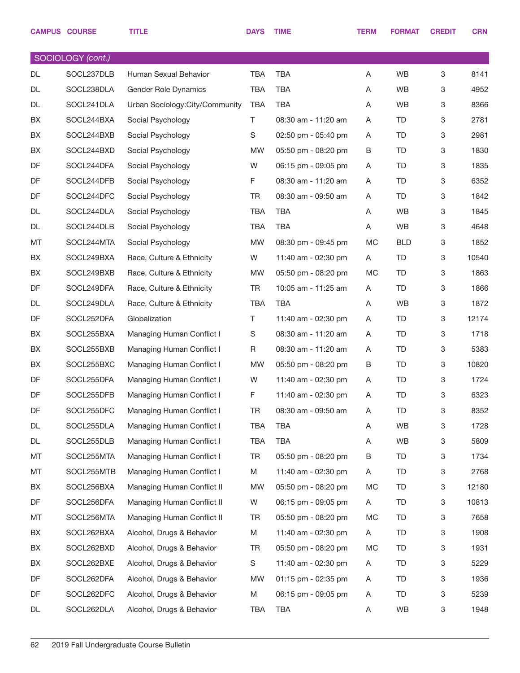|    | <b>CAMPUS COURSE</b> | <b>TITLE</b>                   | <b>DAYS</b> | <b>TIME</b>         | <b>TERM</b> | <b>FORMAT</b> | <b>CREDIT</b> | <b>CRN</b> |
|----|----------------------|--------------------------------|-------------|---------------------|-------------|---------------|---------------|------------|
|    | SOCIOLOGY (cont.)    |                                |             |                     |             |               |               |            |
| DL | SOCL237DLB           | Human Sexual Behavior          | <b>TBA</b>  | <b>TBA</b>          | Α           | WB            | 3             | 8141       |
| DL | SOCL238DLA           | Gender Role Dynamics           | <b>TBA</b>  | <b>TBA</b>          | A           | WB            | 3             | 4952       |
| DL | SOCL241DLA           | Urban Sociology:City/Community | <b>TBA</b>  | <b>TBA</b>          | A           | WB            | 3             | 8366       |
| BX | SOCL244BXA           | Social Psychology              | Τ           | 08:30 am - 11:20 am | A           | TD            | 3             | 2781       |
| BX | SOCL244BXB           | Social Psychology              | S           | 02:50 pm - 05:40 pm | A           | TD            | 3             | 2981       |
| BX | SOCL244BXD           | Social Psychology              | MW          | 05:50 pm - 08:20 pm | В           | TD            | 3             | 1830       |
| DF | SOCL244DFA           | Social Psychology              | W           | 06:15 pm - 09:05 pm | Α           | TD            | 3             | 1835       |
| DF | SOCL244DFB           | Social Psychology              | F           | 08:30 am - 11:20 am | A           | TD            | 3             | 6352       |
| DF | SOCL244DFC           | Social Psychology              | <b>TR</b>   | 08:30 am - 09:50 am | Α           | TD            | 3             | 1842       |
| DL | SOCL244DLA           | Social Psychology              | <b>TBA</b>  | <b>TBA</b>          | A           | WB            | 3             | 1845       |
| DL | SOCL244DLB           | Social Psychology              | TBA         | <b>TBA</b>          | A           | WB            | 3             | 4648       |
| MT | SOCL244MTA           | Social Psychology              | MW          | 08:30 pm - 09:45 pm | <b>MC</b>   | <b>BLD</b>    | 3             | 1852       |
| BX | SOCL249BXA           | Race, Culture & Ethnicity      | W           | 11:40 am - 02:30 pm | A           | TD            | 3             | 10540      |
| BX | SOCL249BXB           | Race, Culture & Ethnicity      | MW          | 05:50 pm - 08:20 pm | МC          | TD            | 3             | 1863       |
| DF | SOCL249DFA           | Race, Culture & Ethnicity      | <b>TR</b>   | 10:05 am - 11:25 am | A           | TD            | 3             | 1866       |
| DL | SOCL249DLA           | Race, Culture & Ethnicity      | <b>TBA</b>  | <b>TBA</b>          | Α           | WB            | 3             | 1872       |
| DF | SOCL252DFA           | Globalization                  | Τ           | 11:40 am - 02:30 pm | Α           | TD            | 3             | 12174      |
| BX | SOCL255BXA           | Managing Human Conflict I      | $\mathbb S$ | 08:30 am - 11:20 am | A           | TD            | 3             | 1718       |
| BX | SOCL255BXB           | Managing Human Conflict I      | R           | 08:30 am - 11:20 am | A           | TD            | 3             | 5383       |
| BX | SOCL255BXC           | Managing Human Conflict I      | MW          | 05:50 pm - 08:20 pm | B           | TD            | 3             | 10820      |
| DF | SOCL255DFA           | Managing Human Conflict I      | W           | 11:40 am - 02:30 pm | Α           | TD            | 3             | 1724       |
| DF | SOCL255DFB           | Managing Human Conflict I      | F           | 11:40 am - 02:30 pm | A           | TD            | 3             | 6323       |
| DF | SOCL255DFC           | Managing Human Conflict I      | TR          | 08:30 am - 09:50 am | Α           | <b>TD</b>     | 3             | 8352       |
| DL | SOCL255DLA           | Managing Human Conflict I      | <b>TBA</b>  | <b>TBA</b>          | Α           | WB            | 3             | 1728       |
| DL | SOCL255DLB           | Managing Human Conflict I      | <b>TBA</b>  | TBA                 | Α           | WB            | 3             | 5809       |
| МT | SOCL255MTA           | Managing Human Conflict I      | TR          | 05:50 pm - 08:20 pm | В           | TD            | 3             | 1734       |
| МT | SOCL255MTB           | Managing Human Conflict I      | M           | 11:40 am - 02:30 pm | A           | TD            | 3             | 2768       |
| BX | SOCL256BXA           | Managing Human Conflict II     | MW          | 05:50 pm - 08:20 pm | MC          | TD            | 3             | 12180      |
| DF | SOCL256DFA           | Managing Human Conflict II     | W           | 06:15 pm - 09:05 pm | A           | TD            | 3             | 10813      |
| MT | SOCL256MTA           | Managing Human Conflict II     | TR          | 05:50 pm - 08:20 pm | MC          | TD            | 3             | 7658       |
| BX | SOCL262BXA           | Alcohol, Drugs & Behavior      | M           | 11:40 am - 02:30 pm | A           | TD            | 3             | 1908       |
| BX | SOCL262BXD           | Alcohol, Drugs & Behavior      | TR          | 05:50 pm - 08:20 pm | MC          | TD            | 3             | 1931       |
| BX | SOCL262BXE           | Alcohol, Drugs & Behavior      | S           | 11:40 am - 02:30 pm | A           | TD            | 3             | 5229       |
| DF | SOCL262DFA           | Alcohol, Drugs & Behavior      | MW          | 01:15 pm - 02:35 pm | Α           | TD            | 3             | 1936       |
| DF | SOCL262DFC           | Alcohol, Drugs & Behavior      | M           | 06:15 pm - 09:05 pm | A           | TD            | 3             | 5239       |
| DL | SOCL262DLA           | Alcohol, Drugs & Behavior      | <b>TBA</b>  | TBA                 | A           | WB            | 3             | 1948       |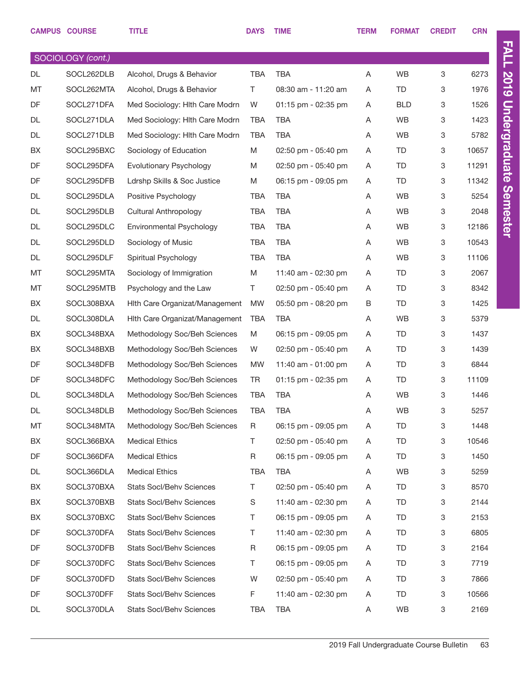|    | <b>CAMPUS COURSE</b> | <b>TITLE</b>                    | <b>DAYS</b> | <b>TIME</b>           | <b>TERM</b> | <b>FORMAT</b> | <b>CREDIT</b> | <b>CRN</b> |
|----|----------------------|---------------------------------|-------------|-----------------------|-------------|---------------|---------------|------------|
|    | SOCIOLOGY (cont.)    |                                 |             |                       |             |               |               |            |
| DL | SOCL262DLB           | Alcohol, Drugs & Behavior       | <b>TBA</b>  | <b>TBA</b>            | A           | <b>WB</b>     | 3             | 6273       |
| MT | SOCL262MTA           | Alcohol, Drugs & Behavior       | T           | 08:30 am - 11:20 am   | A           | TD            | 3             | 1976       |
| DF | SOCL271DFA           | Med Sociology: Hlth Care Modrn  | W           | 01:15 pm - 02:35 pm   | Α           | <b>BLD</b>    | 3             | 1526       |
| DL | SOCL271DLA           | Med Sociology: Hith Care Modrn  | <b>TBA</b>  | <b>TBA</b>            | A           | WB            | 3             | 1423       |
| DL | SOCL271DLB           | Med Sociology: Hith Care Modrn  | <b>TBA</b>  | <b>TBA</b>            | A           | <b>WB</b>     | 3             | 5782       |
| BX | SOCL295BXC           | Sociology of Education          | M           | 02:50 pm - 05:40 pm   | A           | TD            | 3             | 10657      |
| DF | SOCL295DFA           | Evolutionary Psychology         | M           | 02:50 pm - 05:40 pm   | A           | TD            | 3             | 11291      |
| DF | SOCL295DFB           | Ldrshp Skills & Soc Justice     | M           | 06:15 pm - 09:05 pm   | A           | TD            | 3             | 11342      |
| DL | SOCL295DLA           | Positive Psychology             | <b>TBA</b>  | <b>TBA</b>            | A           | <b>WB</b>     | 3             | 5254       |
| DL | SOCL295DLB           | <b>Cultural Anthropology</b>    | <b>TBA</b>  | <b>TBA</b>            | A           | WB            | 3             | 2048       |
| DL | SOCL295DLC           | Environmental Psychology        | <b>TBA</b>  | <b>TBA</b>            | A           | <b>WB</b>     | 3             | 12186      |
| DL | SOCL295DLD           | Sociology of Music              | <b>TBA</b>  | <b>TBA</b>            | Α           | WB            | 3             | 10543      |
| DL | SOCL295DLF           | Spiritual Psychology            | <b>TBA</b>  | <b>TBA</b>            | A           | <b>WB</b>     | 3             | 11106      |
| MT | SOCL295MTA           | Sociology of Immigration        | M           | 11:40 am - 02:30 pm   | A           | TD            | 3             | 2067       |
| MT | SOCL295MTB           | Psychology and the Law          | T.          | 02:50 pm - 05:40 pm   | A           | TD            | 3             | 8342       |
| BX | SOCL308BXA           | Hith Care Organizat/Management  | MW          | 05:50 pm - 08:20 pm   | В           | TD            | 3             | 1425       |
| DL | SOCL308DLA           | Hith Care Organizat/Management  | <b>TBA</b>  | <b>TBA</b>            | A           | <b>WB</b>     | 3             | 5379       |
| BX | SOCL348BXA           | Methodology Soc/Beh Sciences    | M           | 06:15 pm - 09:05 pm   | Α           | TD            | 3             | 1437       |
| BX | SOCL348BXB           | Methodology Soc/Beh Sciences    | W           | 02:50 pm - 05:40 pm   | A           | TD            | 3             | 1439       |
| DF | SOCL348DFB           | Methodology Soc/Beh Sciences    | <b>MW</b>   | 11:40 am - 01:00 pm   | A           | TD            | 3             | 6844       |
| DF | SOCL348DFC           | Methodology Soc/Beh Sciences    | <b>TR</b>   | $01:15$ pm - 02:35 pm | A           | TD            | 3             | 11109      |
| DL | SOCL348DLA           | Methodology Soc/Beh Sciences    | <b>TBA</b>  | <b>TBA</b>            | A           | WB            | 3             | 1446       |
| DL | SOCL348DLB           | Methodology Soc/Beh Sciences    | TBA         | TBA                   | Α           | WB            | 3             | 5257       |
| МT | SOCL348MTA           | Methodology Soc/Beh Sciences    | R           | 06:15 pm - 09:05 pm   | Α           | TD            | 3             | 1448       |
| BX | SOCL366BXA           | <b>Medical Ethics</b>           | T.          | 02:50 pm - 05:40 pm   | A           | TD            | 3             | 10546      |
| DF | SOCL366DFA           | <b>Medical Ethics</b>           | R           | 06:15 pm - 09:05 pm   | A           | TD            | 3             | 1450       |
| DL | SOCL366DLA           | <b>Medical Ethics</b>           | <b>TBA</b>  | TBA                   | A           | WB            | 3             | 5259       |
| BX | SOCL370BXA           | <b>Stats Socl/Behv Sciences</b> | T           | 02:50 pm - 05:40 pm   | A           | TD            | 3             | 8570       |
| BX | SOCL370BXB           | <b>Stats Socl/Behv Sciences</b> | S           | 11:40 am - 02:30 pm   | A           | TD            | 3             | 2144       |
| BX | SOCL370BXC           | <b>Stats Socl/Behv Sciences</b> | Τ           | 06:15 pm - 09:05 pm   | A           | TD            | 3             | 2153       |
| DF | SOCL370DFA           | <b>Stats Socl/Behv Sciences</b> | Τ           | 11:40 am - 02:30 pm   | A           | TD            | 3             | 6805       |
| DF | SOCL370DFB           | <b>Stats Socl/Behv Sciences</b> | R           | 06:15 pm - 09:05 pm   | A           | TD            | 3             | 2164       |
| DF | SOCL370DFC           | <b>Stats Socl/Behv Sciences</b> | T           | 06:15 pm - 09:05 pm   | A           | TD            | 3             | 7719       |
| DF | SOCL370DFD           | <b>Stats Socl/Behv Sciences</b> | W           | 02:50 pm - 05:40 pm   | A           | TD            | 3             | 7866       |
| DF | SOCL370DFF           | <b>Stats Socl/Behv Sciences</b> | F           | 11:40 am - 02:30 pm   | Α           | TD            | 3             | 10566      |
| DL | SOCL370DLA           | Stats Socl/Behv Sciences        | <b>TBA</b>  | TBA                   | Α           | WB            | 3             | 2169       |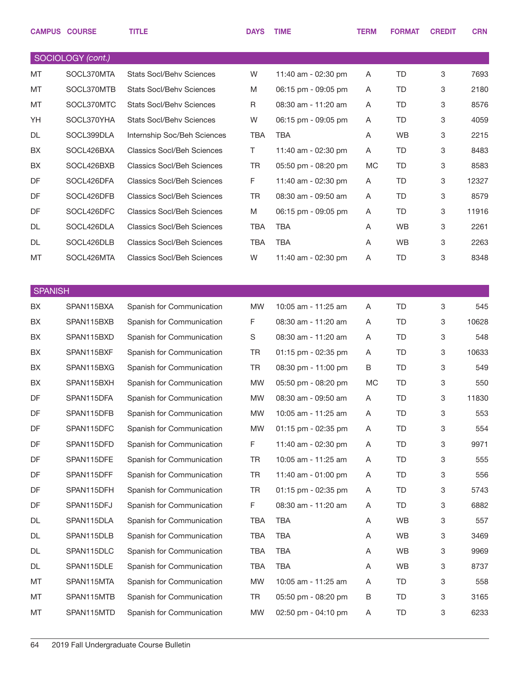|                | <b>CAMPUS COURSE</b> | <b>TITLE</b>                      | <b>DAYS</b> | <b>TIME</b>         | <b>TERM</b> | <b>FORMAT</b> | <b>CREDIT</b> | <b>CRN</b> |
|----------------|----------------------|-----------------------------------|-------------|---------------------|-------------|---------------|---------------|------------|
|                | SOCIOLOGY (cont.)    |                                   |             |                     |             |               |               |            |
| MT             | SOCL370MTA           | <b>Stats Socl/Behy Sciences</b>   | W           | 11:40 am - 02:30 pm | A           | TD.           | 3             | 7693       |
| MT             | SOCL370MTB           | <b>Stats Socl/Behv Sciences</b>   | M           | 06:15 pm - 09:05 pm | A           | TD            | 3             | 2180       |
| MT             | SOCL370MTC           | <b>Stats Socl/Behv Sciences</b>   | R           | 08:30 am - 11:20 am | A           | TD            | 3             | 8576       |
| YH             | SOCL370YHA           | <b>Stats Socl/Behv Sciences</b>   | W           | 06:15 pm - 09:05 pm | Α           | TD            | 3             | 4059       |
| DL             | SOCL399DLA           | Internship Soc/Beh Sciences       | <b>TBA</b>  | <b>TBA</b>          | A           | <b>WB</b>     | 3             | 2215       |
| BX             | SOCL426BXA           | <b>Classics Socl/Beh Sciences</b> | T.          | 11:40 am - 02:30 pm | A           | TD            | 3             | 8483       |
| BX             | SOCL426BXB           | <b>Classics Socl/Beh Sciences</b> | <b>TR</b>   | 05:50 pm - 08:20 pm | MC          | TD            | 3             | 8583       |
| DF             | SOCL426DFA           | <b>Classics Socl/Beh Sciences</b> | F           | 11:40 am - 02:30 pm | Α           | TD            | 3             | 12327      |
| DF             | SOCL426DFB           | <b>Classics Socl/Beh Sciences</b> | <b>TR</b>   | 08:30 am - 09:50 am | A           | TD            | 3             | 8579       |
| DF             | SOCL426DFC           | <b>Classics Socl/Beh Sciences</b> | M           | 06:15 pm - 09:05 pm | Α           | TD            | 3             | 11916      |
| DL             | SOCL426DLA           | <b>Classics Socl/Beh Sciences</b> | <b>TBA</b>  | <b>TBA</b>          | A           | WB            | 3             | 2261       |
| DL             | SOCL426DLB           | <b>Classics Socl/Beh Sciences</b> | <b>TBA</b>  | <b>TBA</b>          | Α           | <b>WB</b>     | 3             | 2263       |
| MT             | SOCL426MTA           | <b>Classics Socl/Beh Sciences</b> | W           | 11:40 am - 02:30 pm | Α           | TD            | 3             | 8348       |
|                |                      |                                   |             |                     |             |               |               |            |
| <b>SPANISH</b> |                      |                                   |             |                     |             |               |               |            |
| BX             | SPAN115BXA           | Spanish for Communication         | <b>MW</b>   | 10:05 am - 11:25 am | Α           | <b>TD</b>     | 3             | 545        |
| BX             | SPAN115BXB           | Spanish for Communication         | F           | 08:30 am - 11:20 am | Α           | TD            | 3             | 10628      |
| BX             | SPAN115BXD           | Spanish for Communication         | S           | 08:30 am - 11:20 am | Α           | TD            | 3             | 548        |
| BX             | SPAN115BXF           | Spanish for Communication         | <b>TR</b>   | 01:15 pm - 02:35 pm | A           | TD            | 3             | 10633      |
| BX             | SPAN115BXG           | Spanish for Communication         | <b>TR</b>   | 08:30 pm - 11:00 pm | B           | <b>TD</b>     | 3             | 549        |
| BX             | SPAN115BXH           | Spanish for Communication         | <b>MW</b>   | 05:50 pm - 08:20 pm | <b>MC</b>   | TD            | 3             | 550        |
| DF             | SPAN115DFA           | Spanish for Communication         | <b>MW</b>   | 08:30 am - 09:50 am | A           | <b>TD</b>     | 3             | 11830      |
| DF             | SPAN115DFB           | Spanish for Communication         | <b>MW</b>   | 10:05 am - 11:25 am | A           | <b>TD</b>     | 3             | 553        |
| DF             | SPAN115DFC           | Spanish for Communication         | MW          | 01:15 pm - 02:35 pm | Α           | TD            | 3             | 554        |
| DF             | SPAN115DFD           | Spanish for Communication         | F           | 11:40 am - 02:30 pm | Α           | TD            | 3             | 9971       |
| DF             | SPAN115DFE           | Spanish for Communication         | TR          | 10:05 am - 11:25 am | Α           | TD            | 3             | 555        |
| DF             | SPAN115DFF           | Spanish for Communication         | <b>TR</b>   | 11:40 am - 01:00 pm | Α           | TD            | 3             | 556        |
| DF             | SPAN115DFH           | Spanish for Communication         | <b>TR</b>   | 01:15 pm - 02:35 pm | Α           | TD            | 3             | 5743       |
| DF             | SPAN115DFJ           | Spanish for Communication         | F           | 08:30 am - 11:20 am | Α           | TD            | 3             | 6882       |
| DL             | SPAN115DLA           | Spanish for Communication         | TBA         | <b>TBA</b>          | Α           | WB            | 3             | 557        |
| DL             | SPAN115DLB           | Spanish for Communication         | <b>TBA</b>  | <b>TBA</b>          | Α           | <b>WB</b>     | 3             | 3469       |
| DL             | SPAN115DLC           | Spanish for Communication         | <b>TBA</b>  | <b>TBA</b>          | Α           | <b>WB</b>     | 3             | 9969       |
| DL             | SPAN115DLE           | Spanish for Communication         | <b>TBA</b>  | <b>TBA</b>          | Α           | <b>WB</b>     | 3             | 8737       |
| MT             | SPAN115MTA           | Spanish for Communication         | <b>MW</b>   | 10:05 am - 11:25 am | Α           | TD            | 3             | 558        |
| MT             | SPAN115MTB           | Spanish for Communication         | <b>TR</b>   | 05:50 pm - 08:20 pm | В           | TD            | 3             | 3165       |
| MT             | SPAN115MTD           | Spanish for Communication         | MW          | 02:50 pm - 04:10 pm | Α           | TD            | 3             | 6233       |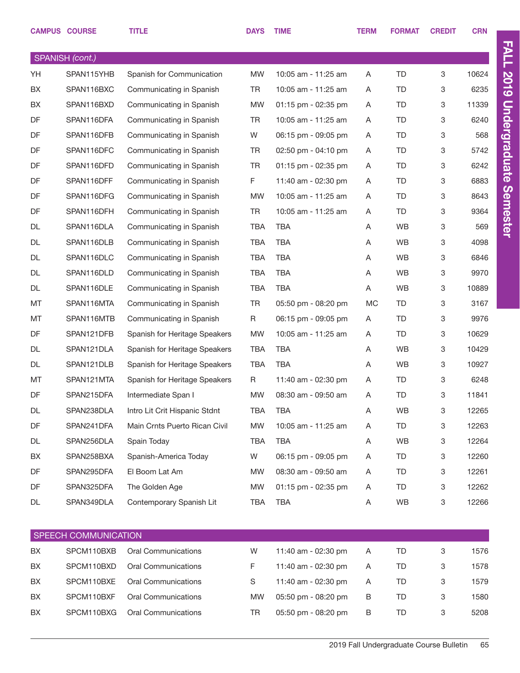|    | <b>CAMPUS COURSE</b> | <b>TITLE</b>                  | <b>DAYS</b> | <b>TIME</b>         | <b>TERM</b> | <b>FORMAT</b> | <b>CREDIT</b> | <b>CRN</b> |
|----|----------------------|-------------------------------|-------------|---------------------|-------------|---------------|---------------|------------|
|    | SPANISH (cont.)      |                               |             |                     |             |               |               |            |
| YH | SPAN115YHB           | Spanish for Communication     | <b>MW</b>   | 10:05 am - 11:25 am | A           | <b>TD</b>     | 3             | 10624      |
| BX | SPAN116BXC           | Communicating in Spanish      | <b>TR</b>   | 10:05 am - 11:25 am | A           | <b>TD</b>     | 3             | 6235       |
| BX | SPAN116BXD           | Communicating in Spanish      | <b>MW</b>   | 01:15 pm - 02:35 pm | A           | <b>TD</b>     | 3             | 11339      |
| DF | SPAN116DFA           | Communicating in Spanish      | <b>TR</b>   | 10:05 am - 11:25 am | A           | <b>TD</b>     | 3             | 6240       |
| DF | SPAN116DFB           | Communicating in Spanish      | W           | 06:15 pm - 09:05 pm | A           | <b>TD</b>     | 3             | 568        |
| DF | SPAN116DFC           | Communicating in Spanish      | <b>TR</b>   | 02:50 pm - 04:10 pm | A           | <b>TD</b>     | 3             | 5742       |
| DF | SPAN116DFD           | Communicating in Spanish      | <b>TR</b>   | 01:15 pm - 02:35 pm | A           | <b>TD</b>     | 3             | 6242       |
| DF | SPAN116DFF           | Communicating in Spanish      | F.          | 11:40 am - 02:30 pm | A           | <b>TD</b>     | 3             | 6883       |
| DF | SPAN116DFG           | Communicating in Spanish      | <b>MW</b>   | 10:05 am - 11:25 am | A           | TD            | 3             | 8643       |
| DF | SPAN116DFH           | Communicating in Spanish      | <b>TR</b>   | 10:05 am - 11:25 am | A           | <b>TD</b>     | 3             | 9364       |
| DL | SPAN116DLA           | Communicating in Spanish      | <b>TBA</b>  | <b>TBA</b>          | A           | <b>WB</b>     | 3             | 569        |
| DL | SPAN116DLB           | Communicating in Spanish      | <b>TBA</b>  | <b>TBA</b>          | A           | WB            | 3             | 4098       |
| DL | SPAN116DLC           | Communicating in Spanish      | <b>TBA</b>  | <b>TBA</b>          | A           | <b>WB</b>     | 3             | 6846       |
| DL | SPAN116DLD           | Communicating in Spanish      | <b>TBA</b>  | <b>TBA</b>          | A           | WB            | 3             | 9970       |
| DL | SPAN116DLE           | Communicating in Spanish      | <b>TBA</b>  | <b>TBA</b>          | A           | WB            | 3             | 10889      |
| MT | SPAN116MTA           | Communicating in Spanish      | <b>TR</b>   | 05:50 pm - 08:20 pm | <b>MC</b>   | <b>TD</b>     | 3             | 3167       |
| MT | SPAN116MTB           | Communicating in Spanish      | R           | 06:15 pm - 09:05 pm | A           | TD            | 3             | 9976       |
| DF | SPAN121DFB           | Spanish for Heritage Speakers | <b>MW</b>   | 10:05 am - 11:25 am | A           | <b>TD</b>     | 3             | 10629      |
| DL | SPAN121DLA           | Spanish for Heritage Speakers | <b>TBA</b>  | <b>TBA</b>          | A           | WB            | 3             | 10429      |
| DL | SPAN121DLB           | Spanish for Heritage Speakers | <b>TBA</b>  | <b>TBA</b>          | A           | WB            | 3             | 10927      |
| MT | SPAN121MTA           | Spanish for Heritage Speakers | R           | 11:40 am - 02:30 pm | A           | <b>TD</b>     | 3             | 6248       |
| DF | SPAN215DFA           | Intermediate Span I           | <b>MW</b>   | 08:30 am - 09:50 am | A           | <b>TD</b>     | 3             | 11841      |
| DL | SPAN238DLA           | Intro Lit Crit Hispanic Stdnt | TBA         | TBA                 | Α           | WB            | 3             | 12265      |
| DF | SPAN241DFA           | Main Crnts Puerto Rican Civil | MW          | 10:05 am - 11:25 am | Α           | TD            | 3             | 12263      |
| DL | SPAN256DLA           | Spain Today                   | TBA         | TBA                 | Α           | WB            | 3             | 12264      |
| BX | SPAN258BXA           | Spanish-America Today         | W           | 06:15 pm - 09:05 pm | A           | TD            | 3             | 12260      |
| DF | SPAN295DFA           | El Boom Lat Am                | <b>MW</b>   | 08:30 am - 09:50 am | A           | TD            | 3             | 12261      |
| DF | SPAN325DFA           | The Golden Age                | <b>MW</b>   | 01:15 pm - 02:35 pm | A           | TD            | 3             | 12262      |
| DL | SPAN349DLA           | Contemporary Spanish Lit      | TBA         | TBA                 | Α           | WB            | 3             | 12266      |
|    |                      |                               |             |                     |             |               |               |            |
|    | SPEECH COMMUNICATION |                               |             |                     |             |               |               |            |

|           | ו טו בבטו ו טטוויוטומוס ווט ו |                     |              |                     |   |    |   |      |  |  |  |
|-----------|-------------------------------|---------------------|--------------|---------------------|---|----|---|------|--|--|--|
| BX        | SPCM110BXB                    | Oral Communications | W            | 11:40 am - 02:30 pm | A | TD | 3 | 1576 |  |  |  |
| <b>BX</b> | SPCM110BXD                    | Oral Communications |              | 11:40 am - 02:30 pm | A | TD | 3 | 1578 |  |  |  |
| <b>BX</b> | SPCM110BXE                    | Oral Communications | <sub>S</sub> | 11:40 am - 02:30 pm | A | TD | 3 | 1579 |  |  |  |
| <b>BX</b> | SPCM110BXF                    | Oral Communications | <b>MW</b>    | 05:50 pm - 08:20 pm | B | TD | 3 | 1580 |  |  |  |
| BX        | SPCM110BXG                    | Oral Communications | TR           | 05:50 pm - 08:20 pm | B | TD |   | 5208 |  |  |  |

FALL 2019 Undergraduate Semester

FALL 2019 Undergraduate Semester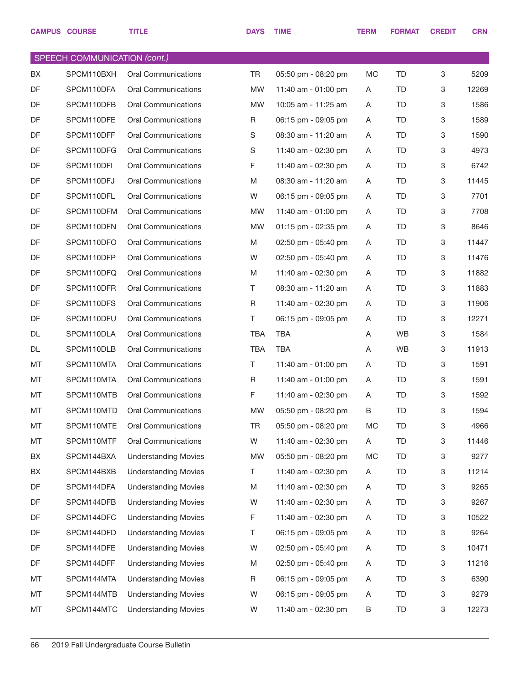|    | <b>CAMPUS COURSE</b>                | <b>TITLE</b>                | <b>DAYS</b> | <b>TIME</b>         | <b>TERM</b> | <b>FORMAT</b> | <b>CREDIT</b> | <b>CRN</b> |
|----|-------------------------------------|-----------------------------|-------------|---------------------|-------------|---------------|---------------|------------|
|    | <b>SPEECH COMMUNICATION (cont.)</b> |                             |             |                     |             |               |               |            |
| BX | SPCM110BXH                          | <b>Oral Communications</b>  | TR          | 05:50 pm - 08:20 pm | MC          | <b>TD</b>     | 3             | 5209       |
| DF | SPCM110DFA                          | <b>Oral Communications</b>  | <b>MW</b>   | 11:40 am - 01:00 pm | A           | TD            | 3             | 12269      |
| DF | SPCM110DFB                          | <b>Oral Communications</b>  | <b>MW</b>   | 10:05 am - 11:25 am | A           | TD            | 3             | 1586       |
| DF | SPCM110DFE                          | Oral Communications         | R           | 06:15 pm - 09:05 pm | A           | TD            | $\,3$         | 1589       |
| DF | SPCM110DFF                          | <b>Oral Communications</b>  | S           | 08:30 am - 11:20 am | A           | <b>TD</b>     | 3             | 1590       |
| DF | SPCM110DFG                          | <b>Oral Communications</b>  | S           | 11:40 am - 02:30 pm | A           | TD            | $\,3$         | 4973       |
| DF | SPCM110DFI                          | <b>Oral Communications</b>  | F           | 11:40 am - 02:30 pm | A           | TD            | 3             | 6742       |
| DF | SPCM110DFJ                          | <b>Oral Communications</b>  | M           | 08:30 am - 11:20 am | A           | TD            | $\,3$         | 11445      |
| DF | SPCM110DFL                          | <b>Oral Communications</b>  | W           | 06:15 pm - 09:05 pm | A           | TD            | 3             | 7701       |
| DF | SPCM110DFM                          | Oral Communications         | <b>MW</b>   | 11:40 am - 01:00 pm | A           | TD            | $\,3$         | 7708       |
| DF | SPCM110DFN                          | <b>Oral Communications</b>  | <b>MW</b>   | 01:15 pm - 02:35 pm | A           | TD            | 3             | 8646       |
| DF | SPCM110DFO                          | Oral Communications         | M           | 02:50 pm - 05:40 pm | A           | TD            | 3             | 11447      |
| DF | SPCM110DFP                          | <b>Oral Communications</b>  | W           | 02:50 pm - 05:40 pm | A           | TD            | 3             | 11476      |
| DF | SPCM110DFQ                          | <b>Oral Communications</b>  | M           | 11:40 am - 02:30 pm | A           | TD            | 3             | 11882      |
| DF | SPCM110DFR                          | <b>Oral Communications</b>  | Τ           | 08:30 am - 11:20 am | A           | TD            | 3             | 11883      |
| DF | SPCM110DFS                          | Oral Communications         | R           | 11:40 am - 02:30 pm | A           | TD            | $\,3$         | 11906      |
| DF | SPCM110DFU                          | <b>Oral Communications</b>  | Τ           | 06:15 pm - 09:05 pm | A           | TD            | 3             | 12271      |
| DL | SPCM110DLA                          | Oral Communications         | <b>TBA</b>  | <b>TBA</b>          | A           | <b>WB</b>     | 3             | 1584       |
| DL | SPCM110DLB                          | <b>Oral Communications</b>  | <b>TBA</b>  | <b>TBA</b>          | A           | <b>WB</b>     | 3             | 11913      |
| MT | SPCM110MTA                          | Oral Communications         | Τ           | 11:40 am - 01:00 pm | A           | TD            | 3             | 1591       |
| MT | SPCM110MTA                          | <b>Oral Communications</b>  | R           | 11:40 am - 01:00 pm | A           | TD            | 3             | 1591       |
| MT | SPCM110MTB                          | <b>Oral Communications</b>  | F           | 11:40 am - 02:30 pm | A           | TD            | 3             | 1592       |
| MT | SPCM110MTD                          | Oral Communications         | MW          | 05:50 pm - 08:20 pm | B           | TD            | 3             | 1594       |
| MT | SPCM110MTE                          | Oral Communications         | TR          | 05:50 pm - 08:20 pm | MC          | TD            | 3             | 4966       |
| МT | SPCM110MTF                          | Oral Communications         | W           | 11:40 am - 02:30 pm | A           | TD.           | $\mathbf 3$   | 11446      |
| BX | SPCM144BXA                          | <b>Understanding Movies</b> | <b>MW</b>   | 05:50 pm - 08:20 pm | MC          | TD.           | $\mathbf 3$   | 9277       |
| BX | SPCM144BXB                          | <b>Understanding Movies</b> | T           | 11:40 am - 02:30 pm | A           | TD.           | $\mathbf 3$   | 11214      |
| DF | SPCM144DFA                          | <b>Understanding Movies</b> | M           | 11:40 am - 02:30 pm | A           | TD.           | $\mathbf 3$   | 9265       |
| DF | SPCM144DFB                          | <b>Understanding Movies</b> | W           | 11:40 am - 02:30 pm | A           | TD.           | $\mathbf 3$   | 9267       |
| DF | SPCM144DFC                          | <b>Understanding Movies</b> | F           | 11:40 am - 02:30 pm | A           | TD.           | 3             | 10522      |
| DF | SPCM144DFD                          | <b>Understanding Movies</b> | Τ           | 06:15 pm - 09:05 pm | A           | TD.           | $\mathbf 3$   | 9264       |
| DF | SPCM144DFE                          | <b>Understanding Movies</b> | W           | 02:50 pm - 05:40 pm | A           | TD.           | 3             | 10471      |
| DF | SPCM144DFF                          | <b>Understanding Movies</b> | M           | 02:50 pm - 05:40 pm | A           | TD.           | $\mathbf 3$   | 11216      |
| МT | SPCM144MTA                          | <b>Understanding Movies</b> | R           | 06:15 pm - 09:05 pm | A           | TD.           | $\mathbf 3$   | 6390       |
| МT | SPCM144MTB                          | <b>Understanding Movies</b> | W           | 06:15 pm - 09:05 pm | A           | TD            | $\mathbf 3$   | 9279       |
| МT | SPCM144MTC                          | <b>Understanding Movies</b> | W           | 11:40 am - 02:30 pm | B           | TD            | 3             | 12273      |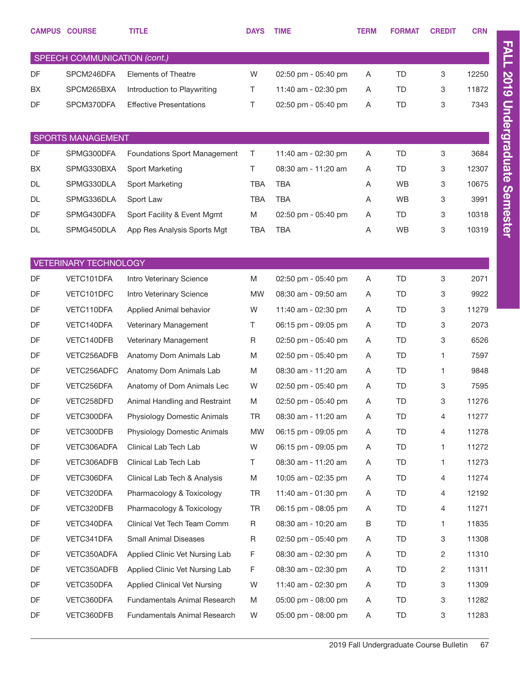|                          | <b>CAMPUS COURSE</b>         | <b>TITLE</b>                   | <b>DAYS</b> | <b>TIME</b>         | <b>TERM</b> | <b>FORMAT</b> | <b>CREDIT</b> | <b>CRN</b> |
|--------------------------|------------------------------|--------------------------------|-------------|---------------------|-------------|---------------|---------------|------------|
|                          | SPEECH COMMUNICATION (cont.) |                                |             |                     |             |               |               |            |
| DF                       | SPCM246DFA                   | <b>Elements of Theatre</b>     | W           | 02:50 pm - 05:40 pm | A           | TD            | 3             | 12250      |
| BX                       | SPCM265BXA                   | Introduction to Playwriting    | Τ           | 11:40 am - 02:30 pm | Α           | TD            | 3             | 11872      |
| DF                       | SPCM370DFA                   | <b>Effective Presentations</b> | Τ           | 02:50 pm - 05:40 pm | Α           | TD            | 3             | 7343       |
|                          |                              |                                |             |                     |             |               |               |            |
| <b>SPORTS MANAGEMENT</b> |                              |                                |             |                     |             |               |               |            |
| DF                       | SPMG300DFA                   | Foundations Sport Management   | T           | 11:40 am - 02:30 pm | Α           | TD            | 3             | 3684       |
| BX                       | SPMG330BXA                   | Sport Marketing                | T           | 08:30 am - 11:20 am | Α           | TD            | 3             | 12307      |
| DL                       | SPMG330DLA                   | Sport Marketing                | <b>TBA</b>  | <b>TBA</b>          | A           | <b>WB</b>     | 3             | 10675      |
| DL                       | SPMG336DLA                   | Sport Law                      | <b>TBA</b>  | <b>TBA</b>          | Α           | <b>WB</b>     | 3             | 3991       |
| DF                       | SPMG430DFA                   | Sport Facility & Event Mgmt    | M           | 02:50 pm - 05:40 pm | Α           | TD            | 3             | 10318      |
| <b>DL</b>                | SPMG450DLA                   | App Res Analysis Sports Mgt    | <b>TBA</b>  | <b>TBA</b>          | A           | <b>WB</b>     | 3             | 10319      |
|                          |                              |                                |             |                     |             |               |               |            |
|                          | <b>VETERINARY TECHNOLOGY</b> |                                |             |                     |             |               |               |            |
| DF                       | VETC101DFA                   | Intro Veterinary Science       | M           | 02:50 pm - 05:40 pm | A           | <b>TD</b>     | 3             | 2071       |
| DF                       | VETC101DFC                   | Intro Veterinary Science       | <b>MW</b>   | 08:30 am - 09:50 am | Α           | TD            | 3             | 9922       |
| DF                       | VETC110DFA                   | Applied Animal behavior        | W           | 11:40 am - 02:30 pm | A           | TD            | 3             | 11279      |
| DF                       | VETC140DFA                   | Veterinary Management          | Τ           | 06:15 pm - 09:05 pm | Α           | TD            | 3             | 2073       |
| DF                       | VETC140DFB                   | Veterinary Management          | R           | 02:50 pm - 05:40 pm | A           | TD            | 3             | 6526       |
| DF                       | VETC256ADFB                  | Anatomy Dom Animals Lab        | M           | 02:50 pm - 05:40 pm | Α           | TD            | 1             | 7597       |
| DF                       | VETC256ADFC                  | Anatomy Dom Animals Lab        | M           | 08:30 am - 11:20 am | Α           | TD            | 1             | 9848       |
| DF                       | VETC256DFA                   | Anatomy of Dom Animals Lec     | W           | 02:50 pm - 05:40 pm | Α           | TD            | 3             | 7595       |
| DF                       | VETC258DFD                   | Animal Handling and Restraint  | M           | 02:50 pm - 05:40 pm | A           | TD            | 3             | 11276      |
| DF                       | VETC300DFA                   | Physiology Domestic Animals    | TR          | 08:30 am - 11:20 am | A           | TD            | 4             | 11277      |
| DF                       | VETC300DFB                   | Physiology Domestic Animals    | <b>MW</b>   | 06:15 pm - 09:05 pm | A           | TD            | 4             | 11278      |
| DF                       | VETC306ADFA                  | Clinical Lab Tech Lab          | W           | 06:15 pm - 09:05 pm | A           | TD            | 1             | 11272      |
| DF                       | VETC306ADFB                  | Clinical Lab Tech Lab          | T.          | 08:30 am - 11:20 am | A           | TD            | 1             | 11273      |
| DF                       | VETC306DFA                   | Clinical Lab Tech & Analysis   | M           | 10:05 am - 02:35 pm | A           | TD            | 4             | 11274      |
| DF                       | VETC320DFA                   | Pharmacology & Toxicology      | TR          | 11:40 am - 01:30 pm | A           | TD            | 4             | 12192      |
| DF                       | VETC320DFB                   | Pharmacology & Toxicology      | TR          | 06:15 pm - 08:05 pm | A           | TD            | 4             | 11271      |
| DF                       | VETC340DFA                   | Clinical Vet Tech Team Comm    | R           | 08:30 am - 10:20 am | B           | TD            | 1             | 11835      |
| DF                       | VETC341DFA                   | <b>Small Animal Diseases</b>   | R           | 02:50 pm - 05:40 pm | A           | TD            | 3             | 11308      |
| DF                       | VETC350ADFA                  | Applied Clinic Vet Nursing Lab | F.          | 08:30 am - 02:30 pm | A           | TD            | 2             | 11310      |
| DF                       | VETC350ADFB                  | Applied Clinic Vet Nursing Lab | F.          | 08:30 am - 02:30 pm | A           | TD            | 2             | 11311      |
| DF                       | VETC350DFA                   | Applied Clinical Vet Nursing   | W           | 11:40 am - 02:30 pm | A           | TD            | 3             | 11309      |
| DF                       | VETC360DFA                   | Fundamentals Animal Research   | M           | 05:00 pm - 08:00 pm | A           | TD            | 3             | 11282      |
| DF                       | VETC360DFB                   | Fundamentals Animal Research   | W           | 05:00 pm - 08:00 pm | A           | TD            | 3             | 11283      |